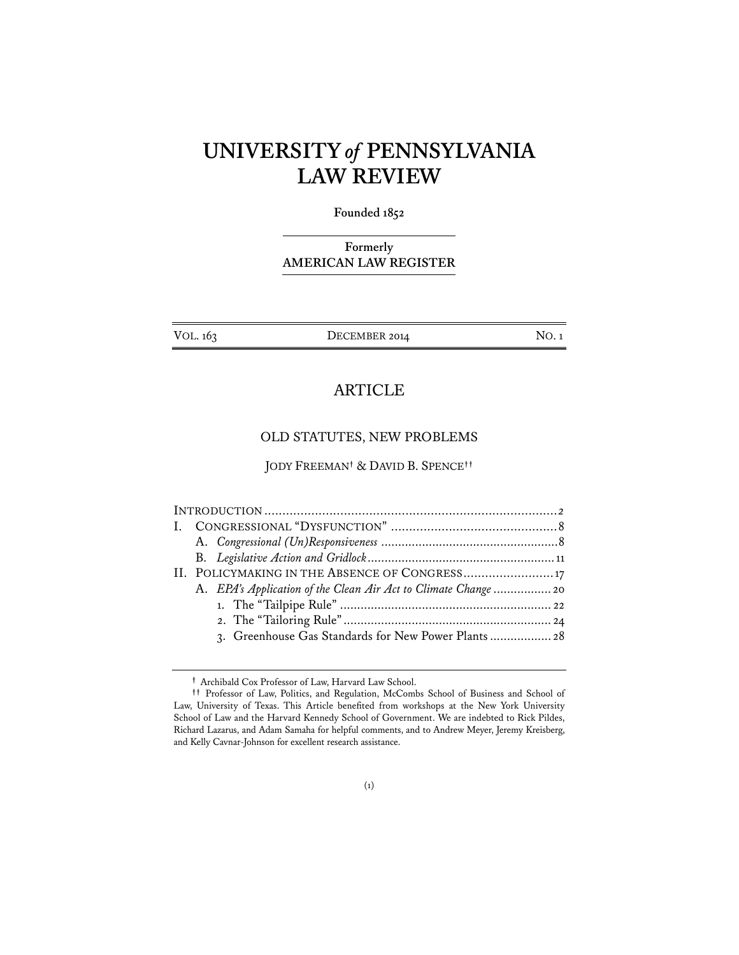# **UNIVERSITY** *of* **PENNSYLVANIA LAW REVIEW**

#### **Founded 1852**

## **Formerly AMERICAN LAW REGISTER**

| VOL. 163 |  |
|----------|--|
|----------|--|

DECEMBER 2014 NO. 1

# ARTICLE

### OLD STATUTES, NEW PROBLEMS

JODY FREEMAN**†** & DAVID B. SPENCE**††**

| II. POLICYMAKING IN THE ABSENCE OF CONGRESS 17                  |  |
|-----------------------------------------------------------------|--|
| A. EPA's Application of the Clean Air Act to Climate Change  20 |  |
|                                                                 |  |
|                                                                 |  |
| 3. Greenhouse Gas Standards for New Power Plants 28             |  |
|                                                                 |  |

**<sup>†</sup>** Archibald Cox Professor of Law, Harvard Law School.

**<sup>††</sup>** Professor of Law, Politics, and Regulation, McCombs School of Business and School of Law, University of Texas. This Article benefited from workshops at the New York University School of Law and the Harvard Kennedy School of Government. We are indebted to Rick Pildes, Richard Lazarus, and Adam Samaha for helpful comments, and to Andrew Meyer, Jeremy Kreisberg, and Kelly Cavnar-Johnson for excellent research assistance.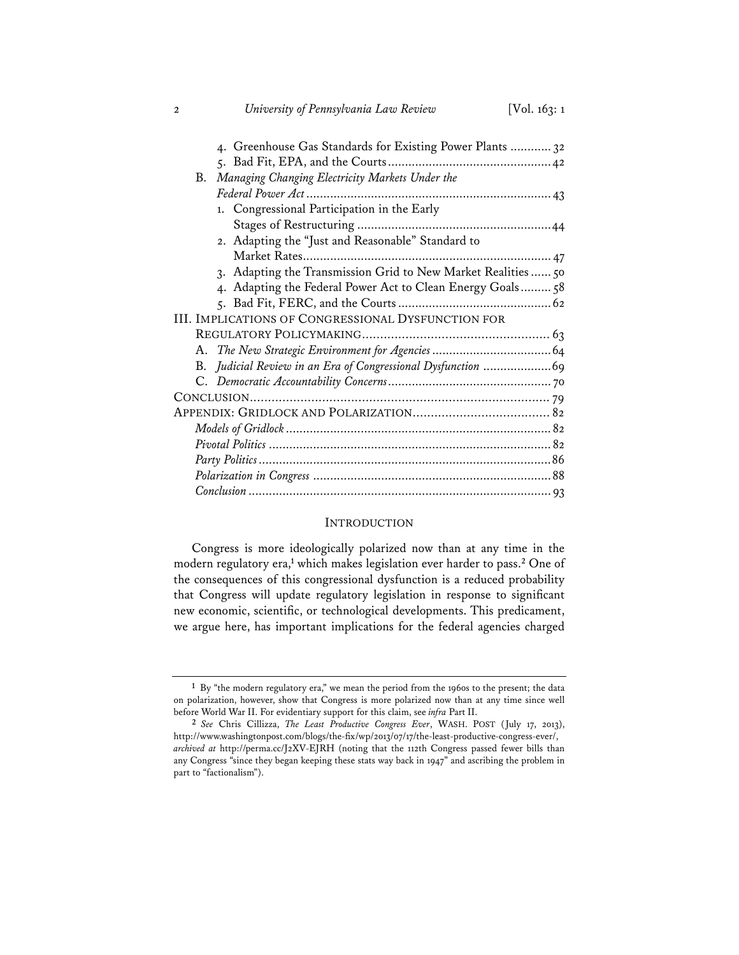| 4. Greenhouse Gas Standards for Existing Power Plants  32     |  |
|---------------------------------------------------------------|--|
|                                                               |  |
| Managing Changing Electricity Markets Under the<br>B.         |  |
|                                                               |  |
| 1. Congressional Participation in the Early                   |  |
|                                                               |  |
| 2. Adapting the "Just and Reasonable" Standard to             |  |
|                                                               |  |
| 3. Adapting the Transmission Grid to New Market Realities  50 |  |
| 4. Adapting the Federal Power Act to Clean Energy Goals 58    |  |
|                                                               |  |
| <b>III. IMPLICATIONS OF CONGRESSIONAL DYSFUNCTION FOR</b>     |  |
|                                                               |  |
|                                                               |  |
|                                                               |  |
|                                                               |  |
|                                                               |  |
|                                                               |  |
|                                                               |  |
|                                                               |  |
|                                                               |  |
|                                                               |  |
|                                                               |  |

2 *University of Pennsylvania Law Review* [Vol. 163: 1

#### INTRODUCTION

Congress is more ideologically polarized now than at any time in the modern regulatory era,<sup>1</sup> which makes legislation ever harder to pass.<sup>2</sup> One of the consequences of this congressional dysfunction is a reduced probability that Congress will update regulatory legislation in response to significant new economic, scientific, or technological developments. This predicament, we argue here, has important implications for the federal agencies charged

**<sup>1</sup>** By "the modern regulatory era," we mean the period from the 1960s to the present; the data on polarization, however, show that Congress is more polarized now than at any time since well before World War II. For evidentiary support for this claim, see *infra* Part II.

**<sup>2</sup>** *See* Chris Cillizza, *The Least Productive Congress Ever*, WASH. POST (July 17, 2013), http://www.washingtonpost.com/blogs/the-fix/wp/2013/07/17/the-least-productive-congress-ever/, *archived at* http://perma.cc/J2XV-EJRH (noting that the 112th Congress passed fewer bills than any Congress "since they began keeping these stats way back in 1947" and ascribing the problem in part to "factionalism").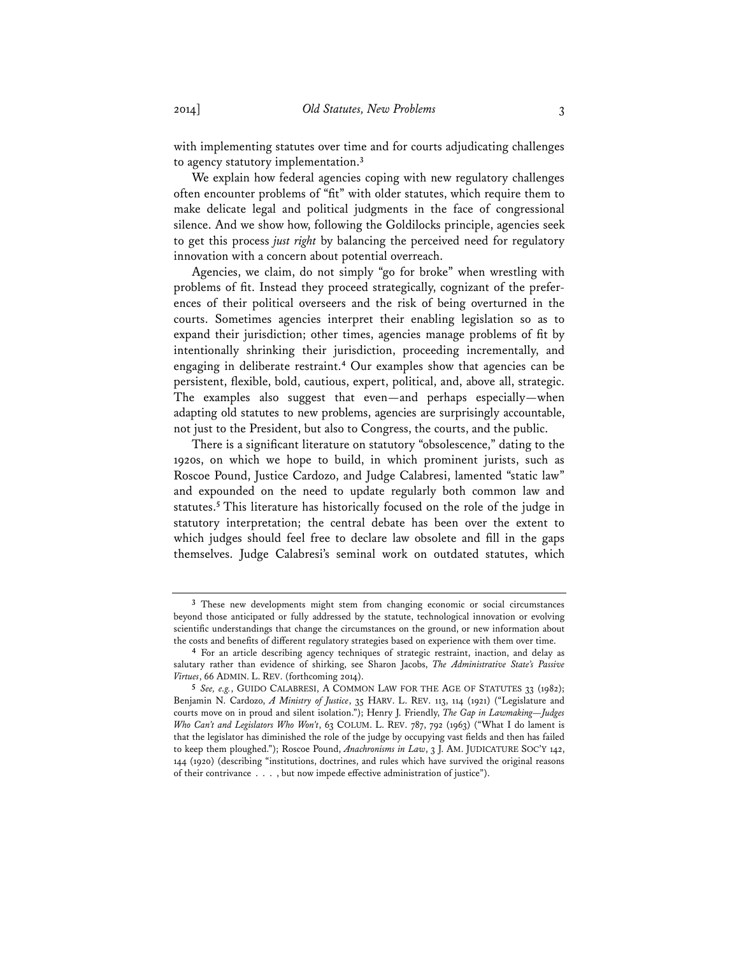with implementing statutes over time and for courts adjudicating challenges to agency statutory implementation.**<sup>3</sup>**

We explain how federal agencies coping with new regulatory challenges often encounter problems of "fit" with older statutes, which require them to make delicate legal and political judgments in the face of congressional silence. And we show how, following the Goldilocks principle, agencies seek to get this process *just right* by balancing the perceived need for regulatory innovation with a concern about potential overreach.

Agencies, we claim, do not simply "go for broke" when wrestling with problems of fit. Instead they proceed strategically, cognizant of the preferences of their political overseers and the risk of being overturned in the courts. Sometimes agencies interpret their enabling legislation so as to expand their jurisdiction; other times, agencies manage problems of fit by intentionally shrinking their jurisdiction, proceeding incrementally, and engaging in deliberate restraint.**<sup>4</sup>** Our examples show that agencies can be persistent, flexible, bold, cautious, expert, political, and, above all, strategic. The examples also suggest that even—and perhaps especially—when adapting old statutes to new problems, agencies are surprisingly accountable, not just to the President, but also to Congress, the courts, and the public.

There is a significant literature on statutory "obsolescence," dating to the 1920s, on which we hope to build, in which prominent jurists, such as Roscoe Pound, Justice Cardozo, and Judge Calabresi, lamented "static law" and expounded on the need to update regularly both common law and statutes.**<sup>5</sup>** This literature has historically focused on the role of the judge in statutory interpretation; the central debate has been over the extent to which judges should feel free to declare law obsolete and fill in the gaps themselves. Judge Calabresi's seminal work on outdated statutes, which

**<sup>3</sup>** These new developments might stem from changing economic or social circumstances beyond those anticipated or fully addressed by the statute, technological innovation or evolving scientific understandings that change the circumstances on the ground, or new information about the costs and benefits of different regulatory strategies based on experience with them over time.

**<sup>4</sup>** For an article describing agency techniques of strategic restraint, inaction, and delay as salutary rather than evidence of shirking, see Sharon Jacobs, *The Administrative State's Passive Virtues*, 66 ADMIN. L. REV. (forthcoming 2014).

**<sup>5</sup>** *See, e.g.*, GUIDO CALABRESI, A COMMON LAW FOR THE AGE OF STATUTES 33 (1982); Benjamin N. Cardozo, *A Ministry of Justice*, 35 HARV. L. REV. 113, 114 (1921) ("Legislature and courts move on in proud and silent isolation."); Henry J. Friendly, *The Gap in Lawmaking—Judges Who Can't and Legislators Who Won't*, 63 COLUM. L. REV. 787, 792 (1963) ("What I do lament is that the legislator has diminished the role of the judge by occupying vast fields and then has failed to keep them ploughed."); Roscoe Pound, *Anachronisms in Law*, 3 J. AM. JUDICATURE SOC'Y 142, 144 (1920) (describing "institutions, doctrines, and rules which have survived the original reasons of their contrivance . . . , but now impede effective administration of justice").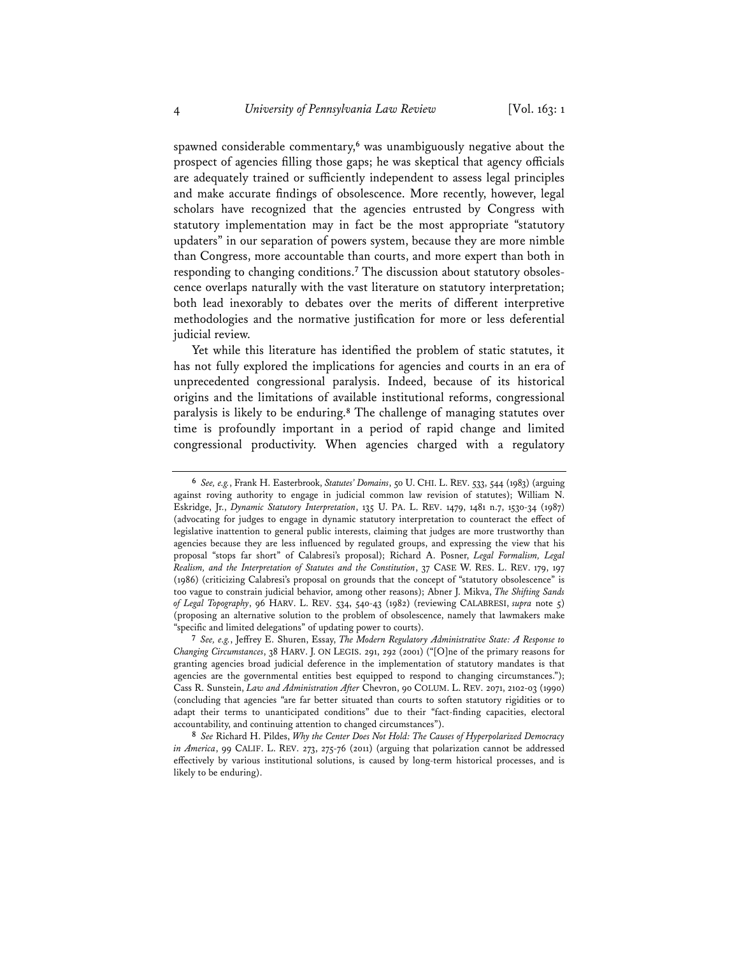spawned considerable commentary,**<sup>6</sup>** was unambiguously negative about the prospect of agencies filling those gaps; he was skeptical that agency officials are adequately trained or sufficiently independent to assess legal principles and make accurate findings of obsolescence. More recently, however, legal scholars have recognized that the agencies entrusted by Congress with statutory implementation may in fact be the most appropriate "statutory updaters" in our separation of powers system, because they are more nimble than Congress, more accountable than courts, and more expert than both in responding to changing conditions.**7** The discussion about statutory obsolescence overlaps naturally with the vast literature on statutory interpretation; both lead inexorably to debates over the merits of different interpretive methodologies and the normative justification for more or less deferential judicial review.

Yet while this literature has identified the problem of static statutes, it has not fully explored the implications for agencies and courts in an era of unprecedented congressional paralysis. Indeed, because of its historical origins and the limitations of available institutional reforms, congressional paralysis is likely to be enduring.**<sup>8</sup>** The challenge of managing statutes over time is profoundly important in a period of rapid change and limited congressional productivity. When agencies charged with a regulatory

**<sup>6</sup>** *See, e.g.*, Frank H. Easterbrook, *Statutes' Domains*, 50 U. CHI. L. REV. 533, 544 (1983) (arguing against roving authority to engage in judicial common law revision of statutes); William N. Eskridge, Jr., *Dynamic Statutory Interpretation*, 135 U. PA. L. REV. 1479, 1481 n.7, 1530-34 (1987) (advocating for judges to engage in dynamic statutory interpretation to counteract the effect of legislative inattention to general public interests, claiming that judges are more trustworthy than agencies because they are less influenced by regulated groups, and expressing the view that his proposal "stops far short" of Calabresi's proposal); Richard A. Posner, *Legal Formalism, Legal Realism, and the Interpretation of Statutes and the Constitution*, 37 CASE W. RES. L. REV. 179, 197 (1986) (criticizing Calabresi's proposal on grounds that the concept of "statutory obsolescence" is too vague to constrain judicial behavior, among other reasons); Abner J. Mikva, *The Shifting Sands of Legal Topography*, 96 HARV. L. REV. 534, 540-43 (1982) (reviewing CALABRESI, *supra* note 5) (proposing an alternative solution to the problem of obsolescence, namely that lawmakers make "specific and limited delegations" of updating power to courts).

**<sup>7</sup>** *See, e.g.*, Jeffrey E. Shuren, Essay, *The Modern Regulatory Administrative State: A Response to Changing Circumstances*, 38 HARV. J. ON LEGIS. 291, 292 (2001) ("[O]ne of the primary reasons for granting agencies broad judicial deference in the implementation of statutory mandates is that agencies are the governmental entities best equipped to respond to changing circumstances."); Cass R. Sunstein, *Law and Administration After* Chevron, 90 COLUM. L. REV. 2071, 2102-03 (1990) (concluding that agencies "are far better situated than courts to soften statutory rigidities or to adapt their terms to unanticipated conditions" due to their "fact-finding capacities, electoral accountability, and continuing attention to changed circumstances").

**<sup>8</sup>** *See* Richard H. Pildes, *Why the Center Does Not Hold: The Causes of Hyperpolarized Democracy in America*, 99 CALIF. L. REV. 273, 275-76 (2011) (arguing that polarization cannot be addressed effectively by various institutional solutions, is caused by long-term historical processes, and is likely to be enduring).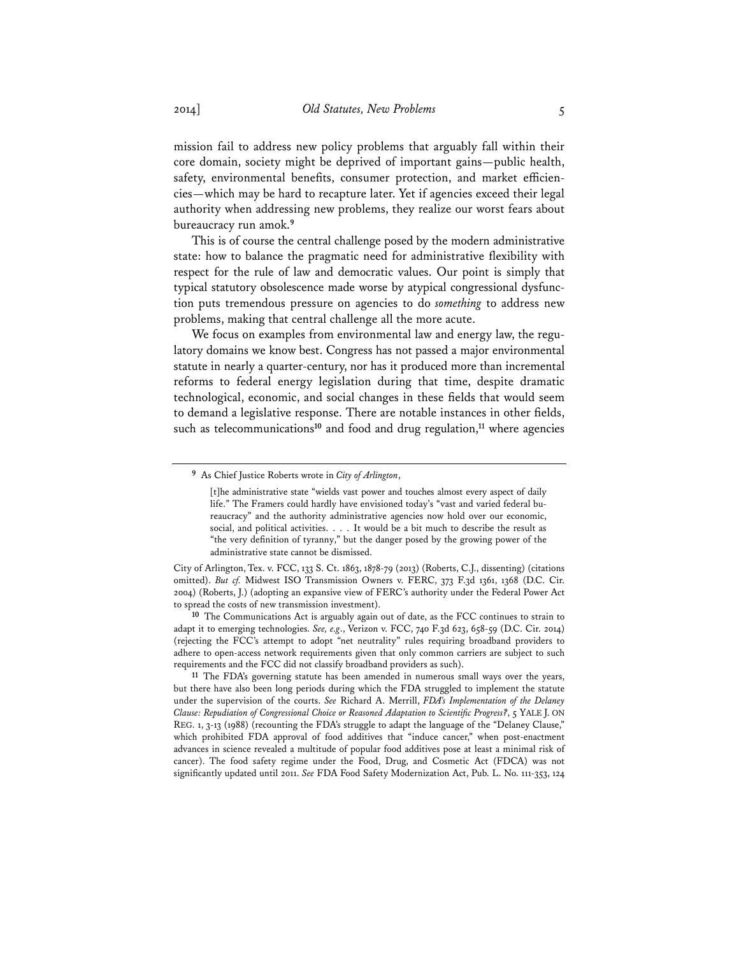mission fail to address new policy problems that arguably fall within their core domain, society might be deprived of important gains—public health, safety, environmental benefits, consumer protection, and market efficiencies—which may be hard to recapture later. Yet if agencies exceed their legal authority when addressing new problems, they realize our worst fears about bureaucracy run amok.**<sup>9</sup>**

This is of course the central challenge posed by the modern administrative state: how to balance the pragmatic need for administrative flexibility with respect for the rule of law and democratic values. Our point is simply that typical statutory obsolescence made worse by atypical congressional dysfunction puts tremendous pressure on agencies to do *something* to address new problems, making that central challenge all the more acute.

We focus on examples from environmental law and energy law, the regulatory domains we know best. Congress has not passed a major environmental statute in nearly a quarter-century, nor has it produced more than incremental reforms to federal energy legislation during that time, despite dramatic technological, economic, and social changes in these fields that would seem to demand a legislative response. There are notable instances in other fields, such as telecommunications**<sup>10</sup>** and food and drug regulation,**<sup>11</sup>** where agencies

**<sup>9</sup>** As Chief Justice Roberts wrote in *City of Arlington*,

<sup>[</sup>t]he administrative state "wields vast power and touches almost every aspect of daily life." The Framers could hardly have envisioned today's "vast and varied federal bureaucracy" and the authority administrative agencies now hold over our economic, social, and political activities. . . . It would be a bit much to describe the result as "the very definition of tyranny," but the danger posed by the growing power of the administrative state cannot be dismissed.

City of Arlington, Tex. v. FCC, 133 S. Ct. 1863, 1878-79 (2013) (Roberts, C.J., dissenting) (citations omitted). *But cf.* Midwest ISO Transmission Owners v. FERC, 373 F.3d 1361, 1368 (D.C. Cir. 2004) (Roberts, J.) (adopting an expansive view of FERC's authority under the Federal Power Act to spread the costs of new transmission investment).

**<sup>10</sup>** The Communications Act is arguably again out of date, as the FCC continues to strain to adapt it to emerging technologies. *See, e.g*., Verizon v. FCC, 740 F.3d 623, 658-59 (D.C. Cir. 2014) (rejecting the FCC's attempt to adopt "net neutrality" rules requiring broadband providers to adhere to open-access network requirements given that only common carriers are subject to such requirements and the FCC did not classify broadband providers as such).

**<sup>11</sup>** The FDA's governing statute has been amended in numerous small ways over the years, but there have also been long periods during which the FDA struggled to implement the statute under the supervision of the courts. *See* Richard A. Merrill, *FDA's Implementation of the Delaney Clause: Repudiation of Congressional Choice or Reasoned Adaptation to Scientific Progress?*, 5 YALE J. ON REG. 1, 3-13 (1988) (recounting the FDA's struggle to adapt the language of the "Delaney Clause," which prohibited FDA approval of food additives that "induce cancer," when post-enactment advances in science revealed a multitude of popular food additives pose at least a minimal risk of cancer). The food safety regime under the Food, Drug, and Cosmetic Act (FDCA) was not significantly updated until 2011. *See* FDA Food Safety Modernization Act, Pub. L. No. 111-353, 124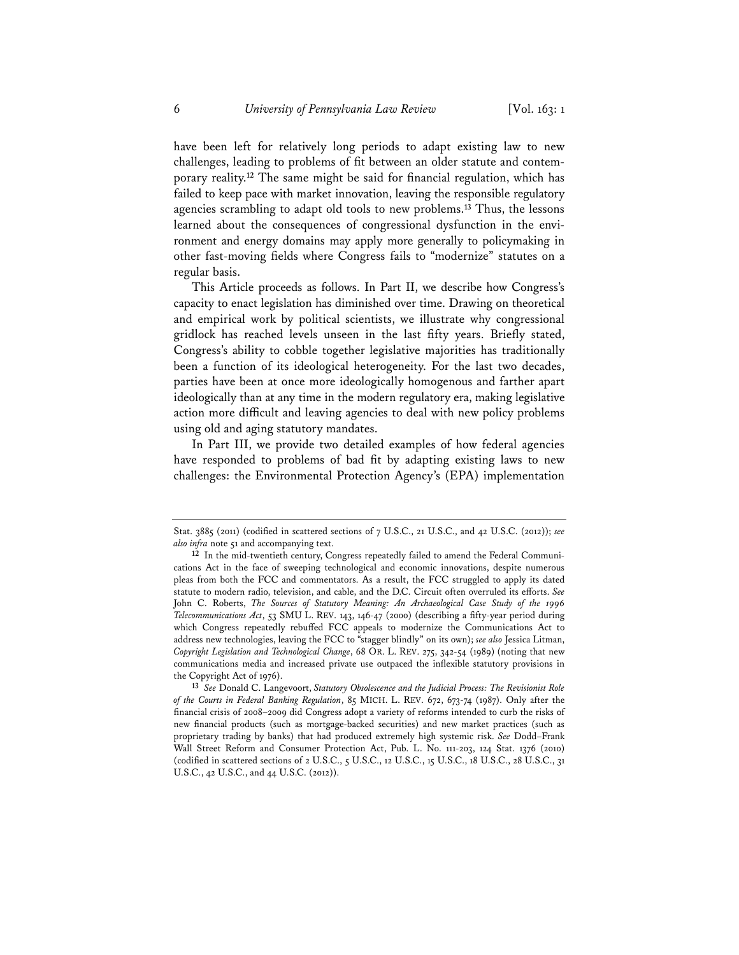have been left for relatively long periods to adapt existing law to new challenges, leading to problems of fit between an older statute and contemporary reality.**<sup>12</sup>** The same might be said for financial regulation, which has failed to keep pace with market innovation, leaving the responsible regulatory agencies scrambling to adapt old tools to new problems.**<sup>13</sup>** Thus, the lessons learned about the consequences of congressional dysfunction in the environment and energy domains may apply more generally to policymaking in other fast-moving fields where Congress fails to "modernize" statutes on a regular basis.

This Article proceeds as follows. In Part II, we describe how Congress's capacity to enact legislation has diminished over time. Drawing on theoretical and empirical work by political scientists, we illustrate why congressional gridlock has reached levels unseen in the last fifty years. Briefly stated, Congress's ability to cobble together legislative majorities has traditionally been a function of its ideological heterogeneity. For the last two decades, parties have been at once more ideologically homogenous and farther apart ideologically than at any time in the modern regulatory era, making legislative action more difficult and leaving agencies to deal with new policy problems using old and aging statutory mandates.

In Part III, we provide two detailed examples of how federal agencies have responded to problems of bad fit by adapting existing laws to new challenges: the Environmental Protection Agency's (EPA) implementation

Stat. 3885 (2011) (codified in scattered sections of 7 U.S.C., 21 U.S.C., and 42 U.S.C. (2012)); *see also infra* note 51 and accompanying text.

**<sup>12</sup>** In the mid-twentieth century, Congress repeatedly failed to amend the Federal Communications Act in the face of sweeping technological and economic innovations, despite numerous pleas from both the FCC and commentators. As a result, the FCC struggled to apply its dated statute to modern radio, television, and cable, and the D.C. Circuit often overruled its efforts. *See* John C. Roberts, *The Sources of Statutory Meaning: An Archaeological Case Study of the 1996 Telecommunications Act*, 53 SMU L. REV. 143, 146-47 (2000) (describing a fifty-year period during which Congress repeatedly rebuffed FCC appeals to modernize the Communications Act to address new technologies, leaving the FCC to "stagger blindly" on its own); *see also* Jessica Litman, *Copyright Legislation and Technological Change*, 68 OR. L. REV. 275, 342-54 (1989) (noting that new communications media and increased private use outpaced the inflexible statutory provisions in the Copyright Act of 1976).

**<sup>13</sup>** *See* Donald C. Langevoort, *Statutory Obsolescence and the Judicial Process: The Revisionist Role of the Courts in Federal Banking Regulation*, 85 MICH. L. REV. 672, 673-74 (1987). Only after the financial crisis of 2008–2009 did Congress adopt a variety of reforms intended to curb the risks of new financial products (such as mortgage-backed securities) and new market practices (such as proprietary trading by banks) that had produced extremely high systemic risk. *See* Dodd–Frank Wall Street Reform and Consumer Protection Act, Pub. L. No. 111-203, 124 Stat. 1376 (2010) (codified in scattered sections of 2 U.S.C., 5 U.S.C., 12 U.S.C., 15 U.S.C., 18 U.S.C., 28 U.S.C., 31 U.S.C., 42 U.S.C., and 44 U.S.C. (2012)).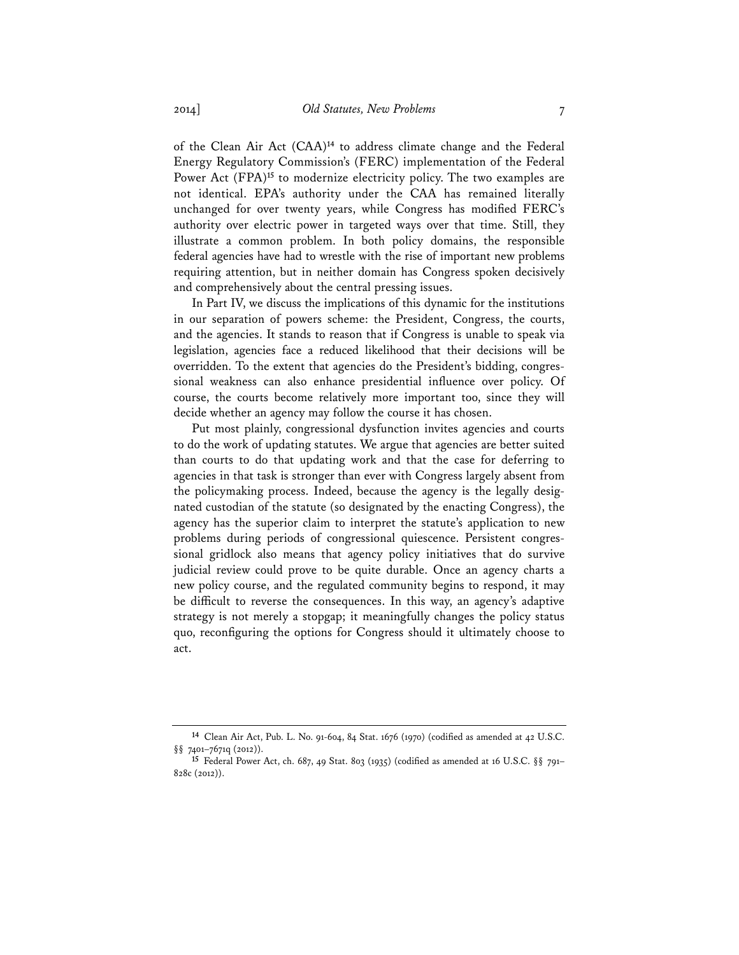of the Clean Air Act (CAA)**<sup>14</sup>** to address climate change and the Federal Energy Regulatory Commission's (FERC) implementation of the Federal Power Act (FPA)**<sup>15</sup>** to modernize electricity policy. The two examples are not identical. EPA's authority under the CAA has remained literally unchanged for over twenty years, while Congress has modified FERC's authority over electric power in targeted ways over that time. Still, they illustrate a common problem. In both policy domains, the responsible federal agencies have had to wrestle with the rise of important new problems requiring attention, but in neither domain has Congress spoken decisively and comprehensively about the central pressing issues.

In Part IV, we discuss the implications of this dynamic for the institutions in our separation of powers scheme: the President, Congress, the courts, and the agencies. It stands to reason that if Congress is unable to speak via legislation, agencies face a reduced likelihood that their decisions will be overridden. To the extent that agencies do the President's bidding, congressional weakness can also enhance presidential influence over policy. Of course, the courts become relatively more important too, since they will decide whether an agency may follow the course it has chosen.

Put most plainly, congressional dysfunction invites agencies and courts to do the work of updating statutes. We argue that agencies are better suited than courts to do that updating work and that the case for deferring to agencies in that task is stronger than ever with Congress largely absent from the policymaking process. Indeed, because the agency is the legally designated custodian of the statute (so designated by the enacting Congress), the agency has the superior claim to interpret the statute's application to new problems during periods of congressional quiescence. Persistent congressional gridlock also means that agency policy initiatives that do survive judicial review could prove to be quite durable. Once an agency charts a new policy course, and the regulated community begins to respond, it may be difficult to reverse the consequences. In this way, an agency's adaptive strategy is not merely a stopgap; it meaningfully changes the policy status quo, reconfiguring the options for Congress should it ultimately choose to act.

**<sup>14</sup>** Clean Air Act, Pub. L. No. 91-604, 84 Stat. 1676 (1970) (codified as amended at 42 U.S.C. §§ 7401–7671q (2012)).

**<sup>15</sup>** Federal Power Act, ch. 687, 49 Stat. 803 (1935) (codified as amended at 16 U.S.C. §§ 791– 828c (2012)).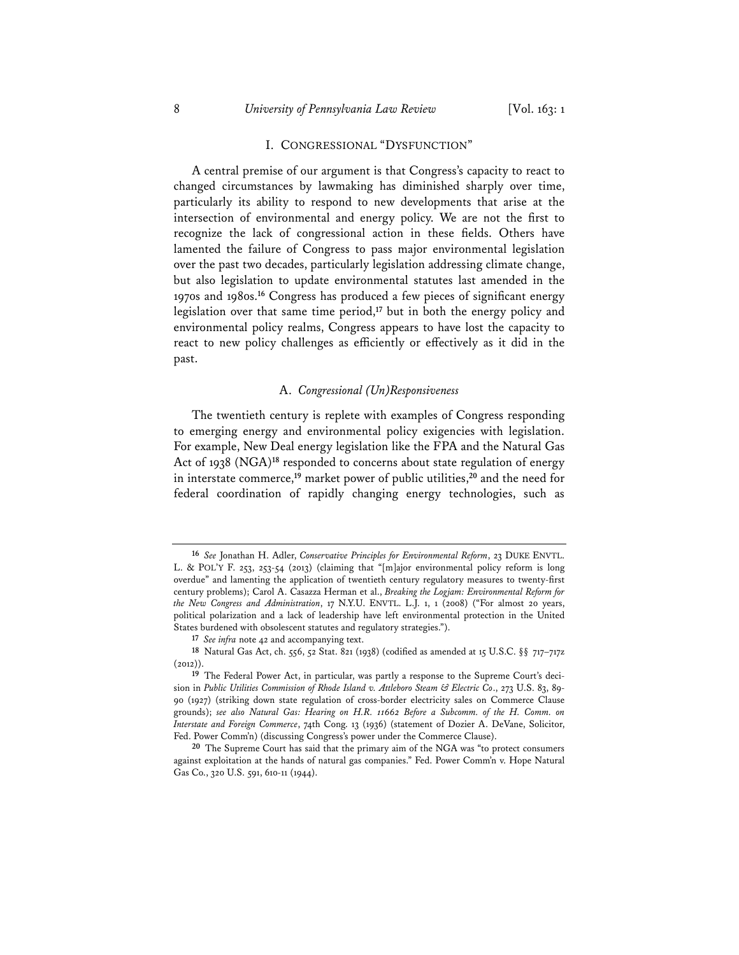#### I. CONGRESSIONAL "DYSFUNCTION"

A central premise of our argument is that Congress's capacity to react to changed circumstances by lawmaking has diminished sharply over time, particularly its ability to respond to new developments that arise at the intersection of environmental and energy policy. We are not the first to recognize the lack of congressional action in these fields. Others have lamented the failure of Congress to pass major environmental legislation over the past two decades, particularly legislation addressing climate change, but also legislation to update environmental statutes last amended in the 1970s and 1980s.**<sup>16</sup>** Congress has produced a few pieces of significant energy legislation over that same time period,**<sup>17</sup>** but in both the energy policy and environmental policy realms, Congress appears to have lost the capacity to react to new policy challenges as efficiently or effectively as it did in the past.

#### A. *Congressional (Un)Responsiveness*

The twentieth century is replete with examples of Congress responding to emerging energy and environmental policy exigencies with legislation. For example, New Deal energy legislation like the FPA and the Natural Gas Act of 1938 (NGA)**<sup>18</sup>** responded to concerns about state regulation of energy in interstate commerce,**<sup>19</sup>** market power of public utilities,**<sup>20</sup>** and the need for federal coordination of rapidly changing energy technologies, such as

**<sup>16</sup>** *See* Jonathan H. Adler, *Conservative Principles for Environmental Reform*, 23 DUKE ENVTL. L. & POL'Y F. 253, 253-54 (2013) (claiming that "[m]ajor environmental policy reform is long overdue" and lamenting the application of twentieth century regulatory measures to twenty-first century problems); Carol A. Casazza Herman et al., *Breaking the Logjam: Environmental Reform for the New Congress and Administration*, 17 N.Y.U. ENVTL. L.J. 1, 1 (2008) ("For almost 20 years, political polarization and a lack of leadership have left environmental protection in the United States burdened with obsolescent statutes and regulatory strategies.").

**<sup>17</sup>** *See infra* note 42 and accompanying text.

**<sup>18</sup>** Natural Gas Act, ch. 556, 52 Stat. 821 (1938) (codified as amended at 15 U.S.C. §§ 717–717z  $(2012)$ 

**<sup>19</sup>** The Federal Power Act, in particular, was partly a response to the Supreme Court's decision in *Public Utilities Commission of Rhode Island v. Attleboro Steam & Electric Co*., 273 U.S. 83, 89- 90 (1927) (striking down state regulation of cross-border electricity sales on Commerce Clause grounds); *see also Natural Gas: Hearing on H.R. 11662 Before a Subcomm. of the H. Comm. on Interstate and Foreign Commerce*, 74th Cong. 13 (1936) (statement of Dozier A. DeVane, Solicitor, Fed. Power Comm'n) (discussing Congress's power under the Commerce Clause).

**<sup>20</sup>** The Supreme Court has said that the primary aim of the NGA was "to protect consumers against exploitation at the hands of natural gas companies." Fed. Power Comm'n v. Hope Natural Gas Co., 320 U.S. 591, 610-11 (1944).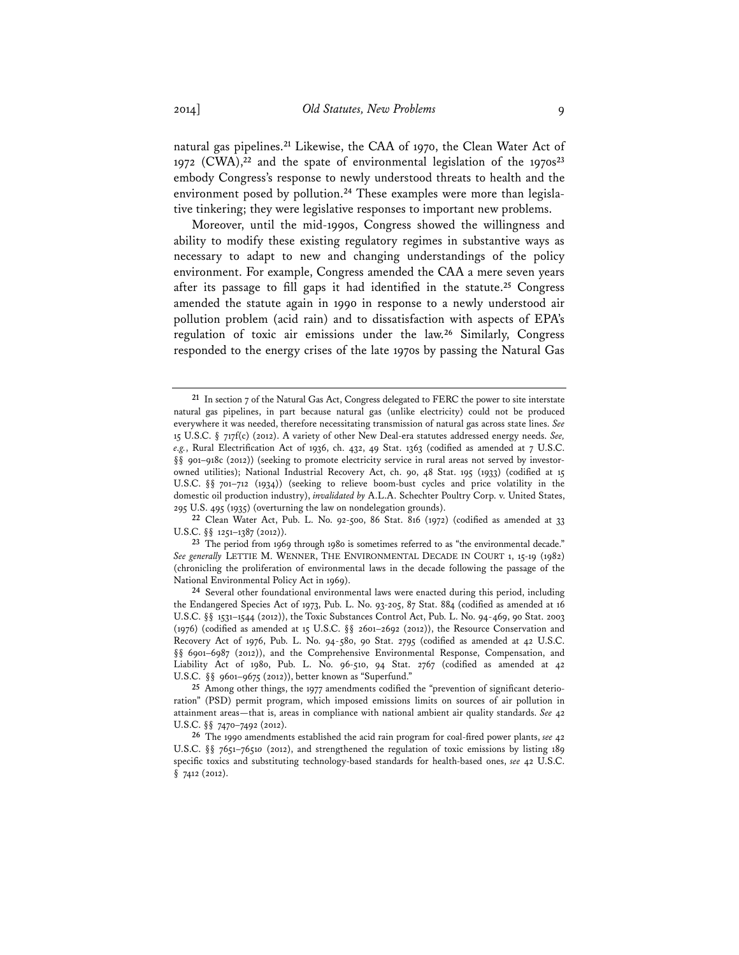natural gas pipelines.**<sup>21</sup>** Likewise, the CAA of 1970, the Clean Water Act of 1972 (CWA),**<sup>22</sup>** and the spate of environmental legislation of the 1970s**<sup>23</sup>** embody Congress's response to newly understood threats to health and the environment posed by pollution.**24** These examples were more than legislative tinkering; they were legislative responses to important new problems.

Moreover, until the mid-1990s, Congress showed the willingness and ability to modify these existing regulatory regimes in substantive ways as necessary to adapt to new and changing understandings of the policy environment. For example, Congress amended the CAA a mere seven years after its passage to fill gaps it had identified in the statute.**<sup>25</sup>** Congress amended the statute again in 1990 in response to a newly understood air pollution problem (acid rain) and to dissatisfaction with aspects of EPA's regulation of toxic air emissions under the law.**<sup>26</sup>** Similarly, Congress responded to the energy crises of the late 1970s by passing the Natural Gas

**<sup>21</sup>** In section 7 of the Natural Gas Act, Congress delegated to FERC the power to site interstate natural gas pipelines, in part because natural gas (unlike electricity) could not be produced everywhere it was needed, therefore necessitating transmission of natural gas across state lines. *See* 15 U.S.C. § 717f(c) (2012). A variety of other New Deal-era statutes addressed energy needs. *See, e.g.*, Rural Electrification Act of 1936, ch. 432, 49 Stat. 1363 (codified as amended at 7 U.S.C. §§ 901-918c (2012)) (seeking to promote electricity service in rural areas not served by investorowned utilities); National Industrial Recovery Act, ch. 90, 48 Stat. 195 (1933) (codified at 15 U.S.C. §§ 701–712 (1934)) (seeking to relieve boom-bust cycles and price volatility in the domestic oil production industry), *invalidated by* A.L.A. Schechter Poultry Corp. v. United States, 295 U.S. 495 (1935) (overturning the law on nondelegation grounds).

**<sup>22</sup>** Clean Water Act, Pub. L. No. 92-500, 86 Stat. 816 (1972) (codified as amended at 33 U.S.C. §§ 1251-1387 (2012)).

**<sup>23</sup>** The period from 1969 through 1980 is sometimes referred to as "the environmental decade." *See generally* LETTIE M. WENNER, THE ENVIRONMENTAL DECADE IN COURT 1, 15-19 (1982) (chronicling the proliferation of environmental laws in the decade following the passage of the National Environmental Policy Act in 1969).

**<sup>24</sup>** Several other foundational environmental laws were enacted during this period, including the Endangered Species Act of 1973, Pub. L. No. 93-205, 87 Stat. 884 (codified as amended at 16 U.S.C. §§ 1531–1544 (2012)), the Toxic Substances Control Act, Pub. L. No. 94-469, 90 Stat. 2003 (1976) (codified as amended at 15 U.S.C. §§ 2601–2692 (2012)), the Resource Conservation and Recovery Act of 1976, Pub. L. No. 94-580, 90 Stat. 2795 (codified as amended at 42 U.S.C. §§ 6901–6987 (2012)), and the Comprehensive Environmental Response, Compensation, and Liability Act of 1980, Pub. L. No. 96-510, 94 Stat. 2767 (codified as amended at 42 U.S.C. §§ 9601–9675 (2012)), better known as "Superfund."

**<sup>25</sup>** Among other things, the 1977 amendments codified the "prevention of significant deterioration" (PSD) permit program, which imposed emissions limits on sources of air pollution in attainment areas—that is, areas in compliance with national ambient air quality standards. *See* 42 U.S.C. §§ 7470–7492 (2012).

**<sup>26</sup>** The 1990 amendments established the acid rain program for coal-fired power plants, *see* 42 U.S.C. §§ 7651–7651*0* (2012), and strengthened the regulation of toxic emissions by listing 189 specific toxics and substituting technology-based standards for health-based ones, *see* 42 U.S.C. § 7412 (2012).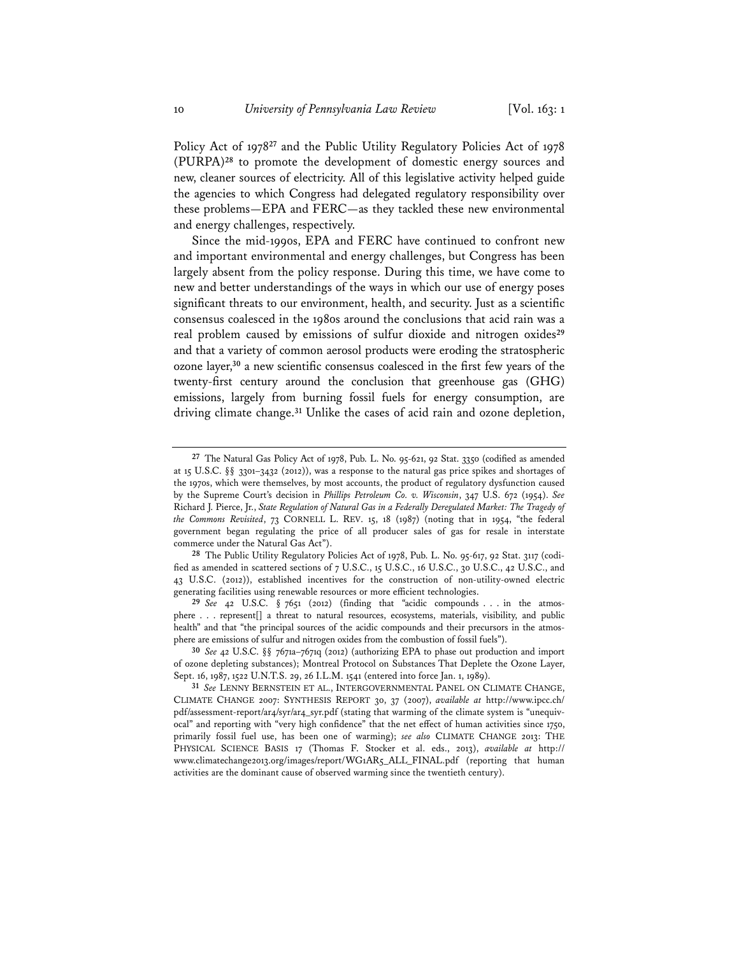Policy Act of 1978**<sup>27</sup>** and the Public Utility Regulatory Policies Act of 1978 (PURPA)**<sup>28</sup>** to promote the development of domestic energy sources and new, cleaner sources of electricity. All of this legislative activity helped guide the agencies to which Congress had delegated regulatory responsibility over these problems—EPA and FERC—as they tackled these new environmental and energy challenges, respectively.

Since the mid-1990s, EPA and FERC have continued to confront new and important environmental and energy challenges, but Congress has been largely absent from the policy response. During this time, we have come to new and better understandings of the ways in which our use of energy poses significant threats to our environment, health, and security. Just as a scientific consensus coalesced in the 1980s around the conclusions that acid rain was a real problem caused by emissions of sulfur dioxide and nitrogen oxides**<sup>29</sup>** and that a variety of common aerosol products were eroding the stratospheric ozone layer,**<sup>30</sup>** a new scientific consensus coalesced in the first few years of the twenty-first century around the conclusion that greenhouse gas (GHG) emissions, largely from burning fossil fuels for energy consumption, are driving climate change.**<sup>31</sup>** Unlike the cases of acid rain and ozone depletion,

**<sup>27</sup>** The Natural Gas Policy Act of 1978, Pub. L. No. 95-621, 92 Stat. 3350 (codified as amended at 15 U.S.C. §§ 3301–3432 (2012)), was a response to the natural gas price spikes and shortages of the 1970s, which were themselves, by most accounts, the product of regulatory dysfunction caused by the Supreme Court's decision in *Phillips Petroleum Co. v. Wisconsin*, 347 U.S. 672 (1954). *See* Richard J. Pierce, Jr., *State Regulation of Natural Gas in a Federally Deregulated Market: The Tragedy of the Commons Revisited*, 73 CORNELL L. REV. 15, 18 (1987) (noting that in 1954, "the federal government began regulating the price of all producer sales of gas for resale in interstate commerce under the Natural Gas Act").

**<sup>28</sup>** The Public Utility Regulatory Policies Act of 1978, Pub. L. No. 95-617, 92 Stat. 3117 (codified as amended in scattered sections of 7 U.S.C., 15 U.S.C., 16 U.S.C., 30 U.S.C., 42 U.S.C., and 43 U.S.C. (2012)), established incentives for the construction of non-utility-owned electric generating facilities using renewable resources or more efficient technologies.

**<sup>29</sup>** *See* 42 U.S.C. § 7651 (2012) (finding that "acidic compounds . . . in the atmosphere . . . represent[] a threat to natural resources, ecosystems, materials, visibility, and public health" and that "the principal sources of the acidic compounds and their precursors in the atmosphere are emissions of sulfur and nitrogen oxides from the combustion of fossil fuels").

**<sup>30</sup>** *See* 42 U.S.C. §§ 7671a–7671q (2012) (authorizing EPA to phase out production and import of ozone depleting substances); Montreal Protocol on Substances That Deplete the Ozone Layer, Sept. 16, 1987, 1522 U.N.T.S. 29, 26 I.L.M. 1541 (entered into force Jan. 1, 1989).

**<sup>31</sup>** *See* LENNY BERNSTEIN ET AL., INTERGOVERNMENTAL PANEL ON CLIMATE CHANGE, CLIMATE CHANGE 2007: SYNTHESIS REPORT 30, 37 (2007), *available at* http://www.ipcc.ch/ pdf/assessment-report/ar4/syr/ar4\_syr.pdf (stating that warming of the climate system is "unequivocal" and reporting with "very high confidence" that the net effect of human activities since 1750, primarily fossil fuel use, has been one of warming); *see also* CLIMATE CHANGE 2013: THE PHYSICAL SCIENCE BASIS 17 (Thomas F. Stocker et al. eds., 2013), *available at* http:// www.climatechange2013.org/images/report/WG1AR5\_ALL\_FINAL.pdf (reporting that human activities are the dominant cause of observed warming since the twentieth century).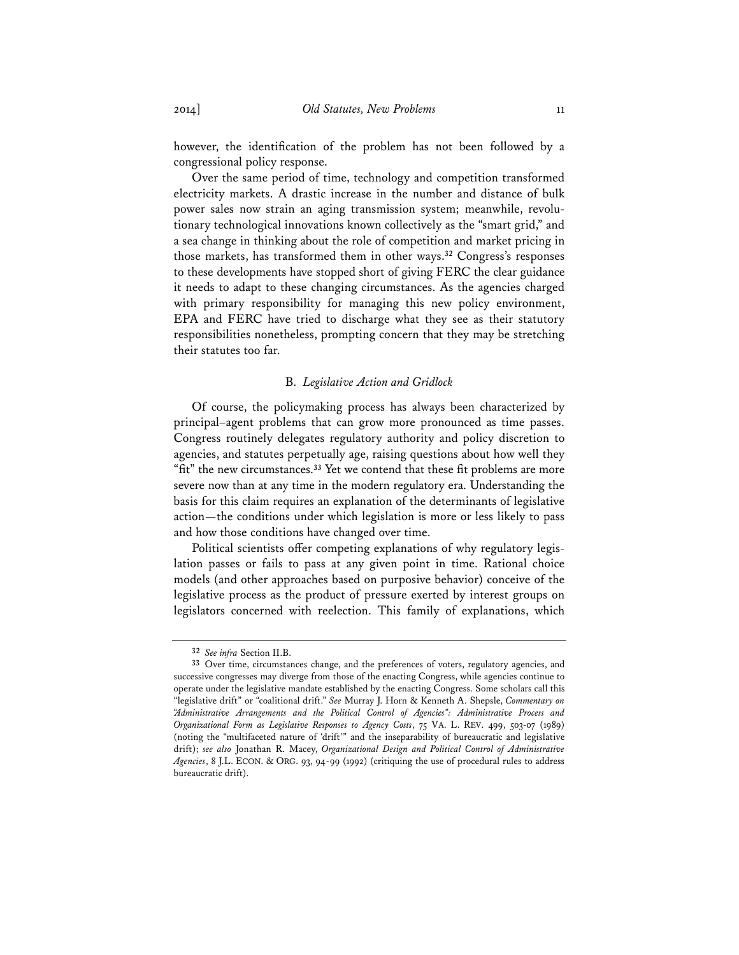however, the identification of the problem has not been followed by a congressional policy response.

Over the same period of time, technology and competition transformed electricity markets. A drastic increase in the number and distance of bulk power sales now strain an aging transmission system; meanwhile, revolutionary technological innovations known collectively as the "smart grid," and a sea change in thinking about the role of competition and market pricing in those markets, has transformed them in other ways.**<sup>32</sup>** Congress's responses to these developments have stopped short of giving FERC the clear guidance it needs to adapt to these changing circumstances. As the agencies charged with primary responsibility for managing this new policy environment, EPA and FERC have tried to discharge what they see as their statutory responsibilities nonetheless, prompting concern that they may be stretching their statutes too far.

#### B. *Legislative Action and Gridlock*

Of course, the policymaking process has always been characterized by principal–agent problems that can grow more pronounced as time passes. Congress routinely delegates regulatory authority and policy discretion to agencies, and statutes perpetually age, raising questions about how well they "fit" the new circumstances.**<sup>33</sup>** Yet we contend that these fit problems are more severe now than at any time in the modern regulatory era. Understanding the basis for this claim requires an explanation of the determinants of legislative action—the conditions under which legislation is more or less likely to pass and how those conditions have changed over time.

Political scientists offer competing explanations of why regulatory legislation passes or fails to pass at any given point in time. Rational choice models (and other approaches based on purposive behavior) conceive of the legislative process as the product of pressure exerted by interest groups on legislators concerned with reelection. This family of explanations, which

**<sup>32</sup>** *See infra* Section II.B.

**<sup>33</sup>** Over time, circumstances change, and the preferences of voters, regulatory agencies, and successive congresses may diverge from those of the enacting Congress, while agencies continue to operate under the legislative mandate established by the enacting Congress. Some scholars call this "legislative drift" or "coalitional drift." *See* Murray J. Horn & Kenneth A. Shepsle, *Commentary on "Administrative Arrangements and the Political Control of Agencies": Administrative Process and Organizational Form as Legislative Responses to Agency Costs*, 75 VA. L. REV. 499, 503-07 (1989) (noting the "multifaceted nature of 'drift'" and the inseparability of bureaucratic and legislative drift); *see also* Jonathan R. Macey, *Organizational Design and Political Control of Administrative Agencies*, 8 J.L. ECON. & ORG. 93, 94-99 (1992) (critiquing the use of procedural rules to address bureaucratic drift).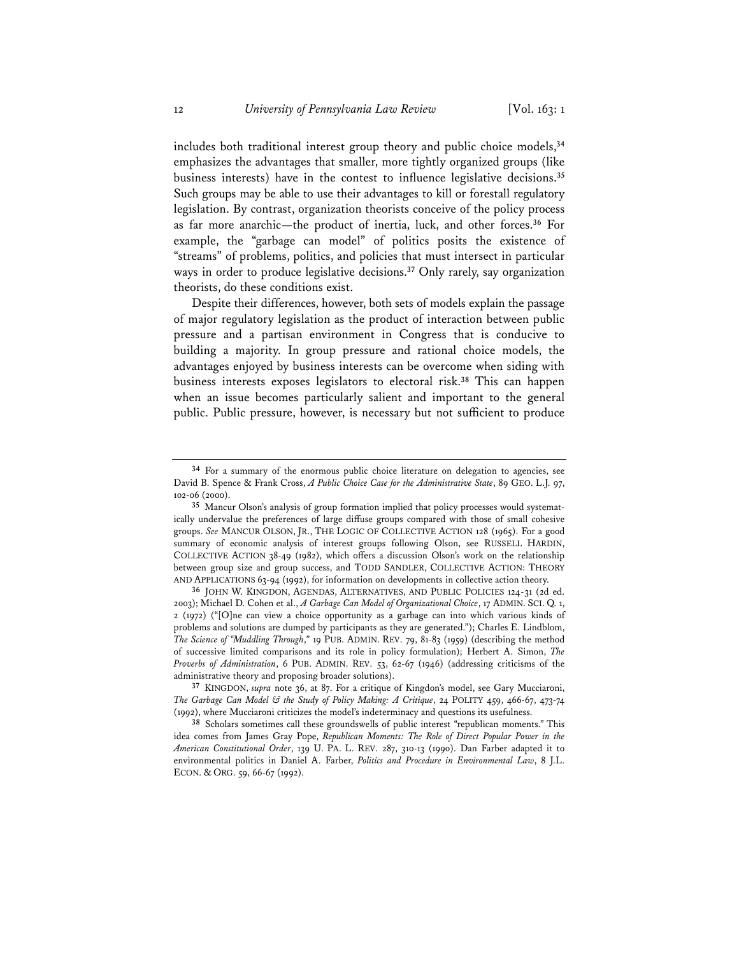includes both traditional interest group theory and public choice models,**<sup>34</sup>** emphasizes the advantages that smaller, more tightly organized groups (like business interests) have in the contest to influence legislative decisions.**<sup>35</sup>** Such groups may be able to use their advantages to kill or forestall regulatory legislation. By contrast, organization theorists conceive of the policy process as far more anarchic—the product of inertia, luck, and other forces.**<sup>36</sup>** For example, the "garbage can model" of politics posits the existence of "streams" of problems, politics, and policies that must intersect in particular ways in order to produce legislative decisions.**<sup>37</sup>** Only rarely, say organization theorists, do these conditions exist.

Despite their differences, however, both sets of models explain the passage of major regulatory legislation as the product of interaction between public pressure and a partisan environment in Congress that is conducive to building a majority. In group pressure and rational choice models, the advantages enjoyed by business interests can be overcome when siding with business interests exposes legislators to electoral risk.**<sup>38</sup>** This can happen when an issue becomes particularly salient and important to the general public. Public pressure, however, is necessary but not sufficient to produce

**<sup>34</sup>** For a summary of the enormous public choice literature on delegation to agencies, see David B. Spence & Frank Cross, *A Public Choice Case for the Administrative State*, 89 GEO. L.J. 97, 102-06 (2000).

**<sup>35</sup>** Mancur Olson's analysis of group formation implied that policy processes would systematically undervalue the preferences of large diffuse groups compared with those of small cohesive groups. *See* MANCUR OLSON, JR., THE LOGIC OF COLLECTIVE ACTION 128 (1965). For a good summary of economic analysis of interest groups following Olson, see RUSSELL HARDIN, COLLECTIVE ACTION 38-49 (1982), which offers a discussion Olson's work on the relationship between group size and group success, and TODD SANDLER, COLLECTIVE ACTION: THEORY AND APPLICATIONS 63-94 (1992), for information on developments in collective action theory.

**<sup>36</sup>** JOHN W. KINGDON, AGENDAS, ALTERNATIVES, AND PUBLIC POLICIES 124-31 (2d ed. 2003); Michael D. Cohen et al., *A Garbage Can Model of Organizational Choice*, 17 ADMIN. SCI. Q. 1, 2 (1972) ("[O]ne can view a choice opportunity as a garbage can into which various kinds of problems and solutions are dumped by participants as they are generated."); Charles E. Lindblom, *The Science of "Muddling Through*,*"* 19 PUB. ADMIN. REV. 79, 81-83 (1959) (describing the method of successive limited comparisons and its role in policy formulation); Herbert A. Simon, *The Proverbs of Administration*, 6 PUB. ADMIN. REV. 53, 62-67 (1946) (addressing criticisms of the administrative theory and proposing broader solutions).

**<sup>37</sup>** KINGDON, *supra* note 36, at 87. For a critique of Kingdon's model, see Gary Mucciaroni, *The Garbage Can Model & the Study of Policy Making: A Critique*, 24 POLITY 459, 466-67, 473-74 (1992), where Mucciaroni criticizes the model's indeterminacy and questions its usefulness.

**<sup>38</sup>** Scholars sometimes call these groundswells of public interest "republican moments." This idea comes from James Gray Pope, *Republican Moments: The Role of Direct Popular Power in the American Constitutional Order*, 139 U. PA. L. REV. 287, 310-13 (1990). Dan Farber adapted it to environmental politics in Daniel A. Farber, *Politics and Procedure in Environmental Law*, 8 J.L. ECON. & ORG. 59, 66-67 (1992).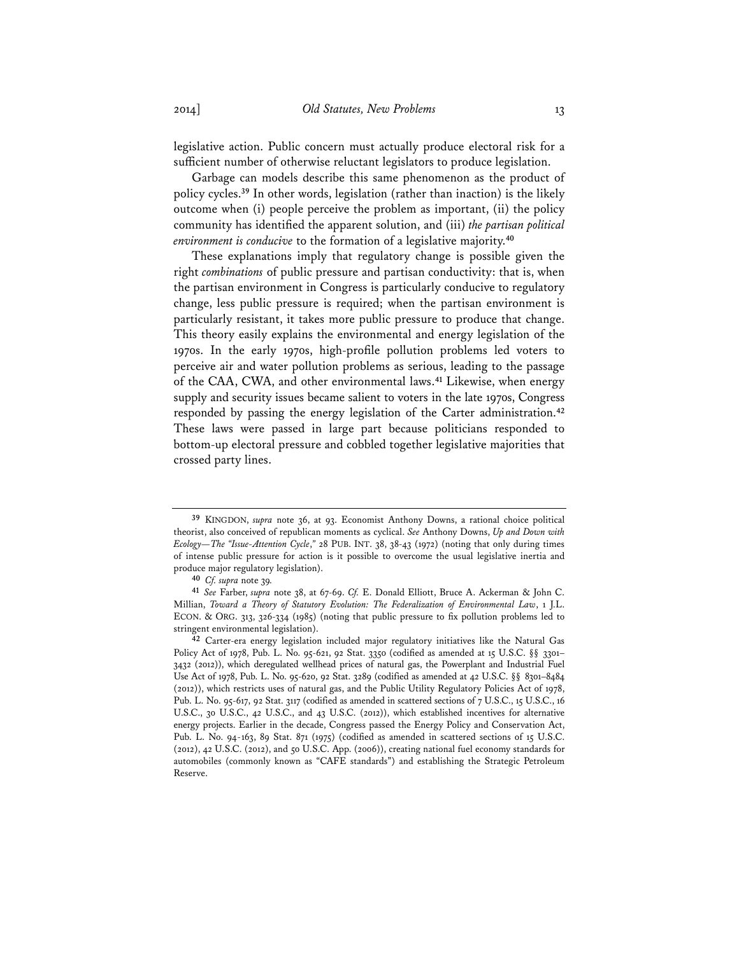legislative action. Public concern must actually produce electoral risk for a sufficient number of otherwise reluctant legislators to produce legislation.

Garbage can models describe this same phenomenon as the product of policy cycles.**<sup>39</sup>** In other words, legislation (rather than inaction) is the likely outcome when (i) people perceive the problem as important, (ii) the policy community has identified the apparent solution, and (iii) *the partisan political environment is conducive* to the formation of a legislative majority.**<sup>40</sup>**

These explanations imply that regulatory change is possible given the right *combinations* of public pressure and partisan conductivity: that is, when the partisan environment in Congress is particularly conducive to regulatory change, less public pressure is required; when the partisan environment is particularly resistant, it takes more public pressure to produce that change. This theory easily explains the environmental and energy legislation of the 1970s. In the early 1970s, high-profile pollution problems led voters to perceive air and water pollution problems as serious, leading to the passage of the CAA, CWA, and other environmental laws.**<sup>41</sup>** Likewise, when energy supply and security issues became salient to voters in the late 1970s, Congress responded by passing the energy legislation of the Carter administration.**<sup>42</sup>** These laws were passed in large part because politicians responded to bottom-up electoral pressure and cobbled together legislative majorities that crossed party lines.

**<sup>39</sup>** KINGDON, *supra* note 36, at 93. Economist Anthony Downs, a rational choice political theorist, also conceived of republican moments as cyclical. *See* Anthony Downs, *Up and Down with Ecology—The "Issue-Attention Cycle*,*"* 28 PUB. INT. 38, 38-43 (1972) (noting that only during times of intense public pressure for action is it possible to overcome the usual legislative inertia and produce major regulatory legislation).

**<sup>40</sup>** *Cf. supra* note 39*.*

**<sup>41</sup>** *See* Farber, *supra* note 38, at 67-69. *Cf.* E. Donald Elliott, Bruce A. Ackerman & John C. Millian, *Toward a Theory of Statutory Evolution: The Federalization of Environmental Law*, 1 J.L. ECON. & ORG. 313, 326-334 (1985) (noting that public pressure to fix pollution problems led to stringent environmental legislation).

**<sup>42</sup>** Carter-era energy legislation included major regulatory initiatives like the Natural Gas Policy Act of 1978, Pub. L. No. 95-621, 92 Stat. 3350 (codified as amended at 15 U.S.C. §§ 3301– 3432 (2012)), which deregulated wellhead prices of natural gas, the Powerplant and Industrial Fuel Use Act of 1978, Pub. L. No. 95-620, 92 Stat. 3289 (codified as amended at 42 U.S.C. §§ 8301–8484 (2012)), which restricts uses of natural gas, and the Public Utility Regulatory Policies Act of 1978, Pub. L. No. 95-617, 92 Stat. 3117 (codified as amended in scattered sections of 7 U.S.C., 15 U.S.C., 16 U.S.C., 30 U.S.C., 42 U.S.C., and 43 U.S.C. (2012)), which established incentives for alternative energy projects. Earlier in the decade, Congress passed the Energy Policy and Conservation Act, Pub. L. No. 94-163, 89 Stat. 871 (1975) (codified as amended in scattered sections of 15 U.S.C. (2012), 42 U.S.C. (2012), and 50 U.S.C. App. (2006)), creating national fuel economy standards for automobiles (commonly known as "CAFE standards") and establishing the Strategic Petroleum Reserve.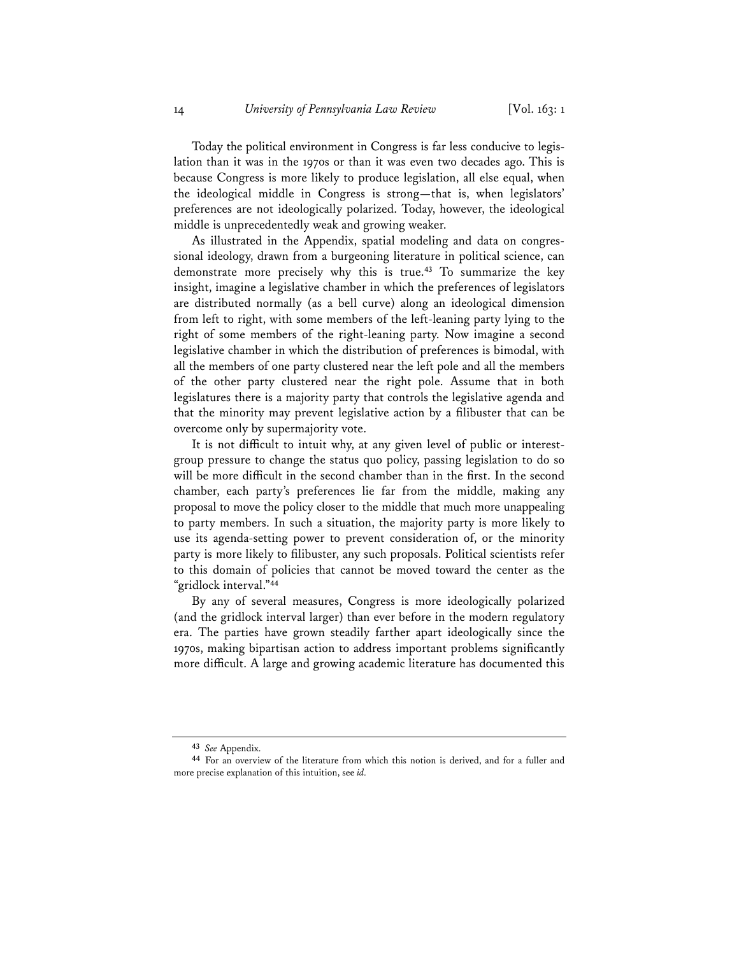Today the political environment in Congress is far less conducive to legislation than it was in the 1970s or than it was even two decades ago. This is because Congress is more likely to produce legislation, all else equal, when the ideological middle in Congress is strong—that is, when legislators' preferences are not ideologically polarized. Today, however, the ideological middle is unprecedentedly weak and growing weaker.

As illustrated in the Appendix, spatial modeling and data on congressional ideology, drawn from a burgeoning literature in political science, can demonstrate more precisely why this is true.**<sup>43</sup>** To summarize the key insight, imagine a legislative chamber in which the preferences of legislators are distributed normally (as a bell curve) along an ideological dimension from left to right, with some members of the left-leaning party lying to the right of some members of the right-leaning party. Now imagine a second legislative chamber in which the distribution of preferences is bimodal, with all the members of one party clustered near the left pole and all the members of the other party clustered near the right pole. Assume that in both legislatures there is a majority party that controls the legislative agenda and that the minority may prevent legislative action by a filibuster that can be overcome only by supermajority vote.

It is not difficult to intuit why, at any given level of public or interestgroup pressure to change the status quo policy, passing legislation to do so will be more difficult in the second chamber than in the first. In the second chamber, each party's preferences lie far from the middle, making any proposal to move the policy closer to the middle that much more unappealing to party members. In such a situation, the majority party is more likely to use its agenda-setting power to prevent consideration of, or the minority party is more likely to filibuster, any such proposals. Political scientists refer to this domain of policies that cannot be moved toward the center as the "gridlock interval."**<sup>44</sup>**

By any of several measures, Congress is more ideologically polarized (and the gridlock interval larger) than ever before in the modern regulatory era. The parties have grown steadily farther apart ideologically since the 1970s, making bipartisan action to address important problems significantly more difficult. A large and growing academic literature has documented this

**<sup>43</sup>** *See* Appendix.

**<sup>44</sup>** For an overview of the literature from which this notion is derived, and for a fuller and more precise explanation of this intuition, see *id.*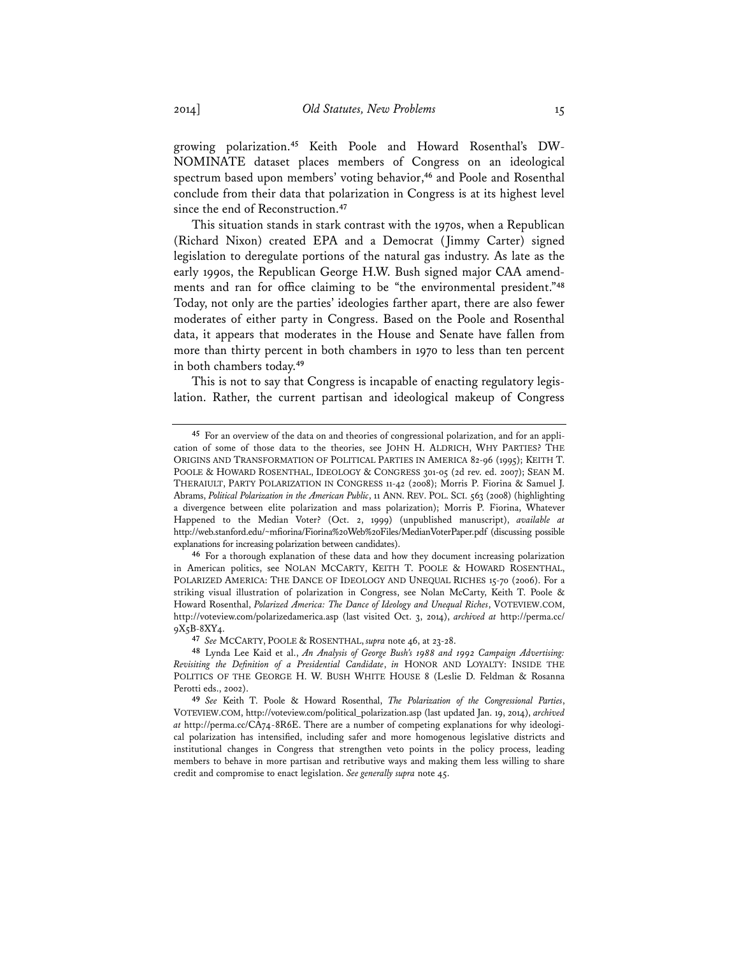growing polarization.**45** Keith Poole and Howard Rosenthal's DW-NOMINATE dataset places members of Congress on an ideological spectrum based upon members' voting behavior,**<sup>46</sup>** and Poole and Rosenthal conclude from their data that polarization in Congress is at its highest level since the end of Reconstruction.**<sup>47</sup>**

This situation stands in stark contrast with the 1970s, when a Republican (Richard Nixon) created EPA and a Democrat (Jimmy Carter) signed legislation to deregulate portions of the natural gas industry. As late as the early 1990s, the Republican George H.W. Bush signed major CAA amendments and ran for office claiming to be "the environmental president."**<sup>48</sup>** Today, not only are the parties' ideologies farther apart, there are also fewer moderates of either party in Congress. Based on the Poole and Rosenthal data, it appears that moderates in the House and Senate have fallen from more than thirty percent in both chambers in 1970 to less than ten percent in both chambers today.**<sup>49</sup>**

This is not to say that Congress is incapable of enacting regulatory legislation. Rather, the current partisan and ideological makeup of Congress

**<sup>45</sup>** For an overview of the data on and theories of congressional polarization, and for an application of some of those data to the theories, see JOHN H. ALDRICH, WHY PARTIES? THE ORIGINS AND TRANSFORMATION OF POLITICAL PARTIES IN AMERICA 82-96 (1995); KEITH T. POOLE & HOWARD ROSENTHAL, IDEOLOGY & CONGRESS 301-05 (2d rev. ed. 2007); SEAN M. THERAIULT, PARTY POLARIZATION IN CONGRESS 11-42 (2008); Morris P. Fiorina & Samuel J. Abrams, *Political Polarization in the American Public*, 11 ANN. REV. POL. SCI. 563 (2008) (highlighting a divergence between elite polarization and mass polarization); Morris P. Fiorina, Whatever Happened to the Median Voter? (Oct. 2, 1999) (unpublished manuscript), *available at* http://web.stanford.edu/~mfiorina/Fiorina%20Web%20Files/MedianVoterPaper.pdf (discussing possible explanations for increasing polarization between candidates).

**<sup>46</sup>** For a thorough explanation of these data and how they document increasing polarization in American politics, see NOLAN MCCARTY, KEITH T. POOLE & HOWARD ROSENTHAL, POLARIZED AMERICA: THE DANCE OF IDEOLOGY AND UNEQUAL RICHES 15-70 (2006). For a striking visual illustration of polarization in Congress, see Nolan McCarty, Keith T. Poole & Howard Rosenthal, *Polarized America: The Dance of Ideology and Unequal Riches*, VOTEVIEW.COM, http://voteview.com/polarizedamerica.asp (last visited Oct. 3, 2014), *archived at* http://perma.cc/ 9X5B-8XY4.

**<sup>47</sup>** *See* MCCARTY, POOLE & ROSENTHAL, *supra* note 46, at 23-28.

**<sup>48</sup>** Lynda Lee Kaid et al., *An Analysis of George Bush's 1988 and 1992 Campaign Advertising: Revisiting the Definition of a Presidential Candidate*, *in* HONOR AND LOYALTY: INSIDE THE POLITICS OF THE GEORGE H. W. BUSH WHITE HOUSE 8 (Leslie D. Feldman & Rosanna Perotti eds., 2002).

**<sup>49</sup>** *See* Keith T. Poole & Howard Rosenthal, *The Polarization of the Congressional Parties*, VOTEVIEW.COM, http://voteview.com/political\_polarization.asp (last updated Jan. 19, 2014), *archived at* http://perma.cc/CA74-8R6E. There are a number of competing explanations for why ideological polarization has intensified, including safer and more homogenous legislative districts and institutional changes in Congress that strengthen veto points in the policy process, leading members to behave in more partisan and retributive ways and making them less willing to share credit and compromise to enact legislation. *See generally supra* note 45.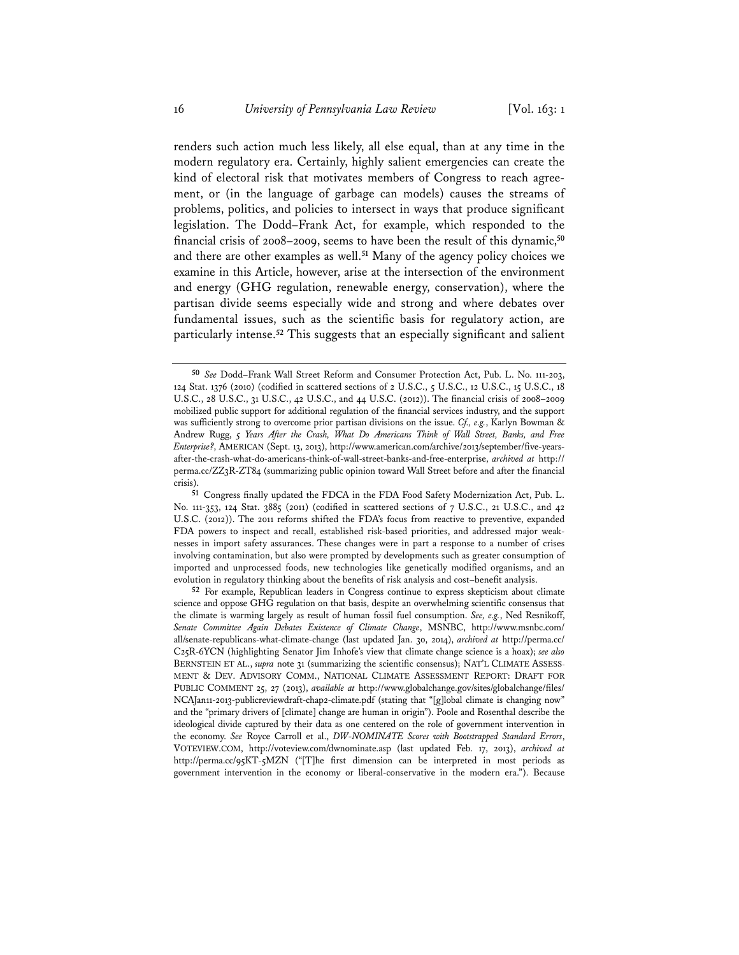renders such action much less likely, all else equal, than at any time in the modern regulatory era. Certainly, highly salient emergencies can create the kind of electoral risk that motivates members of Congress to reach agreement, or (in the language of garbage can models) causes the streams of problems, politics, and policies to intersect in ways that produce significant legislation. The Dodd–Frank Act, for example, which responded to the financial crisis of 2008–2009, seems to have been the result of this dynamic,**<sup>50</sup>** and there are other examples as well.**<sup>51</sup>** Many of the agency policy choices we examine in this Article, however, arise at the intersection of the environment and energy (GHG regulation, renewable energy, conservation), where the partisan divide seems especially wide and strong and where debates over fundamental issues, such as the scientific basis for regulatory action, are particularly intense.**<sup>52</sup>** This suggests that an especially significant and salient

**<sup>50</sup>** *See* Dodd–Frank Wall Street Reform and Consumer Protection Act, Pub. L. No. 111-203, 124 Stat. 1376 (2010) (codified in scattered sections of 2 U.S.C., 5 U.S.C., 12 U.S.C., 15 U.S.C., 18 U.S.C., 28 U.S.C., 31 U.S.C., 42 U.S.C., and 44 U.S.C. (2012)). The financial crisis of 2008–2009 mobilized public support for additional regulation of the financial services industry, and the support was sufficiently strong to overcome prior partisan divisions on the issue. *Cf., e.g.*, Karlyn Bowman & Andrew Rugg, *5 Years After the Crash, What Do Americans Think of Wall Street, Banks, and Free Enterprise?*, AMERICAN (Sept. 13, 2013), http://www.american.com/archive/2013/september/five-yearsafter-the-crash-what-do-americans-think-of-wall-street-banks-and-free-enterprise, *archived at* http:// perma.cc/ZZ3R-ZT84 (summarizing public opinion toward Wall Street before and after the financial crisis).

**<sup>51</sup>** Congress finally updated the FDCA in the FDA Food Safety Modernization Act, Pub. L. No. 111-353, 124 Stat. 3885 (2011) (codified in scattered sections of 7 U.S.C., 21 U.S.C., and 42 U.S.C. (2012)). The 2011 reforms shifted the FDA's focus from reactive to preventive, expanded FDA powers to inspect and recall, established risk-based priorities, and addressed major weaknesses in import safety assurances. These changes were in part a response to a number of crises involving contamination, but also were prompted by developments such as greater consumption of imported and unprocessed foods, new technologies like genetically modified organisms, and an evolution in regulatory thinking about the benefits of risk analysis and cost–benefit analysis.

**<sup>52</sup>** For example, Republican leaders in Congress continue to express skepticism about climate science and oppose GHG regulation on that basis, despite an overwhelming scientific consensus that the climate is warming largely as result of human fossil fuel consumption. *See, e.g.*, Ned Resnikoff, *Senate Committee Again Debates Existence of Climate Change*, MSNBC, http://www.msnbc.com/ all/senate-republicans-what-climate-change (last updated Jan. 30, 2014), *archived at* http://perma.cc/ C25R-6YCN (highlighting Senator Jim Inhofe's view that climate change science is a hoax); *see also* BERNSTEIN ET AL., *supra* note 31 (summarizing the scientific consensus); NAT'L CLIMATE ASSESS-MENT & DEV. ADVISORY COMM., NATIONAL CLIMATE ASSESSMENT REPORT: DRAFT FOR PUBLIC COMMENT 25, 27 (2013), *available at* http://www.globalchange.gov/sites/globalchange/files/ NCAJan11-2013-publicreviewdraft-chap2-climate.pdf (stating that "[g]lobal climate is changing now" and the "primary drivers of [climate] change are human in origin"). Poole and Rosenthal describe the ideological divide captured by their data as one centered on the role of government intervention in the economy. *See* Royce Carroll et al., *DW-NOMINATE Scores with Bootstrapped Standard Errors*, VOTEVIEW.COM, http://voteview.com/dwnominate.asp (last updated Feb. 17, 2013), *archived at* http://perma.cc/95KT-5MZN ("[T]he first dimension can be interpreted in most periods as government intervention in the economy or liberal-conservative in the modern era."). Because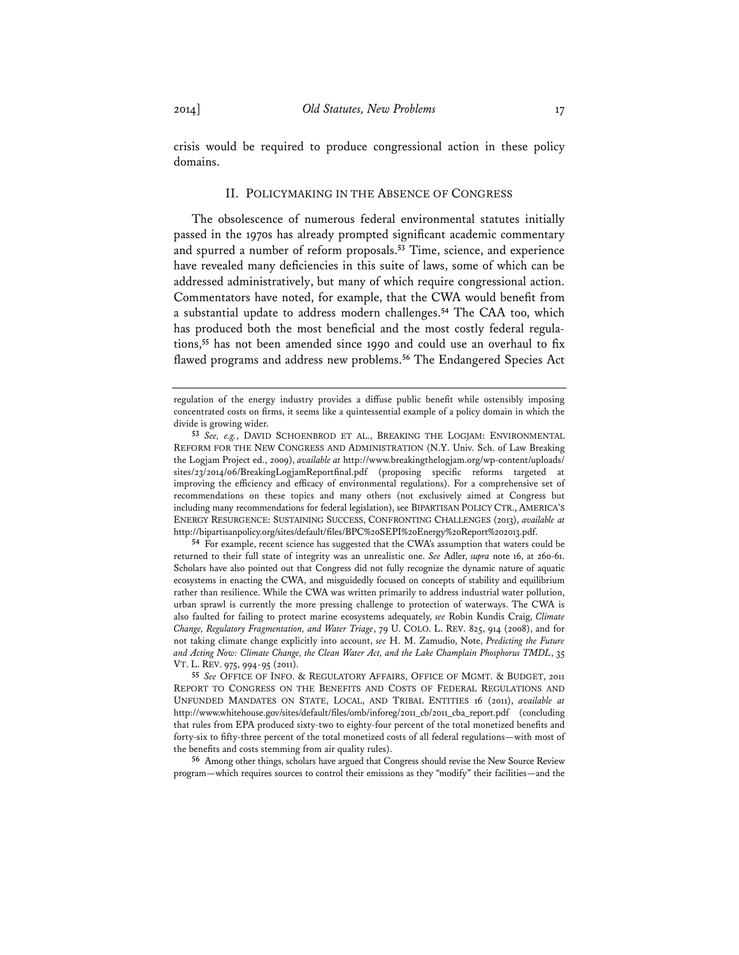crisis would be required to produce congressional action in these policy domains.

#### II. POLICYMAKING IN THE ABSENCE OF CONGRESS

The obsolescence of numerous federal environmental statutes initially passed in the 1970s has already prompted significant academic commentary and spurred a number of reform proposals.**<sup>53</sup>** Time, science, and experience have revealed many deficiencies in this suite of laws, some of which can be addressed administratively, but many of which require congressional action. Commentators have noted, for example, that the CWA would benefit from a substantial update to address modern challenges.**<sup>54</sup>** The CAA too, which has produced both the most beneficial and the most costly federal regulations,**<sup>55</sup>** has not been amended since 1990 and could use an overhaul to fix flawed programs and address new problems.**<sup>56</sup>** The Endangered Species Act

**54** For example, recent science has suggested that the CWA's assumption that waters could be returned to their full state of integrity was an unrealistic one. *See* Adler, *supra* note 16, at 260-61. Scholars have also pointed out that Congress did not fully recognize the dynamic nature of aquatic ecosystems in enacting the CWA, and misguidedly focused on concepts of stability and equilibrium rather than resilience. While the CWA was written primarily to address industrial water pollution, urban sprawl is currently the more pressing challenge to protection of waterways. The CWA is also faulted for failing to protect marine ecosystems adequately, *see* Robin Kundis Craig, *Climate Change, Regulatory Fragmentation, and Water Triage*, 79 U. COLO. L. REV. 825, 914 (2008), and for not taking climate change explicitly into account, *see* H. M. Zamudio, Note, *Predicting the Future and Acting Now: Climate Change, the Clean Water Act, and the Lake Champlain Phosphorus TMDL*, 35 VT. L. REV. 975, 994-95 (2011).

**56** Among other things, scholars have argued that Congress should revise the New Source Review program—which requires sources to control their emissions as they "modify" their facilities—and the

regulation of the energy industry provides a diffuse public benefit while ostensibly imposing concentrated costs on firms, it seems like a quintessential example of a policy domain in which the divide is growing wider.

**<sup>53</sup>** *See, e.g.*, DAVID SCHOENBROD ET AL., BREAKING THE LOGJAM: ENVIRONMENTAL REFORM FOR THE NEW CONGRESS AND ADMINISTRATION (N.Y. Univ. Sch. of Law Breaking the Logjam Project ed., 2009), *available at* http://www.breakingthelogjam.org/wp-content/uploads/ sites/23/2014/06/BreakingLogjamReportfinal.pdf (proposing specific reforms targeted at improving the efficiency and efficacy of environmental regulations). For a comprehensive set of recommendations on these topics and many others (not exclusively aimed at Congress but including many recommendations for federal legislation), see BIPARTISAN POLICY CTR., AMERICA'S ENERGY RESURGENCE: SUSTAINING SUCCESS, CONFRONTING CHALLENGES (2013), *available at*  http://bipartisanpolicy.org/sites/default/files/BPC%20SEPI%20Energy%20Report%202013.pdf.

**<sup>55</sup>** *See* OFFICE OF INFO. & REGULATORY AFFAIRS, OFFICE OF MGMT. & BUDGET, 2011 REPORT TO CONGRESS ON THE BENEFITS AND COSTS OF FEDERAL REGULATIONS AND UNFUNDED MANDATES ON STATE, LOCAL, AND TRIBAL ENTITIES 16 (2011), *available at* http://www.whitehouse.gov/sites/default/files/omb/inforeg/2011\_cb/2011\_cba\_report.pdf (concluding that rules from EPA produced sixty-two to eighty-four percent of the total monetized benefits and forty-six to fifty-three percent of the total monetized costs of all federal regulations—with most of the benefits and costs stemming from air quality rules).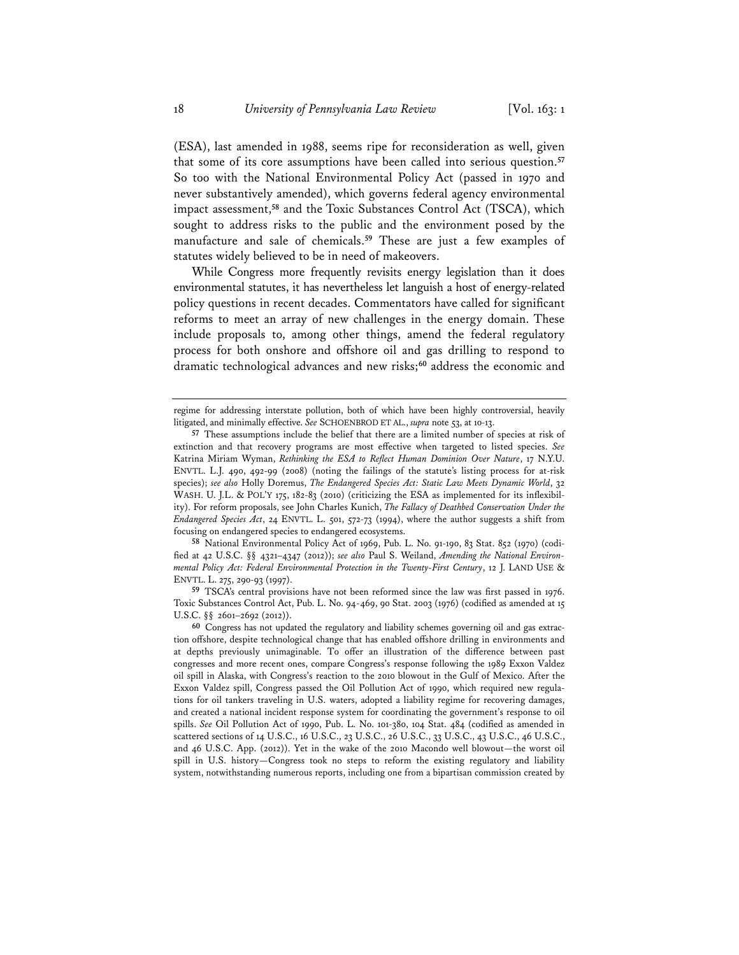(ESA), last amended in 1988, seems ripe for reconsideration as well, given that some of its core assumptions have been called into serious question.**<sup>57</sup>** So too with the National Environmental Policy Act (passed in 1970 and never substantively amended), which governs federal agency environmental impact assessment,**<sup>58</sup>** and the Toxic Substances Control Act (TSCA), which sought to address risks to the public and the environment posed by the manufacture and sale of chemicals.**<sup>59</sup>** These are just a few examples of statutes widely believed to be in need of makeovers.

While Congress more frequently revisits energy legislation than it does environmental statutes, it has nevertheless let languish a host of energy-related policy questions in recent decades. Commentators have called for significant reforms to meet an array of new challenges in the energy domain. These include proposals to, among other things, amend the federal regulatory process for both onshore and offshore oil and gas drilling to respond to dramatic technological advances and new risks;**<sup>60</sup>** address the economic and

**58** National Environmental Policy Act of 1969, Pub. L. No. 91-190, 83 Stat. 852 (1970) (codified at 42 U.S.C. §§ 4321–4347 (2012)); *see also* Paul S. Weiland, *Amending the National Environmental Policy Act: Federal Environmental Protection in the Twenty-First Century*, 12 J. LAND USE & ENVTL. L. 275, 290-93 (1997).

**59** TSCA's central provisions have not been reformed since the law was first passed in 1976. Toxic Substances Control Act, Pub. L. No. 94-469, 90 Stat. 2003 (1976) (codified as amended at 15 U.S.C. §§ 2601–2692 (2012)).

**60** Congress has not updated the regulatory and liability schemes governing oil and gas extraction offshore, despite technological change that has enabled offshore drilling in environments and at depths previously unimaginable. To offer an illustration of the difference between past congresses and more recent ones, compare Congress's response following the 1989 Exxon Valdez oil spill in Alaska, with Congress's reaction to the 2010 blowout in the Gulf of Mexico. After the Exxon Valdez spill, Congress passed the Oil Pollution Act of 1990, which required new regulations for oil tankers traveling in U.S. waters, adopted a liability regime for recovering damages, and created a national incident response system for coordinating the government's response to oil spills. *See* Oil Pollution Act of 1990, Pub. L. No. 101-380, 104 Stat. 484 (codified as amended in scattered sections of 14 U.S.C., 16 U.S.C., 23 U.S.C., 26 U.S.C., 33 U.S.C., 43 U.S.C., 46 U.S.C., and 46 U.S.C. App. (2012)). Yet in the wake of the 2010 Macondo well blowout—the worst oil spill in U.S. history—Congress took no steps to reform the existing regulatory and liability system, notwithstanding numerous reports, including one from a bipartisan commission created by

regime for addressing interstate pollution, both of which have been highly controversial, heavily litigated, and minimally effective. *See* SCHOENBROD ET AL., *supra* note 53, at 10-13.

**<sup>57</sup>** These assumptions include the belief that there are a limited number of species at risk of extinction and that recovery programs are most effective when targeted to listed species. *See* Katrina Miriam Wyman, *Rethinking the ESA to Reflect Human Dominion Over Nature*, 17 N.Y.U. ENVTL. L.J. 490, 492-99 (2008) (noting the failings of the statute's listing process for at-risk species); *see also* Holly Doremus, *The Endangered Species Act: Static Law Meets Dynamic World*, 32 WASH. U. J.L. & POL'Y 175, 182-83 (2010) (criticizing the ESA as implemented for its inflexibility). For reform proposals, see John Charles Kunich, *The Fallacy of Deathbed Conservation Under the Endangered Species Act*, 24 ENVTL. L. 501, 572-73 (1994), where the author suggests a shift from focusing on endangered species to endangered ecosystems.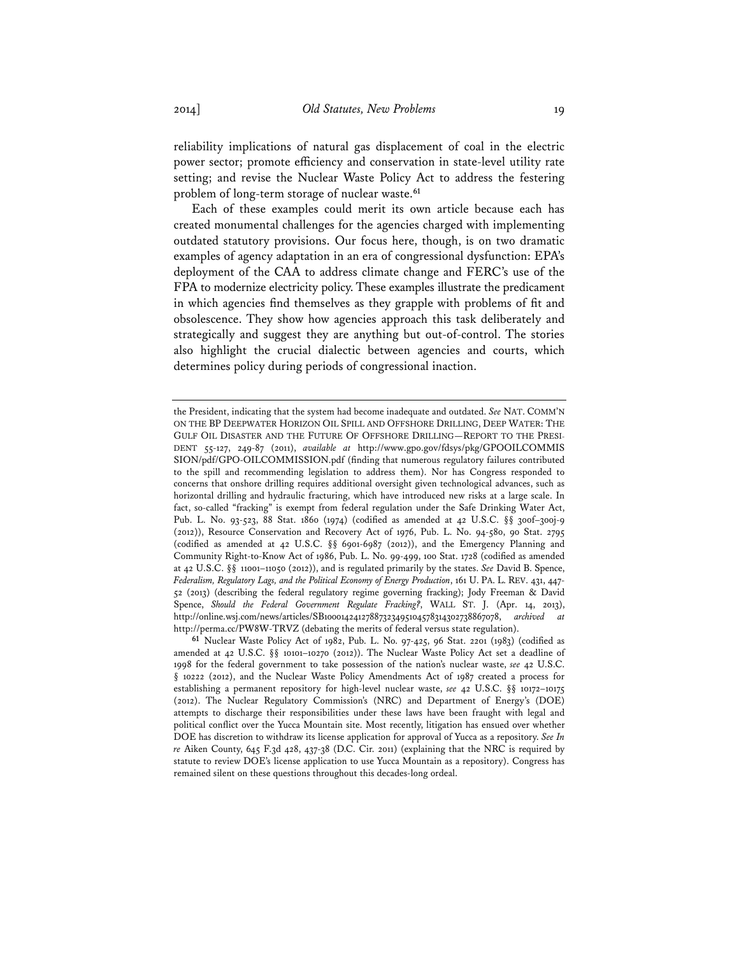reliability implications of natural gas displacement of coal in the electric power sector; promote efficiency and conservation in state-level utility rate setting; and revise the Nuclear Waste Policy Act to address the festering problem of long-term storage of nuclear waste.**<sup>61</sup>**

Each of these examples could merit its own article because each has created monumental challenges for the agencies charged with implementing outdated statutory provisions. Our focus here, though, is on two dramatic examples of agency adaptation in an era of congressional dysfunction: EPA's deployment of the CAA to address climate change and FERC's use of the FPA to modernize electricity policy. These examples illustrate the predicament in which agencies find themselves as they grapple with problems of fit and obsolescence. They show how agencies approach this task deliberately and strategically and suggest they are anything but out-of-control. The stories also highlight the crucial dialectic between agencies and courts, which determines policy during periods of congressional inaction.

the President, indicating that the system had become inadequate and outdated. *See* NAT. COMM'N ON THE BP DEEPWATER HORIZON OIL SPILL AND OFFSHORE DRILLING, DEEP WATER: THE GULF OIL DISASTER AND THE FUTURE OF OFFSHORE DRILLING—REPORT TO THE PRESI-DENT 55-127, 249-87 (2011), *available at* http://www.gpo.gov/fdsys/pkg/GPOOILCOMMIS SION/pdf/GPO-OILCOMMISSION.pdf (finding that numerous regulatory failures contributed to the spill and recommending legislation to address them). Nor has Congress responded to concerns that onshore drilling requires additional oversight given technological advances, such as horizontal drilling and hydraulic fracturing, which have introduced new risks at a large scale. In fact, so-called "fracking" is exempt from federal regulation under the Safe Drinking Water Act, Pub. L. No. 93-523, 88 Stat. 1860 (1974) (codified as amended at 42 U.S.C. §§ 300f–300j-9 (2012)), Resource Conservation and Recovery Act of 1976, Pub. L. No. 94-580, 90 Stat. 2795 (codified as amended at 42 U.S.C. §§ 6901-6987 (2012)), and the Emergency Planning and Community Right-to-Know Act of 1986, Pub. L. No. 99-499, 100 Stat. 1728 (codified as amended at 42 U.S.C. §§ 11001–11050 (2012)), and is regulated primarily by the states. *See* David B. Spence, *Federalism, Regulatory Lags, and the Political Economy of Energy Production*, 161 U. PA. L. REV. 431, 447- 52 (2013) (describing the federal regulatory regime governing fracking); Jody Freeman & David Spence, *Should the Federal Government Regulate Fracking?*, WALL ST. J. (Apr. 14, 2013), http://online.wsj.com/news/articles/SB10001424127887323495104578314302738867078, *archived at* http://perma.cc/PW8W-TRVZ (debating the merits of federal versus state regulation).

**<sup>61</sup>** Nuclear Waste Policy Act of 1982, Pub. L. No. 97-425, 96 Stat. 2201 (1983) (codified as amended at 42 U.S.C. §§ 10101–10270 (2012)). The Nuclear Waste Policy Act set a deadline of 1998 for the federal government to take possession of the nation's nuclear waste, *see* 42 U.S.C. § 10222 (2012), and the Nuclear Waste Policy Amendments Act of 1987 created a process for establishing a permanent repository for high-level nuclear waste, *see* 42 U.S.C. §§ 10172–10175 (2012). The Nuclear Regulatory Commission's (NRC) and Department of Energy's (DOE) attempts to discharge their responsibilities under these laws have been fraught with legal and political conflict over the Yucca Mountain site. Most recently, litigation has ensued over whether DOE has discretion to withdraw its license application for approval of Yucca as a repository. *See In re* Aiken County, 645 F.3d 428, 437-38 (D.C. Cir. 2011) (explaining that the NRC is required by statute to review DOE's license application to use Yucca Mountain as a repository). Congress has remained silent on these questions throughout this decades-long ordeal.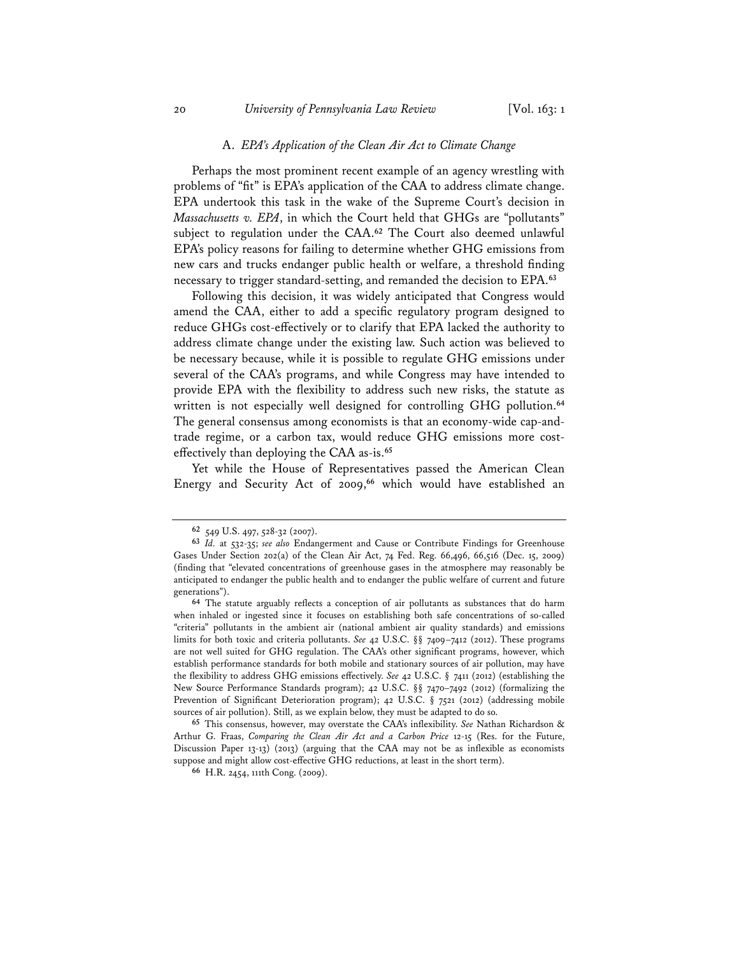#### A. *EPA's Application of the Clean Air Act to Climate Change*

Perhaps the most prominent recent example of an agency wrestling with problems of "fit" is EPA's application of the CAA to address climate change. EPA undertook this task in the wake of the Supreme Court's decision in *Massachusetts v. EPA*, in which the Court held that GHGs are "pollutants" subject to regulation under the CAA.**<sup>62</sup>** The Court also deemed unlawful EPA's policy reasons for failing to determine whether GHG emissions from new cars and trucks endanger public health or welfare, a threshold finding necessary to trigger standard-setting, and remanded the decision to EPA.**<sup>63</sup>**

Following this decision, it was widely anticipated that Congress would amend the CAA, either to add a specific regulatory program designed to reduce GHGs cost-effectively or to clarify that EPA lacked the authority to address climate change under the existing law. Such action was believed to be necessary because, while it is possible to regulate GHG emissions under several of the CAA's programs, and while Congress may have intended to provide EPA with the flexibility to address such new risks, the statute as written is not especially well designed for controlling GHG pollution.**<sup>64</sup>** The general consensus among economists is that an economy-wide cap-andtrade regime, or a carbon tax, would reduce GHG emissions more costeffectively than deploying the CAA as-is.**<sup>65</sup>**

Yet while the House of Representatives passed the American Clean Energy and Security Act of 2009,**<sup>66</sup>** which would have established an

**<sup>62</sup>** 549 U.S. 497, 528-32 (2007).

**<sup>63</sup>** *Id.* at 532-35; *see also* Endangerment and Cause or Contribute Findings for Greenhouse Gases Under Section 202(a) of the Clean Air Act, 74 Fed. Reg. 66,496, 66,516 (Dec. 15, 2009) (finding that "elevated concentrations of greenhouse gases in the atmosphere may reasonably be anticipated to endanger the public health and to endanger the public welfare of current and future generations").

**<sup>64</sup>** The statute arguably reflects a conception of air pollutants as substances that do harm when inhaled or ingested since it focuses on establishing both safe concentrations of so-called "criteria" pollutants in the ambient air (national ambient air quality standards) and emissions limits for both toxic and criteria pollutants. *See* 42 U.S.C. §§ 7409–7412 (2012). These programs are not well suited for GHG regulation. The CAA's other significant programs, however, which establish performance standards for both mobile and stationary sources of air pollution, may have the flexibility to address GHG emissions effectively. *See* 42 U.S.C. § 7411 (2012) (establishing the New Source Performance Standards program); 42 U.S.C. §§ 7470–7492 (2012) (formalizing the Prevention of Significant Deterioration program); 42 U.S.C. § 7521 (2012) (addressing mobile sources of air pollution). Still, as we explain below, they must be adapted to do so.

**<sup>65</sup>** This consensus, however, may overstate the CAA's inflexibility. *See* Nathan Richardson & Arthur G. Fraas, *Comparing the Clean Air Act and a Carbon Price* 12-15 (Res. for the Future, Discussion Paper 13-13) (2013) (arguing that the CAA may not be as inflexible as economists suppose and might allow cost-effective GHG reductions, at least in the short term).

**<sup>66</sup>** H.R. 2454, 111th Cong. (2009).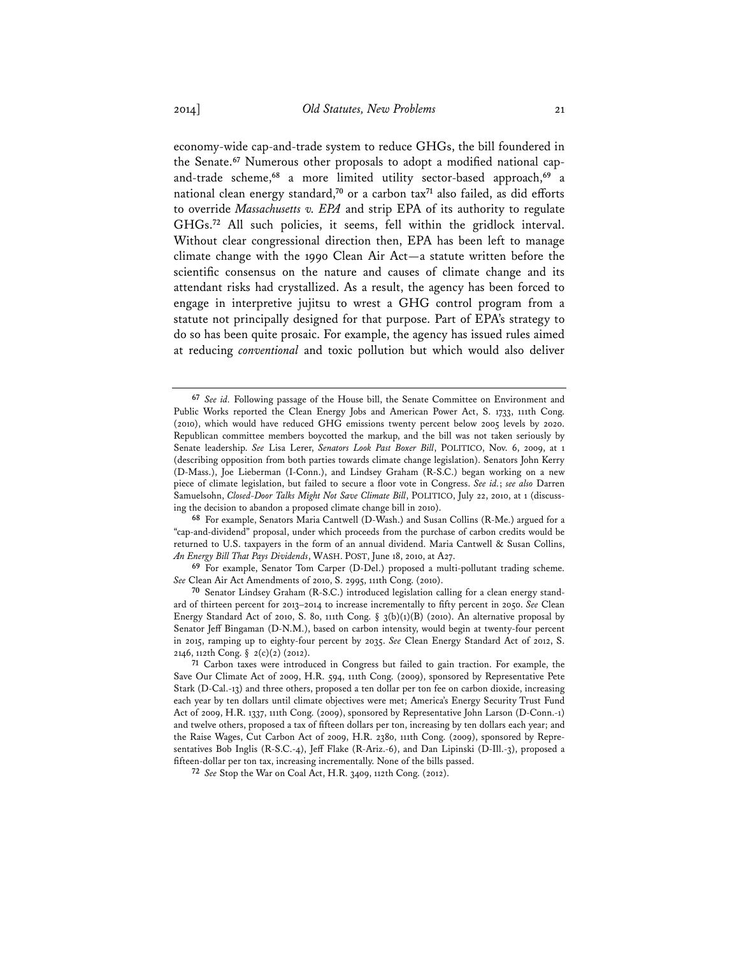economy-wide cap-and-trade system to reduce GHGs, the bill foundered in the Senate.**67** Numerous other proposals to adopt a modified national capand-trade scheme,**<sup>68</sup>** a more limited utility sector-based approach,**<sup>69</sup>** a national clean energy standard,**<sup>70</sup>** or a carbon tax**<sup>71</sup>** also failed, as did efforts to override *Massachusetts v. EPA* and strip EPA of its authority to regulate GHGs.**<sup>72</sup>** All such policies, it seems, fell within the gridlock interval. Without clear congressional direction then, EPA has been left to manage climate change with the 1990 Clean Air Act—a statute written before the scientific consensus on the nature and causes of climate change and its attendant risks had crystallized. As a result, the agency has been forced to engage in interpretive jujitsu to wrest a GHG control program from a statute not principally designed for that purpose. Part of EPA's strategy to do so has been quite prosaic. For example, the agency has issued rules aimed at reducing *conventional* and toxic pollution but which would also deliver

**68** For example, Senators Maria Cantwell (D-Wash.) and Susan Collins (R-Me.) argued for a "cap-and-dividend" proposal, under which proceeds from the purchase of carbon credits would be returned to U.S. taxpayers in the form of an annual dividend. Maria Cantwell & Susan Collins, *An Energy Bill That Pays Dividends*, WASH. POST, June 18, 2010, at A27.

**69** For example, Senator Tom Carper (D-Del.) proposed a multi-pollutant trading scheme. *See* Clean Air Act Amendments of 2010, S. 2995, 111th Cong. (2010).

**70** Senator Lindsey Graham (R-S.C.) introduced legislation calling for a clean energy standard of thirteen percent for 2013–2014 to increase incrementally to fifty percent in 2050. *See* Clean Energy Standard Act of 2010, S. 80, 111th Cong. § 3(b)(1)(B) (2010). An alternative proposal by Senator Jeff Bingaman (D-N.M.), based on carbon intensity, would begin at twenty-four percent in 2015, ramping up to eighty-four percent by 2035. *See* Clean Energy Standard Act of 2012, S. 2146, 112th Cong. § 2(c)(2) (2012).

**<sup>67</sup>** *See id.* Following passage of the House bill, the Senate Committee on Environment and Public Works reported the Clean Energy Jobs and American Power Act, S. 1733, 111th Cong. (2010), which would have reduced GHG emissions twenty percent below 2005 levels by 2020. Republican committee members boycotted the markup, and the bill was not taken seriously by Senate leadership. *See* Lisa Lerer, *Senators Look Past Boxer Bill*, POLITICO, Nov. 6, 2009, at 1 (describing opposition from both parties towards climate change legislation). Senators John Kerry (D-Mass.), Joe Lieberman (I-Conn.), and Lindsey Graham (R-S.C.) began working on a new piece of climate legislation, but failed to secure a floor vote in Congress. *See id.*; *see also* Darren Samuelsohn, *Closed-Door Talks Might Not Save Climate Bill*, POLITICO, July 22, 2010, at 1 (discussing the decision to abandon a proposed climate change bill in 2010).

**<sup>71</sup>** Carbon taxes were introduced in Congress but failed to gain traction. For example, the Save Our Climate Act of 2009, H.R. 594, 111th Cong. (2009), sponsored by Representative Pete Stark (D-Cal.-13) and three others, proposed a ten dollar per ton fee on carbon dioxide, increasing each year by ten dollars until climate objectives were met; America's Energy Security Trust Fund Act of 2009, H.R. 1337, 111th Cong. (2009), sponsored by Representative John Larson (D-Conn.-1) and twelve others, proposed a tax of fifteen dollars per ton, increasing by ten dollars each year; and the Raise Wages, Cut Carbon Act of 2009, H.R. 2380, 111th Cong. (2009), sponsored by Representatives Bob Inglis (R-S.C.-4), Jeff Flake (R-Ariz.-6), and Dan Lipinski (D-Ill.-3), proposed a fifteen-dollar per ton tax, increasing incrementally. None of the bills passed.

**<sup>72</sup>** *See* Stop the War on Coal Act, H.R. 3409, 112th Cong. (2012).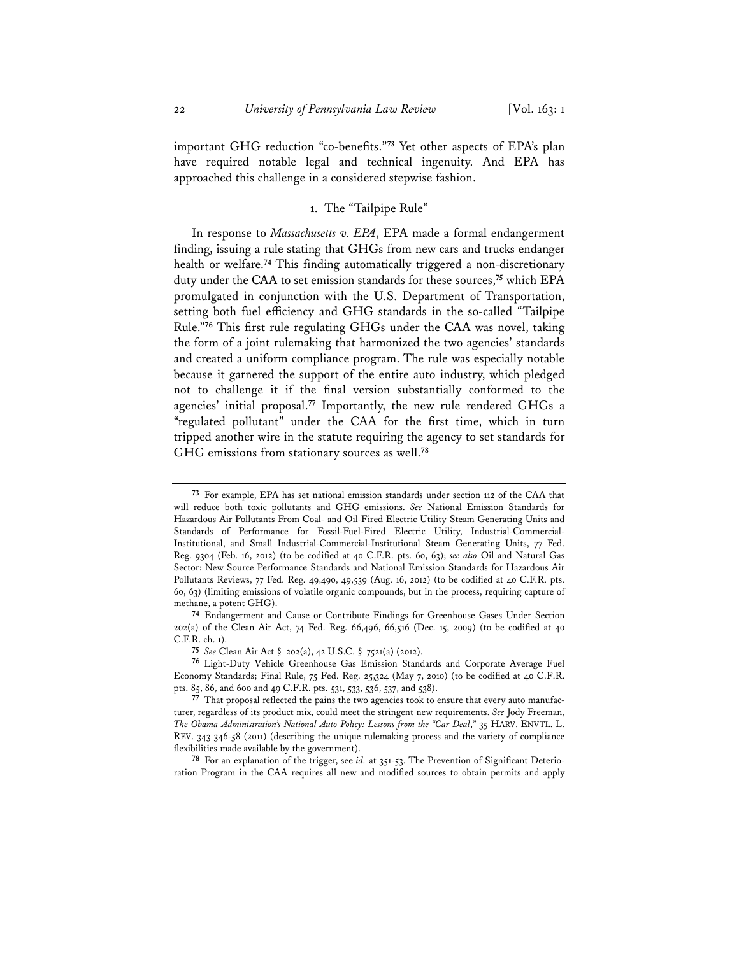important GHG reduction "co-benefits."**<sup>73</sup>** Yet other aspects of EPA's plan have required notable legal and technical ingenuity. And EPA has approached this challenge in a considered stepwise fashion.

#### 1. The "Tailpipe Rule"

In response to *Massachusetts v. EPA*, EPA made a formal endangerment finding, issuing a rule stating that GHGs from new cars and trucks endanger health or welfare.**<sup>74</sup>** This finding automatically triggered a non-discretionary duty under the CAA to set emission standards for these sources,**<sup>75</sup>** which EPA promulgated in conjunction with the U.S. Department of Transportation, setting both fuel efficiency and GHG standards in the so-called "Tailpipe Rule."**<sup>76</sup>** This first rule regulating GHGs under the CAA was novel, taking the form of a joint rulemaking that harmonized the two agencies' standards and created a uniform compliance program. The rule was especially notable because it garnered the support of the entire auto industry, which pledged not to challenge it if the final version substantially conformed to the agencies' initial proposal.**<sup>77</sup>** Importantly, the new rule rendered GHGs a "regulated pollutant" under the CAA for the first time, which in turn tripped another wire in the statute requiring the agency to set standards for GHG emissions from stationary sources as well.**<sup>78</sup>**

**78** For an explanation of the trigger, see *id.* at 351-53. The Prevention of Significant Deterioration Program in the CAA requires all new and modified sources to obtain permits and apply

**<sup>73</sup>** For example, EPA has set national emission standards under section 112 of the CAA that will reduce both toxic pollutants and GHG emissions. *See* National Emission Standards for Hazardous Air Pollutants From Coal- and Oil-Fired Electric Utility Steam Generating Units and Standards of Performance for Fossil-Fuel-Fired Electric Utility, Industrial-Commercial-Institutional, and Small Industrial-Commercial-Institutional Steam Generating Units, 77 Fed. Reg. 9304 (Feb. 16, 2012) (to be codified at 40 C.F.R. pts. 60, 63); *see also* Oil and Natural Gas Sector: New Source Performance Standards and National Emission Standards for Hazardous Air Pollutants Reviews, 77 Fed. Reg. 49,490, 49,539 (Aug. 16, 2012) (to be codified at 40 C.F.R. pts. 60, 63) (limiting emissions of volatile organic compounds, but in the process, requiring capture of methane, a potent GHG).

**<sup>74</sup>** Endangerment and Cause or Contribute Findings for Greenhouse Gases Under Section 202(a) of the Clean Air Act, 74 Fed. Reg. 66,496, 66,516 (Dec. 15, 2009) (to be codified at 40 C.F.R. ch. 1).

**<sup>75</sup>** *See* Clean Air Act § 202(a), 42 U.S.C. § 7521(a) (2012).

**<sup>76</sup>** Light-Duty Vehicle Greenhouse Gas Emission Standards and Corporate Average Fuel Economy Standards; Final Rule, 75 Fed. Reg. 25,324 (May 7, 2010) (to be codified at 40 C.F.R. pts. 85, 86, and 600 and 49 C.F.R. pts. 531, 533, 536, 537, and 538).

**<sup>77</sup>** That proposal reflected the pains the two agencies took to ensure that every auto manufacturer, regardless of its product mix, could meet the stringent new requirements. *See* Jody Freeman, *The Obama Administration's National Auto Policy: Lessons from the "Car Deal*,*"* 35 HARV. ENVTL. L. REV. 343 346-58 (2011) (describing the unique rulemaking process and the variety of compliance flexibilities made available by the government).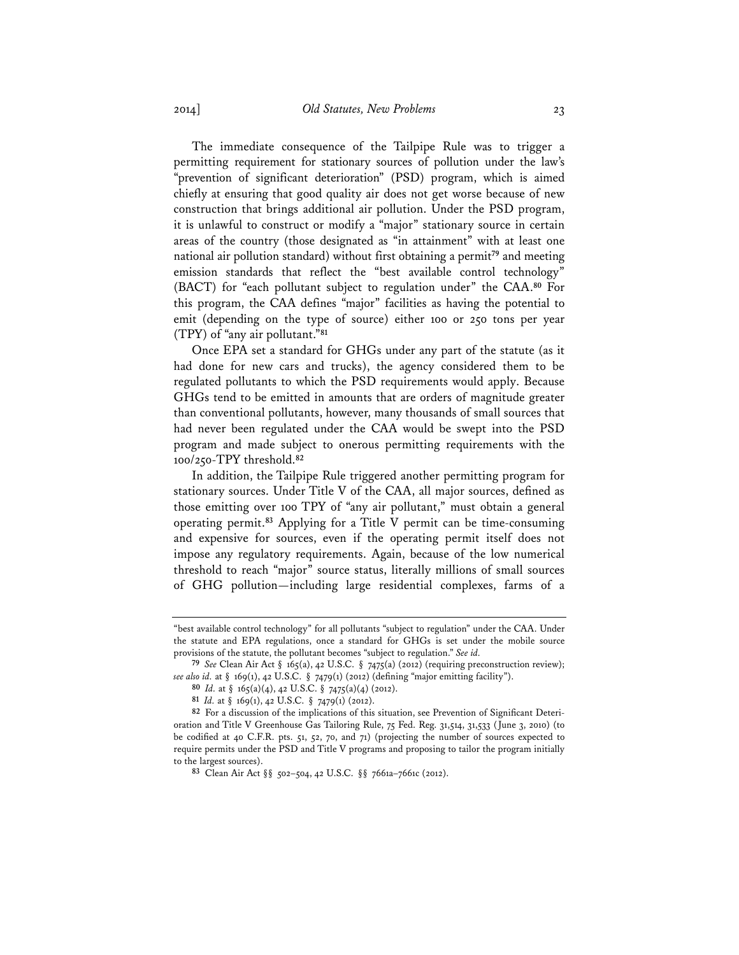The immediate consequence of the Tailpipe Rule was to trigger a permitting requirement for stationary sources of pollution under the law's "prevention of significant deterioration" (PSD) program, which is aimed chiefly at ensuring that good quality air does not get worse because of new construction that brings additional air pollution. Under the PSD program, it is unlawful to construct or modify a "major" stationary source in certain areas of the country (those designated as "in attainment" with at least one national air pollution standard) without first obtaining a permit**<sup>79</sup>** and meeting emission standards that reflect the "best available control technology" (BACT) for "each pollutant subject to regulation under" the CAA.**<sup>80</sup>** For this program, the CAA defines "major" facilities as having the potential to emit (depending on the type of source) either 100 or 250 tons per year (TPY) of "any air pollutant."**<sup>81</sup>**

Once EPA set a standard for GHGs under any part of the statute (as it had done for new cars and trucks), the agency considered them to be regulated pollutants to which the PSD requirements would apply. Because GHGs tend to be emitted in amounts that are orders of magnitude greater than conventional pollutants, however, many thousands of small sources that had never been regulated under the CAA would be swept into the PSD program and made subject to onerous permitting requirements with the 100/250-TPY threshold.**<sup>82</sup>**

In addition, the Tailpipe Rule triggered another permitting program for stationary sources. Under Title V of the CAA, all major sources, defined as those emitting over 100 TPY of "any air pollutant," must obtain a general operating permit.**<sup>83</sup>** Applying for a Title V permit can be time-consuming and expensive for sources, even if the operating permit itself does not impose any regulatory requirements. Again, because of the low numerical threshold to reach "major" source status, literally millions of small sources of GHG pollution—including large residential complexes, farms of a

<sup>&</sup>quot;best available control technology" for all pollutants "subject to regulation" under the CAA. Under the statute and EPA regulations, once a standard for GHGs is set under the mobile source provisions of the statute, the pollutant becomes "subject to regulation." *See id.* 

**<sup>79</sup>** *See* Clean Air Act § 165(a), 42 U.S.C. § 7475(a) (2012) (requiring preconstruction review); *see also id.* at § 169(1), 42 U.S.C. § 7479(1) (2012) (defining "major emitting facility").

**<sup>80</sup>** *Id.* at § 165(a)(4), 42 U.S.C. § 7475(a)(4) (2012).

**<sup>81</sup>** *Id.* at § 169(1), 42 U.S.C. § 7479(1) (2012).

**<sup>82</sup>** For a discussion of the implications of this situation, see Prevention of Significant Deterioration and Title V Greenhouse Gas Tailoring Rule, 75 Fed. Reg. 31,514, 31,533 (June 3, 2010) (to be codified at 40 C.F.R. pts. 51, 52, 70, and 71) (projecting the number of sources expected to require permits under the PSD and Title V programs and proposing to tailor the program initially to the largest sources).

**<sup>83</sup>** Clean Air Act §§ 502–504, 42 U.S.C. §§ 7661a–7661c (2012).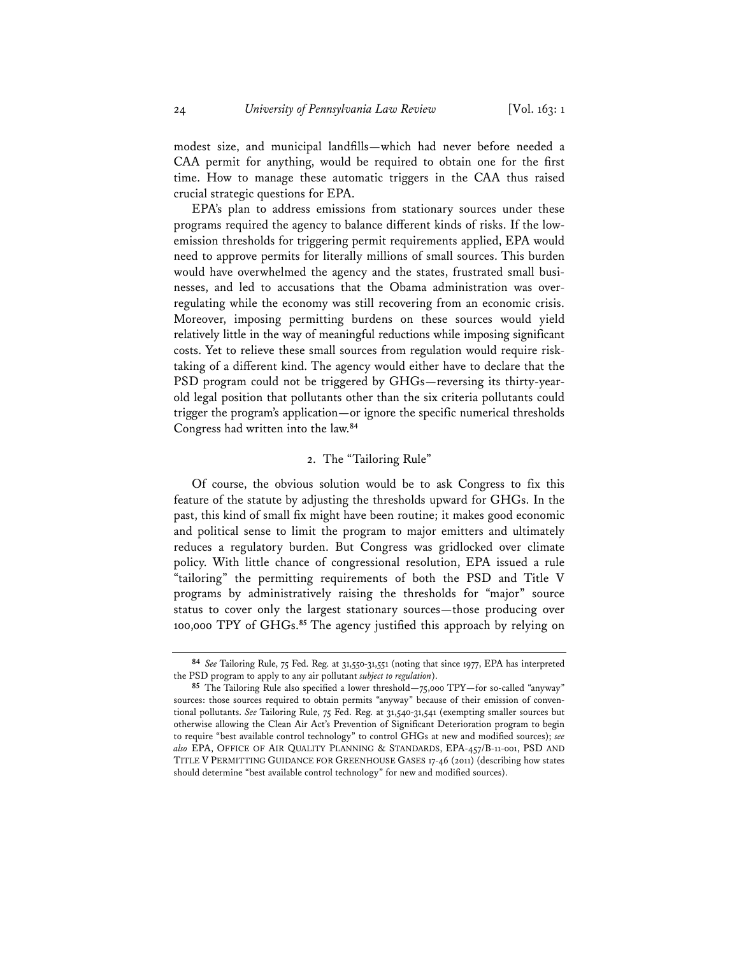modest size, and municipal landfills—which had never before needed a CAA permit for anything, would be required to obtain one for the first time. How to manage these automatic triggers in the CAA thus raised crucial strategic questions for EPA.

EPA's plan to address emissions from stationary sources under these programs required the agency to balance different kinds of risks. If the lowemission thresholds for triggering permit requirements applied, EPA would need to approve permits for literally millions of small sources. This burden would have overwhelmed the agency and the states, frustrated small businesses, and led to accusations that the Obama administration was overregulating while the economy was still recovering from an economic crisis. Moreover, imposing permitting burdens on these sources would yield relatively little in the way of meaningful reductions while imposing significant costs. Yet to relieve these small sources from regulation would require risktaking of a different kind. The agency would either have to declare that the PSD program could not be triggered by GHGs—reversing its thirty-yearold legal position that pollutants other than the six criteria pollutants could trigger the program's application—or ignore the specific numerical thresholds Congress had written into the law.**<sup>84</sup>**

#### 2. The "Tailoring Rule"

Of course, the obvious solution would be to ask Congress to fix this feature of the statute by adjusting the thresholds upward for GHGs. In the past, this kind of small fix might have been routine; it makes good economic and political sense to limit the program to major emitters and ultimately reduces a regulatory burden. But Congress was gridlocked over climate policy. With little chance of congressional resolution, EPA issued a rule "tailoring" the permitting requirements of both the PSD and Title V programs by administratively raising the thresholds for "major" source status to cover only the largest stationary sources—those producing over 100,000 TPY of GHGs.**<sup>85</sup>** The agency justified this approach by relying on

**<sup>84</sup>** *See* Tailoring Rule, 75 Fed. Reg. at 31,550-31,551 (noting that since 1977, EPA has interpreted the PSD program to apply to any air pollutant *subject to regulation*).

**<sup>85</sup>** The Tailoring Rule also specified a lower threshold—75,000 TPY—for so-called "anyway" sources: those sources required to obtain permits "anyway" because of their emission of conventional pollutants. *See* Tailoring Rule, 75 Fed. Reg. at 31,540-31,541 (exempting smaller sources but otherwise allowing the Clean Air Act's Prevention of Significant Deterioration program to begin to require "best available control technology" to control GHGs at new and modified sources); *see also* EPA, OFFICE OF AIR QUALITY PLANNING & STANDARDS, EPA-457/B-11-001, PSD AND TITLE V PERMITTING GUIDANCE FOR GREENHOUSE GASES 17-46 (2011) (describing how states should determine "best available control technology" for new and modified sources).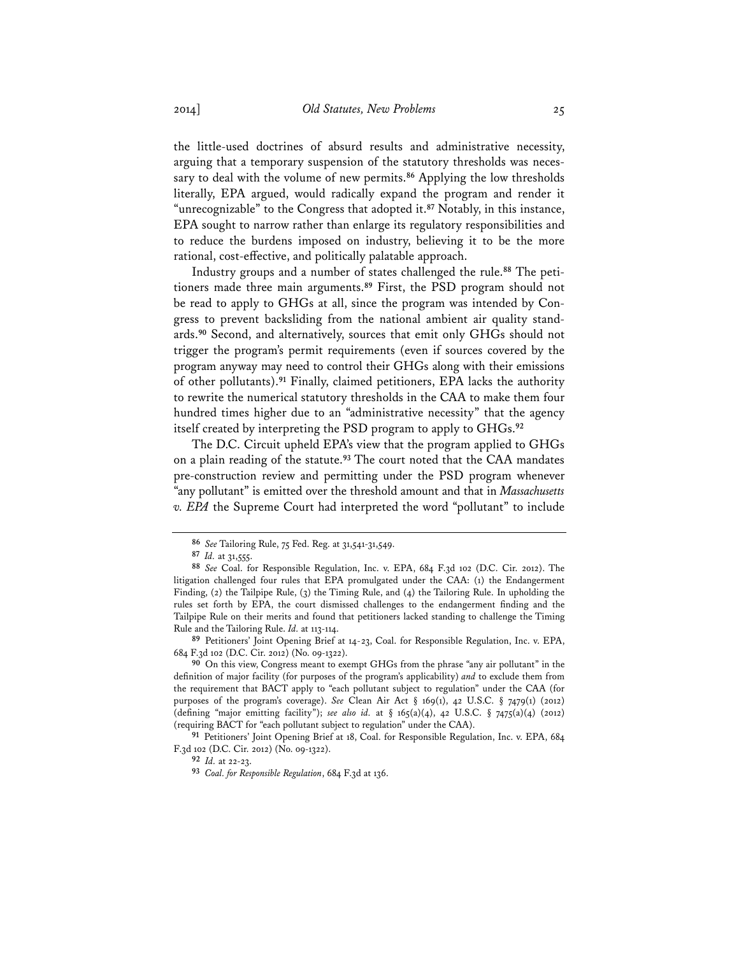the little-used doctrines of absurd results and administrative necessity, arguing that a temporary suspension of the statutory thresholds was necessary to deal with the volume of new permits.**<sup>86</sup>** Applying the low thresholds literally, EPA argued, would radically expand the program and render it "unrecognizable" to the Congress that adopted it.**<sup>87</sup>** Notably, in this instance, EPA sought to narrow rather than enlarge its regulatory responsibilities and to reduce the burdens imposed on industry, believing it to be the more rational, cost-effective, and politically palatable approach.

Industry groups and a number of states challenged the rule.**88** The petitioners made three main arguments.**<sup>89</sup>** First, the PSD program should not be read to apply to GHGs at all, since the program was intended by Congress to prevent backsliding from the national ambient air quality standards.**<sup>90</sup>** Second, and alternatively, sources that emit only GHGs should not trigger the program's permit requirements (even if sources covered by the program anyway may need to control their GHGs along with their emissions of other pollutants).**<sup>91</sup>** Finally, claimed petitioners, EPA lacks the authority to rewrite the numerical statutory thresholds in the CAA to make them four hundred times higher due to an "administrative necessity" that the agency itself created by interpreting the PSD program to apply to GHGs.**<sup>92</sup>**

The D.C. Circuit upheld EPA's view that the program applied to GHGs on a plain reading of the statute.**<sup>93</sup>** The court noted that the CAA mandates pre-construction review and permitting under the PSD program whenever "any pollutant" is emitted over the threshold amount and that in *Massachusetts v. EPA* the Supreme Court had interpreted the word "pollutant" to include

**89** Petitioners' Joint Opening Brief at 14-23, Coal. for Responsible Regulation, Inc. v. EPA, 684 F.3d 102 (D.C. Cir. 2012) (No. 09-1322).

**90** On this view, Congress meant to exempt GHGs from the phrase "any air pollutant" in the definition of major facility (for purposes of the program's applicability) *and* to exclude them from the requirement that BACT apply to "each pollutant subject to regulation" under the CAA (for purposes of the program's coverage). *See* Clean Air Act § 169(1), 42 U.S.C. § 7479(1) (2012) (defining "major emitting facility"); *see also id.* at § 165(a)(4), 42 U.S.C. § 7475(a)(4) (2012) (requiring BACT for "each pollutant subject to regulation" under the CAA).

**91** Petitioners' Joint Opening Brief at 18, Coal. for Responsible Regulation, Inc. v. EPA, 684 F.3d 102 (D.C. Cir. 2012) (No. 09-1322).

**92** *Id.* at 22-23.

**93** *Coal. for Responsible Regulation*, 684 F.3d at 136.

**<sup>86</sup>** *See* Tailoring Rule, 75 Fed. Reg. at 31,541-31,549.

**<sup>87</sup>** *Id.* at 31,555.

**<sup>88</sup>** *See* Coal. for Responsible Regulation, Inc. v. EPA, 684 F.3d 102 (D.C. Cir. 2012). The litigation challenged four rules that EPA promulgated under the CAA: (1) the Endangerment Finding, (2) the Tailpipe Rule, (3) the Timing Rule, and (4) the Tailoring Rule. In upholding the rules set forth by EPA, the court dismissed challenges to the endangerment finding and the Tailpipe Rule on their merits and found that petitioners lacked standing to challenge the Timing Rule and the Tailoring Rule. *Id.* at 113-114.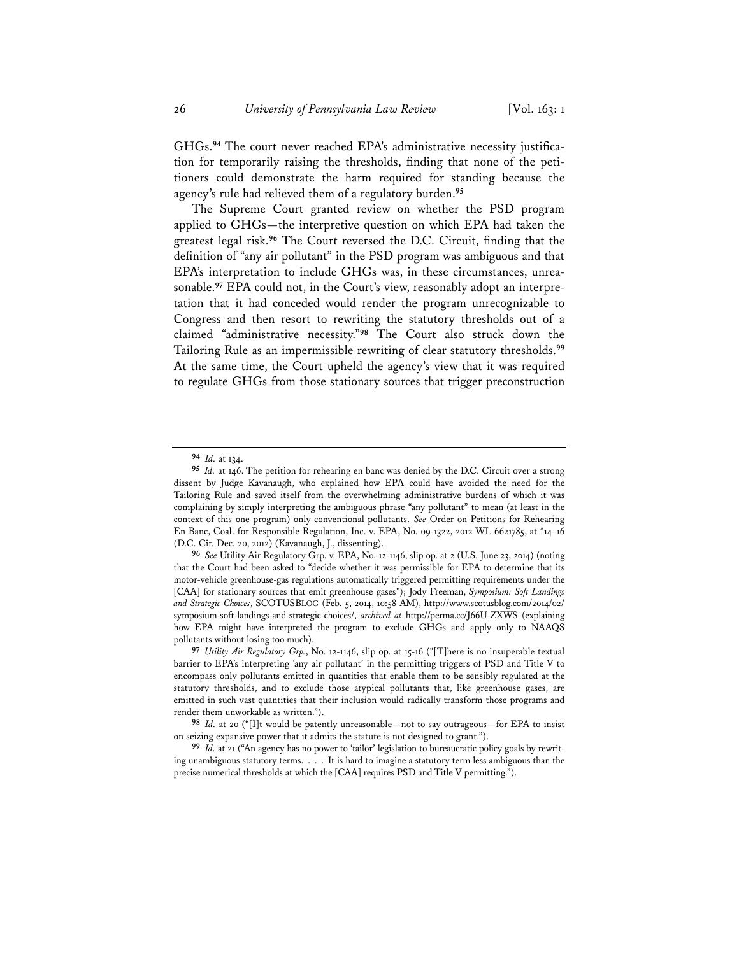GHGs.**94** The court never reached EPA's administrative necessity justification for temporarily raising the thresholds, finding that none of the petitioners could demonstrate the harm required for standing because the agency's rule had relieved them of a regulatory burden.**<sup>95</sup>**

The Supreme Court granted review on whether the PSD program applied to GHGs—the interpretive question on which EPA had taken the greatest legal risk.**<sup>96</sup>** The Court reversed the D.C. Circuit, finding that the definition of "any air pollutant" in the PSD program was ambiguous and that EPA's interpretation to include GHGs was, in these circumstances, unreasonable.**97** EPA could not, in the Court's view, reasonably adopt an interpretation that it had conceded would render the program unrecognizable to Congress and then resort to rewriting the statutory thresholds out of a claimed "administrative necessity."**<sup>98</sup>** The Court also struck down the Tailoring Rule as an impermissible rewriting of clear statutory thresholds.**<sup>99</sup>** At the same time, the Court upheld the agency's view that it was required to regulate GHGs from those stationary sources that trigger preconstruction

**<sup>94</sup>** *Id.* at 134.

**<sup>95</sup>** *Id.* at 146. The petition for rehearing en banc was denied by the D.C. Circuit over a strong dissent by Judge Kavanaugh, who explained how EPA could have avoided the need for the Tailoring Rule and saved itself from the overwhelming administrative burdens of which it was complaining by simply interpreting the ambiguous phrase "any pollutant" to mean (at least in the context of this one program) only conventional pollutants. *See* Order on Petitions for Rehearing En Banc, Coal. for Responsible Regulation, Inc. v. EPA, No. 09-1322, 2012 WL 6621785, at \*14-16 (D.C. Cir. Dec. 20, 2012) (Kavanaugh, J., dissenting).

**<sup>96</sup>** *See* Utility Air Regulatory Grp. v. EPA, No. 12-1146, slip op. at 2 (U.S. June 23, 2014) (noting that the Court had been asked to "decide whether it was permissible for EPA to determine that its motor-vehicle greenhouse-gas regulations automatically triggered permitting requirements under the [CAA] for stationary sources that emit greenhouse gases"); Jody Freeman, *Symposium: Soft Landings and Strategic Choices*, SCOTUSBLOG (Feb. 5, 2014, 10:58 AM), http://www.scotusblog.com/2014/02/ symposium-soft-landings-and-strategic-choices/, *archived at* http://perma.cc/J66U-ZXWS (explaining how EPA might have interpreted the program to exclude GHGs and apply only to NAAQS pollutants without losing too much).

**<sup>97</sup>** *Utility Air Regulatory Grp.*, No. 12-1146, slip op. at 15-16 ("[T]here is no insuperable textual barrier to EPA's interpreting 'any air pollutant' in the permitting triggers of PSD and Title V to encompass only pollutants emitted in quantities that enable them to be sensibly regulated at the statutory thresholds, and to exclude those atypical pollutants that, like greenhouse gases, are emitted in such vast quantities that their inclusion would radically transform those programs and render them unworkable as written.").

**<sup>98</sup>** *Id.* at 20 ("[I]t would be patently unreasonable—not to say outrageous—for EPA to insist on seizing expansive power that it admits the statute is not designed to grant.").

**<sup>99</sup>** *Id.* at 21 ("An agency has no power to 'tailor' legislation to bureaucratic policy goals by rewriting unambiguous statutory terms. . . . It is hard to imagine a statutory term less ambiguous than the precise numerical thresholds at which the [CAA] requires PSD and Title V permitting.").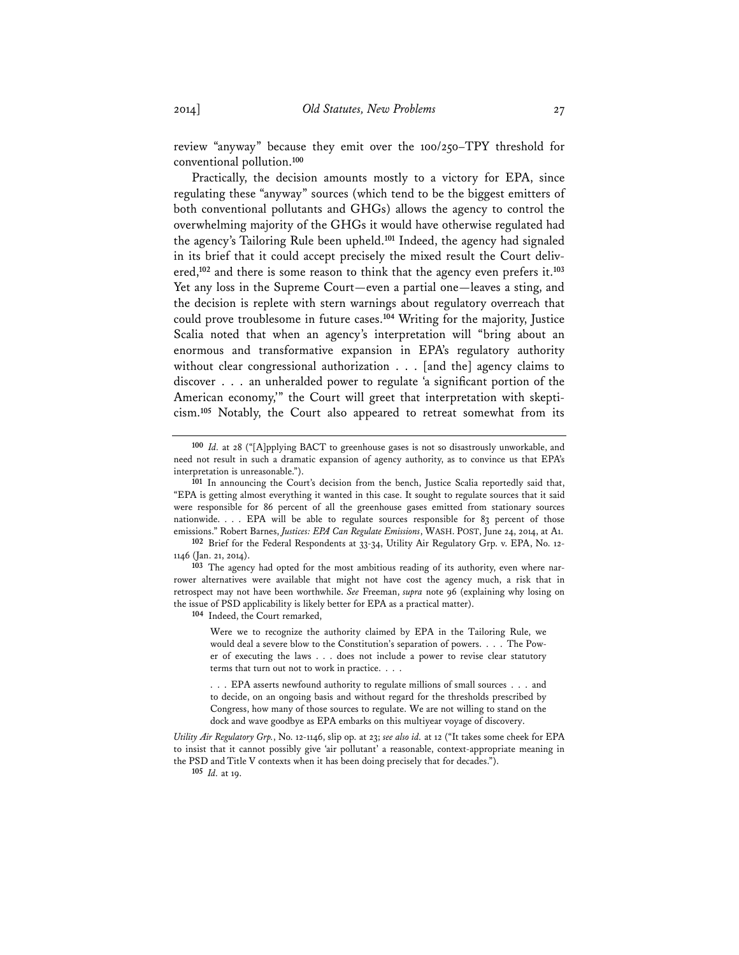review "anyway" because they emit over the 100/250–TPY threshold for conventional pollution.**<sup>100</sup>**

Practically, the decision amounts mostly to a victory for EPA, since regulating these "anyway" sources (which tend to be the biggest emitters of both conventional pollutants and GHGs) allows the agency to control the overwhelming majority of the GHGs it would have otherwise regulated had the agency's Tailoring Rule been upheld.**<sup>101</sup>** Indeed, the agency had signaled in its brief that it could accept precisely the mixed result the Court delivered,**<sup>102</sup>** and there is some reason to think that the agency even prefers it.**<sup>103</sup>** Yet any loss in the Supreme Court—even a partial one—leaves a sting, and the decision is replete with stern warnings about regulatory overreach that could prove troublesome in future cases.**<sup>104</sup>** Writing for the majority, Justice Scalia noted that when an agency's interpretation will "bring about an enormous and transformative expansion in EPA's regulatory authority without clear congressional authorization . . . [and the] agency claims to discover . . . an unheralded power to regulate 'a significant portion of the American economy,'" the Court will greet that interpretation with skepticism.**<sup>105</sup>** Notably, the Court also appeared to retreat somewhat from its

**104** Indeed, the Court remarked,

Were we to recognize the authority claimed by EPA in the Tailoring Rule, we would deal a severe blow to the Constitution's separation of powers. . . . The Power of executing the laws . . . does not include a power to revise clear statutory terms that turn out not to work in practice. . . .

. . . EPA asserts newfound authority to regulate millions of small sources . . . and to decide, on an ongoing basis and without regard for the thresholds prescribed by Congress, how many of those sources to regulate. We are not willing to stand on the dock and wave goodbye as EPA embarks on this multiyear voyage of discovery.

*Utility Air Regulatory Grp.*, No. 12-1146, slip op. at 23; *see also id.* at 12 ("It takes some cheek for EPA to insist that it cannot possibly give 'air pollutant' a reasonable, context-appropriate meaning in the PSD and Title V contexts when it has been doing precisely that for decades.").

**105** *Id.* at 19.

**<sup>100</sup>** *Id.* at 28 ("[A]pplying BACT to greenhouse gases is not so disastrously unworkable, and need not result in such a dramatic expansion of agency authority, as to convince us that EPA's interpretation is unreasonable.").

**<sup>101</sup>** In announcing the Court's decision from the bench, Justice Scalia reportedly said that, "EPA is getting almost everything it wanted in this case. It sought to regulate sources that it said were responsible for 86 percent of all the greenhouse gases emitted from stationary sources nationwide. . . . EPA will be able to regulate sources responsible for 83 percent of those emissions." Robert Barnes, *Justices: EPA Can Regulate Emissions*, WASH. POST, June 24, 2014, at A1.

**<sup>102</sup>** Brief for the Federal Respondents at 33-34, Utility Air Regulatory Grp. v. EPA, No. 12- 1146 (Jan. 21, 2014).

**<sup>103</sup>** The agency had opted for the most ambitious reading of its authority, even where narrower alternatives were available that might not have cost the agency much, a risk that in retrospect may not have been worthwhile. *See* Freeman, *supra* note 96 (explaining why losing on the issue of PSD applicability is likely better for EPA as a practical matter).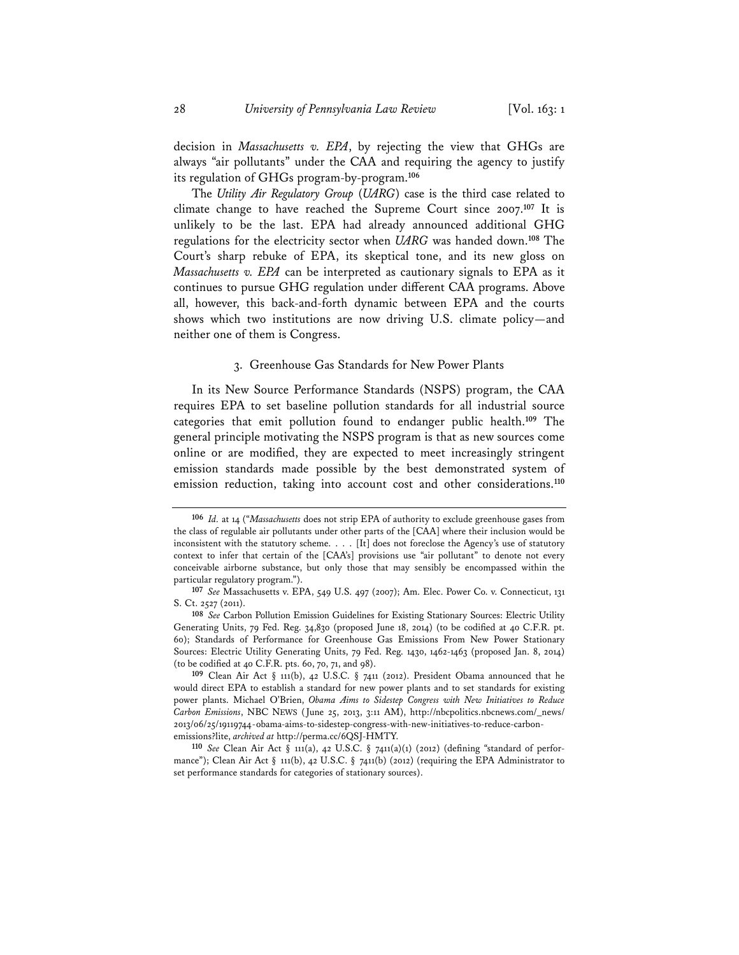decision in *Massachusetts v. EPA*, by rejecting the view that GHGs are always "air pollutants" under the CAA and requiring the agency to justify its regulation of GHGs program-by-program.**<sup>106</sup>**

The *Utility Air Regulatory Group* (*UARG*) case is the third case related to climate change to have reached the Supreme Court since 2007.**<sup>107</sup>** It is unlikely to be the last. EPA had already announced additional GHG regulations for the electricity sector when *UARG* was handed down.**<sup>108</sup>** The Court's sharp rebuke of EPA, its skeptical tone, and its new gloss on *Massachusetts v. EPA* can be interpreted as cautionary signals to EPA as it continues to pursue GHG regulation under different CAA programs. Above all, however, this back-and-forth dynamic between EPA and the courts shows which two institutions are now driving U.S. climate policy—and neither one of them is Congress.

#### 3. Greenhouse Gas Standards for New Power Plants

In its New Source Performance Standards (NSPS) program, the CAA requires EPA to set baseline pollution standards for all industrial source categories that emit pollution found to endanger public health.**<sup>109</sup>** The general principle motivating the NSPS program is that as new sources come online or are modified, they are expected to meet increasingly stringent emission standards made possible by the best demonstrated system of emission reduction, taking into account cost and other considerations.**<sup>110</sup>**

**<sup>106</sup>** *Id.* at 14 ("*Massachusetts* does not strip EPA of authority to exclude greenhouse gases from the class of regulable air pollutants under other parts of the [CAA] where their inclusion would be inconsistent with the statutory scheme. . . . [It] does not foreclose the Agency's use of statutory context to infer that certain of the [CAA's] provisions use "air pollutant" to denote not every conceivable airborne substance, but only those that may sensibly be encompassed within the particular regulatory program.").

**<sup>107</sup>** *See* Massachusetts v. EPA, 549 U.S. 497 (2007); Am. Elec. Power Co. v. Connecticut, 131 S. Ct. 2527 (2011).

**<sup>108</sup>** *See* Carbon Pollution Emission Guidelines for Existing Stationary Sources: Electric Utility Generating Units, 79 Fed. Reg. 34,830 (proposed June 18, 2014) (to be codified at 40 C.F.R. pt. 60); Standards of Performance for Greenhouse Gas Emissions From New Power Stationary Sources: Electric Utility Generating Units, 79 Fed. Reg. 1430, 1462-1463 (proposed Jan. 8, 2014) (to be codified at 40 C.F.R. pts. 60, 70, 71, and 98).

**<sup>109</sup>** Clean Air Act § 111(b), 42 U.S.C. § 7411 (2012). President Obama announced that he would direct EPA to establish a standard for new power plants and to set standards for existing power plants. Michael O'Brien, *Obama Aims to Sidestep Congress with New Initiatives to Reduce Carbon Emissions*, NBC NEWS (June 25, 2013, 3:11 AM), http://nbcpolitics.nbcnews.com/\_news/ 2013/06/25/19119744-obama-aims-to-sidestep-congress-with-new-initiatives-to-reduce-carbonemissions?lite, *archived at* http://perma.cc/6QSJ-HMTY.

**<sup>110</sup>** *See* Clean Air Act § 111(a), 42 U.S.C. § 7411(a)(1) (2012) (defining "standard of performance"); Clean Air Act § 111(b), 42 U.S.C. § 7411(b) (2012) (requiring the EPA Administrator to set performance standards for categories of stationary sources).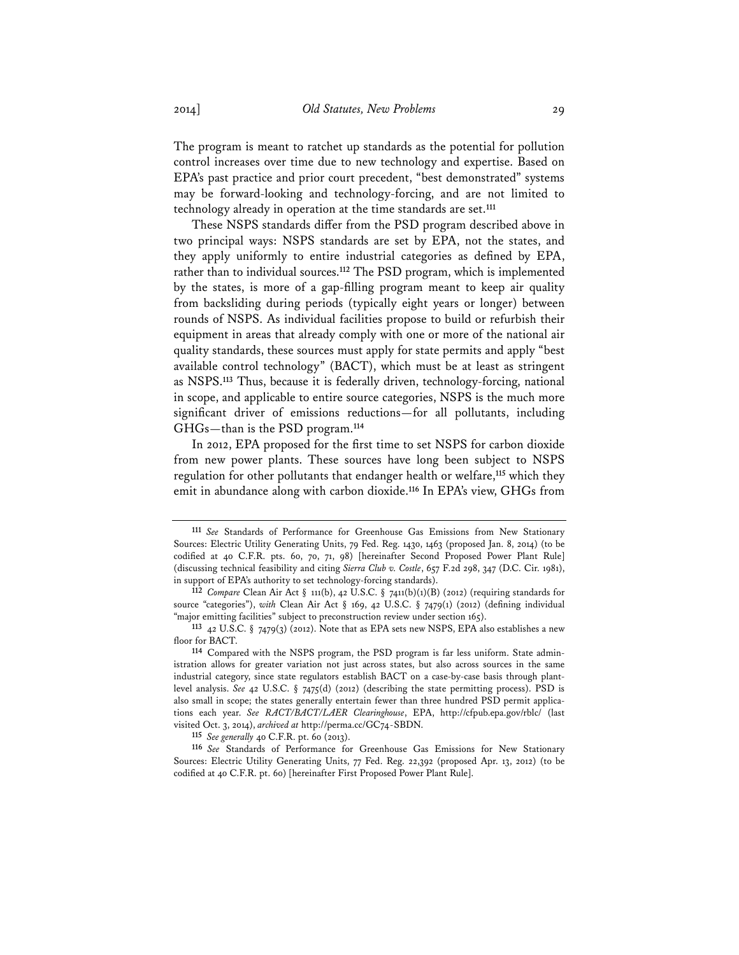The program is meant to ratchet up standards as the potential for pollution control increases over time due to new technology and expertise. Based on EPA's past practice and prior court precedent, "best demonstrated" systems may be forward-looking and technology-forcing, and are not limited to technology already in operation at the time standards are set.**<sup>111</sup>**

These NSPS standards differ from the PSD program described above in two principal ways: NSPS standards are set by EPA, not the states, and they apply uniformly to entire industrial categories as defined by EPA, rather than to individual sources.**<sup>112</sup>** The PSD program, which is implemented by the states, is more of a gap-filling program meant to keep air quality from backsliding during periods (typically eight years or longer) between rounds of NSPS. As individual facilities propose to build or refurbish their equipment in areas that already comply with one or more of the national air quality standards, these sources must apply for state permits and apply "best available control technology" (BACT), which must be at least as stringent as NSPS.**<sup>113</sup>** Thus, because it is federally driven, technology-forcing, national in scope, and applicable to entire source categories, NSPS is the much more significant driver of emissions reductions—for all pollutants, including GHGs—than is the PSD program.**<sup>114</sup>**

In 2012, EPA proposed for the first time to set NSPS for carbon dioxide from new power plants. These sources have long been subject to NSPS regulation for other pollutants that endanger health or welfare,**<sup>115</sup>** which they emit in abundance along with carbon dioxide.**<sup>116</sup>** In EPA's view, GHGs from

**115** *See generally* 40 C.F.R. pt. 60 (2013).

**<sup>111</sup>** *See* Standards of Performance for Greenhouse Gas Emissions from New Stationary Sources: Electric Utility Generating Units, 79 Fed. Reg. 1430, 1463 (proposed Jan. 8, 2014) (to be codified at 40 C.F.R. pts. 60, 70, 71, 98) [hereinafter Second Proposed Power Plant Rule] (discussing technical feasibility and citing *Sierra Club v. Costle*, 657 F.2d 298, 347 (D.C. Cir. 1981), in support of EPA's authority to set technology-forcing standards).

**<sup>112</sup>** *Compare* Clean Air Act § 111(b), 42 U.S.C. § 7411(b)(1)(B) (2012) (requiring standards for source "categories"), *with* Clean Air Act § 169, 42 U.S.C. § 7479(1) (2012) (defining individual "major emitting facilities" subject to preconstruction review under section 165).

**<sup>113</sup>** 42 U.S.C. § 7479(3) (2012). Note that as EPA sets new NSPS, EPA also establishes a new floor for BACT.

**<sup>114</sup>** Compared with the NSPS program, the PSD program is far less uniform. State administration allows for greater variation not just across states, but also across sources in the same industrial category, since state regulators establish BACT on a case-by-case basis through plantlevel analysis. *See* 42 U.S.C. § 7475(d) (2012) (describing the state permitting process). PSD is also small in scope; the states generally entertain fewer than three hundred PSD permit applications each year. *See RACT/BACT/LAER Clearinghouse*, EPA, http://cfpub.epa.gov/rblc/ (last visited Oct. 3, 2014), *archived at* http://perma.cc/GC74-SBDN.

**<sup>116</sup>** *See* Standards of Performance for Greenhouse Gas Emissions for New Stationary Sources: Electric Utility Generating Units, 77 Fed. Reg. 22,392 (proposed Apr. 13, 2012) (to be codified at 40 C.F.R. pt. 60) [hereinafter First Proposed Power Plant Rule].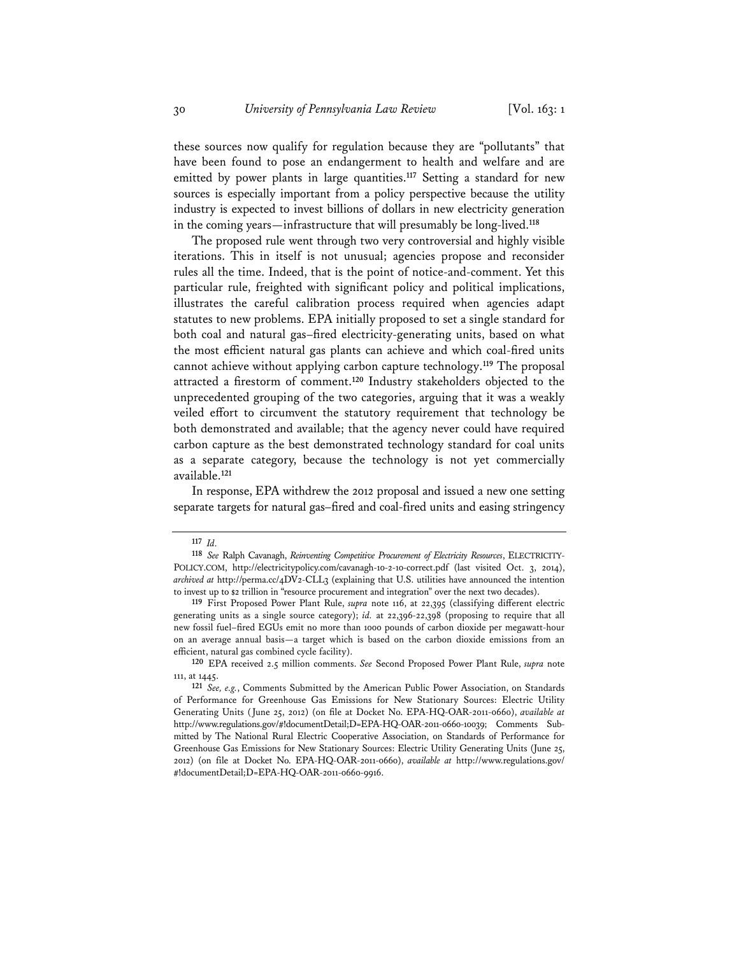these sources now qualify for regulation because they are "pollutants" that have been found to pose an endangerment to health and welfare and are emitted by power plants in large quantities.**<sup>117</sup>** Setting a standard for new sources is especially important from a policy perspective because the utility industry is expected to invest billions of dollars in new electricity generation in the coming years—infrastructure that will presumably be long-lived.**<sup>118</sup>**

The proposed rule went through two very controversial and highly visible iterations. This in itself is not unusual; agencies propose and reconsider rules all the time. Indeed, that is the point of notice-and-comment. Yet this particular rule, freighted with significant policy and political implications, illustrates the careful calibration process required when agencies adapt statutes to new problems. EPA initially proposed to set a single standard for both coal and natural gas–fired electricity-generating units, based on what the most efficient natural gas plants can achieve and which coal-fired units cannot achieve without applying carbon capture technology.**<sup>119</sup>** The proposal attracted a firestorm of comment.**<sup>120</sup>** Industry stakeholders objected to the unprecedented grouping of the two categories, arguing that it was a weakly veiled effort to circumvent the statutory requirement that technology be both demonstrated and available; that the agency never could have required carbon capture as the best demonstrated technology standard for coal units as a separate category, because the technology is not yet commercially available.**<sup>121</sup>**

In response, EPA withdrew the 2012 proposal and issued a new one setting separate targets for natural gas–fired and coal-fired units and easing stringency

**<sup>117</sup>** *Id.*

**<sup>118</sup>** *See* Ralph Cavanagh, *Reinventing Competitive Procurement of Electricity Resources*, ELECTRICITY-POLICY.COM, http://electricitypolicy.com/cavanagh-10-2-10-correct.pdf (last visited Oct. 3, 2014), *archived at* http://perma.cc/4DV2-CLL3 (explaining that U.S. utilities have announced the intention to invest up to \$2 trillion in "resource procurement and integration" over the next two decades).

**<sup>119</sup>** First Proposed Power Plant Rule, *supra* note 116, at 22,395 (classifying different electric generating units as a single source category); *id.* at 22,396-22,398 (proposing to require that all new fossil fuel–fired EGUs emit no more than 1000 pounds of carbon dioxide per megawatt-hour on an average annual basis—a target which is based on the carbon dioxide emissions from an efficient, natural gas combined cycle facility).

**<sup>120</sup>** EPA received 2.5 million comments. *See* Second Proposed Power Plant Rule, *supra* note 111, at 1445.

**<sup>121</sup>** *See, e.g.*, Comments Submitted by the American Public Power Association, on Standards of Performance for Greenhouse Gas Emissions for New Stationary Sources: Electric Utility Generating Units (June 25, 2012) (on file at Docket No. EPA-HQ-OAR-2011-0660), *available at* http://www.regulations.gov/#!documentDetail;D=EPA-HQ-OAR-2011-0660-10039; Comments Submitted by The National Rural Electric Cooperative Association, on Standards of Performance for Greenhouse Gas Emissions for New Stationary Sources: Electric Utility Generating Units (June 25, 2012) (on file at Docket No. EPA-HQ-OAR-2011-0660), *available at* http://www.regulations.gov/ #!documentDetail;D=EPA-HQ-OAR-2011-0660-9916.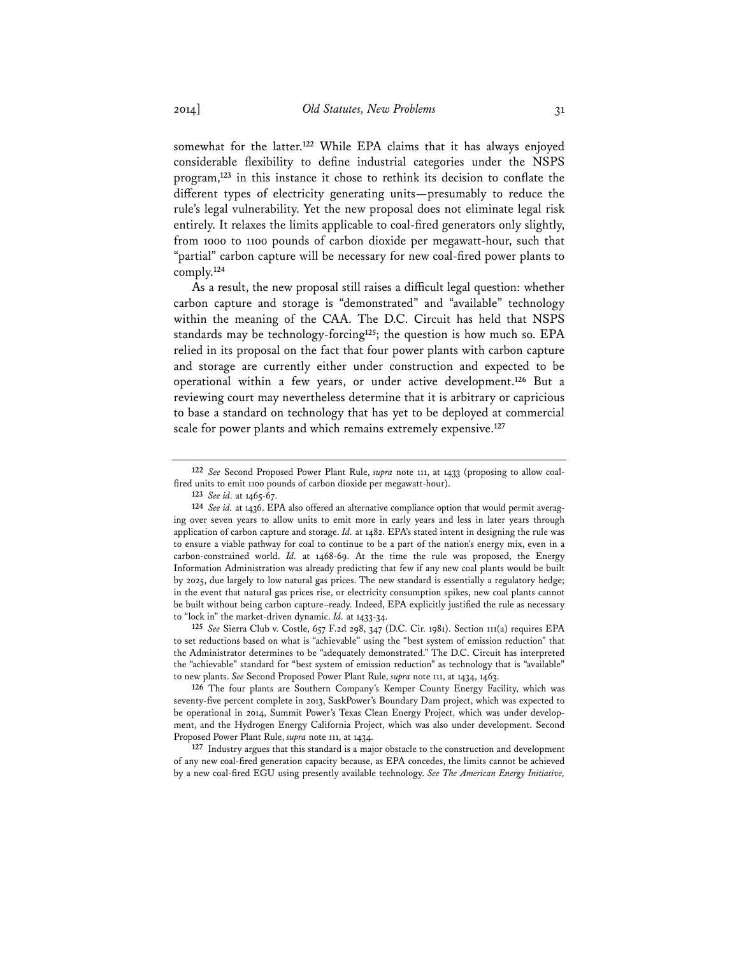somewhat for the latter.**<sup>122</sup>** While EPA claims that it has always enjoyed considerable flexibility to define industrial categories under the NSPS program,**<sup>123</sup>** in this instance it chose to rethink its decision to conflate the different types of electricity generating units—presumably to reduce the rule's legal vulnerability. Yet the new proposal does not eliminate legal risk entirely. It relaxes the limits applicable to coal-fired generators only slightly, from 1000 to 1100 pounds of carbon dioxide per megawatt-hour, such that "partial" carbon capture will be necessary for new coal-fired power plants to comply.**<sup>124</sup>**

As a result, the new proposal still raises a difficult legal question: whether carbon capture and storage is "demonstrated" and "available" technology within the meaning of the CAA. The D.C. Circuit has held that NSPS standards may be technology-forcing**<sup>125</sup>**; the question is how much so. EPA relied in its proposal on the fact that four power plants with carbon capture and storage are currently either under construction and expected to be operational within a few years, or under active development.**<sup>126</sup>** But a reviewing court may nevertheless determine that it is arbitrary or capricious to base a standard on technology that has yet to be deployed at commercial scale for power plants and which remains extremely expensive.**<sup>127</sup>**

**125** *See* Sierra Club v. Costle, 657 F.2d 298, 347 (D.C. Cir. 1981). Section 111(a) requires EPA to set reductions based on what is "achievable" using the "best system of emission reduction" that the Administrator determines to be "adequately demonstrated." The D.C. Circuit has interpreted the "achievable" standard for "best system of emission reduction" as technology that is "available" to new plants. *See* Second Proposed Power Plant Rule, *supra* note 111, at 1434, 1463.

**126** The four plants are Southern Company's Kemper County Energy Facility, which was seventy-five percent complete in 2013, SaskPower's Boundary Dam project, which was expected to be operational in 2014, Summit Power's Texas Clean Energy Project, which was under development, and the Hydrogen Energy California Project, which was also under development. Second Proposed Power Plant Rule, *supra* note 111, at 1434.

**127** Industry argues that this standard is a major obstacle to the construction and development of any new coal-fired generation capacity because, as EPA concedes, the limits cannot be achieved by a new coal-fired EGU using presently available technology. *See The American Energy Initiative,* 

**<sup>122</sup>** *See* Second Proposed Power Plant Rule, *supra* note 111, at 1433 (proposing to allow coalfired units to emit 1100 pounds of carbon dioxide per megawatt-hour).

**<sup>123</sup>** *See id.* at 1465-67.

**<sup>124</sup>** *See id.* at 1436. EPA also offered an alternative compliance option that would permit averaging over seven years to allow units to emit more in early years and less in later years through application of carbon capture and storage. *Id.* at 1482. EPA's stated intent in designing the rule was to ensure a viable pathway for coal to continue to be a part of the nation's energy mix, even in a carbon-constrained world. *Id.* at 1468-69. At the time the rule was proposed, the Energy Information Administration was already predicting that few if any new coal plants would be built by 2025, due largely to low natural gas prices. The new standard is essentially a regulatory hedge; in the event that natural gas prices rise, or electricity consumption spikes, new coal plants cannot be built without being carbon capture–ready. Indeed, EPA explicitly justified the rule as necessary to "lock in" the market-driven dynamic. *Id.* at 1433-34.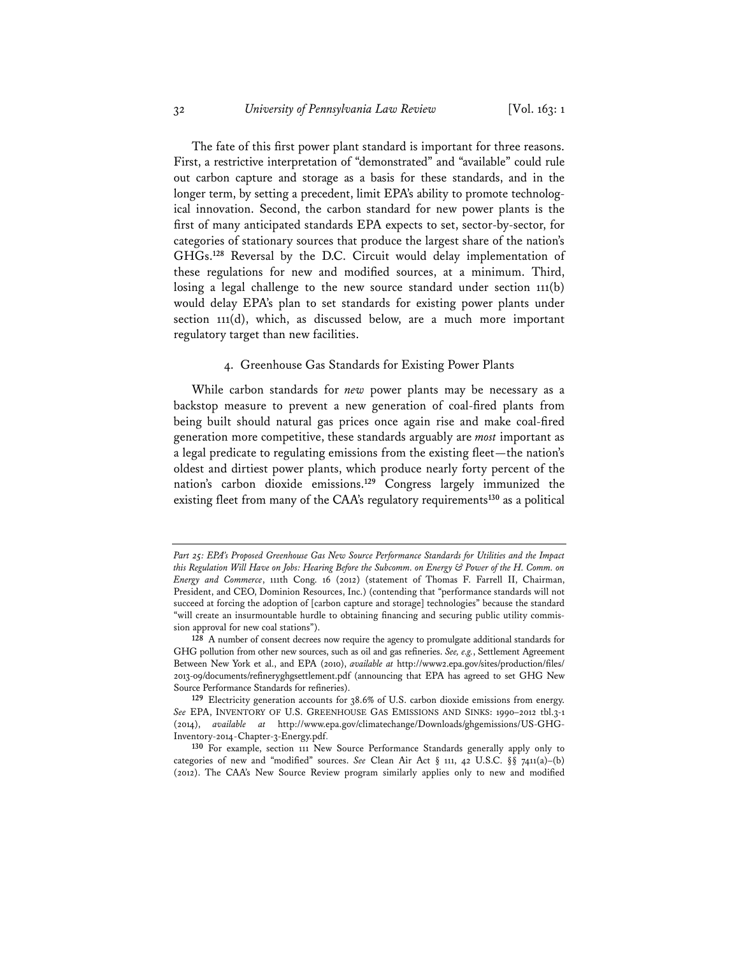The fate of this first power plant standard is important for three reasons. First, a restrictive interpretation of "demonstrated" and "available" could rule out carbon capture and storage as a basis for these standards, and in the longer term, by setting a precedent, limit EPA's ability to promote technological innovation. Second, the carbon standard for new power plants is the first of many anticipated standards EPA expects to set, sector-by-sector, for categories of stationary sources that produce the largest share of the nation's GHGs.**<sup>128</sup>** Reversal by the D.C. Circuit would delay implementation of these regulations for new and modified sources, at a minimum. Third, losing a legal challenge to the new source standard under section 111(b) would delay EPA's plan to set standards for existing power plants under section 111(d), which, as discussed below, are a much more important regulatory target than new facilities.

#### 4. Greenhouse Gas Standards for Existing Power Plants

While carbon standards for *new* power plants may be necessary as a backstop measure to prevent a new generation of coal-fired plants from being built should natural gas prices once again rise and make coal-fired generation more competitive, these standards arguably are *most* important as a legal predicate to regulating emissions from the existing fleet—the nation's oldest and dirtiest power plants, which produce nearly forty percent of the nation's carbon dioxide emissions.**<sup>129</sup>** Congress largely immunized the existing fleet from many of the CAA's regulatory requirements**<sup>130</sup>** as a political

*Part 25: EPA's Proposed Greenhouse Gas New Source Performance Standards for Utilities and the Impact this Regulation Will Have on Jobs: Hearing Before the Subcomm. on Energy & Power of the H. Comm. on Energy and Commerce*, 111th Cong. 16 (2012) (statement of Thomas F. Farrell II, Chairman, President, and CEO, Dominion Resources, Inc.) (contending that "performance standards will not succeed at forcing the adoption of [carbon capture and storage] technologies" because the standard "will create an insurmountable hurdle to obtaining financing and securing public utility commission approval for new coal stations").

**<sup>128</sup>** A number of consent decrees now require the agency to promulgate additional standards for GHG pollution from other new sources, such as oil and gas refineries. *See, e.g.*, Settlement Agreement Between New York et al., and EPA (2010), *available at* http://www2.epa.gov/sites/production/files/ 2013-09/documents/refineryghgsettlement.pdf (announcing that EPA has agreed to set GHG New Source Performance Standards for refineries).

**<sup>129</sup>** Electricity generation accounts for 38.6% of U.S. carbon dioxide emissions from energy. *See* EPA, INVENTORY OF U.S. GREENHOUSE GAS EMISSIONS AND SINKS: 1990–2012 tbl.3-1 (2014), *available at* http://www.epa.gov/climatechange/Downloads/ghgemissions/US-GHG-Inventory-2014-Chapter-3-Energy.pdf.

**<sup>130</sup>** For example, section 111 New Source Performance Standards generally apply only to categories of new and "modified" sources. *See* Clean Air Act § 111, 42 U.S.C. §§ 7411(a)–(b) (2012). The CAA's New Source Review program similarly applies only to new and modified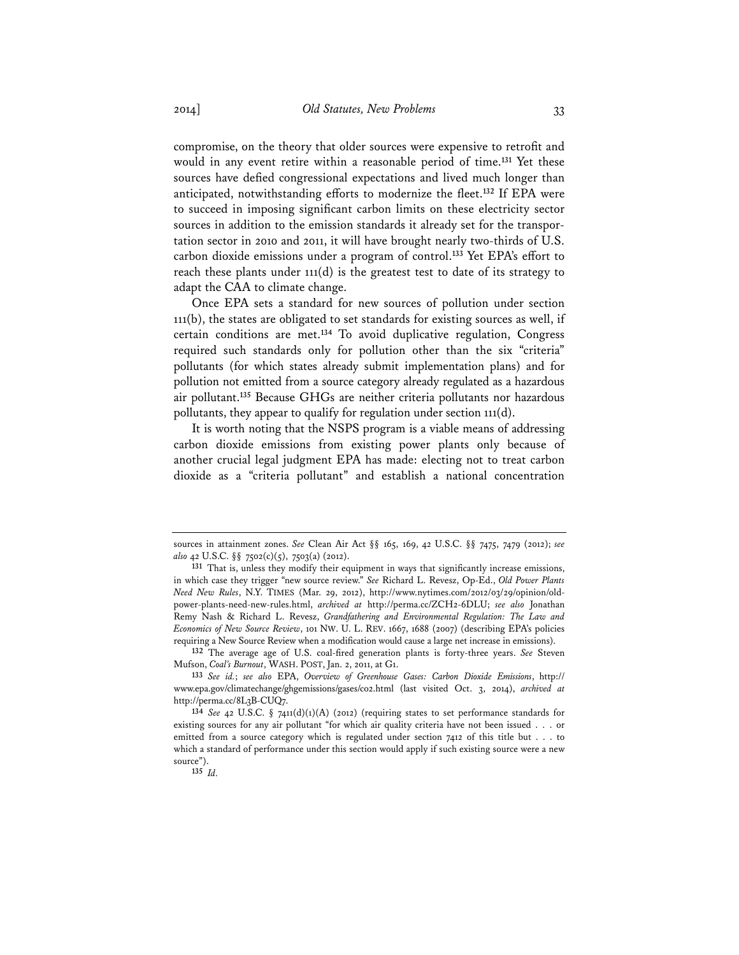compromise, on the theory that older sources were expensive to retrofit and would in any event retire within a reasonable period of time.**<sup>131</sup>** Yet these sources have defied congressional expectations and lived much longer than anticipated, notwithstanding efforts to modernize the fleet.**<sup>132</sup>** If EPA were to succeed in imposing significant carbon limits on these electricity sector sources in addition to the emission standards it already set for the transportation sector in 2010 and 2011, it will have brought nearly two-thirds of U.S. carbon dioxide emissions under a program of control.**<sup>133</sup>** Yet EPA's effort to reach these plants under 111(d) is the greatest test to date of its strategy to adapt the CAA to climate change.

Once EPA sets a standard for new sources of pollution under section 111(b), the states are obligated to set standards for existing sources as well, if certain conditions are met.**<sup>134</sup>** To avoid duplicative regulation, Congress required such standards only for pollution other than the six "criteria" pollutants (for which states already submit implementation plans) and for pollution not emitted from a source category already regulated as a hazardous air pollutant.**<sup>135</sup>** Because GHGs are neither criteria pollutants nor hazardous pollutants, they appear to qualify for regulation under section 111(d).

It is worth noting that the NSPS program is a viable means of addressing carbon dioxide emissions from existing power plants only because of another crucial legal judgment EPA has made: electing not to treat carbon dioxide as a "criteria pollutant" and establish a national concentration

**132** The average age of U.S. coal-fired generation plants is forty-three years. *See* Steven Mufson, *Coal's Burnout*, WASH. POST, Jan. 2, 2011, at G1.

sources in attainment zones. *See* Clean Air Act §§ 165, 169, 42 U.S.C. §§ 7475, 7479 (2012); *see also* 42 U.S.C. §§ 7502(c)(5), 7503(a) (2012).

**<sup>131</sup>** That is, unless they modify their equipment in ways that significantly increase emissions, in which case they trigger "new source review." *See* Richard L. Revesz, Op-Ed., *Old Power Plants Need New Rules*, N.Y. TIMES (Mar. 29, 2012), http://www.nytimes.com/2012/03/29/opinion/oldpower-plants-need-new-rules.html, *archived at* http://perma.cc/ZCH2-6DLU; *see also* Jonathan Remy Nash & Richard L. Revesz, *Grandfathering and Environmental Regulation: The Law and Economics of New Source Review*, 101 NW. U. L. REV. 1667, 1688 (2007) (describing EPA's policies requiring a New Source Review when a modification would cause a large net increase in emissions).

**<sup>133</sup>** *See id.*; *see also* EPA, *Overview of Greenhouse Gases: Carbon Dioxide Emissions*, http:// www.epa.gov/climatechange/ghgemissions/gases/co2.html (last visited Oct. 3, 2014), *archived at* http://perma.cc/8L3B-CUQ7.

**<sup>134</sup>** *See* 42 U.S.C. § 7411(d)(1)(A) (2012) (requiring states to set performance standards for existing sources for any air pollutant "for which air quality criteria have not been issued . . . or emitted from a source category which is regulated under section 7412 of this title but . . . to which a standard of performance under this section would apply if such existing source were a new source").

**<sup>135</sup>** *Id.*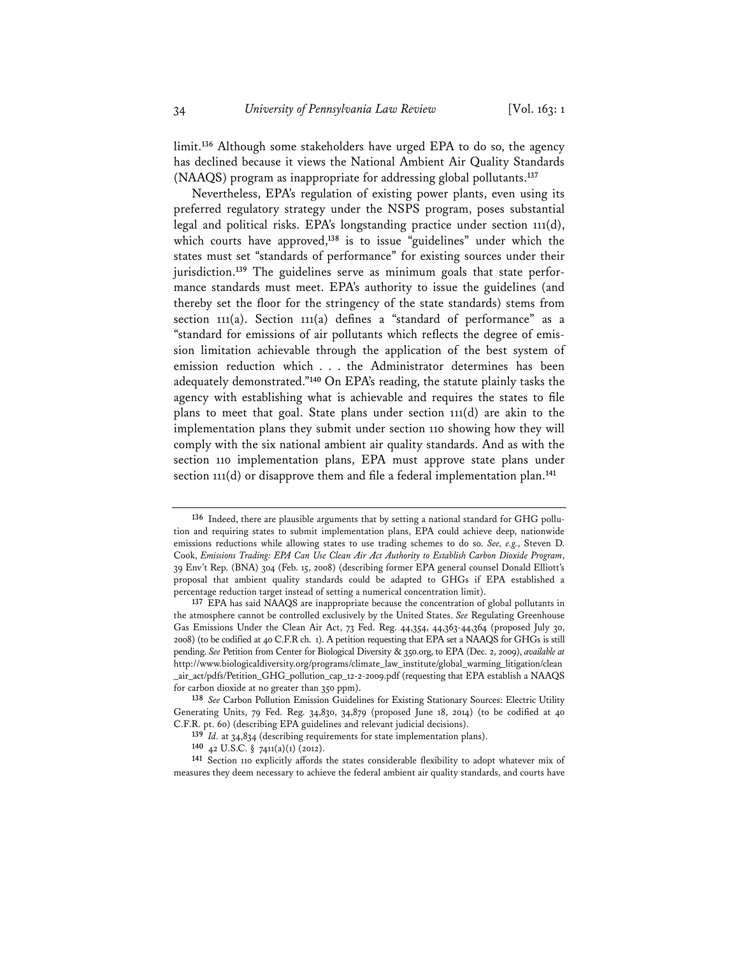limit.**<sup>136</sup>** Although some stakeholders have urged EPA to do so, the agency has declined because it views the National Ambient Air Quality Standards (NAAQS) program as inappropriate for addressing global pollutants.**<sup>137</sup>**

Nevertheless, EPA's regulation of existing power plants, even using its preferred regulatory strategy under the NSPS program, poses substantial legal and political risks. EPA's longstanding practice under section 111(d), which courts have approved,**<sup>138</sup>** is to issue "guidelines" under which the states must set "standards of performance" for existing sources under their jurisdiction.**139** The guidelines serve as minimum goals that state performance standards must meet. EPA's authority to issue the guidelines (and thereby set the floor for the stringency of the state standards) stems from section 111(a). Section 111(a) defines a "standard of performance" as a "standard for emissions of air pollutants which reflects the degree of emission limitation achievable through the application of the best system of emission reduction which . . . the Administrator determines has been adequately demonstrated."**<sup>140</sup>** On EPA's reading, the statute plainly tasks the agency with establishing what is achievable and requires the states to file plans to meet that goal. State plans under section 111(d) are akin to the implementation plans they submit under section 110 showing how they will comply with the six national ambient air quality standards. And as with the section 110 implementation plans, EPA must approve state plans under section 111(d) or disapprove them and file a federal implementation plan.**<sup>141</sup>**

**<sup>136</sup>** Indeed, there are plausible arguments that by setting a national standard for GHG pollution and requiring states to submit implementation plans, EPA could achieve deep, nationwide emissions reductions while allowing states to use trading schemes to do so. *See, e.g.*, Steven D. Cook, *Emissions Trading: EPA Can Use Clean Air Act Authority to Establish Carbon Dioxide Program*, 39 Env't Rep. (BNA) 304 (Feb. 15, 2008) (describing former EPA general counsel Donald Elliott's proposal that ambient quality standards could be adapted to GHGs if EPA established a percentage reduction target instead of setting a numerical concentration limit).

**<sup>137</sup>** EPA has said NAAQS are inappropriate because the concentration of global pollutants in the atmosphere cannot be controlled exclusively by the United States. *See* Regulating Greenhouse Gas Emissions Under the Clean Air Act, 73 Fed. Reg. 44,354, 44,363-44,364 (proposed July 30, 2008) (to be codified at 40 C.F.R ch. 1). A petition requesting that EPA set a NAAQS for GHGs is still pending. *See* Petition from Center for Biological Diversity & 350.org, to EPA (Dec. 2, 2009), *available at* http://www.biologicaldiversity.org/programs/climate\_law\_institute/global\_warming\_litigation/clean \_air\_act/pdfs/Petition\_GHG\_pollution\_cap\_12-2-2009.pdf (requesting that EPA establish a NAAQS for carbon dioxide at no greater than 350 ppm).

**<sup>138</sup>** *See* Carbon Pollution Emission Guidelines for Existing Stationary Sources: Electric Utility Generating Units, 79 Fed. Reg. 34,830, 34,879 (proposed June 18, 2014) (to be codified at 40 C.F.R. pt. 60) (describing EPA guidelines and relevant judicial decisions).

**<sup>139</sup>** *Id.* at 34,834 (describing requirements for state implementation plans).

**<sup>140</sup>** 42 U.S.C. § 7411(a)(1) (2012).

**<sup>141</sup>** Section 110 explicitly affords the states considerable flexibility to adopt whatever mix of measures they deem necessary to achieve the federal ambient air quality standards, and courts have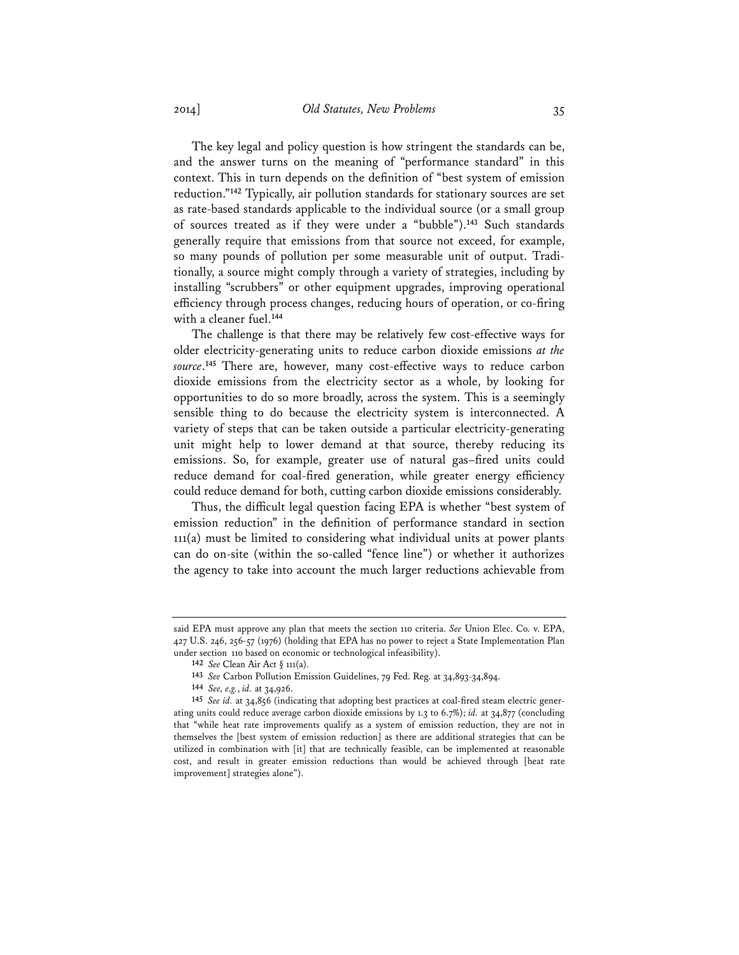The key legal and policy question is how stringent the standards can be, and the answer turns on the meaning of "performance standard" in this context. This in turn depends on the definition of "best system of emission reduction."**<sup>142</sup>** Typically, air pollution standards for stationary sources are set as rate-based standards applicable to the individual source (or a small group of sources treated as if they were under a "bubble").**<sup>143</sup>** Such standards generally require that emissions from that source not exceed, for example, so many pounds of pollution per some measurable unit of output. Traditionally, a source might comply through a variety of strategies, including by installing "scrubbers" or other equipment upgrades, improving operational efficiency through process changes, reducing hours of operation, or co-firing with a cleaner fuel.**<sup>144</sup>**

The challenge is that there may be relatively few cost-effective ways for older electricity-generating units to reduce carbon dioxide emissions *at the source*. **<sup>145</sup>** There are, however, many cost-effective ways to reduce carbon dioxide emissions from the electricity sector as a whole, by looking for opportunities to do so more broadly, across the system. This is a seemingly sensible thing to do because the electricity system is interconnected. A variety of steps that can be taken outside a particular electricity-generating unit might help to lower demand at that source, thereby reducing its emissions. So, for example, greater use of natural gas–fired units could reduce demand for coal-fired generation, while greater energy efficiency could reduce demand for both, cutting carbon dioxide emissions considerably.

Thus, the difficult legal question facing EPA is whether "best system of emission reduction" in the definition of performance standard in section 111(a) must be limited to considering what individual units at power plants can do on-site (within the so-called "fence line") or whether it authorizes the agency to take into account the much larger reductions achievable from

said EPA must approve any plan that meets the section 110 criteria. *See* Union Elec. Co. v. EPA, 427 U.S. 246, 256-57 (1976) (holding that EPA has no power to reject a State Implementation Plan under section 110 based on economic or technological infeasibility).

**<sup>142</sup>** *See* Clean Air Act § 111(a).

**<sup>143</sup>** *See* Carbon Pollution Emission Guidelines, 79 Fed. Reg. at 34,893-34,894.

**<sup>144</sup>** *See, e.g.*, *id.* at 34,926.

**<sup>145</sup>** *See id.* at 34,856 (indicating that adopting best practices at coal-fired steam electric generating units could reduce average carbon dioxide emissions by 1.3 to 6.7%); *id.* at 34,877 (concluding that "while heat rate improvements qualify as a system of emission reduction, they are not in themselves the [best system of emission reduction] as there are additional strategies that can be utilized in combination with [it] that are technically feasible, can be implemented at reasonable cost, and result in greater emission reductions than would be achieved through [heat rate improvement] strategies alone").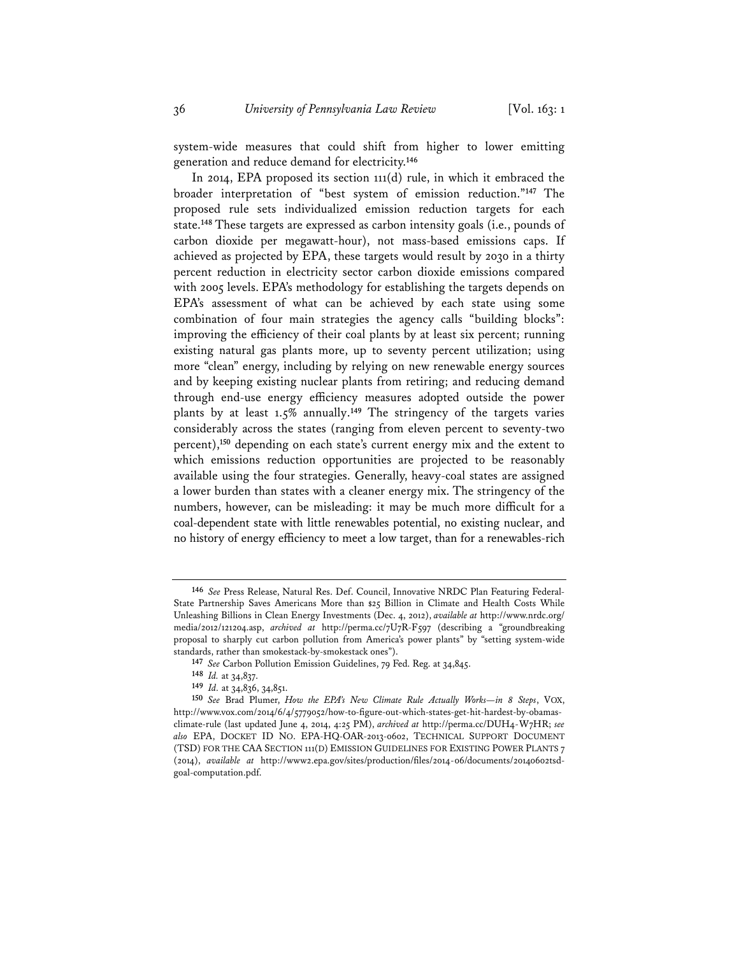system-wide measures that could shift from higher to lower emitting generation and reduce demand for electricity.**<sup>146</sup>**

In 2014, EPA proposed its section 111(d) rule, in which it embraced the broader interpretation of "best system of emission reduction."**<sup>147</sup>** The proposed rule sets individualized emission reduction targets for each state.**<sup>148</sup>** These targets are expressed as carbon intensity goals (i.e., pounds of carbon dioxide per megawatt-hour), not mass-based emissions caps. If achieved as projected by EPA, these targets would result by 2030 in a thirty percent reduction in electricity sector carbon dioxide emissions compared with 2005 levels. EPA's methodology for establishing the targets depends on EPA's assessment of what can be achieved by each state using some combination of four main strategies the agency calls "building blocks": improving the efficiency of their coal plants by at least six percent; running existing natural gas plants more, up to seventy percent utilization; using more "clean" energy, including by relying on new renewable energy sources and by keeping existing nuclear plants from retiring; and reducing demand through end-use energy efficiency measures adopted outside the power plants by at least 1.5% annually.**<sup>149</sup>** The stringency of the targets varies considerably across the states (ranging from eleven percent to seventy-two percent),**<sup>150</sup>** depending on each state's current energy mix and the extent to which emissions reduction opportunities are projected to be reasonably available using the four strategies. Generally, heavy-coal states are assigned a lower burden than states with a cleaner energy mix. The stringency of the numbers, however, can be misleading: it may be much more difficult for a coal-dependent state with little renewables potential, no existing nuclear, and no history of energy efficiency to meet a low target, than for a renewables-rich

**<sup>146</sup>** *See* Press Release, Natural Res. Def. Council, Innovative NRDC Plan Featuring Federal-State Partnership Saves Americans More than \$25 Billion in Climate and Health Costs While Unleashing Billions in Clean Energy Investments (Dec. 4, 2012), *available at* http://www.nrdc.org/ media/2012/121204.asp, *archived at* http://perma.cc/7U7R-F597 (describing a "groundbreaking proposal to sharply cut carbon pollution from America's power plants" by "setting system-wide standards, rather than smokestack-by-smokestack ones").

**<sup>147</sup>** *See* Carbon Pollution Emission Guidelines, 79 Fed. Reg. at 34,845.

**<sup>148</sup>** *Id.* at 34,837.

**<sup>149</sup>** *Id.* at 34,836, 34,851.

**<sup>150</sup>** *See* Brad Plumer, *How the EPA's New Climate Rule Actually Works—in 8 Steps*, VOX, http://www.vox.com/2014/6/4/5779052/how-to-figure-out-which-states-get-hit-hardest-by-obamasclimate-rule (last updated June 4, 2014, 4:25 PM), *archived at* http://perma.cc/DUH4-W7HR; *see also* EPA, DOCKET ID NO. EPA-HQ-OAR-2013-0602, TECHNICAL SUPPORT DOCUMENT (TSD) FOR THE CAA SECTION 111(D) EMISSION GUIDELINES FOR EXISTING POWER PLANTS 7 (2014), *available at* http://www2.epa.gov/sites/production/files/2014-06/documents/20140602tsdgoal-computation.pdf.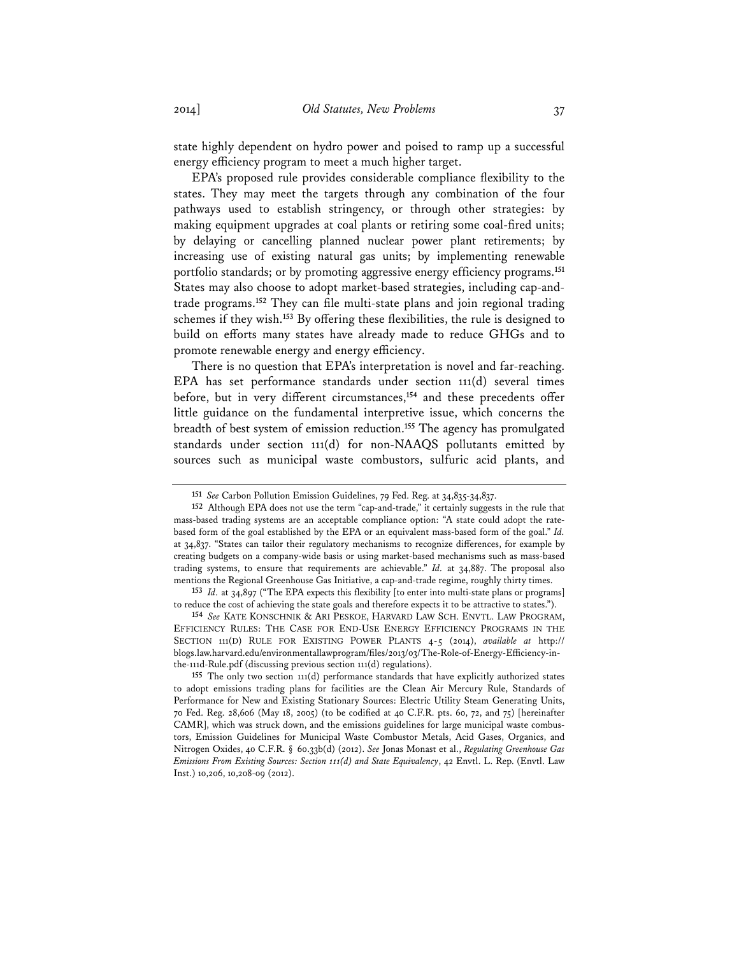state highly dependent on hydro power and poised to ramp up a successful energy efficiency program to meet a much higher target.

EPA's proposed rule provides considerable compliance flexibility to the states. They may meet the targets through any combination of the four pathways used to establish stringency, or through other strategies: by making equipment upgrades at coal plants or retiring some coal-fired units; by delaying or cancelling planned nuclear power plant retirements; by increasing use of existing natural gas units; by implementing renewable portfolio standards; or by promoting aggressive energy efficiency programs.**<sup>151</sup>** States may also choose to adopt market-based strategies, including cap-andtrade programs.**<sup>152</sup>** They can file multi-state plans and join regional trading schemes if they wish.**<sup>153</sup>** By offering these flexibilities, the rule is designed to build on efforts many states have already made to reduce GHGs and to promote renewable energy and energy efficiency.

There is no question that EPA's interpretation is novel and far-reaching. EPA has set performance standards under section 111(d) several times before, but in very different circumstances,**<sup>154</sup>** and these precedents offer little guidance on the fundamental interpretive issue, which concerns the breadth of best system of emission reduction.**<sup>155</sup>** The agency has promulgated standards under section 111(d) for non-NAAQS pollutants emitted by sources such as municipal waste combustors, sulfuric acid plants, and

**<sup>151</sup>** *See* Carbon Pollution Emission Guidelines, 79 Fed. Reg. at 34,835-34,837.

**<sup>152</sup>** Although EPA does not use the term "cap-and-trade," it certainly suggests in the rule that mass-based trading systems are an acceptable compliance option: "A state could adopt the ratebased form of the goal established by the EPA or an equivalent mass-based form of the goal." *Id.* at 34,837. "States can tailor their regulatory mechanisms to recognize differences, for example by creating budgets on a company-wide basis or using market-based mechanisms such as mass-based trading systems, to ensure that requirements are achievable." *Id.* at 34,887. The proposal also mentions the Regional Greenhouse Gas Initiative, a cap-and-trade regime, roughly thirty times.

**<sup>153</sup>** *Id.* at 34,897 ("The EPA expects this flexibility [to enter into multi-state plans or programs] to reduce the cost of achieving the state goals and therefore expects it to be attractive to states.").

**<sup>154</sup>** *See* KATE KONSCHNIK & ARI PESKOE, HARVARD LAW SCH. ENVTL. LAW PROGRAM, EFFICIENCY RULES: THE CASE FOR END-USE ENERGY EFFICIENCY PROGRAMS IN THE SECTION 111(D) RULE FOR EXISTING POWER PLANTS 4-5 (2014), *available at* http:// blogs.law.harvard.edu/environmentallawprogram/files/2013/03/The-Role-of-Energy-Efficiency-inthe-111d-Rule.pdf (discussing previous section 111(d) regulations).

**<sup>155</sup>** The only two section 111(d) performance standards that have explicitly authorized states to adopt emissions trading plans for facilities are the Clean Air Mercury Rule, Standards of Performance for New and Existing Stationary Sources: Electric Utility Steam Generating Units, 70 Fed. Reg. 28,606 (May 18, 2005) (to be codified at 40 C.F.R. pts. 60, 72, and 75) [hereinafter CAMR], which was struck down, and the emissions guidelines for large municipal waste combustors, Emission Guidelines for Municipal Waste Combustor Metals, Acid Gases, Organics, and Nitrogen Oxides, 40 C.F.R. § 60.33b(d) (2012). *See* Jonas Monast et al., *Regulating Greenhouse Gas Emissions From Existing Sources: Section 111(d) and State Equivalency*, 42 Envtl. L. Rep. (Envtl. Law Inst.) 10,206, 10,208-09 (2012).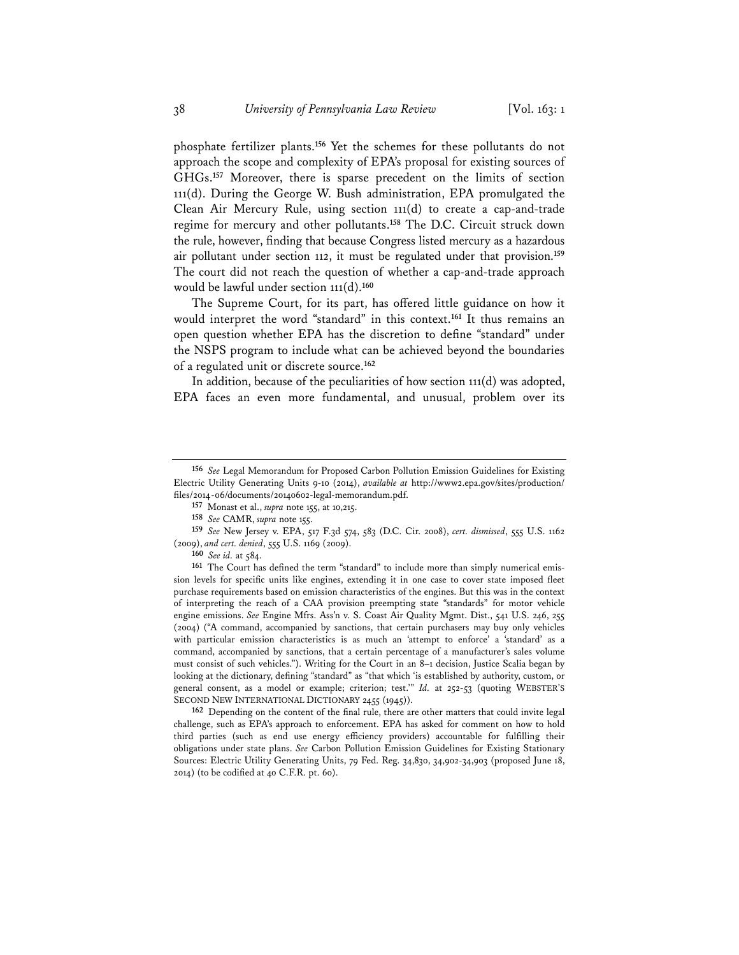phosphate fertilizer plants.**<sup>156</sup>** Yet the schemes for these pollutants do not approach the scope and complexity of EPA's proposal for existing sources of GHGs.**<sup>157</sup>** Moreover, there is sparse precedent on the limits of section 111(d). During the George W. Bush administration, EPA promulgated the Clean Air Mercury Rule, using section 111(d) to create a cap-and-trade regime for mercury and other pollutants.**<sup>158</sup>** The D.C. Circuit struck down the rule, however, finding that because Congress listed mercury as a hazardous air pollutant under section 112, it must be regulated under that provision.**<sup>159</sup>** The court did not reach the question of whether a cap-and-trade approach would be lawful under section 111(d).**<sup>160</sup>**

The Supreme Court, for its part, has offered little guidance on how it would interpret the word "standard" in this context.**<sup>161</sup>** It thus remains an open question whether EPA has the discretion to define "standard" under the NSPS program to include what can be achieved beyond the boundaries of a regulated unit or discrete source.**<sup>162</sup>**

In addition, because of the peculiarities of how section 111(d) was adopted, EPA faces an even more fundamental, and unusual, problem over its

**162** Depending on the content of the final rule, there are other matters that could invite legal challenge, such as EPA's approach to enforcement. EPA has asked for comment on how to hold third parties (such as end use energy efficiency providers) accountable for fulfilling their obligations under state plans. *See* Carbon Pollution Emission Guidelines for Existing Stationary Sources: Electric Utility Generating Units, 79 Fed. Reg. 34,830, 34,902-34,903 (proposed June 18, 2014) (to be codified at 40 C.F.R. pt. 60).

**<sup>156</sup>** *See* Legal Memorandum for Proposed Carbon Pollution Emission Guidelines for Existing Electric Utility Generating Units 9-10 (2014), *available at* http://www2.epa.gov/sites/production/ files/2014-06/documents/20140602-legal-memorandum.pdf.

**<sup>157</sup>** Monast et al., *supra* note 155, at 10,215.

**<sup>158</sup>** *See* CAMR, *supra* note 155.

**<sup>159</sup>** *See* New Jersey v. EPA, 517 F.3d 574, 583 (D.C. Cir. 2008), *cert. dismissed*, 555 U.S. 1162 (2009), *and cert. denied*, 555 U.S. 1169 (2009).

**<sup>160</sup>** *See id.* at 584.

**<sup>161</sup>** The Court has defined the term "standard" to include more than simply numerical emission levels for specific units like engines, extending it in one case to cover state imposed fleet purchase requirements based on emission characteristics of the engines. But this was in the context of interpreting the reach of a CAA provision preempting state "standards" for motor vehicle engine emissions. *See* Engine Mfrs. Ass'n v. S. Coast Air Quality Mgmt. Dist., 541 U.S. 246, 255 (2004) ("A command, accompanied by sanctions, that certain purchasers may buy only vehicles with particular emission characteristics is as much an 'attempt to enforce' a 'standard' as a command, accompanied by sanctions, that a certain percentage of a manufacturer's sales volume must consist of such vehicles."). Writing for the Court in an 8–1 decision, Justice Scalia began by looking at the dictionary, defining "standard" as "that which 'is established by authority, custom, or general consent, as a model or example; criterion; test.'" *Id.* at 252-53 (quoting WEBSTER'S SECOND NEW INTERNATIONAL DICTIONARY 2455 (1945)).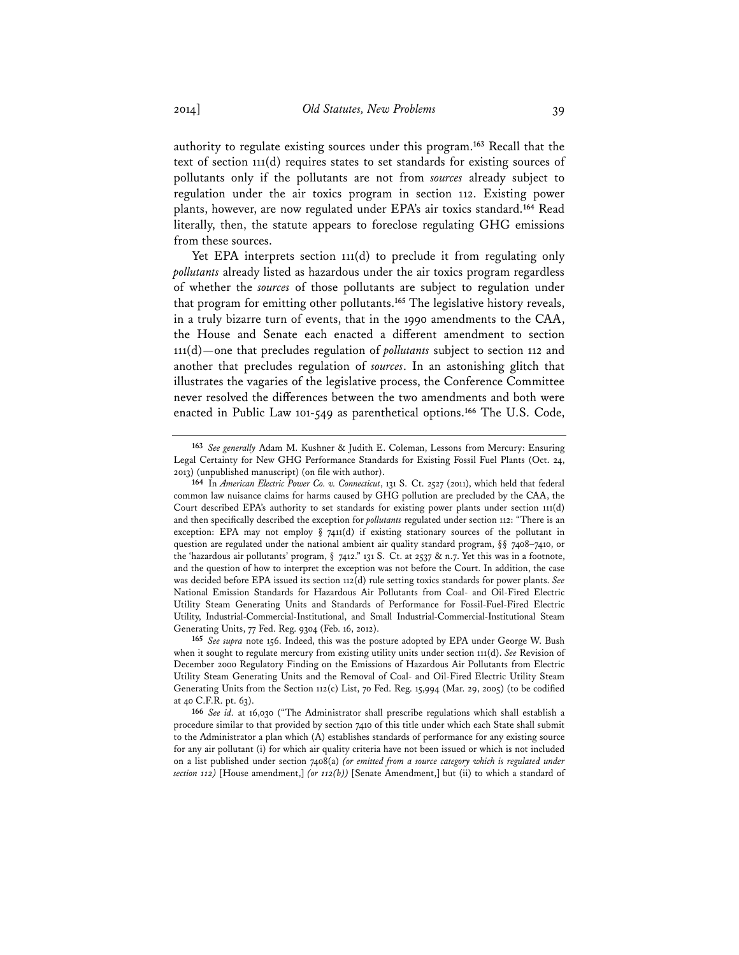authority to regulate existing sources under this program.**<sup>163</sup>** Recall that the text of section 111(d) requires states to set standards for existing sources of pollutants only if the pollutants are not from *sources* already subject to regulation under the air toxics program in section 112. Existing power plants, however, are now regulated under EPA's air toxics standard.**<sup>164</sup>** Read literally, then, the statute appears to foreclose regulating GHG emissions from these sources.

Yet EPA interprets section 111(d) to preclude it from regulating only *pollutants* already listed as hazardous under the air toxics program regardless of whether the *sources* of those pollutants are subject to regulation under that program for emitting other pollutants.**<sup>165</sup>** The legislative history reveals, in a truly bizarre turn of events, that in the 1990 amendments to the CAA, the House and Senate each enacted a different amendment to section 111(d)—one that precludes regulation of *pollutants* subject to section 112 and another that precludes regulation of *sources*. In an astonishing glitch that illustrates the vagaries of the legislative process, the Conference Committee never resolved the differences between the two amendments and both were enacted in Public Law 101-549 as parenthetical options.**<sup>166</sup>** The U.S. Code,

**<sup>163</sup>** *See generally* Adam M. Kushner & Judith E. Coleman, Lessons from Mercury: Ensuring Legal Certainty for New GHG Performance Standards for Existing Fossil Fuel Plants (Oct. 24, 2013) (unpublished manuscript) (on file with author).

**<sup>164</sup>** In *American Electric Power Co. v. Connecticut*, 131 S. Ct. 2527 (2011), which held that federal common law nuisance claims for harms caused by GHG pollution are precluded by the CAA, the Court described EPA's authority to set standards for existing power plants under section 111(d) and then specifically described the exception for *pollutants* regulated under section 112: "There is an exception: EPA may not employ § 7411(d) if existing stationary sources of the pollutant in question are regulated under the national ambient air quality standard program,  $\S$ § 7408–7410, or the 'hazardous air pollutants' program, § 7412." 131 S. Ct. at 2537 & n.7. Yet this was in a footnote, and the question of how to interpret the exception was not before the Court. In addition, the case was decided before EPA issued its section 112(d) rule setting toxics standards for power plants. *See*  National Emission Standards for Hazardous Air Pollutants from Coal- and Oil-Fired Electric Utility Steam Generating Units and Standards of Performance for Fossil-Fuel-Fired Electric Utility, Industrial-Commercial-Institutional, and Small Industrial-Commercial-Institutional Steam Generating Units, 77 Fed. Reg. 9304 (Feb. 16, 2012).

**<sup>165</sup>** *See supra* note 156. Indeed, this was the posture adopted by EPA under George W. Bush when it sought to regulate mercury from existing utility units under section 111(d). *See* Revision of December 2000 Regulatory Finding on the Emissions of Hazardous Air Pollutants from Electric Utility Steam Generating Units and the Removal of Coal- and Oil-Fired Electric Utility Steam Generating Units from the Section 112(c) List, 70 Fed. Reg. 15,994 (Mar. 29, 2005) (to be codified at 40 C.F.R. pt. 63).

**<sup>166</sup>** *See id.* at 16,030 ("The Administrator shall prescribe regulations which shall establish a procedure similar to that provided by section 7410 of this title under which each State shall submit to the Administrator a plan which (A) establishes standards of performance for any existing source for any air pollutant (i) for which air quality criteria have not been issued or which is not included on a list published under section 7408(a) *(or emitted from a source category which is regulated under section 112)* [House amendment,] *(or 112(b))* [Senate Amendment,] but (ii) to which a standard of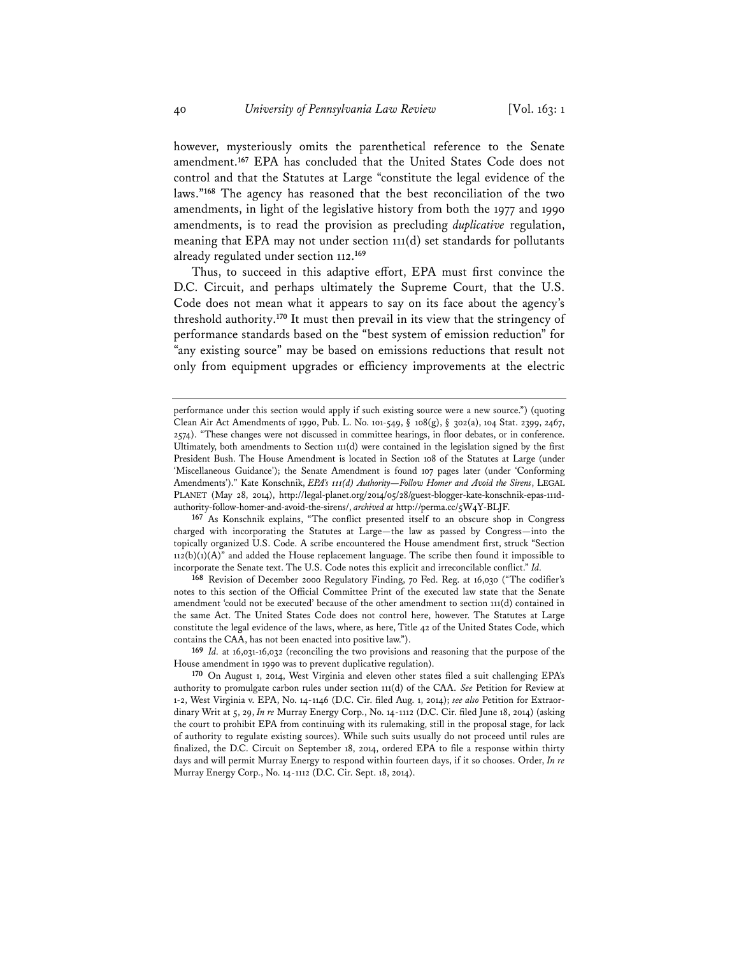however, mysteriously omits the parenthetical reference to the Senate amendment.**<sup>167</sup>** EPA has concluded that the United States Code does not control and that the Statutes at Large "constitute the legal evidence of the laws."**<sup>168</sup>** The agency has reasoned that the best reconciliation of the two amendments, in light of the legislative history from both the 1977 and 1990 amendments, is to read the provision as precluding *duplicative* regulation, meaning that EPA may not under section 111(d) set standards for pollutants already regulated under section 112.**<sup>169</sup>**

Thus, to succeed in this adaptive effort, EPA must first convince the D.C. Circuit, and perhaps ultimately the Supreme Court, that the U.S. Code does not mean what it appears to say on its face about the agency's threshold authority.**<sup>170</sup>** It must then prevail in its view that the stringency of performance standards based on the "best system of emission reduction" for "any existing source" may be based on emissions reductions that result not only from equipment upgrades or efficiency improvements at the electric

**167** As Konschnik explains, "The conflict presented itself to an obscure shop in Congress charged with incorporating the Statutes at Large—the law as passed by Congress—into the topically organized U.S. Code. A scribe encountered the House amendment first, struck "Section  $112(b)(1)(A)$ " and added the House replacement language. The scribe then found it impossible to incorporate the Senate text. The U.S. Code notes this explicit and irreconcilable conflict." *Id.* 

**168** Revision of December 2000 Regulatory Finding, 70 Fed. Reg. at 16,030 ("The codifier's notes to this section of the Official Committee Print of the executed law state that the Senate amendment 'could not be executed' because of the other amendment to section 111(d) contained in the same Act. The United States Code does not control here, however. The Statutes at Large constitute the legal evidence of the laws, where, as here, Title 42 of the United States Code, which contains the CAA, has not been enacted into positive law.").

**169** *Id.* at 16,031-16,032 (reconciling the two provisions and reasoning that the purpose of the House amendment in 1990 was to prevent duplicative regulation).

performance under this section would apply if such existing source were a new source.") (quoting Clean Air Act Amendments of 1990, Pub. L. No. 101-549, § 108(g), § 302(a), 104 Stat. 2399, 2467, 2574). "These changes were not discussed in committee hearings, in floor debates, or in conference. Ultimately, both amendments to Section 111(d) were contained in the legislation signed by the first President Bush. The House Amendment is located in Section 108 of the Statutes at Large (under 'Miscellaneous Guidance'); the Senate Amendment is found 107 pages later (under 'Conforming Amendments')." Kate Konschnik, *EPA's 111(d) Authority—Follow Homer and Avoid the Sirens*, LEGAL PLANET (May 28, 2014), http://legal-planet.org/2014/05/28/guest-blogger-kate-konschnik-epas-111dauthority-follow-homer-and-avoid-the-sirens/, *archived at* http://perma.cc/5W4Y-BLJF.

**<sup>170</sup>** On August 1, 2014, West Virginia and eleven other states filed a suit challenging EPA's authority to promulgate carbon rules under section 111(d) of the CAA. *See* Petition for Review at 1-2, West Virginia v. EPA, No. 14-1146 (D.C. Cir. filed Aug. 1, 2014); *see also* Petition for Extraordinary Writ at 5, 29, *In re* Murray Energy Corp., No. 14-1112 (D.C. Cir. filed June 18, 2014) (asking the court to prohibit EPA from continuing with its rulemaking, still in the proposal stage, for lack of authority to regulate existing sources). While such suits usually do not proceed until rules are finalized, the D.C. Circuit on September 18, 2014, ordered EPA to file a response within thirty days and will permit Murray Energy to respond within fourteen days, if it so chooses. Order, *In re* Murray Energy Corp., No. 14-1112 (D.C. Cir. Sept. 18, 2014).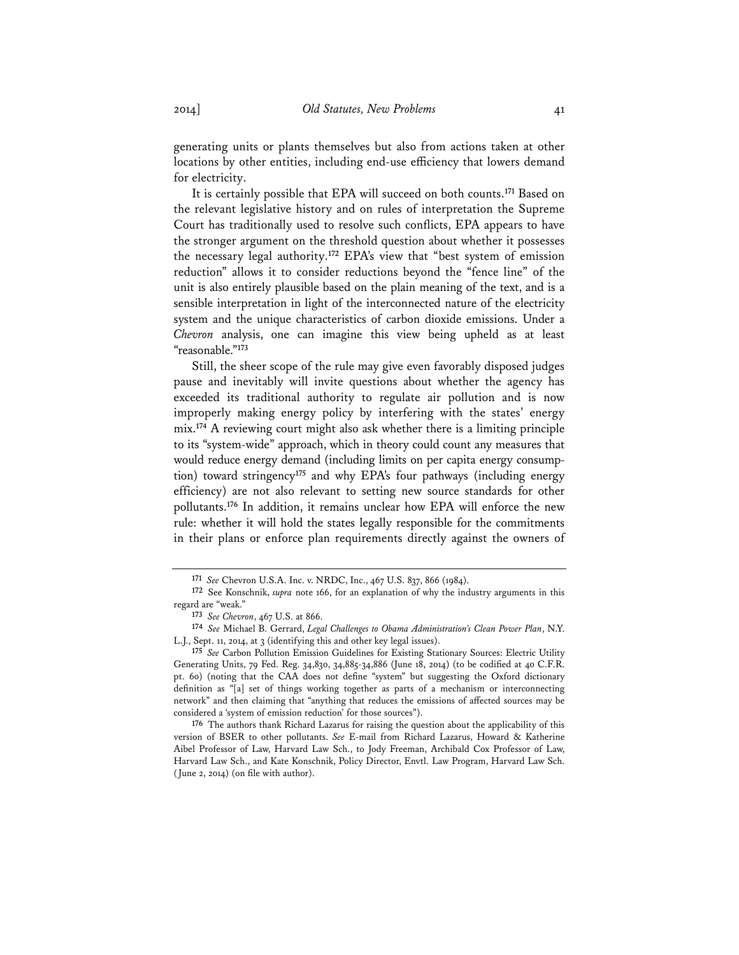generating units or plants themselves but also from actions taken at other locations by other entities, including end-use efficiency that lowers demand for electricity.

It is certainly possible that EPA will succeed on both counts.**<sup>171</sup>** Based on the relevant legislative history and on rules of interpretation the Supreme Court has traditionally used to resolve such conflicts, EPA appears to have the stronger argument on the threshold question about whether it possesses the necessary legal authority.**<sup>172</sup>** EPA's view that "best system of emission reduction" allows it to consider reductions beyond the "fence line" of the unit is also entirely plausible based on the plain meaning of the text, and is a sensible interpretation in light of the interconnected nature of the electricity system and the unique characteristics of carbon dioxide emissions. Under a *Chevron* analysis, one can imagine this view being upheld as at least "reasonable."**<sup>173</sup>**

Still, the sheer scope of the rule may give even favorably disposed judges pause and inevitably will invite questions about whether the agency has exceeded its traditional authority to regulate air pollution and is now improperly making energy policy by interfering with the states' energy mix.**<sup>174</sup>** A reviewing court might also ask whether there is a limiting principle to its "system-wide" approach, which in theory could count any measures that would reduce energy demand (including limits on per capita energy consumption) toward stringency**<sup>175</sup>** and why EPA's four pathways (including energy efficiency) are not also relevant to setting new source standards for other pollutants.**<sup>176</sup>** In addition, it remains unclear how EPA will enforce the new rule: whether it will hold the states legally responsible for the commitments in their plans or enforce plan requirements directly against the owners of

**<sup>171</sup>** *See* Chevron U.S.A. Inc. v. NRDC, Inc., 467 U.S. 837, 866 (1984).

**<sup>172</sup>** See Konschnik, *supra* note 166, for an explanation of why the industry arguments in this regard are "weak."

**<sup>173</sup>** *See Chevron*, 467 U.S. at 866.

**<sup>174</sup>** *See* Michael B. Gerrard, *Legal Challenges to Obama Administration's Clean Power Plan*, N.Y. L.J., Sept. 11, 2014, at 3 (identifying this and other key legal issues).

**<sup>175</sup>** *See* Carbon Pollution Emission Guidelines for Existing Stationary Sources: Electric Utility Generating Units, 79 Fed. Reg. 34,830, 34,885-34,886 (June 18, 2014) (to be codified at 40 C.F.R. pt. 60) (noting that the CAA does not define "system" but suggesting the Oxford dictionary definition as "[a] set of things working together as parts of a mechanism or interconnecting network" and then claiming that "anything that reduces the emissions of affected sources may be considered a 'system of emission reduction' for those sources").

**<sup>176</sup>** The authors thank Richard Lazarus for raising the question about the applicability of this version of BSER to other pollutants. *See* E-mail from Richard Lazarus, Howard & Katherine Aibel Professor of Law, Harvard Law Sch., to Jody Freeman, Archibald Cox Professor of Law, Harvard Law Sch., and Kate Konschnik, Policy Director, Envtl. Law Program, Harvard Law Sch. (June 2, 2014) (on file with author).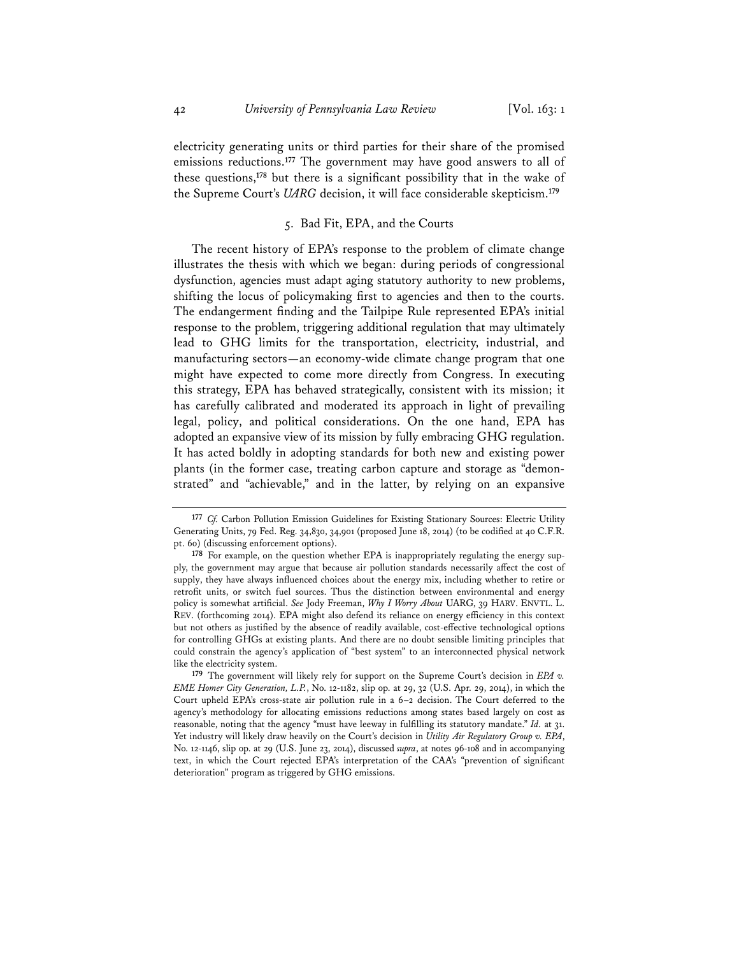electricity generating units or third parties for their share of the promised emissions reductions.**<sup>177</sup>** The government may have good answers to all of these questions,**<sup>178</sup>** but there is a significant possibility that in the wake of the Supreme Court's *UARG* decision, it will face considerable skepticism.**<sup>179</sup>**

# 5. Bad Fit, EPA, and the Courts

The recent history of EPA's response to the problem of climate change illustrates the thesis with which we began: during periods of congressional dysfunction, agencies must adapt aging statutory authority to new problems, shifting the locus of policymaking first to agencies and then to the courts. The endangerment finding and the Tailpipe Rule represented EPA's initial response to the problem, triggering additional regulation that may ultimately lead to GHG limits for the transportation, electricity, industrial, and manufacturing sectors—an economy-wide climate change program that one might have expected to come more directly from Congress. In executing this strategy, EPA has behaved strategically, consistent with its mission; it has carefully calibrated and moderated its approach in light of prevailing legal, policy, and political considerations. On the one hand, EPA has adopted an expansive view of its mission by fully embracing GHG regulation. It has acted boldly in adopting standards for both new and existing power plants (in the former case, treating carbon capture and storage as "demonstrated" and "achievable," and in the latter, by relying on an expansive

**<sup>177</sup>** *Cf.* Carbon Pollution Emission Guidelines for Existing Stationary Sources: Electric Utility Generating Units, 79 Fed. Reg. 34,830, 34,901 (proposed June 18, 2014) (to be codified at 40 C.F.R. pt. 60) (discussing enforcement options).

**<sup>178</sup>** For example, on the question whether EPA is inappropriately regulating the energy supply, the government may argue that because air pollution standards necessarily affect the cost of supply, they have always influenced choices about the energy mix, including whether to retire or retrofit units, or switch fuel sources. Thus the distinction between environmental and energy policy is somewhat artificial. *See* Jody Freeman, *Why I Worry About* UARG, 39 HARV. ENVTL. L. REV. (forthcoming 2014). EPA might also defend its reliance on energy efficiency in this context but not others as justified by the absence of readily available, cost-effective technological options for controlling GHGs at existing plants. And there are no doubt sensible limiting principles that could constrain the agency's application of "best system" to an interconnected physical network like the electricity system.

**<sup>179</sup>** The government will likely rely for support on the Supreme Court's decision in *EPA v. EME Homer City Generation, L.P.*, No. 12-1182, slip op. at 29, 32 (U.S. Apr. 29, 2014), in which the Court upheld EPA's cross-state air pollution rule in a 6–2 decision. The Court deferred to the agency's methodology for allocating emissions reductions among states based largely on cost as reasonable, noting that the agency "must have leeway in fulfilling its statutory mandate." *Id.* at 31. Yet industry will likely draw heavily on the Court's decision in *Utility Air Regulatory Group v. EPA*, No. 12-1146, slip op. at 29 (U.S. June 23, 2014), discussed *supra*, at notes 96-108 and in accompanying text, in which the Court rejected EPA's interpretation of the CAA's "prevention of significant deterioration" program as triggered by GHG emissions.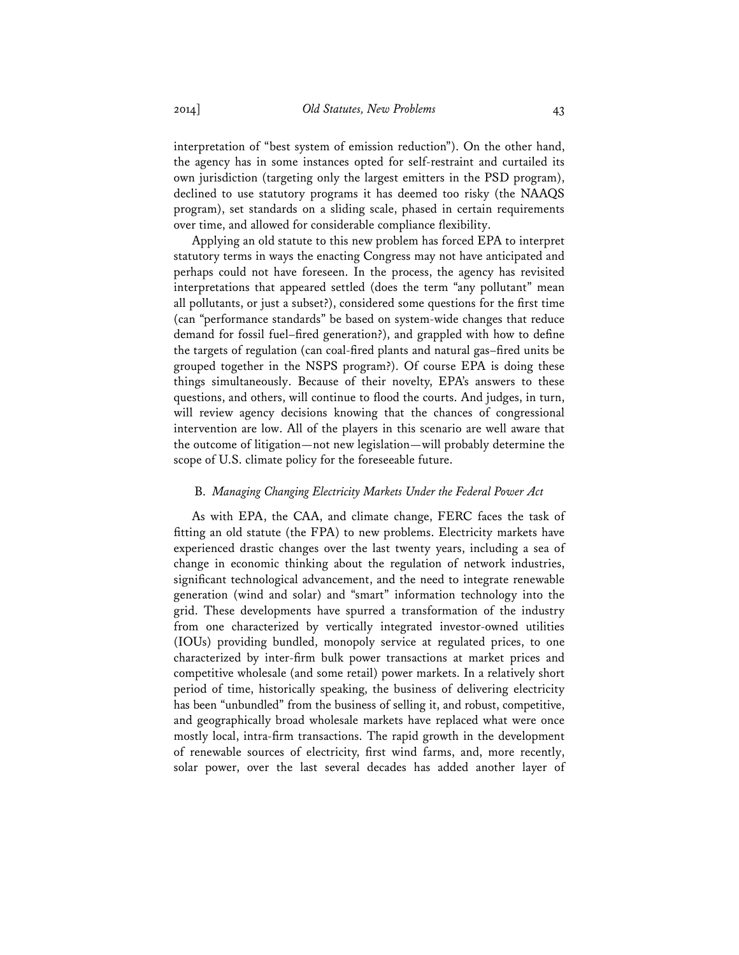interpretation of "best system of emission reduction"). On the other hand, the agency has in some instances opted for self-restraint and curtailed its own jurisdiction (targeting only the largest emitters in the PSD program), declined to use statutory programs it has deemed too risky (the NAAQS program), set standards on a sliding scale, phased in certain requirements over time, and allowed for considerable compliance flexibility.

Applying an old statute to this new problem has forced EPA to interpret statutory terms in ways the enacting Congress may not have anticipated and perhaps could not have foreseen. In the process, the agency has revisited interpretations that appeared settled (does the term "any pollutant" mean all pollutants, or just a subset?), considered some questions for the first time (can "performance standards" be based on system-wide changes that reduce demand for fossil fuel–fired generation?), and grappled with how to define the targets of regulation (can coal-fired plants and natural gas–fired units be grouped together in the NSPS program?). Of course EPA is doing these things simultaneously. Because of their novelty, EPA's answers to these questions, and others, will continue to flood the courts. And judges, in turn, will review agency decisions knowing that the chances of congressional intervention are low. All of the players in this scenario are well aware that the outcome of litigation—not new legislation—will probably determine the scope of U.S. climate policy for the foreseeable future.

## B. *Managing Changing Electricity Markets Under the Federal Power Act*

As with EPA, the CAA, and climate change, FERC faces the task of fitting an old statute (the FPA) to new problems. Electricity markets have experienced drastic changes over the last twenty years, including a sea of change in economic thinking about the regulation of network industries, significant technological advancement, and the need to integrate renewable generation (wind and solar) and "smart" information technology into the grid. These developments have spurred a transformation of the industry from one characterized by vertically integrated investor-owned utilities (IOUs) providing bundled, monopoly service at regulated prices, to one characterized by inter-firm bulk power transactions at market prices and competitive wholesale (and some retail) power markets. In a relatively short period of time, historically speaking, the business of delivering electricity has been "unbundled" from the business of selling it, and robust, competitive, and geographically broad wholesale markets have replaced what were once mostly local, intra-firm transactions. The rapid growth in the development of renewable sources of electricity, first wind farms, and, more recently, solar power, over the last several decades has added another layer of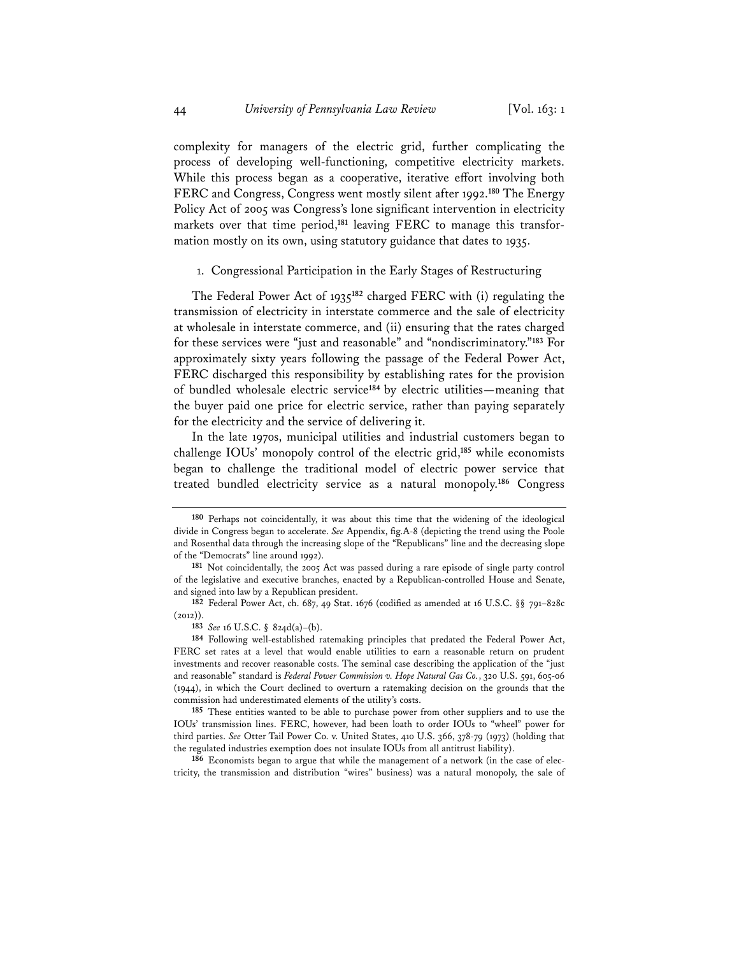complexity for managers of the electric grid, further complicating the process of developing well-functioning, competitive electricity markets. While this process began as a cooperative, iterative effort involving both FERC and Congress, Congress went mostly silent after 1992.**<sup>180</sup>** The Energy Policy Act of 2005 was Congress's lone significant intervention in electricity markets over that time period,**181** leaving FERC to manage this transformation mostly on its own, using statutory guidance that dates to 1935.

1. Congressional Participation in the Early Stages of Restructuring

The Federal Power Act of 1935**<sup>182</sup>** charged FERC with (i) regulating the transmission of electricity in interstate commerce and the sale of electricity at wholesale in interstate commerce, and (ii) ensuring that the rates charged for these services were "just and reasonable" and "nondiscriminatory."**<sup>183</sup>** For approximately sixty years following the passage of the Federal Power Act, FERC discharged this responsibility by establishing rates for the provision of bundled wholesale electric service**<sup>184</sup>**by electric utilities—meaning that the buyer paid one price for electric service, rather than paying separately for the electricity and the service of delivering it.

In the late 1970s, municipal utilities and industrial customers began to challenge IOUs' monopoly control of the electric grid,**<sup>185</sup>** while economists began to challenge the traditional model of electric power service that treated bundled electricity service as a natural monopoly.**<sup>186</sup>** Congress

**185** These entities wanted to be able to purchase power from other suppliers and to use the IOUs' transmission lines. FERC, however, had been loath to order IOUs to "wheel" power for third parties. *See* Otter Tail Power Co. v. United States, 410 U.S. 366, 378-79 (1973) (holding that the regulated industries exemption does not insulate IOUs from all antitrust liability).

**186** Economists began to argue that while the management of a network (in the case of electricity, the transmission and distribution "wires" business) was a natural monopoly, the sale of

**<sup>180</sup>** Perhaps not coincidentally, it was about this time that the widening of the ideological divide in Congress began to accelerate. *See* Appendix, fig.A-8 (depicting the trend using the Poole and Rosenthal data through the increasing slope of the "Republicans" line and the decreasing slope of the "Democrats" line around 1992).

**<sup>181</sup>** Not coincidentally, the 2005 Act was passed during a rare episode of single party control of the legislative and executive branches, enacted by a Republican-controlled House and Senate, and signed into law by a Republican president.

**<sup>182</sup>** Federal Power Act, ch. 687, 49 Stat. 1676 (codified as amended at 16 U.S.C. §§ 791–828c  $(2012)$ ).

**<sup>183</sup>** *See* 16 U.S.C. § 824d(a)–(b).

**<sup>184</sup>** Following well-established ratemaking principles that predated the Federal Power Act, FERC set rates at a level that would enable utilities to earn a reasonable return on prudent investments and recover reasonable costs. The seminal case describing the application of the "just and reasonable" standard is *Federal Power Commission v. Hope Natural Gas Co.*, 320 U.S. 591, 605-06 (1944), in which the Court declined to overturn a ratemaking decision on the grounds that the commission had underestimated elements of the utility's costs.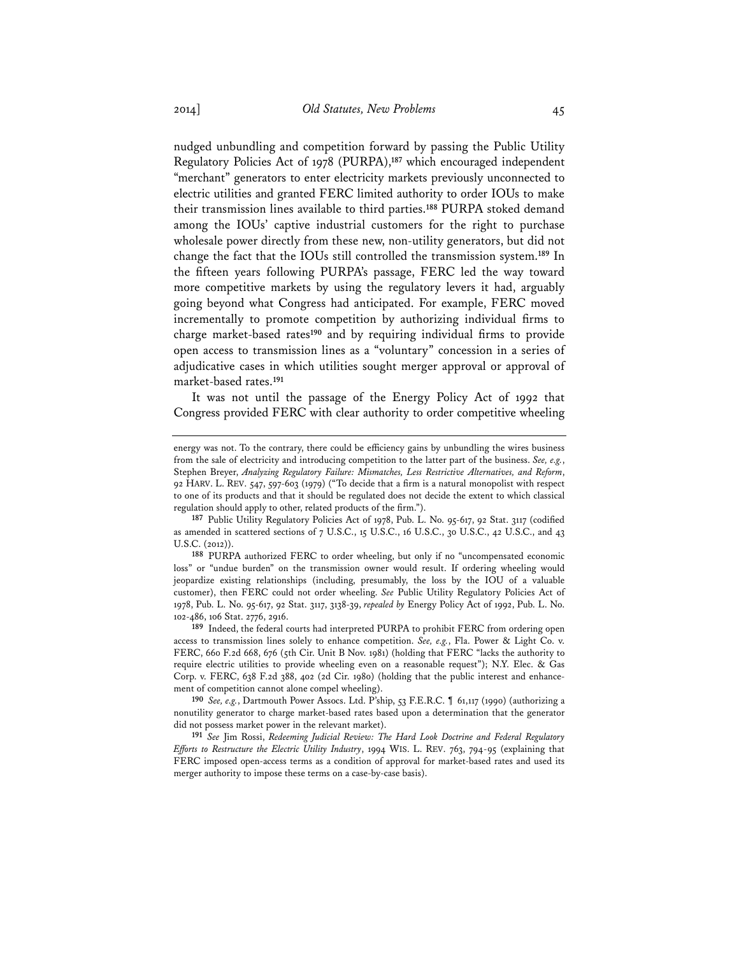nudged unbundling and competition forward by passing the Public Utility Regulatory Policies Act of 1978 (PURPA),**<sup>187</sup>** which encouraged independent "merchant" generators to enter electricity markets previously unconnected to electric utilities and granted FERC limited authority to order IOUs to make their transmission lines available to third parties.**<sup>188</sup>** PURPA stoked demand among the IOUs' captive industrial customers for the right to purchase wholesale power directly from these new, non-utility generators, but did not change the fact that the IOUs still controlled the transmission system.**<sup>189</sup>** In the fifteen years following PURPA's passage, FERC led the way toward more competitive markets by using the regulatory levers it had, arguably going beyond what Congress had anticipated. For example, FERC moved incrementally to promote competition by authorizing individual firms to charge market-based rates**<sup>190</sup>** and by requiring individual firms to provide open access to transmission lines as a "voluntary" concession in a series of adjudicative cases in which utilities sought merger approval or approval of market-based rates.**<sup>191</sup>**

It was not until the passage of the Energy Policy Act of 1992 that Congress provided FERC with clear authority to order competitive wheeling

energy was not. To the contrary, there could be efficiency gains by unbundling the wires business from the sale of electricity and introducing competition to the latter part of the business. *See, e.g.*, Stephen Breyer, *Analyzing Regulatory Failure: Mismatches, Less Restrictive Alternatives, and Reform*, 92 HARV. L. REV. 547, 597-603 (1979) ("To decide that a firm is a natural monopolist with respect to one of its products and that it should be regulated does not decide the extent to which classical regulation should apply to other, related products of the firm.").

**<sup>187</sup>** Public Utility Regulatory Policies Act of 1978, Pub. L. No. 95-617, 92 Stat. 3117 (codified as amended in scattered sections of 7 U.S.C., 15 U.S.C., 16 U.S.C., 30 U.S.C., 42 U.S.C., and 43 U.S.C. (2012)).

**<sup>188</sup>** PURPA authorized FERC to order wheeling, but only if no "uncompensated economic loss" or "undue burden" on the transmission owner would result. If ordering wheeling would jeopardize existing relationships (including, presumably, the loss by the IOU of a valuable customer), then FERC could not order wheeling. *See* Public Utility Regulatory Policies Act of 1978, Pub. L. No. 95-617, 92 Stat. 3117, 3138-39, *repealed by* Energy Policy Act of 1992, Pub. L. No. 102-486, 106 Stat. 2776, 2916.

**<sup>189</sup>** Indeed, the federal courts had interpreted PURPA to prohibit FERC from ordering open access to transmission lines solely to enhance competition. *See, e.g.*, Fla. Power & Light Co. v. FERC, 660 F.2d 668, 676 (5th Cir. Unit B Nov. 1981) (holding that FERC "lacks the authority to require electric utilities to provide wheeling even on a reasonable request"); N.Y. Elec. & Gas Corp. v. FERC, 638 F.2d 388, 402 (2d Cir. 1980) (holding that the public interest and enhancement of competition cannot alone compel wheeling).

**<sup>190</sup>** *See, e.g.*, Dartmouth Power Assocs. Ltd. P'ship, 53 F.E.R.C. ¶ 61,117 (1990) (authorizing a nonutility generator to charge market-based rates based upon a determination that the generator did not possess market power in the relevant market).

**<sup>191</sup>** *See* Jim Rossi, *Redeeming Judicial Review: The Hard Look Doctrine and Federal Regulatory Efforts to Restructure the Electric Utility Industry*, 1994 WIS. L. REV. 763, 794-95 (explaining that FERC imposed open-access terms as a condition of approval for market-based rates and used its merger authority to impose these terms on a case-by-case basis).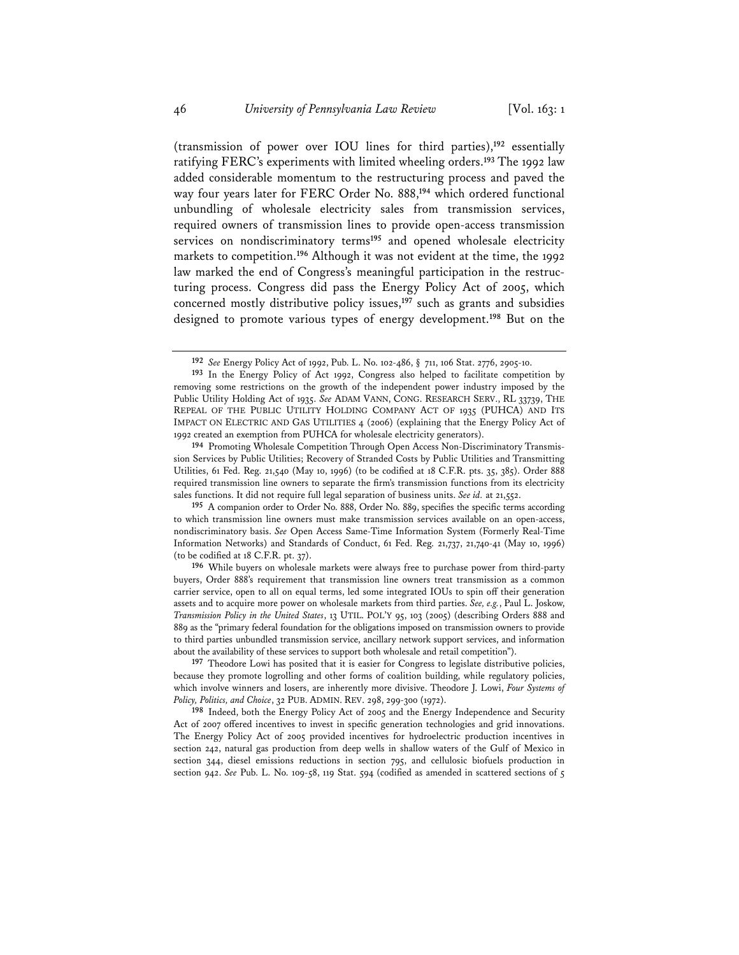(transmission of power over IOU lines for third parties),**<sup>192</sup>** essentially ratifying FERC's experiments with limited wheeling orders.**<sup>193</sup>** The 1992 law added considerable momentum to the restructuring process and paved the way four years later for FERC Order No. 888,**<sup>194</sup>** which ordered functional unbundling of wholesale electricity sales from transmission services, required owners of transmission lines to provide open-access transmission services on nondiscriminatory terms<sup>195</sup> and opened wholesale electricity markets to competition.**<sup>196</sup>** Although it was not evident at the time, the 1992 law marked the end of Congress's meaningful participation in the restructuring process. Congress did pass the Energy Policy Act of 2005, which concerned mostly distributive policy issues,**<sup>197</sup>** such as grants and subsidies designed to promote various types of energy development.**<sup>198</sup>** But on the

**194** Promoting Wholesale Competition Through Open Access Non-Discriminatory Transmission Services by Public Utilities; Recovery of Stranded Costs by Public Utilities and Transmitting Utilities, 61 Fed. Reg. 21,540 (May 10, 1996) (to be codified at 18 C.F.R. pts. 35, 385). Order 888 required transmission line owners to separate the firm's transmission functions from its electricity sales functions. It did not require full legal separation of business units. *See id.* at 21,552.

**195** A companion order to Order No. 888, Order No. 889, specifies the specific terms according to which transmission line owners must make transmission services available on an open-access, nondiscriminatory basis. *See* Open Access Same-Time Information System (Formerly Real-Time Information Networks) and Standards of Conduct, 61 Fed. Reg. 21,737, 21,740-41 (May 10, 1996) (to be codified at 18 C.F.R. pt. 37).

**196** While buyers on wholesale markets were always free to purchase power from third-party buyers, Order 888's requirement that transmission line owners treat transmission as a common carrier service, open to all on equal terms, led some integrated IOUs to spin off their generation assets and to acquire more power on wholesale markets from third parties. *See, e.g.*, Paul L. Joskow, *Transmission Policy in the United States*, 13 UTIL. POL'Y 95, 103 (2005) (describing Orders 888 and 889 as the "primary federal foundation for the obligations imposed on transmission owners to provide to third parties unbundled transmission service, ancillary network support services, and information about the availability of these services to support both wholesale and retail competition").

**197** Theodore Lowi has posited that it is easier for Congress to legislate distributive policies, because they promote logrolling and other forms of coalition building, while regulatory policies, which involve winners and losers, are inherently more divisive. Theodore J. Lowi, *Four Systems of Policy, Politics, and Choice*, 32 PUB. ADMIN. REV. 298, 299-300 (1972).

**198** Indeed, both the Energy Policy Act of 2005 and the Energy Independence and Security Act of 2007 offered incentives to invest in specific generation technologies and grid innovations. The Energy Policy Act of 2005 provided incentives for hydroelectric production incentives in section 242, natural gas production from deep wells in shallow waters of the Gulf of Mexico in section 344, diesel emissions reductions in section 795, and cellulosic biofuels production in section 942. *See* Pub. L. No. 109-58, 119 Stat. 594 (codified as amended in scattered sections of 5

**<sup>192</sup>** *See* Energy Policy Act of 1992, Pub. L. No. 102-486, § 711, 106 Stat. 2776, 2905-10.

**<sup>193</sup>** In the Energy Policy of Act 1992, Congress also helped to facilitate competition by removing some restrictions on the growth of the independent power industry imposed by the Public Utility Holding Act of 1935. *See* ADAM VANN, CONG. RESEARCH SERV., RL 33739, THE REPEAL OF THE PUBLIC UTILITY HOLDING COMPANY ACT OF 1935 (PUHCA) AND ITS IMPACT ON ELECTRIC AND GAS UTILITIES 4 (2006) (explaining that the Energy Policy Act of 1992 created an exemption from PUHCA for wholesale electricity generators).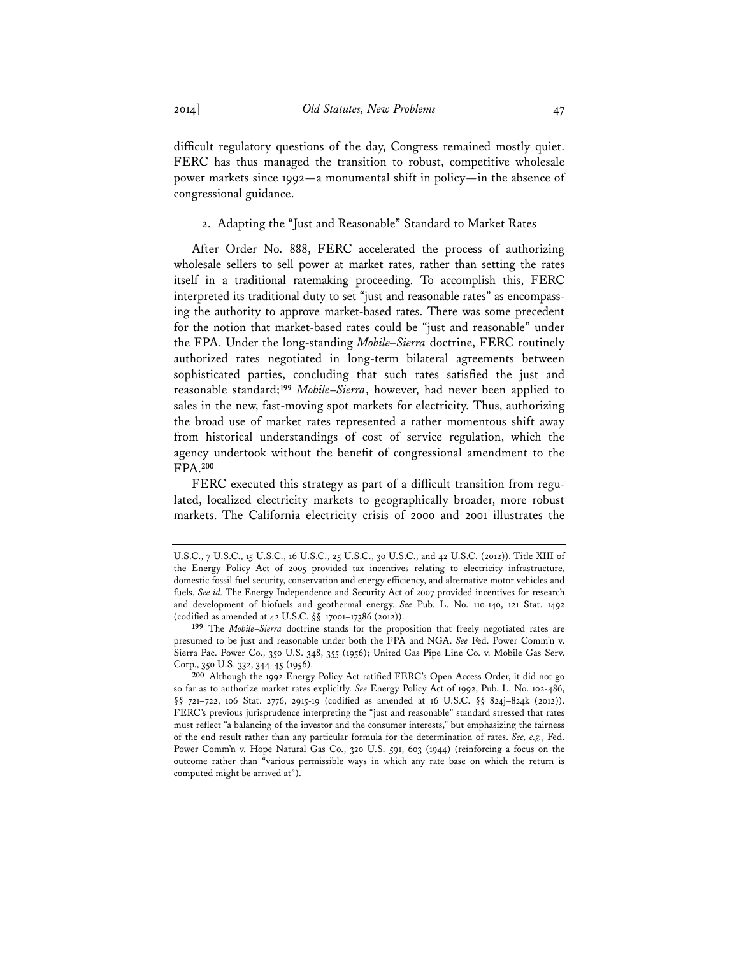difficult regulatory questions of the day, Congress remained mostly quiet. FERC has thus managed the transition to robust, competitive wholesale power markets since 1992—a monumental shift in policy—in the absence of congressional guidance.

### 2. Adapting the "Just and Reasonable" Standard to Market Rates

After Order No. 888, FERC accelerated the process of authorizing wholesale sellers to sell power at market rates, rather than setting the rates itself in a traditional ratemaking proceeding. To accomplish this, FERC interpreted its traditional duty to set "just and reasonable rates" as encompassing the authority to approve market-based rates. There was some precedent for the notion that market-based rates could be "just and reasonable" under the FPA. Under the long-standing *Mobile–Sierra* doctrine, FERC routinely authorized rates negotiated in long-term bilateral agreements between sophisticated parties, concluding that such rates satisfied the just and reasonable standard;**<sup>199</sup>** *Mobile*–*Sierra*, however, had never been applied to sales in the new, fast-moving spot markets for electricity. Thus, authorizing the broad use of market rates represented a rather momentous shift away from historical understandings of cost of service regulation, which the agency undertook without the benefit of congressional amendment to the FPA.**<sup>200</sup>**

FERC executed this strategy as part of a difficult transition from regulated, localized electricity markets to geographically broader, more robust markets. The California electricity crisis of 2000 and 2001 illustrates the

U.S.C., 7 U.S.C., 15 U.S.C., 16 U.S.C., 25 U.S.C., 30 U.S.C., and 42 U.S.C. (2012)). Title XIII of the Energy Policy Act of 2005 provided tax incentives relating to electricity infrastructure, domestic fossil fuel security, conservation and energy efficiency, and alternative motor vehicles and fuels. *See id.* The Energy Independence and Security Act of 2007 provided incentives for research and development of biofuels and geothermal energy. *See* Pub. L. No. 110-140, 121 Stat. 1492 (codified as amended at 42 U.S.C. §§ 17001–17386 (2012)).

**<sup>199</sup>** The *Mobile*–*Sierra* doctrine stands for the proposition that freely negotiated rates are presumed to be just and reasonable under both the FPA and NGA. *See* Fed. Power Comm'n v. Sierra Pac. Power Co., 350 U.S. 348, 355 (1956); United Gas Pipe Line Co. v. Mobile Gas Serv. Corp., 350 U.S. 332, 344-45 (1956).

**<sup>200</sup>** Although the 1992 Energy Policy Act ratified FERC's Open Access Order, it did not go so far as to authorize market rates explicitly. *See* Energy Policy Act of 1992, Pub. L. No. 102-486, §§ 721-722, 106 Stat. 2776, 2915-19 (codified as amended at 16 U.S.C. §§ 824j-824k (2012)). FERC's previous jurisprudence interpreting the "just and reasonable" standard stressed that rates must reflect "a balancing of the investor and the consumer interests," but emphasizing the fairness of the end result rather than any particular formula for the determination of rates. *See, e.g.*, Fed. Power Comm'n v. Hope Natural Gas Co., 320 U.S. 591, 603 (1944) (reinforcing a focus on the outcome rather than "various permissible ways in which any rate base on which the return is computed might be arrived at").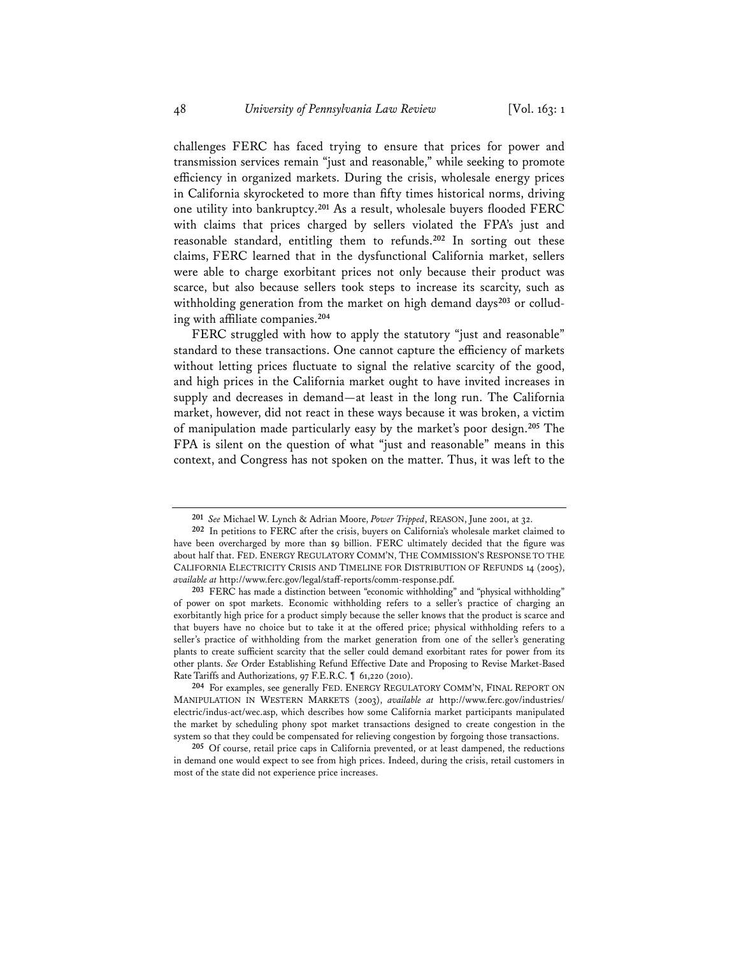challenges FERC has faced trying to ensure that prices for power and transmission services remain "just and reasonable," while seeking to promote efficiency in organized markets. During the crisis, wholesale energy prices in California skyrocketed to more than fifty times historical norms, driving one utility into bankruptcy.**<sup>201</sup>** As a result, wholesale buyers flooded FERC with claims that prices charged by sellers violated the FPA's just and reasonable standard, entitling them to refunds.**<sup>202</sup>** In sorting out these claims, FERC learned that in the dysfunctional California market, sellers were able to charge exorbitant prices not only because their product was scarce, but also because sellers took steps to increase its scarcity, such as withholding generation from the market on high demand days<sup>203</sup> or colluding with affiliate companies.**<sup>204</sup>**

FERC struggled with how to apply the statutory "just and reasonable" standard to these transactions. One cannot capture the efficiency of markets without letting prices fluctuate to signal the relative scarcity of the good, and high prices in the California market ought to have invited increases in supply and decreases in demand—at least in the long run. The California market, however, did not react in these ways because it was broken, a victim of manipulation made particularly easy by the market's poor design.**<sup>205</sup>** The FPA is silent on the question of what "just and reasonable" means in this context, and Congress has not spoken on the matter. Thus, it was left to the

**<sup>201</sup>** *See* Michael W. Lynch & Adrian Moore, *Power Tripped*, REASON, June 2001, at 32.

**<sup>202</sup>** In petitions to FERC after the crisis, buyers on California's wholesale market claimed to have been overcharged by more than \$9 billion. FERC ultimately decided that the figure was about half that. FED. ENERGY REGULATORY COMM'N, THE COMMISSION'S RESPONSE TO THE CALIFORNIA ELECTRICITY CRISIS AND TIMELINE FOR DISTRIBUTION OF REFUNDS 14 (2005), *available at* http://www.ferc.gov/legal/staff-reports/comm-response.pdf.

**<sup>203</sup>** FERC has made a distinction between "economic withholding" and "physical withholding" of power on spot markets. Economic withholding refers to a seller's practice of charging an exorbitantly high price for a product simply because the seller knows that the product is scarce and that buyers have no choice but to take it at the offered price; physical withholding refers to a seller's practice of withholding from the market generation from one of the seller's generating plants to create sufficient scarcity that the seller could demand exorbitant rates for power from its other plants. *See* Order Establishing Refund Effective Date and Proposing to Revise Market-Based Rate Tariffs and Authorizations, 97 F.E.R.C. ¶ 61,220 (2010).

**<sup>204</sup>** For examples, see generally FED. ENERGY REGULATORY COMM'N, FINAL REPORT ON MANIPULATION IN WESTERN MARKETS (2003), *available at* http://www.ferc.gov/industries/ electric/indus-act/wec.asp, which describes how some California market participants manipulated the market by scheduling phony spot market transactions designed to create congestion in the system so that they could be compensated for relieving congestion by forgoing those transactions.

**<sup>205</sup>** Of course, retail price caps in California prevented, or at least dampened, the reductions in demand one would expect to see from high prices. Indeed, during the crisis, retail customers in most of the state did not experience price increases.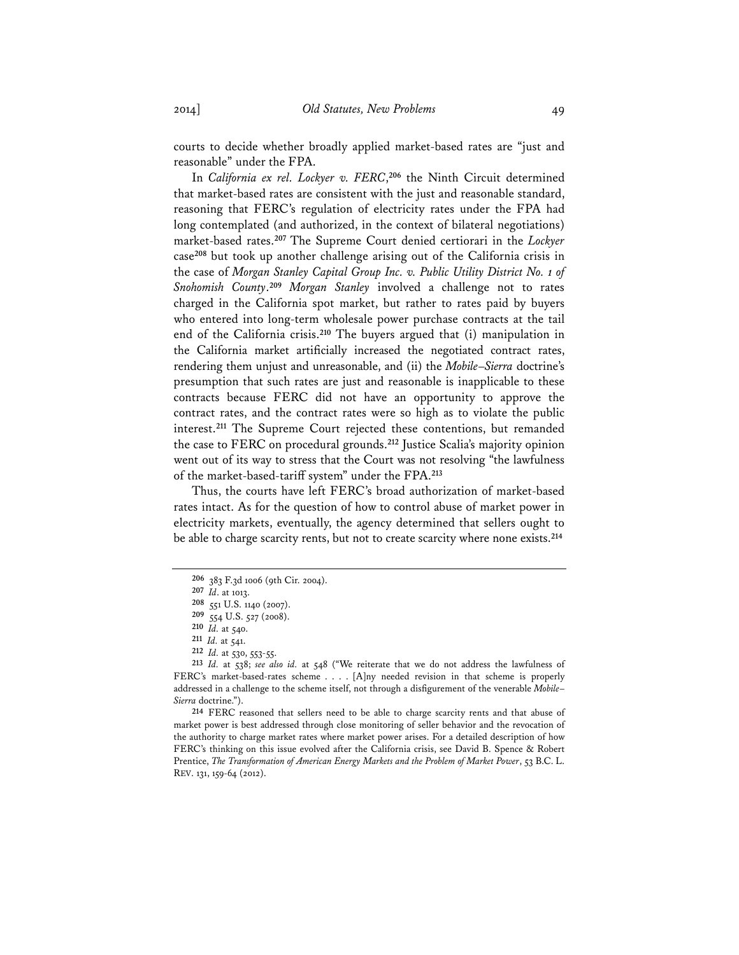courts to decide whether broadly applied market-based rates are "just and reasonable" under the FPA.

In *California ex rel. Lockyer v. FERC*, **<sup>206</sup>** the Ninth Circuit determined that market-based rates are consistent with the just and reasonable standard, reasoning that FERC's regulation of electricity rates under the FPA had long contemplated (and authorized, in the context of bilateral negotiations) market-based rates.**<sup>207</sup>** The Supreme Court denied certiorari in the *Lockyer* case**<sup>208</sup>** but took up another challenge arising out of the California crisis in the case of *Morgan Stanley Capital Group Inc. v. Public Utility District No. 1 of Snohomish County*. **<sup>209</sup>** *Morgan Stanley* involved a challenge not to rates charged in the California spot market, but rather to rates paid by buyers who entered into long-term wholesale power purchase contracts at the tail end of the California crisis.**<sup>210</sup>** The buyers argued that (i) manipulation in the California market artificially increased the negotiated contract rates, rendering them unjust and unreasonable, and (ii) the *Mobile*–*Sierra* doctrine's presumption that such rates are just and reasonable is inapplicable to these contracts because FERC did not have an opportunity to approve the contract rates, and the contract rates were so high as to violate the public interest.**<sup>211</sup>** The Supreme Court rejected these contentions, but remanded the case to FERC on procedural grounds.**<sup>212</sup>** Justice Scalia's majority opinion went out of its way to stress that the Court was not resolving "the lawfulness of the market-based-tariff system" under the FPA.**<sup>213</sup>**

Thus, the courts have left FERC's broad authorization of market-based rates intact. As for the question of how to control abuse of market power in electricity markets, eventually, the agency determined that sellers ought to be able to charge scarcity rents, but not to create scarcity where none exists.**<sup>214</sup>**

**214** FERC reasoned that sellers need to be able to charge scarcity rents and that abuse of market power is best addressed through close monitoring of seller behavior and the revocation of the authority to charge market rates where market power arises. For a detailed description of how FERC's thinking on this issue evolved after the California crisis, see David B. Spence & Robert Prentice, *The Transformation of American Energy Markets and the Problem of Market Power*, 53 B.C. L. REV. 131, 159-64 (2012).

**<sup>206</sup>** 383 F.3d 1006 (9th Cir. 2004).

**<sup>207</sup>** *Id*. at 1013.

**<sup>208</sup>** 551 U.S. 1140 (2007).

**<sup>209</sup>** 554 U.S. 527 (2008).

**<sup>210</sup>** *Id.* at 540.

**<sup>211</sup>** *Id.* at 541.

**<sup>212</sup>** *Id.* at 530, 553-55.

**<sup>213</sup>** *Id.* at 538; *see also id.* at 548 ("We reiterate that we do not address the lawfulness of FERC's market-based-rates scheme . . . . [A]ny needed revision in that scheme is properly addressed in a challenge to the scheme itself, not through a disfigurement of the venerable *Mobile*– *Sierra* doctrine.").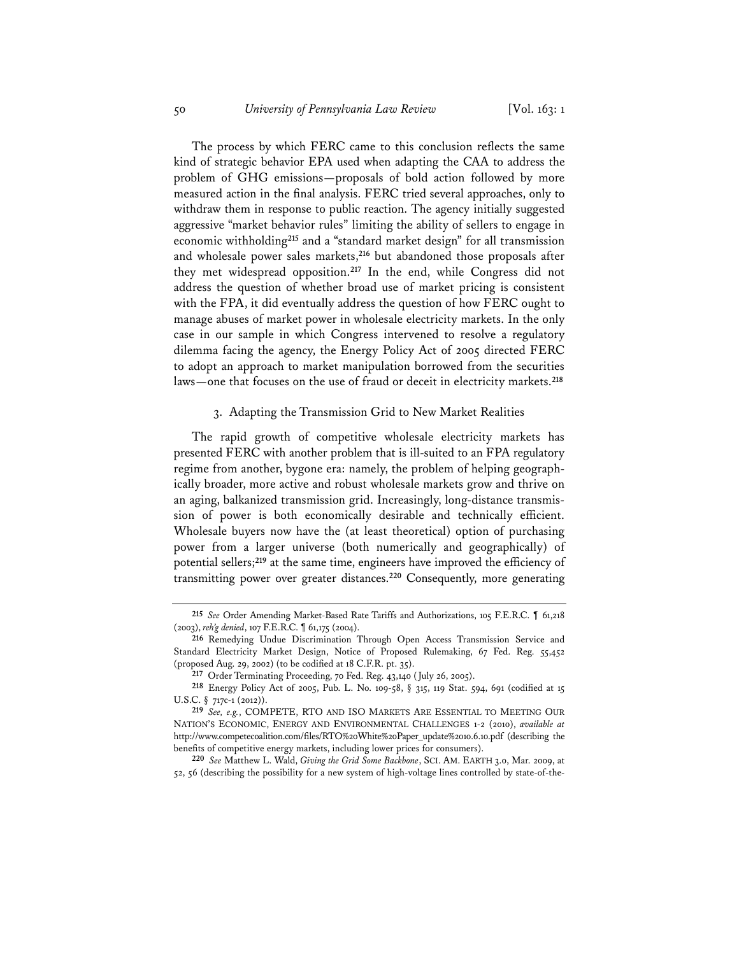The process by which FERC came to this conclusion reflects the same kind of strategic behavior EPA used when adapting the CAA to address the problem of GHG emissions—proposals of bold action followed by more measured action in the final analysis. FERC tried several approaches, only to withdraw them in response to public reaction. The agency initially suggested aggressive "market behavior rules" limiting the ability of sellers to engage in economic withholding**<sup>215</sup>** and a "standard market design" for all transmission and wholesale power sales markets,**<sup>216</sup>** but abandoned those proposals after they met widespread opposition.**<sup>217</sup>** In the end, while Congress did not address the question of whether broad use of market pricing is consistent with the FPA, it did eventually address the question of how FERC ought to manage abuses of market power in wholesale electricity markets. In the only case in our sample in which Congress intervened to resolve a regulatory dilemma facing the agency, the Energy Policy Act of 2005 directed FERC to adopt an approach to market manipulation borrowed from the securities laws—one that focuses on the use of fraud or deceit in electricity markets.**<sup>218</sup>**

### 3. Adapting the Transmission Grid to New Market Realities

The rapid growth of competitive wholesale electricity markets has presented FERC with another problem that is ill-suited to an FPA regulatory regime from another, bygone era: namely, the problem of helping geographically broader, more active and robust wholesale markets grow and thrive on an aging, balkanized transmission grid. Increasingly, long-distance transmission of power is both economically desirable and technically efficient. Wholesale buyers now have the (at least theoretical) option of purchasing power from a larger universe (both numerically and geographically) of potential sellers;**<sup>219</sup>** at the same time, engineers have improved the efficiency of transmitting power over greater distances.**<sup>220</sup>** Consequently, more generating

**220** *See* Matthew L. Wald, *Giving the Grid Some Backbone*, SCI. AM. EARTH 3.0, Mar. 2009, at 52, 56 (describing the possibility for a new system of high-voltage lines controlled by state-of-the-

**<sup>215</sup>** *See* Order Amending Market-Based Rate Tariffs and Authorizations, 105 F.E.R.C. ¶ 61,218 (2003), *reh'g denied*, 107 F.E.R.C. ¶ 61,175 (2004).

**<sup>216</sup>** Remedying Undue Discrimination Through Open Access Transmission Service and Standard Electricity Market Design, Notice of Proposed Rulemaking, 67 Fed. Reg. 55,452 (proposed Aug. 29, 2002) (to be codified at 18 C.F.R. pt. 35).

**<sup>217</sup>** Order Terminating Proceeding, 70 Fed. Reg. 43,140 (July 26, 2005).

**<sup>218</sup>** Energy Policy Act of 2005, Pub. L. No. 109-58, § 315, 119 Stat. 594, 691 (codified at 15 U.S.C. § 717c-1 (2012)).

**<sup>219</sup>** *See, e.g.*, COMPETE, RTO AND ISO MARKETS ARE ESSENTIAL TO MEETING OUR NATION'S ECONOMIC, ENERGY AND ENVIRONMENTAL CHALLENGES 1-2 (2010), *available at* http://www.competecoalition.com/files/RTO%20White%20Paper\_update%2010.6.10.pdf (describing the benefits of competitive energy markets, including lower prices for consumers).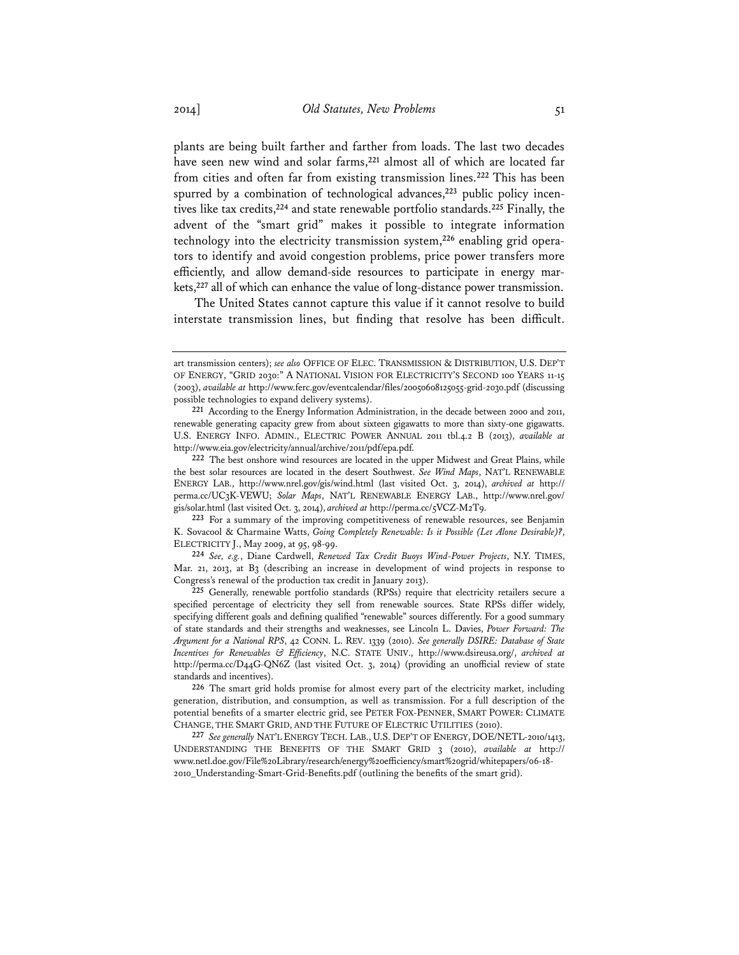plants are being built farther and farther from loads. The last two decades have seen new wind and solar farms,**<sup>221</sup>** almost all of which are located far from cities and often far from existing transmission lines.**<sup>222</sup>** This has been spurred by a combination of technological advances,**223** public policy incentives like tax credits,**<sup>224</sup>** and state renewable portfolio standards.**<sup>225</sup>** Finally, the advent of the "smart grid" makes it possible to integrate information technology into the electricity transmission system,**226** enabling grid operators to identify and avoid congestion problems, price power transfers more efficiently, and allow demand-side resources to participate in energy markets,**<sup>227</sup>** all of which can enhance the value of long-distance power transmission.

 The United States cannot capture this value if it cannot resolve to build interstate transmission lines, but finding that resolve has been difficult.

art transmission centers); *see also* OFFICE OF ELEC. TRANSMISSION & DISTRIBUTION, U.S. DEP'T OF ENERGY, "GRID 2030:" A NATIONAL VISION FOR ELECTRICITY'S SECOND 100 YEARS 11-15 (2003), *available at* http://www.ferc.gov/eventcalendar/files/20050608125055-grid-2030.pdf (discussing possible technologies to expand delivery systems).

**<sup>221</sup>** According to the Energy Information Administration, in the decade between 2000 and 2011, renewable generating capacity grew from about sixteen gigawatts to more than sixty-one gigawatts. U.S. ENERGY INFO. ADMIN., ELECTRIC POWER ANNUAL 2011 tbl.4.2 B (2013), *available at* http://www.eia.gov/electricity/annual/archive/2011/pdf/epa.pdf.

**<sup>222</sup>** The best onshore wind resources are located in the upper Midwest and Great Plains, while the best solar resources are located in the desert Southwest. *See Wind Maps*, NAT'L RENEWABLE ENERGY LAB., http://www.nrel.gov/gis/wind.html (last visited Oct. 3, 2014), *archived at* http:// perma.cc/UC3K-VEWU; *Solar Maps*, NAT'L RENEWABLE ENERGY LAB., http://www.nrel.gov/ gis/solar.html (last visited Oct. 3, 2014), *archived at* http://perma.cc/5VCZ-M2T9.

**<sup>223</sup>** For a summary of the improving competitiveness of renewable resources, see Benjamin K. Sovacool & Charmaine Watts, *Going Completely Renewable: Is it Possible (Let Alone Desirable)?*, ELECTRICITY J., May 2009, at 95, 98-99.

**<sup>224</sup>** *See, e.g.*, Diane Cardwell, *Renewed Tax Credit Buoys Wind-Power Projects*, N.Y. TIMES, Mar. 21, 2013, at B3 (describing an increase in development of wind projects in response to Congress's renewal of the production tax credit in January 2013).

**<sup>225</sup>** Generally, renewable portfolio standards (RPSs) require that electricity retailers secure a specified percentage of electricity they sell from renewable sources. State RPSs differ widely, specifying different goals and defining qualified "renewable" sources differently. For a good summary of state standards and their strengths and weaknesses, see Lincoln L. Davies, *Power Forward: The Argument for a National RPS*, 42 CONN. L. REV. 1339 (2010). *See generally DSIRE: Database of State Incentives for Renewables & Efficiency*, N.C. STATE UNIV., http://www.dsireusa.org/, *archived at* http://perma.cc/D44G-QN6Z (last visited Oct. 3, 2014) (providing an unofficial review of state standards and incentives).

**<sup>226</sup>** The smart grid holds promise for almost every part of the electricity market, including generation, distribution, and consumption, as well as transmission. For a full description of the potential benefits of a smarter electric grid, see PETER FOX-PENNER, SMART POWER: CLIMATE CHANGE, THE SMART GRID, AND THE FUTURE OF ELECTRIC UTILITIES (2010).

**<sup>227</sup>** *See generally* NAT'L ENERGY TECH. LAB., U.S. DEP'T OF ENERGY, DOE/NETL-2010/1413, UNDERSTANDING THE BENEFITS OF THE SMART GRID 3 (2010), *available at* http:// www.netl.doe.gov/File%20Library/research/energy%20efficiency/smart%20grid/whitepapers/06-18- 2010\_Understanding-Smart-Grid-Benefits.pdf (outlining the benefits of the smart grid).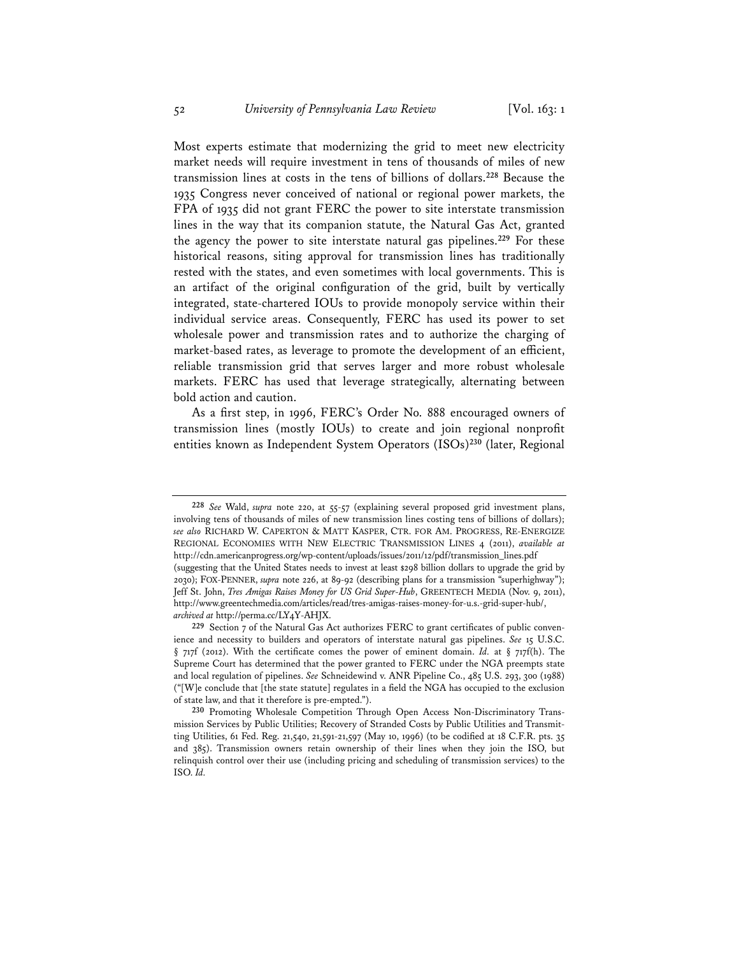Most experts estimate that modernizing the grid to meet new electricity market needs will require investment in tens of thousands of miles of new transmission lines at costs in the tens of billions of dollars.**<sup>228</sup>** Because the 1935 Congress never conceived of national or regional power markets, the FPA of 1935 did not grant FERC the power to site interstate transmission lines in the way that its companion statute, the Natural Gas Act, granted the agency the power to site interstate natural gas pipelines.**<sup>229</sup>** For these historical reasons, siting approval for transmission lines has traditionally rested with the states, and even sometimes with local governments. This is an artifact of the original configuration of the grid, built by vertically integrated, state-chartered IOUs to provide monopoly service within their individual service areas. Consequently, FERC has used its power to set wholesale power and transmission rates and to authorize the charging of market-based rates, as leverage to promote the development of an efficient, reliable transmission grid that serves larger and more robust wholesale markets. FERC has used that leverage strategically, alternating between bold action and caution.

As a first step, in 1996, FERC's Order No. 888 encouraged owners of transmission lines (mostly IOUs) to create and join regional nonprofit entities known as Independent System Operators (ISOs)**<sup>230</sup>** (later, Regional

**<sup>228</sup>** *See* Wald, *supra* note 220, at 55-57 (explaining several proposed grid investment plans, involving tens of thousands of miles of new transmission lines costing tens of billions of dollars); *see also* RICHARD W. CAPERTON & MATT KASPER, CTR. FOR AM. PROGRESS, RE-ENERGIZE REGIONAL ECONOMIES WITH NEW ELECTRIC TRANSMISSION LINES 4 (2011), *available at* http://cdn.americanprogress.org/wp-content/uploads/issues/2011/12/pdf/transmission\_lines.pdf (suggesting that the United States needs to invest at least \$298 billion dollars to upgrade the grid by 2030); FOX-PENNER, *supra* note 226, at 89-92 (describing plans for a transmission "superhighway"); Jeff St. John, *Tres Amigas Raises Money for US Grid Super-Hub*, GREENTECH MEDIA (Nov. 9, 2011), http://www.greentechmedia.com/articles/read/tres-amigas-raises-money-for-u.s.-grid-super-hub/, *archived at* http://perma.cc/LY4Y-AHJX.

**<sup>229</sup>** Section 7 of the Natural Gas Act authorizes FERC to grant certificates of public convenience and necessity to builders and operators of interstate natural gas pipelines. *See* 15 U.S.C. § 717f (2012). With the certificate comes the power of eminent domain. *Id.* at § 717f(h). The Supreme Court has determined that the power granted to FERC under the NGA preempts state and local regulation of pipelines. *See* Schneidewind v. ANR Pipeline Co., 485 U.S. 293, 300 (1988) ("[W]e conclude that [the state statute] regulates in a field the NGA has occupied to the exclusion of state law, and that it therefore is pre-empted.").

**<sup>230</sup>** Promoting Wholesale Competition Through Open Access Non-Discriminatory Transmission Services by Public Utilities; Recovery of Stranded Costs by Public Utilities and Transmitting Utilities, 61 Fed. Reg. 21,540, 21,591-21,597 (May 10, 1996) (to be codified at 18 C.F.R. pts. 35 and 385). Transmission owners retain ownership of their lines when they join the ISO, but relinquish control over their use (including pricing and scheduling of transmission services) to the ISO. *Id.*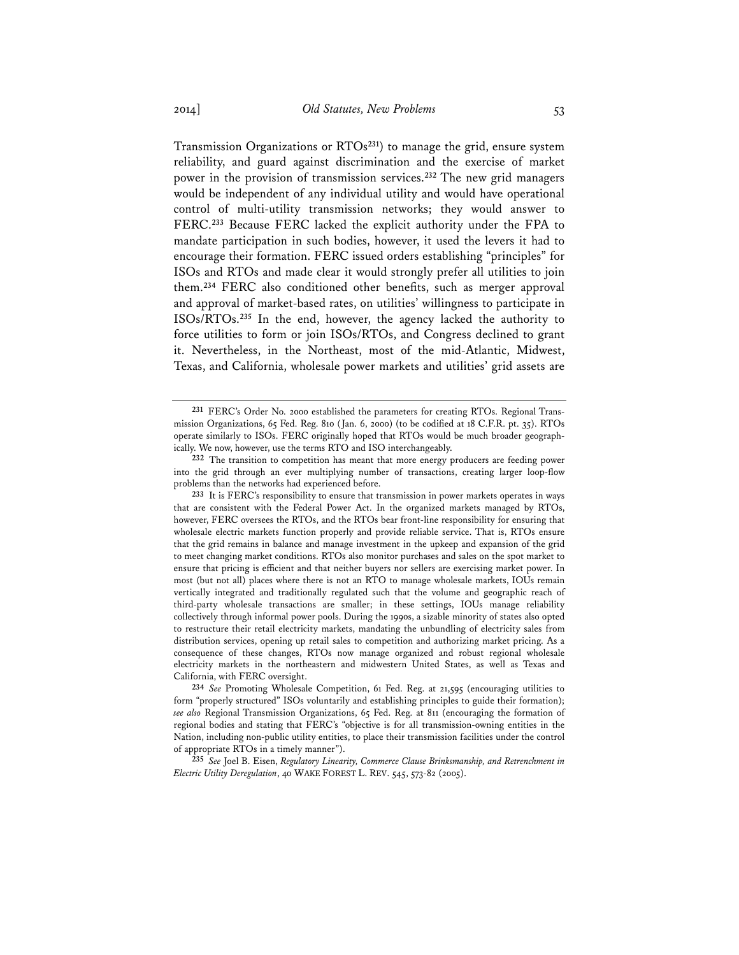Transmission Organizations or RTOs**<sup>231</sup>**) to manage the grid, ensure system reliability, and guard against discrimination and the exercise of market power in the provision of transmission services.**<sup>232</sup>** The new grid managers would be independent of any individual utility and would have operational control of multi-utility transmission networks; they would answer to FERC.**<sup>233</sup>** Because FERC lacked the explicit authority under the FPA to mandate participation in such bodies, however, it used the levers it had to encourage their formation. FERC issued orders establishing "principles" for ISOs and RTOs and made clear it would strongly prefer all utilities to join them.**<sup>234</sup>** FERC also conditioned other benefits, such as merger approval and approval of market-based rates, on utilities' willingness to participate in ISOs/RTOs.**<sup>235</sup>** In the end, however, the agency lacked the authority to force utilities to form or join ISOs/RTOs, and Congress declined to grant it. Nevertheless, in the Northeast, most of the mid-Atlantic, Midwest, Texas, and California, wholesale power markets and utilities' grid assets are

**235** *See* Joel B. Eisen, *Regulatory Linearity, Commerce Clause Brinksmanship, and Retrenchment in Electric Utility Deregulation*, 40 WAKE FOREST L. REV. 545, 573-82 (2005).

**<sup>231</sup>** FERC's Order No. 2000 established the parameters for creating RTOs. Regional Transmission Organizations, 65 Fed. Reg. 810 (Jan. 6, 2000) (to be codified at 18 C.F.R. pt. 35). RTOs operate similarly to ISOs. FERC originally hoped that RTOs would be much broader geographically. We now, however, use the terms RTO and ISO interchangeably.

**<sup>232</sup>** The transition to competition has meant that more energy producers are feeding power into the grid through an ever multiplying number of transactions, creating larger loop-flow problems than the networks had experienced before.

**<sup>233</sup>** It is FERC's responsibility to ensure that transmission in power markets operates in ways that are consistent with the Federal Power Act. In the organized markets managed by RTOs, however, FERC oversees the RTOs, and the RTOs bear front-line responsibility for ensuring that wholesale electric markets function properly and provide reliable service. That is, RTOs ensure that the grid remains in balance and manage investment in the upkeep and expansion of the grid to meet changing market conditions. RTOs also monitor purchases and sales on the spot market to ensure that pricing is efficient and that neither buyers nor sellers are exercising market power. In most (but not all) places where there is not an RTO to manage wholesale markets, IOUs remain vertically integrated and traditionally regulated such that the volume and geographic reach of third-party wholesale transactions are smaller; in these settings, IOUs manage reliability collectively through informal power pools. During the 1990s, a sizable minority of states also opted to restructure their retail electricity markets, mandating the unbundling of electricity sales from distribution services, opening up retail sales to competition and authorizing market pricing. As a consequence of these changes, RTOs now manage organized and robust regional wholesale electricity markets in the northeastern and midwestern United States, as well as Texas and California, with FERC oversight.

**<sup>234</sup>** *See* Promoting Wholesale Competition, 61 Fed. Reg. at 21,595 (encouraging utilities to form "properly structured" ISOs voluntarily and establishing principles to guide their formation); *see also* Regional Transmission Organizations, 65 Fed. Reg. at 811 (encouraging the formation of regional bodies and stating that FERC's "objective is for all transmission-owning entities in the Nation, including non-public utility entities, to place their transmission facilities under the control of appropriate RTOs in a timely manner").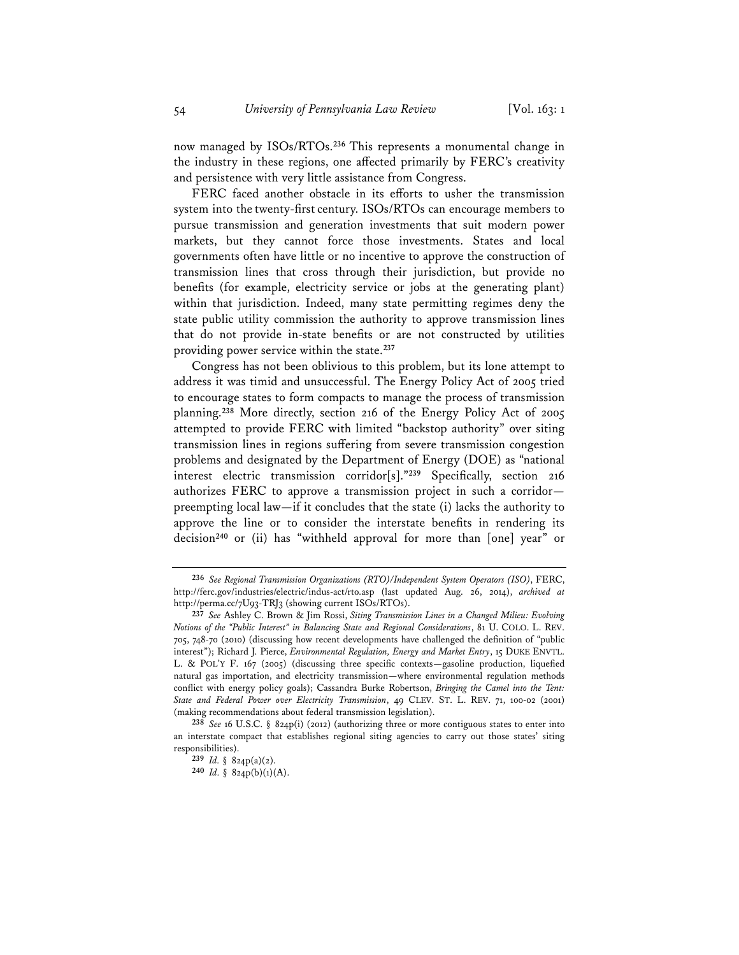now managed by ISOs/RTOs.**<sup>236</sup>** This represents a monumental change in the industry in these regions, one affected primarily by FERC's creativity and persistence with very little assistance from Congress.

FERC faced another obstacle in its efforts to usher the transmission system into the twenty-first century. ISOs/RTOs can encourage members to pursue transmission and generation investments that suit modern power markets, but they cannot force those investments. States and local governments often have little or no incentive to approve the construction of transmission lines that cross through their jurisdiction, but provide no benefits (for example, electricity service or jobs at the generating plant) within that jurisdiction. Indeed, many state permitting regimes deny the state public utility commission the authority to approve transmission lines that do not provide in-state benefits or are not constructed by utilities providing power service within the state.**<sup>237</sup>**

Congress has not been oblivious to this problem, but its lone attempt to address it was timid and unsuccessful. The Energy Policy Act of 2005 tried to encourage states to form compacts to manage the process of transmission planning.**<sup>238</sup>** More directly, section 216 of the Energy Policy Act of 2005 attempted to provide FERC with limited "backstop authority" over siting transmission lines in regions suffering from severe transmission congestion problems and designated by the Department of Energy (DOE) as "national interest electric transmission corridor[s]."**<sup>239</sup>** Specifically, section 216 authorizes FERC to approve a transmission project in such a corridor preempting local law—if it concludes that the state (i) lacks the authority to approve the line or to consider the interstate benefits in rendering its decision**<sup>240</sup>** or (ii) has "withheld approval for more than [one] year" or

**<sup>236</sup>** *See Regional Transmission Organizations (RTO)/Independent System Operators (ISO)*, FERC, http://ferc.gov/industries/electric/indus-act/rto.asp (last updated Aug. 26, 2014), *archived at* http://perma.cc/7U93-TRJ3 (showing current ISOs/RTOs).

**<sup>237</sup>** *See* Ashley C. Brown & Jim Rossi, *Siting Transmission Lines in a Changed Milieu: Evolving Notions of the "Public Interest" in Balancing State and Regional Considerations*, 81 U. COLO. L. REV. 705, 748-70 (2010) (discussing how recent developments have challenged the definition of "public interest"); Richard J. Pierce, *Environmental Regulation, Energy and Market Entry*, 15 DUKE ENVTL. L. & POL'Y F. 167 (2005) (discussing three specific contexts—gasoline production, liquefied natural gas importation, and electricity transmission—where environmental regulation methods conflict with energy policy goals); Cassandra Burke Robertson, *Bringing the Camel into the Tent: State and Federal Power over Electricity Transmission*, 49 CLEV. ST. L. REV. 71, 100-02 (2001) (making recommendations about federal transmission legislation).

**<sup>238</sup>** *See* 16 U.S.C. § 824p(i) (2012) (authorizing three or more contiguous states to enter into an interstate compact that establishes regional siting agencies to carry out those states' siting responsibilities).

**<sup>239</sup>** *Id.* § 824p(a)(2).

**<sup>240</sup>** *Id.* § 824p(b)(1)(A).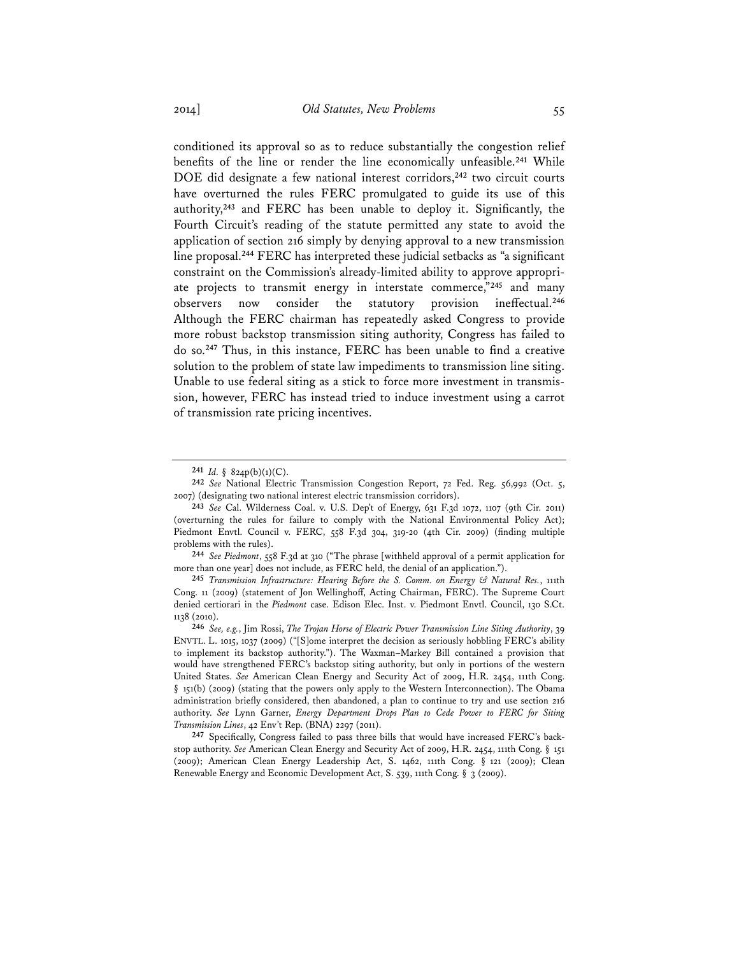conditioned its approval so as to reduce substantially the congestion relief benefits of the line or render the line economically unfeasible.**<sup>241</sup>** While DOE did designate a few national interest corridors,**<sup>242</sup>** two circuit courts have overturned the rules FERC promulgated to guide its use of this authority,**<sup>243</sup>** and FERC has been unable to deploy it. Significantly, the Fourth Circuit's reading of the statute permitted any state to avoid the application of section 216 simply by denying approval to a new transmission line proposal.**<sup>244</sup>** FERC has interpreted these judicial setbacks as "a significant constraint on the Commission's already-limited ability to approve appropriate projects to transmit energy in interstate commerce,"**<sup>245</sup>** and many observers now consider the statutory provision ineffectual.**<sup>246</sup>** Although the FERC chairman has repeatedly asked Congress to provide more robust backstop transmission siting authority, Congress has failed to do so.**<sup>247</sup>** Thus, in this instance, FERC has been unable to find a creative solution to the problem of state law impediments to transmission line siting. Unable to use federal siting as a stick to force more investment in transmission, however, FERC has instead tried to induce investment using a carrot of transmission rate pricing incentives.

**244** *See Piedmont*, 558 F.3d at 310 ("The phrase [withheld approval of a permit application for more than one year] does not include, as FERC held, the denial of an application.").

**<sup>241</sup>** *Id.* § 824p(b)(1)(C).

**<sup>242</sup>** *See* National Electric Transmission Congestion Report, 72 Fed. Reg. 56,992 (Oct. 5, 2007) (designating two national interest electric transmission corridors).

**<sup>243</sup>** *See* Cal. Wilderness Coal. v. U.S. Dep't of Energy, 631 F.3d 1072, 1107 (9th Cir. 2011) (overturning the rules for failure to comply with the National Environmental Policy Act); Piedmont Envtl. Council v. FERC, 558 F.3d 304, 319-20 (4th Cir. 2009) (finding multiple problems with the rules).

**<sup>245</sup>** *Transmission Infrastructure: Hearing Before the S. Comm. on Energy & Natural Res.*, 111th Cong. 11 (2009) (statement of Jon Wellinghoff, Acting Chairman, FERC). The Supreme Court denied certiorari in the *Piedmont* case. Edison Elec. Inst. v. Piedmont Envtl. Council, 130 S.Ct. 1138 (2010).

**<sup>246</sup>** *See, e.g.*, Jim Rossi, *The Trojan Horse of Electric Power Transmission Line Siting Authority*, 39 ENVTL. L. 1015, 1037 (2009) ("[S]ome interpret the decision as seriously hobbling FERC's ability to implement its backstop authority."). The Waxman–Markey Bill contained a provision that would have strengthened FERC's backstop siting authority, but only in portions of the western United States. *See* American Clean Energy and Security Act of 2009, H.R. 2454, 111th Cong. § 151(b) (2009) (stating that the powers only apply to the Western Interconnection). The Obama administration briefly considered, then abandoned, a plan to continue to try and use section 216 authority. *See* Lynn Garner, *Energy Department Drops Plan to Cede Power to FERC for Siting Transmission Lines*, 42 Env't Rep. (BNA) 2297 (2011).

**<sup>247</sup>** Specifically, Congress failed to pass three bills that would have increased FERC's backstop authority. *See* American Clean Energy and Security Act of 2009, H.R. 2454, 111th Cong. § 151 (2009); American Clean Energy Leadership Act, S. 1462, 111th Cong. § 121 (2009); Clean Renewable Energy and Economic Development Act, S. 539, 111th Cong. § 3 (2009).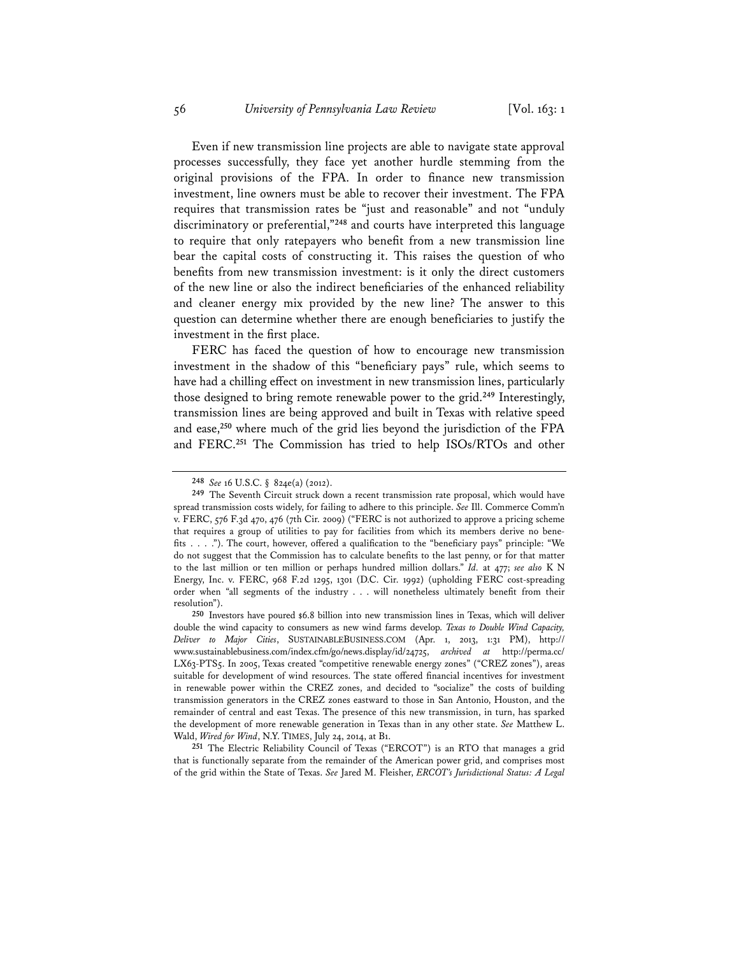Even if new transmission line projects are able to navigate state approval processes successfully, they face yet another hurdle stemming from the original provisions of the FPA. In order to finance new transmission investment, line owners must be able to recover their investment. The FPA requires that transmission rates be "just and reasonable" and not "unduly discriminatory or preferential,"**<sup>248</sup>** and courts have interpreted this language to require that only ratepayers who benefit from a new transmission line bear the capital costs of constructing it. This raises the question of who benefits from new transmission investment: is it only the direct customers of the new line or also the indirect beneficiaries of the enhanced reliability and cleaner energy mix provided by the new line? The answer to this question can determine whether there are enough beneficiaries to justify the investment in the first place.

FERC has faced the question of how to encourage new transmission investment in the shadow of this "beneficiary pays" rule, which seems to have had a chilling effect on investment in new transmission lines, particularly those designed to bring remote renewable power to the grid.**<sup>249</sup>** Interestingly, transmission lines are being approved and built in Texas with relative speed and ease,**<sup>250</sup>** where much of the grid lies beyond the jurisdiction of the FPA and FERC.**<sup>251</sup>** The Commission has tried to help ISOs/RTOs and other

**251** The Electric Reliability Council of Texas ("ERCOT") is an RTO that manages a grid that is functionally separate from the remainder of the American power grid, and comprises most of the grid within the State of Texas. *See* Jared M. Fleisher, *ERCOT's Jurisdictional Status: A Legal* 

**<sup>248</sup>** *See* 16 U.S.C. § 824e(a) (2012).

**<sup>249</sup>** The Seventh Circuit struck down a recent transmission rate proposal, which would have spread transmission costs widely, for failing to adhere to this principle. *See* Ill. Commerce Comm'n v. FERC, 576 F.3d 470, 476 (7th Cir. 2009) ("FERC is not authorized to approve a pricing scheme that requires a group of utilities to pay for facilities from which its members derive no benefits . . . ."). The court, however, offered a qualification to the "beneficiary pays" principle: "We do not suggest that the Commission has to calculate benefits to the last penny, or for that matter to the last million or ten million or perhaps hundred million dollars." *Id.* at 477; *see also* K N Energy, Inc. v. FERC, 968 F.2d 1295, 1301 (D.C. Cir. 1992) (upholding FERC cost-spreading order when "all segments of the industry . . . will nonetheless ultimately benefit from their resolution").

**<sup>250</sup>** Investors have poured \$6.8 billion into new transmission lines in Texas, which will deliver double the wind capacity to consumers as new wind farms develop. *Texas to Double Wind Capacity, Deliver to Major Cities*, SUSTAINABLEBUSINESS.COM (Apr. 1, 2013, 1:31 PM), http:// www.sustainablebusiness.com/index.cfm/go/news.display/id/24725, *archived at* http://perma.cc/ LX63-PTS5. In 2005, Texas created "competitive renewable energy zones" ("CREZ zones"), areas suitable for development of wind resources. The state offered financial incentives for investment in renewable power within the CREZ zones, and decided to "socialize" the costs of building transmission generators in the CREZ zones eastward to those in San Antonio, Houston, and the remainder of central and east Texas. The presence of this new transmission, in turn, has sparked the development of more renewable generation in Texas than in any other state. *See* Matthew L. Wald, *Wired for Wind*, N.Y. TIMES, July 24, 2014, at B1.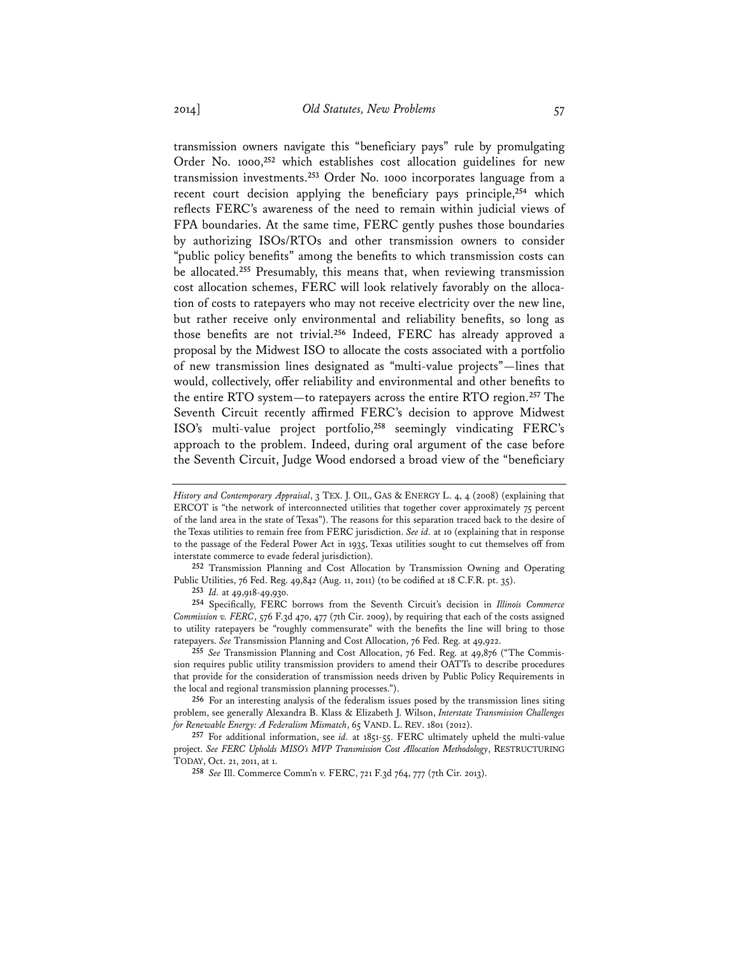transmission owners navigate this "beneficiary pays" rule by promulgating Order No. 1000,**<sup>252</sup>** which establishes cost allocation guidelines for new transmission investments.**<sup>253</sup>** Order No. 1000 incorporates language from a recent court decision applying the beneficiary pays principle,**<sup>254</sup>** which reflects FERC's awareness of the need to remain within judicial views of FPA boundaries. At the same time, FERC gently pushes those boundaries by authorizing ISOs/RTOs and other transmission owners to consider "public policy benefits" among the benefits to which transmission costs can be allocated.**<sup>255</sup>** Presumably, this means that, when reviewing transmission cost allocation schemes, FERC will look relatively favorably on the allocation of costs to ratepayers who may not receive electricity over the new line, but rather receive only environmental and reliability benefits, so long as those benefits are not trivial.**<sup>256</sup>** Indeed, FERC has already approved a proposal by the Midwest ISO to allocate the costs associated with a portfolio of new transmission lines designated as "multi-value projects"—lines that would, collectively, offer reliability and environmental and other benefits to the entire RTO system—to ratepayers across the entire RTO region.**<sup>257</sup>** The Seventh Circuit recently affirmed FERC's decision to approve Midwest ISO's multi-value project portfolio,**<sup>258</sup>** seemingly vindicating FERC's approach to the problem. Indeed, during oral argument of the case before the Seventh Circuit, Judge Wood endorsed a broad view of the "beneficiary

**254** Specifically, FERC borrows from the Seventh Circuit's decision in *Illinois Commerce Commission v. FERC*, 576 F.3d 470, 477 (7th Cir. 2009), by requiring that each of the costs assigned to utility ratepayers be "roughly commensurate" with the benefits the line will bring to those ratepayers. *See* Transmission Planning and Cost Allocation, 76 Fed. Reg. at 49,922.

**255** *See* Transmission Planning and Cost Allocation, 76 Fed. Reg. at 49,876 ("The Commission requires public utility transmission providers to amend their OATTs to describe procedures that provide for the consideration of transmission needs driven by Public Policy Requirements in the local and regional transmission planning processes.").

**256** For an interesting analysis of the federalism issues posed by the transmission lines siting problem, see generally Alexandra B. Klass & Elizabeth J. Wilson, *Interstate Transmission Challenges for Renewable Energy: A Federalism Mismatch*, 65 VAND. L. REV. 1801 (2012).

**257** For additional information, see *id.* at 1851-55. FERC ultimately upheld the multi-value project. *See FERC Upholds MISO's MVP Transmission Cost Allocation Methodology*, RESTRUCTURING TODAY, Oct. 21, 2011, at 1.

*History and Contemporary Appraisal*, 3 TEX. J. OIL, GAS & ENERGY L. 4, 4 (2008) (explaining that ERCOT is "the network of interconnected utilities that together cover approximately 75 percent of the land area in the state of Texas"). The reasons for this separation traced back to the desire of the Texas utilities to remain free from FERC jurisdiction. *See id.* at 10 (explaining that in response to the passage of the Federal Power Act in 1935, Texas utilities sought to cut themselves off from interstate commerce to evade federal jurisdiction).

**<sup>252</sup>** Transmission Planning and Cost Allocation by Transmission Owning and Operating Public Utilities, 76 Fed. Reg. 49,842 (Aug. 11, 2011) (to be codified at 18 C.F.R. pt. 35).

**<sup>253</sup>** *Id.* at 49,918-49,930.

**<sup>258</sup>** *See* Ill. Commerce Comm'n v. FERC, 721 F.3d 764, 777 (7th Cir. 2013).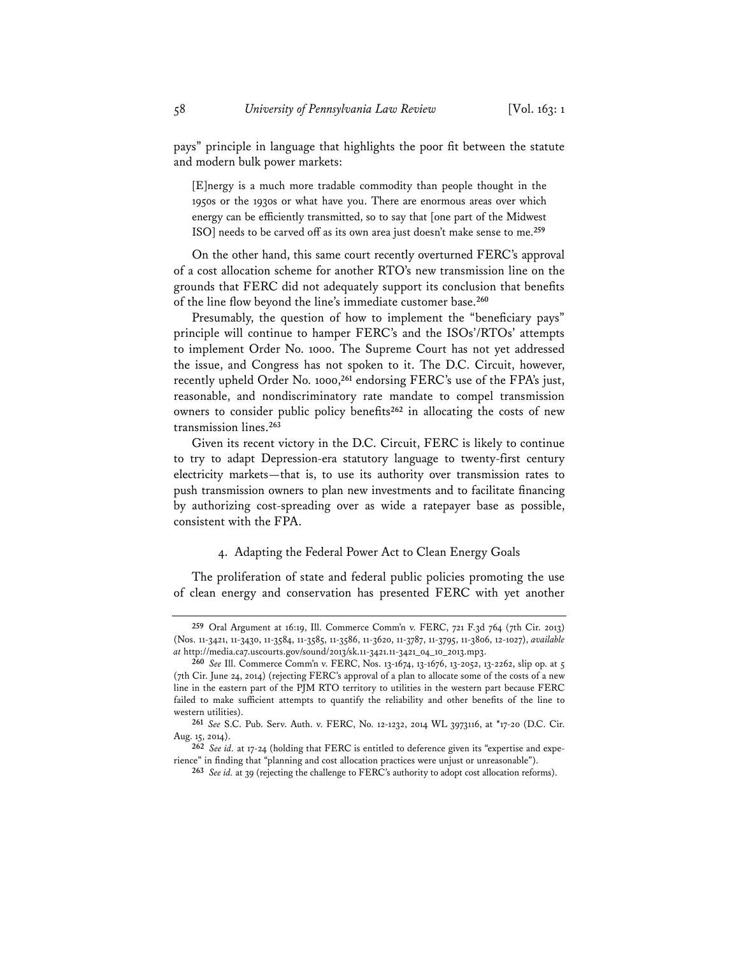pays" principle in language that highlights the poor fit between the statute and modern bulk power markets:

[E]nergy is a much more tradable commodity than people thought in the 1950s or the 1930s or what have you. There are enormous areas over which energy can be efficiently transmitted, so to say that [one part of the Midwest ISO] needs to be carved off as its own area just doesn't make sense to me.**<sup>259</sup>**

On the other hand, this same court recently overturned FERC's approval of a cost allocation scheme for another RTO's new transmission line on the grounds that FERC did not adequately support its conclusion that benefits of the line flow beyond the line's immediate customer base.**<sup>260</sup>**

Presumably, the question of how to implement the "beneficiary pays" principle will continue to hamper FERC's and the ISOs'/RTOs' attempts to implement Order No. 1000. The Supreme Court has not yet addressed the issue, and Congress has not spoken to it. The D.C. Circuit, however, recently upheld Order No. 1000,**<sup>261</sup>** endorsing FERC's use of the FPA's just, reasonable, and nondiscriminatory rate mandate to compel transmission owners to consider public policy benefits**<sup>262</sup>** in allocating the costs of new transmission lines.**<sup>263</sup>**

Given its recent victory in the D.C. Circuit, FERC is likely to continue to try to adapt Depression-era statutory language to twenty-first century electricity markets—that is, to use its authority over transmission rates to push transmission owners to plan new investments and to facilitate financing by authorizing cost-spreading over as wide a ratepayer base as possible, consistent with the FPA.

#### 4. Adapting the Federal Power Act to Clean Energy Goals

The proliferation of state and federal public policies promoting the use of clean energy and conservation has presented FERC with yet another

**<sup>259</sup>** Oral Argument at 16:19, Ill. Commerce Comm'n v. FERC, 721 F.3d 764 (7th Cir. 2013) (Nos. 11-3421, 11-3430, 11-3584, 11-3585, 11-3586, 11-3620, 11-3787, 11-3795, 11-3806, 12-1027), *available at* http://media.ca7.uscourts.gov/sound/2013/sk.11-3421.11-3421\_04\_10\_2013.mp3.

**<sup>260</sup>** *See* Ill. Commerce Comm'n v. FERC, Nos. 13-1674, 13-1676, 13-2052, 13-2262, slip op. at 5 (7th Cir. June 24, 2014) (rejecting FERC's approval of a plan to allocate some of the costs of a new line in the eastern part of the PJM RTO territory to utilities in the western part because FERC failed to make sufficient attempts to quantify the reliability and other benefits of the line to western utilities).

**<sup>261</sup>** *See* S.C. Pub. Serv. Auth. v. FERC, No. 12-1232, 2014 WL 3973116, at \*17-20 (D.C. Cir. Aug. 15, 2014).

**<sup>262</sup>** *See id.* at 17-24 (holding that FERC is entitled to deference given its "expertise and experience" in finding that "planning and cost allocation practices were unjust or unreasonable").

**<sup>263</sup>** *See id.* at 39 (rejecting the challenge to FERC's authority to adopt cost allocation reforms).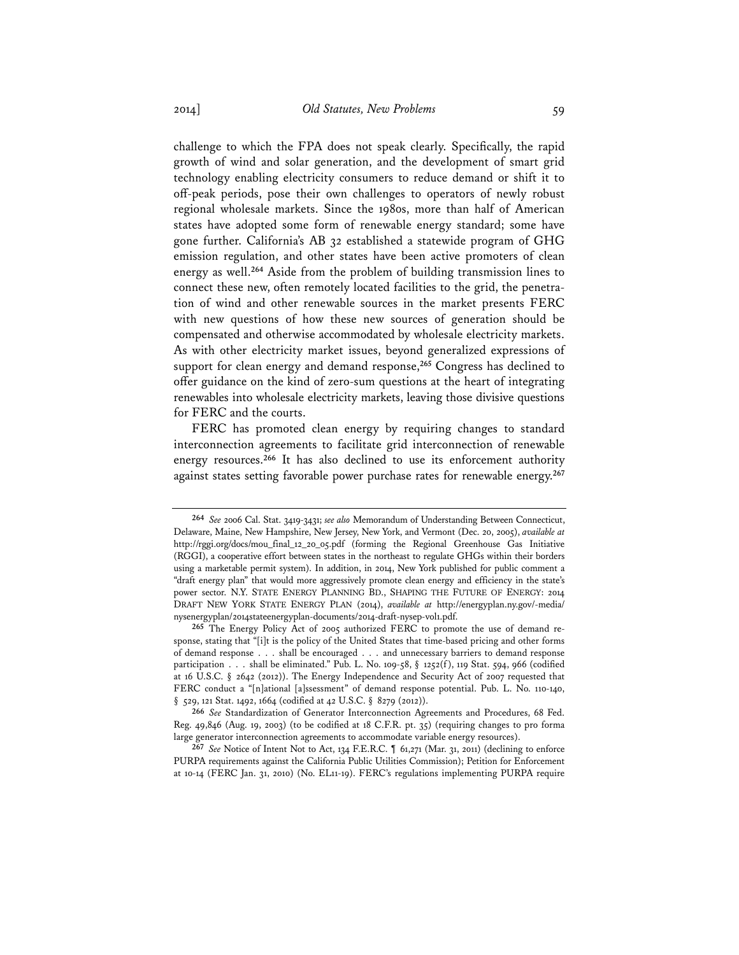challenge to which the FPA does not speak clearly. Specifically, the rapid growth of wind and solar generation, and the development of smart grid technology enabling electricity consumers to reduce demand or shift it to off-peak periods, pose their own challenges to operators of newly robust regional wholesale markets. Since the 1980s, more than half of American states have adopted some form of renewable energy standard; some have gone further. California's AB 32 established a statewide program of GHG emission regulation, and other states have been active promoters of clean energy as well.**<sup>264</sup>** Aside from the problem of building transmission lines to connect these new, often remotely located facilities to the grid, the penetration of wind and other renewable sources in the market presents FERC with new questions of how these new sources of generation should be compensated and otherwise accommodated by wholesale electricity markets. As with other electricity market issues, beyond generalized expressions of support for clean energy and demand response,**<sup>265</sup>** Congress has declined to offer guidance on the kind of zero-sum questions at the heart of integrating renewables into wholesale electricity markets, leaving those divisive questions for FERC and the courts.

FERC has promoted clean energy by requiring changes to standard interconnection agreements to facilitate grid interconnection of renewable energy resources.**<sup>266</sup>** It has also declined to use its enforcement authority against states setting favorable power purchase rates for renewable energy.**<sup>267</sup>**

**<sup>264</sup>** *See* 2006 Cal. Stat. 3419-3431; *see also* Memorandum of Understanding Between Connecticut, Delaware, Maine, New Hampshire, New Jersey, New York, and Vermont (Dec. 20, 2005), *available at* http://rggi.org/docs/mou\_final\_12\_20\_05.pdf (forming the Regional Greenhouse Gas Initiative (RGGI), a cooperative effort between states in the northeast to regulate GHGs within their borders using a marketable permit system). In addition, in 2014, New York published for public comment a "draft energy plan" that would more aggressively promote clean energy and efficiency in the state's power sector. N.Y. STATE ENERGY PLANNING BD., SHAPING THE FUTURE OF ENERGY: 2014 DRAFT NEW YORK STATE ENERGY PLAN (2014), *available at* http://energyplan.ny.gov/-media/ nysenergyplan/2014stateenergyplan-documents/2014-draft-nysep-vol1.pdf.

**<sup>265</sup>** The Energy Policy Act of 2005 authorized FERC to promote the use of demand response, stating that "[i]t is the policy of the United States that time-based pricing and other forms of demand response . . . shall be encouraged . . . and unnecessary barriers to demand response participation . . . shall be eliminated." Pub. L. No. 109-58,  $\S$  1252(f), 119 Stat. 594, 966 (codified at 16 U.S.C. § 2642 (2012)). The Energy Independence and Security Act of 2007 requested that FERC conduct a "[n]ational [a]ssessment" of demand response potential. Pub. L. No. 110-140, § 529, 121 Stat. 1492, 1664 (codified at 42 U.S.C. § 8279 (2012)).

**<sup>266</sup>** *See* Standardization of Generator Interconnection Agreements and Procedures, 68 Fed. Reg. 49,846 (Aug. 19, 2003) (to be codified at 18 C.F.R. pt. 35) (requiring changes to pro forma large generator interconnection agreements to accommodate variable energy resources).

**<sup>267</sup>** *See* Notice of Intent Not to Act, 134 F.E.R.C. ¶ 61,271 (Mar. 31, 2011) (declining to enforce PURPA requirements against the California Public Utilities Commission); Petition for Enforcement at 10-14 (FERC Jan. 31, 2010) (No. EL11-19). FERC's regulations implementing PURPA require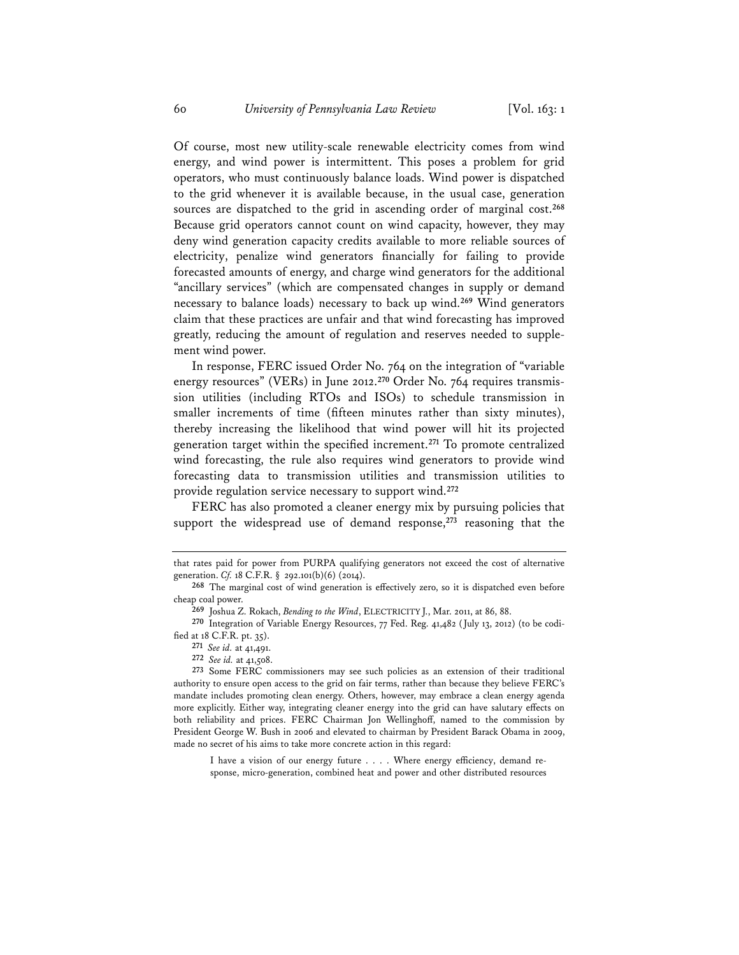Of course, most new utility-scale renewable electricity comes from wind energy, and wind power is intermittent. This poses a problem for grid operators, who must continuously balance loads. Wind power is dispatched to the grid whenever it is available because, in the usual case, generation sources are dispatched to the grid in ascending order of marginal cost.**<sup>268</sup>** Because grid operators cannot count on wind capacity, however, they may deny wind generation capacity credits available to more reliable sources of electricity, penalize wind generators financially for failing to provide forecasted amounts of energy, and charge wind generators for the additional "ancillary services" (which are compensated changes in supply or demand necessary to balance loads) necessary to back up wind.**<sup>269</sup>** Wind generators claim that these practices are unfair and that wind forecasting has improved greatly, reducing the amount of regulation and reserves needed to supplement wind power.

In response, FERC issued Order No. 764 on the integration of "variable energy resources" (VERs) in June 2012.**270** Order No. 764 requires transmission utilities (including RTOs and ISOs) to schedule transmission in smaller increments of time (fifteen minutes rather than sixty minutes), thereby increasing the likelihood that wind power will hit its projected generation target within the specified increment.**<sup>271</sup>** To promote centralized wind forecasting, the rule also requires wind generators to provide wind forecasting data to transmission utilities and transmission utilities to provide regulation service necessary to support wind.**<sup>272</sup>**

FERC has also promoted a cleaner energy mix by pursuing policies that support the widespread use of demand response,**<sup>273</sup>** reasoning that the

I have a vision of our energy future . . . . Where energy efficiency, demand response, micro-generation, combined heat and power and other distributed resources

that rates paid for power from PURPA qualifying generators not exceed the cost of alternative generation. *Cf.* 18 C.F.R. § 292.101(b)(6) (2014).

**<sup>268</sup>** The marginal cost of wind generation is effectively zero, so it is dispatched even before cheap coal power.

**<sup>269</sup>** Joshua Z. Rokach, *Bending to the Wind*, ELECTRICITY J., Mar. 2011, at 86, 88.

**<sup>270</sup>** Integration of Variable Energy Resources, 77 Fed. Reg. 41,482 (July 13, 2012) (to be codified at 18 C.F.R. pt. 35).

**<sup>271</sup>** *See id.* at 41,491.

**<sup>272</sup>** *See id.* at 41,508.

**<sup>273</sup>** Some FERC commissioners may see such policies as an extension of their traditional authority to ensure open access to the grid on fair terms, rather than because they believe FERC's mandate includes promoting clean energy. Others, however, may embrace a clean energy agenda more explicitly. Either way, integrating cleaner energy into the grid can have salutary effects on both reliability and prices. FERC Chairman Jon Wellinghoff, named to the commission by President George W. Bush in 2006 and elevated to chairman by President Barack Obama in 2009, made no secret of his aims to take more concrete action in this regard: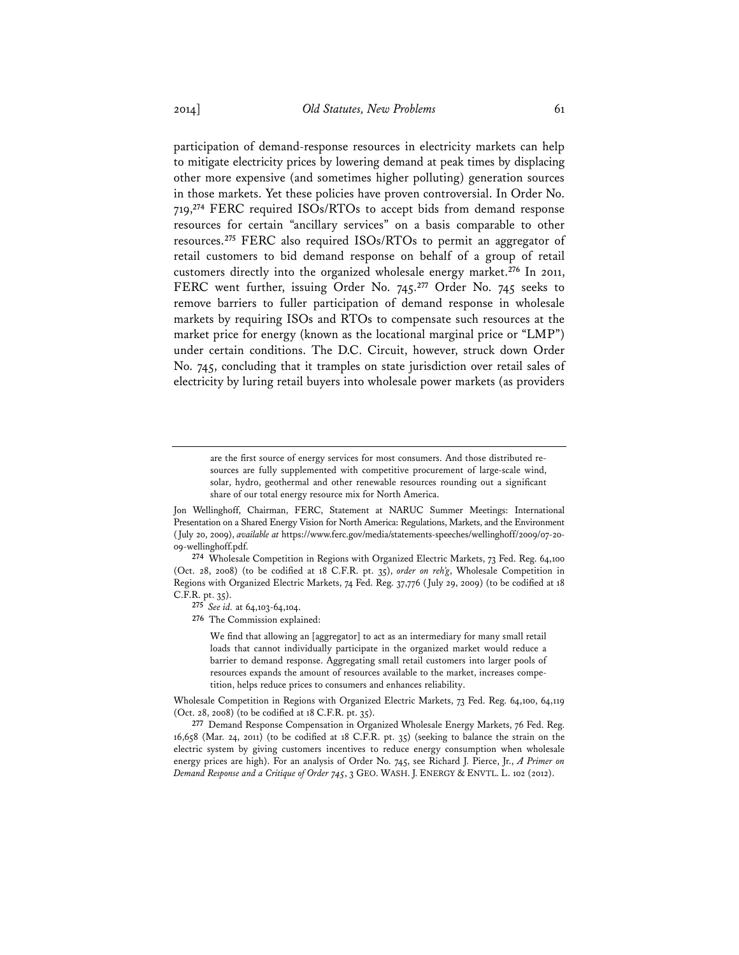participation of demand-response resources in electricity markets can help to mitigate electricity prices by lowering demand at peak times by displacing other more expensive (and sometimes higher polluting) generation sources in those markets. Yet these policies have proven controversial. In Order No. 719,**<sup>274</sup>** FERC required ISOs/RTOs to accept bids from demand response resources for certain "ancillary services" on a basis comparable to other resources.**<sup>275</sup>** FERC also required ISOs/RTOs to permit an aggregator of retail customers to bid demand response on behalf of a group of retail customers directly into the organized wholesale energy market.**<sup>276</sup>** In 2011, FERC went further, issuing Order No. 745.**<sup>277</sup>** Order No. 745 seeks to remove barriers to fuller participation of demand response in wholesale markets by requiring ISOs and RTOs to compensate such resources at the market price for energy (known as the locational marginal price or "LMP") under certain conditions. The D.C. Circuit, however, struck down Order No. 745, concluding that it tramples on state jurisdiction over retail sales of electricity by luring retail buyers into wholesale power markets (as providers

are the first source of energy services for most consumers. And those distributed resources are fully supplemented with competitive procurement of large-scale wind, solar, hydro, geothermal and other renewable resources rounding out a significant share of our total energy resource mix for North America.

**274** Wholesale Competition in Regions with Organized Electric Markets, 73 Fed. Reg. 64,100 (Oct. 28, 2008) (to be codified at 18 C.F.R. pt. 35), *order on reh'g*, Wholesale Competition in Regions with Organized Electric Markets, 74 Fed. Reg. 37,776 (July 29, 2009) (to be codified at 18 C.F.R. pt. 35).

**275** *See id.* at 64,103-64,104.

**276** The Commission explained:

We find that allowing an [aggregator] to act as an intermediary for many small retail loads that cannot individually participate in the organized market would reduce a barrier to demand response. Aggregating small retail customers into larger pools of resources expands the amount of resources available to the market, increases competition, helps reduce prices to consumers and enhances reliability.

Wholesale Competition in Regions with Organized Electric Markets, 73 Fed. Reg. 64,100, 64,119 (Oct. 28, 2008) (to be codified at 18 C.F.R. pt. 35).

**277** Demand Response Compensation in Organized Wholesale Energy Markets, 76 Fed. Reg. 16,658 (Mar. 24, 2011) (to be codified at 18 C.F.R. pt. 35) (seeking to balance the strain on the electric system by giving customers incentives to reduce energy consumption when wholesale energy prices are high). For an analysis of Order No. 745, see Richard J. Pierce, Jr., *A Primer on Demand Response and a Critique of Order 745*, 3 GEO. WASH. J. ENERGY & ENVTL. L. 102 (2012).

Jon Wellinghoff, Chairman, FERC, Statement at NARUC Summer Meetings: International Presentation on a Shared Energy Vision for North America: Regulations, Markets, and the Environment (July 20, 2009), *available at* https://www.ferc.gov/media/statements-speeches/wellinghoff/2009/07-20- 09-wellinghoff.pdf.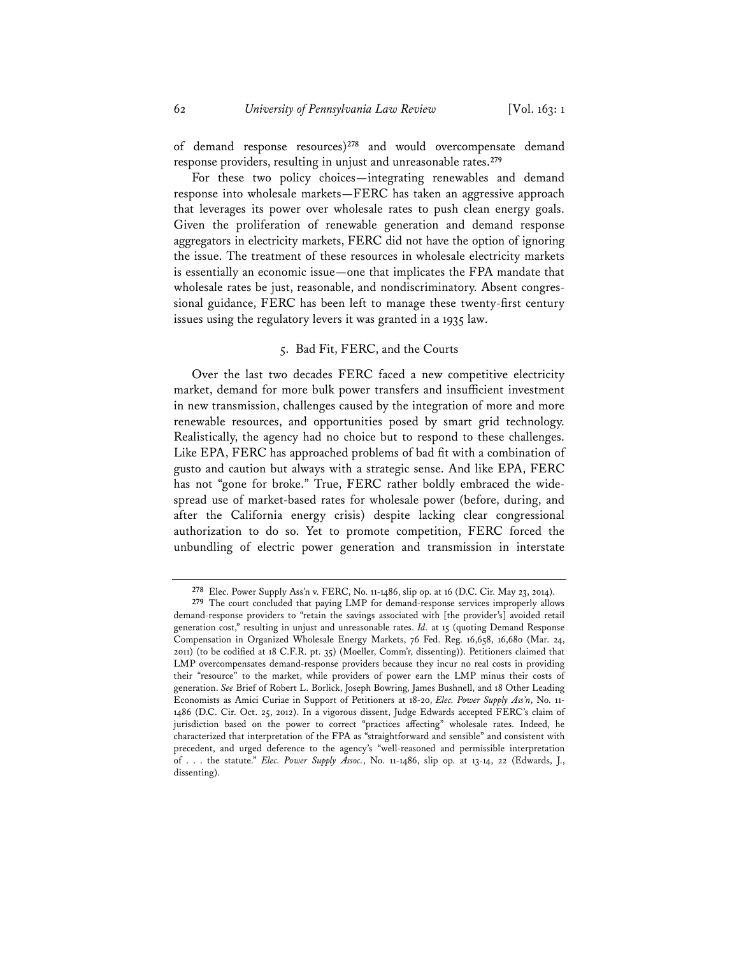of demand response resources)**<sup>278</sup>** and would overcompensate demand response providers, resulting in unjust and unreasonable rates.**<sup>279</sup>**

For these two policy choices—integrating renewables and demand response into wholesale markets—FERC has taken an aggressive approach that leverages its power over wholesale rates to push clean energy goals. Given the proliferation of renewable generation and demand response aggregators in electricity markets, FERC did not have the option of ignoring the issue. The treatment of these resources in wholesale electricity markets is essentially an economic issue—one that implicates the FPA mandate that wholesale rates be just, reasonable, and nondiscriminatory. Absent congressional guidance, FERC has been left to manage these twenty-first century issues using the regulatory levers it was granted in a 1935 law.

# 5. Bad Fit, FERC, and the Courts

Over the last two decades FERC faced a new competitive electricity market, demand for more bulk power transfers and insufficient investment in new transmission, challenges caused by the integration of more and more renewable resources, and opportunities posed by smart grid technology. Realistically, the agency had no choice but to respond to these challenges. Like EPA, FERC has approached problems of bad fit with a combination of gusto and caution but always with a strategic sense. And like EPA, FERC has not "gone for broke." True, FERC rather boldly embraced the widespread use of market-based rates for wholesale power (before, during, and after the California energy crisis) despite lacking clear congressional authorization to do so. Yet to promote competition, FERC forced the unbundling of electric power generation and transmission in interstate

**<sup>278</sup>** Elec. Power Supply Ass'n v. FERC, No. 11-1486, slip op. at 16 (D.C. Cir. May 23, 2014).

**<sup>279</sup>** The court concluded that paying LMP for demand-response services improperly allows demand-response providers to "retain the savings associated with [the provider's] avoided retail generation cost," resulting in unjust and unreasonable rates. *Id.* at 15 (quoting Demand Response Compensation in Organized Wholesale Energy Markets, 76 Fed. Reg. 16,658, 16,680 (Mar. 24, 2011) (to be codified at 18 C.F.R. pt. 35) (Moeller, Comm'r, dissenting)). Petitioners claimed that LMP overcompensates demand-response providers because they incur no real costs in providing their "resource" to the market, while providers of power earn the LMP minus their costs of generation. *See* Brief of Robert L. Borlick, Joseph Bowring, James Bushnell, and 18 Other Leading Economists as Amici Curiae in Support of Petitioners at 18-20, *Elec. Power Supply Ass'n*, No. 11- 1486 (D.C. Cir. Oct. 25, 2012). In a vigorous dissent, Judge Edwards accepted FERC's claim of jurisdiction based on the power to correct "practices affecting" wholesale rates. Indeed, he characterized that interpretation of the FPA as "straightforward and sensible" and consistent with precedent, and urged deference to the agency's "well-reasoned and permissible interpretation of . . . the statute." *Elec. Power Supply Assoc.*, No. 11-1486, slip op. at 13-14, 22 (Edwards, J., dissenting).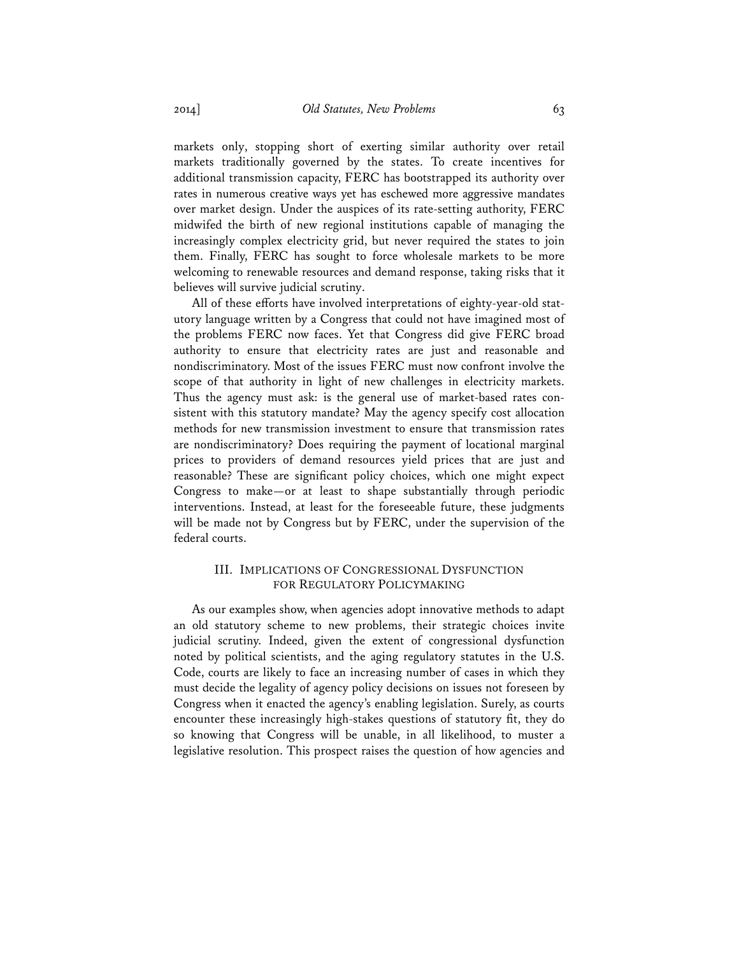markets only, stopping short of exerting similar authority over retail markets traditionally governed by the states. To create incentives for additional transmission capacity, FERC has bootstrapped its authority over rates in numerous creative ways yet has eschewed more aggressive mandates over market design. Under the auspices of its rate-setting authority, FERC midwifed the birth of new regional institutions capable of managing the increasingly complex electricity grid, but never required the states to join them. Finally, FERC has sought to force wholesale markets to be more welcoming to renewable resources and demand response, taking risks that it believes will survive judicial scrutiny.

All of these efforts have involved interpretations of eighty-year-old statutory language written by a Congress that could not have imagined most of the problems FERC now faces. Yet that Congress did give FERC broad authority to ensure that electricity rates are just and reasonable and nondiscriminatory. Most of the issues FERC must now confront involve the scope of that authority in light of new challenges in electricity markets. Thus the agency must ask: is the general use of market-based rates consistent with this statutory mandate? May the agency specify cost allocation methods for new transmission investment to ensure that transmission rates are nondiscriminatory? Does requiring the payment of locational marginal prices to providers of demand resources yield prices that are just and reasonable? These are significant policy choices, which one might expect Congress to make—or at least to shape substantially through periodic interventions. Instead, at least for the foreseeable future, these judgments will be made not by Congress but by FERC, under the supervision of the federal courts.

# III. IMPLICATIONS OF CONGRESSIONAL DYSFUNCTION FOR REGULATORY POLICYMAKING

As our examples show, when agencies adopt innovative methods to adapt an old statutory scheme to new problems, their strategic choices invite judicial scrutiny. Indeed, given the extent of congressional dysfunction noted by political scientists, and the aging regulatory statutes in the U.S. Code, courts are likely to face an increasing number of cases in which they must decide the legality of agency policy decisions on issues not foreseen by Congress when it enacted the agency's enabling legislation. Surely, as courts encounter these increasingly high-stakes questions of statutory fit, they do so knowing that Congress will be unable, in all likelihood, to muster a legislative resolution. This prospect raises the question of how agencies and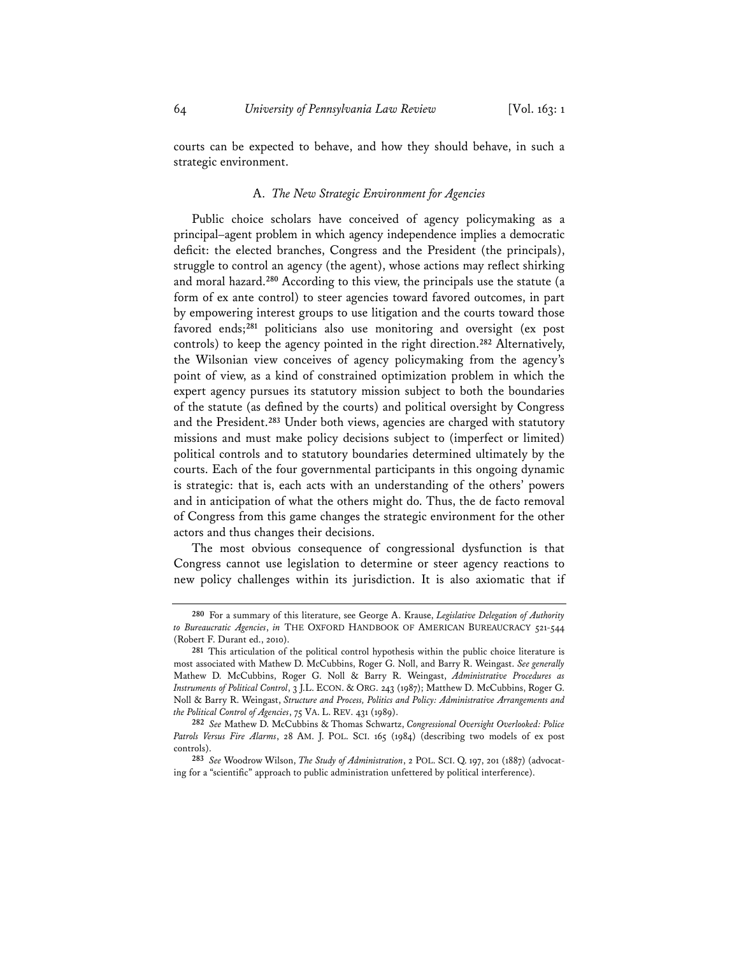courts can be expected to behave, and how they should behave, in such a strategic environment.

# A. *The New Strategic Environment for Agencies*

Public choice scholars have conceived of agency policymaking as a principal–agent problem in which agency independence implies a democratic deficit: the elected branches, Congress and the President (the principals), struggle to control an agency (the agent), whose actions may reflect shirking and moral hazard.**<sup>280</sup>** According to this view, the principals use the statute (a form of ex ante control) to steer agencies toward favored outcomes, in part by empowering interest groups to use litigation and the courts toward those favored ends;**<sup>281</sup>** politicians also use monitoring and oversight (ex post controls) to keep the agency pointed in the right direction.**<sup>282</sup>** Alternatively, the Wilsonian view conceives of agency policymaking from the agency's point of view, as a kind of constrained optimization problem in which the expert agency pursues its statutory mission subject to both the boundaries of the statute (as defined by the courts) and political oversight by Congress and the President.**<sup>283</sup>** Under both views, agencies are charged with statutory missions and must make policy decisions subject to (imperfect or limited) political controls and to statutory boundaries determined ultimately by the courts. Each of the four governmental participants in this ongoing dynamic is strategic: that is, each acts with an understanding of the others' powers and in anticipation of what the others might do. Thus, the de facto removal of Congress from this game changes the strategic environment for the other actors and thus changes their decisions.

The most obvious consequence of congressional dysfunction is that Congress cannot use legislation to determine or steer agency reactions to new policy challenges within its jurisdiction. It is also axiomatic that if

**<sup>280</sup>** For a summary of this literature, see George A. Krause, *Legislative Delegation of Authority to Bureaucratic Agencies*, *in* THE OXFORD HANDBOOK OF AMERICAN BUREAUCRACY 521-544 (Robert F. Durant ed., 2010).

**<sup>281</sup>** This articulation of the political control hypothesis within the public choice literature is most associated with Mathew D. McCubbins, Roger G. Noll, and Barry R. Weingast. *See generally* Mathew D. McCubbins, Roger G. Noll & Barry R. Weingast, *Administrative Procedures as Instruments of Political Control*, 3 J.L. ECON. & ORG. 243 (1987); Matthew D. McCubbins, Roger G. Noll & Barry R. Weingast, *Structure and Process, Politics and Policy: Administrative Arrangements and the Political Control of Agencies*, 75 VA. L. REV. 431 (1989).

**<sup>282</sup>** *See* Mathew D. McCubbins & Thomas Schwartz, *Congressional Oversight Overlooked: Police Patrols Versus Fire Alarms*, 28 AM. J. POL. SCI. 165 (1984) (describing two models of ex post controls).

**<sup>283</sup>** *See* Woodrow Wilson, *The Study of Administration*, 2 POL. SCI. Q. 197, 201 (1887) (advocating for a "scientific" approach to public administration unfettered by political interference).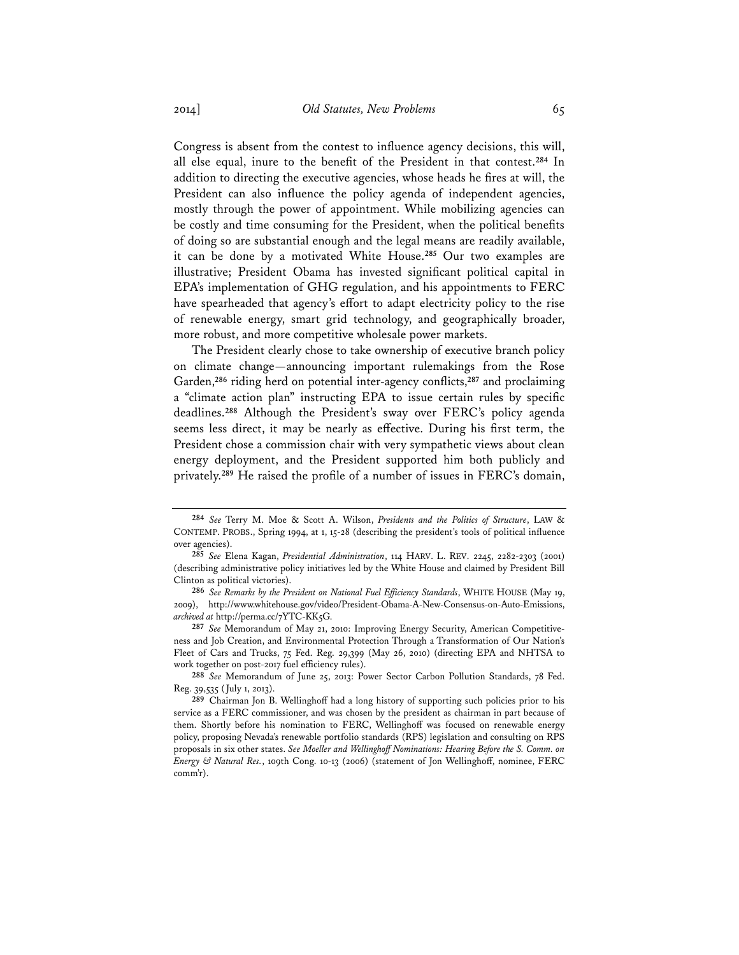Congress is absent from the contest to influence agency decisions, this will, all else equal, inure to the benefit of the President in that contest.**<sup>284</sup>** In addition to directing the executive agencies, whose heads he fires at will, the President can also influence the policy agenda of independent agencies, mostly through the power of appointment. While mobilizing agencies can be costly and time consuming for the President, when the political benefits of doing so are substantial enough and the legal means are readily available, it can be done by a motivated White House.**<sup>285</sup>** Our two examples are illustrative; President Obama has invested significant political capital in EPA's implementation of GHG regulation, and his appointments to FERC have spearheaded that agency's effort to adapt electricity policy to the rise of renewable energy, smart grid technology, and geographically broader, more robust, and more competitive wholesale power markets.

The President clearly chose to take ownership of executive branch policy on climate change—announcing important rulemakings from the Rose Garden,**<sup>286</sup>** riding herd on potential inter-agency conflicts,**<sup>287</sup>** and proclaiming a "climate action plan" instructing EPA to issue certain rules by specific deadlines.**<sup>288</sup>** Although the President's sway over FERC's policy agenda seems less direct, it may be nearly as effective. During his first term, the President chose a commission chair with very sympathetic views about clean energy deployment, and the President supported him both publicly and privately.**<sup>289</sup>** He raised the profile of a number of issues in FERC's domain,

**288** *See* Memorandum of June 25, 2013: Power Sector Carbon Pollution Standards, 78 Fed. Reg. 39,535 (July 1, 2013).

**<sup>284</sup>** *See* Terry M. Moe & Scott A. Wilson, *Presidents and the Politics of Structure*, LAW & CONTEMP. PROBS., Spring 1994, at 1, 15-28 (describing the president's tools of political influence over agencies).

**<sup>285</sup>** *See* Elena Kagan, *Presidential Administration*, 114 HARV. L. REV. 2245, 2282-2303 (2001) (describing administrative policy initiatives led by the White House and claimed by President Bill Clinton as political victories).

**<sup>286</sup>** *See Remarks by the President on National Fuel Efficiency Standards*, WHITE HOUSE (May 19, 2009), http://www.whitehouse.gov/video/President-Obama-A-New-Consensus-on-Auto-Emissions, *archived at* http://perma.cc/7YTC-KK5G.

**<sup>287</sup>** *See* Memorandum of May 21, 2010: Improving Energy Security, American Competitiveness and Job Creation, and Environmental Protection Through a Transformation of Our Nation's Fleet of Cars and Trucks, 75 Fed. Reg. 29,399 (May 26, 2010) (directing EPA and NHTSA to work together on post-2017 fuel efficiency rules).

**<sup>289</sup>** Chairman Jon B. Wellinghoff had a long history of supporting such policies prior to his service as a FERC commissioner, and was chosen by the president as chairman in part because of them. Shortly before his nomination to FERC, Wellinghoff was focused on renewable energy policy, proposing Nevada's renewable portfolio standards (RPS) legislation and consulting on RPS proposals in six other states. *See Moeller and Wellinghoff Nominations: Hearing Before the S. Comm. on Energy & Natural Res.*, 109th Cong. 10-13 (2006) (statement of Jon Wellinghoff, nominee, FERC comm'r).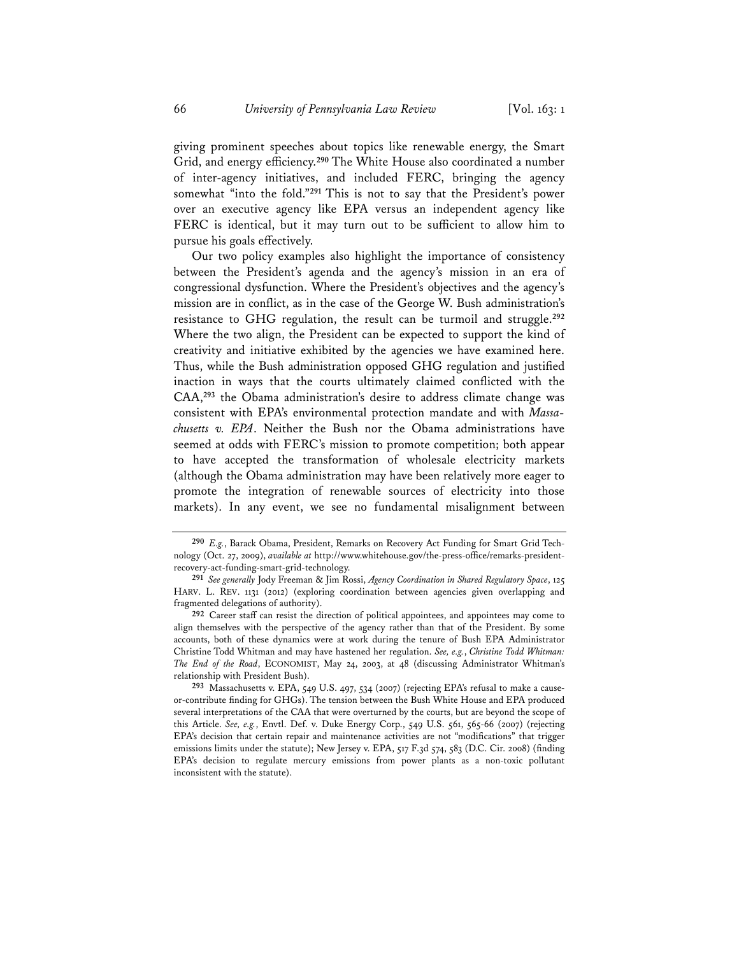giving prominent speeches about topics like renewable energy, the Smart Grid, and energy efficiency.**<sup>290</sup>** The White House also coordinated a number of inter-agency initiatives, and included FERC, bringing the agency somewhat "into the fold."**<sup>291</sup>** This is not to say that the President's power over an executive agency like EPA versus an independent agency like FERC is identical, but it may turn out to be sufficient to allow him to pursue his goals effectively.

Our two policy examples also highlight the importance of consistency between the President's agenda and the agency's mission in an era of congressional dysfunction. Where the President's objectives and the agency's mission are in conflict, as in the case of the George W. Bush administration's resistance to GHG regulation, the result can be turmoil and struggle.**<sup>292</sup>** Where the two align, the President can be expected to support the kind of creativity and initiative exhibited by the agencies we have examined here. Thus, while the Bush administration opposed GHG regulation and justified inaction in ways that the courts ultimately claimed conflicted with the CAA,**<sup>293</sup>** the Obama administration's desire to address climate change was consistent with EPA's environmental protection mandate and with *Massachusetts v. EPA*. Neither the Bush nor the Obama administrations have seemed at odds with FERC's mission to promote competition; both appear to have accepted the transformation of wholesale electricity markets (although the Obama administration may have been relatively more eager to promote the integration of renewable sources of electricity into those markets). In any event, we see no fundamental misalignment between

**<sup>290</sup>** *E.g.*, Barack Obama, President, Remarks on Recovery Act Funding for Smart Grid Technology (Oct. 27, 2009), *available at* http://www.whitehouse.gov/the-press-office/remarks-presidentrecovery-act-funding-smart-grid-technology.

**<sup>291</sup>** *See generally* Jody Freeman & Jim Rossi, *Agency Coordination in Shared Regulatory Space*, 125 HARV. L. REV. 1131 (2012) (exploring coordination between agencies given overlapping and fragmented delegations of authority).

**<sup>292</sup>** Career staff can resist the direction of political appointees, and appointees may come to align themselves with the perspective of the agency rather than that of the President. By some accounts, both of these dynamics were at work during the tenure of Bush EPA Administrator Christine Todd Whitman and may have hastened her regulation. *See, e.g.*, *Christine Todd Whitman: The End of the Road*, ECONOMIST, May 24, 2003, at 48 (discussing Administrator Whitman's relationship with President Bush).

**<sup>293</sup>** Massachusetts v. EPA, 549 U.S. 497, 534 (2007) (rejecting EPA's refusal to make a causeor-contribute finding for GHGs). The tension between the Bush White House and EPA produced several interpretations of the CAA that were overturned by the courts, but are beyond the scope of this Article. *See, e.g.*, Envtl. Def. v. Duke Energy Corp., 549 U.S. 561, 565-66 (2007) (rejecting EPA's decision that certain repair and maintenance activities are not "modifications" that trigger emissions limits under the statute); New Jersey v. EPA, 517 F.3d 574, 583 (D.C. Cir. 2008) (finding EPA's decision to regulate mercury emissions from power plants as a non-toxic pollutant inconsistent with the statute).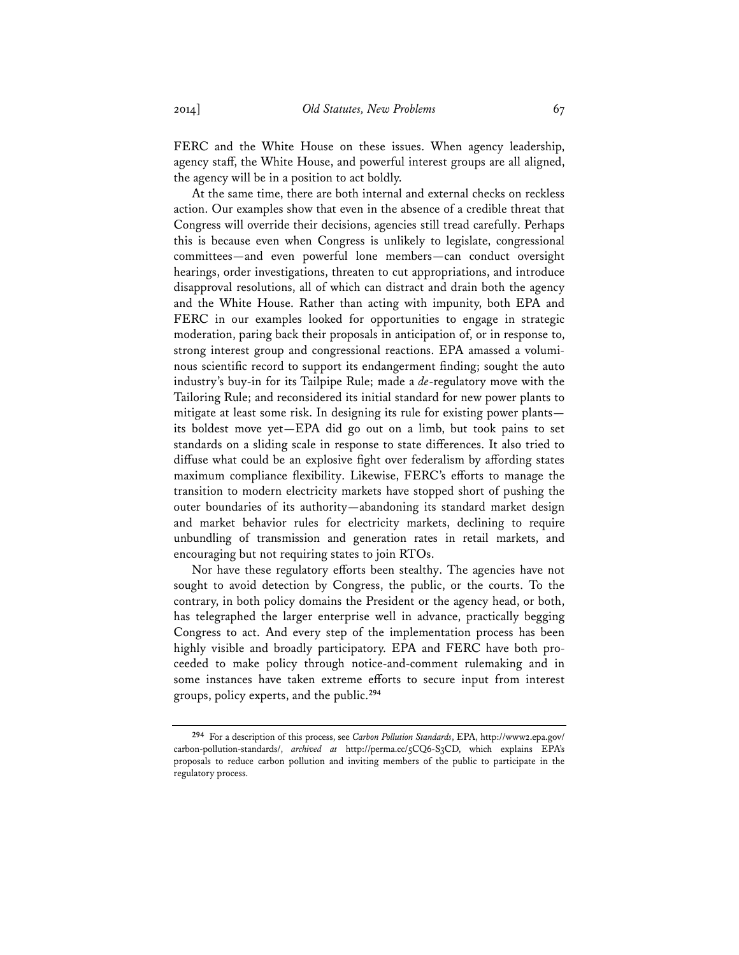FERC and the White House on these issues. When agency leadership, agency staff, the White House, and powerful interest groups are all aligned, the agency will be in a position to act boldly.

At the same time, there are both internal and external checks on reckless action. Our examples show that even in the absence of a credible threat that Congress will override their decisions, agencies still tread carefully. Perhaps this is because even when Congress is unlikely to legislate, congressional committees—and even powerful lone members—can conduct oversight hearings, order investigations, threaten to cut appropriations, and introduce disapproval resolutions, all of which can distract and drain both the agency and the White House. Rather than acting with impunity, both EPA and FERC in our examples looked for opportunities to engage in strategic moderation, paring back their proposals in anticipation of, or in response to, strong interest group and congressional reactions. EPA amassed a voluminous scientific record to support its endangerment finding; sought the auto industry's buy-in for its Tailpipe Rule; made a *de*-regulatory move with the Tailoring Rule; and reconsidered its initial standard for new power plants to mitigate at least some risk. In designing its rule for existing power plants its boldest move yet—EPA did go out on a limb, but took pains to set standards on a sliding scale in response to state differences. It also tried to diffuse what could be an explosive fight over federalism by affording states maximum compliance flexibility. Likewise, FERC's efforts to manage the transition to modern electricity markets have stopped short of pushing the outer boundaries of its authority—abandoning its standard market design and market behavior rules for electricity markets, declining to require unbundling of transmission and generation rates in retail markets, and encouraging but not requiring states to join RTOs.

Nor have these regulatory efforts been stealthy. The agencies have not sought to avoid detection by Congress, the public, or the courts. To the contrary, in both policy domains the President or the agency head, or both, has telegraphed the larger enterprise well in advance, practically begging Congress to act. And every step of the implementation process has been highly visible and broadly participatory. EPA and FERC have both proceeded to make policy through notice-and-comment rulemaking and in some instances have taken extreme efforts to secure input from interest groups, policy experts, and the public.**<sup>294</sup>**

**<sup>294</sup>** For a description of this process, see *Carbon Pollution Standards*, EPA, http://www2.epa.gov/ carbon-pollution-standards/, *archived at* http://perma.cc/5CQ6-S3CD, which explains EPA's proposals to reduce carbon pollution and inviting members of the public to participate in the regulatory process.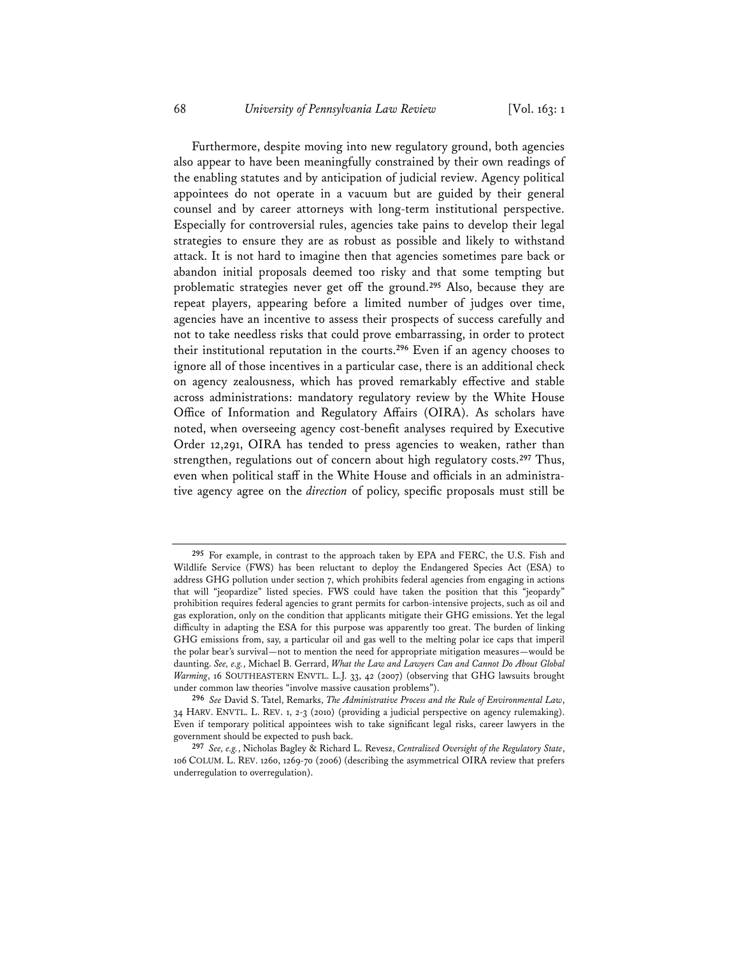Furthermore, despite moving into new regulatory ground, both agencies also appear to have been meaningfully constrained by their own readings of the enabling statutes and by anticipation of judicial review. Agency political appointees do not operate in a vacuum but are guided by their general counsel and by career attorneys with long-term institutional perspective. Especially for controversial rules, agencies take pains to develop their legal strategies to ensure they are as robust as possible and likely to withstand attack. It is not hard to imagine then that agencies sometimes pare back or abandon initial proposals deemed too risky and that some tempting but problematic strategies never get off the ground.**<sup>295</sup>** Also, because they are repeat players, appearing before a limited number of judges over time, agencies have an incentive to assess their prospects of success carefully and not to take needless risks that could prove embarrassing, in order to protect their institutional reputation in the courts.**<sup>296</sup>** Even if an agency chooses to ignore all of those incentives in a particular case, there is an additional check on agency zealousness, which has proved remarkably effective and stable across administrations: mandatory regulatory review by the White House Office of Information and Regulatory Affairs (OIRA). As scholars have noted, when overseeing agency cost-benefit analyses required by Executive Order 12,291, OIRA has tended to press agencies to weaken, rather than strengthen, regulations out of concern about high regulatory costs.**<sup>297</sup>** Thus, even when political staff in the White House and officials in an administrative agency agree on the *direction* of policy, specific proposals must still be

**<sup>295</sup>** For example, in contrast to the approach taken by EPA and FERC, the U.S. Fish and Wildlife Service (FWS) has been reluctant to deploy the Endangered Species Act (ESA) to address GHG pollution under section 7, which prohibits federal agencies from engaging in actions that will "jeopardize" listed species. FWS could have taken the position that this "jeopardy" prohibition requires federal agencies to grant permits for carbon-intensive projects, such as oil and gas exploration, only on the condition that applicants mitigate their GHG emissions. Yet the legal difficulty in adapting the ESA for this purpose was apparently too great. The burden of linking GHG emissions from, say, a particular oil and gas well to the melting polar ice caps that imperil the polar bear's survival—not to mention the need for appropriate mitigation measures—would be daunting. *See, e.g.*, Michael B. Gerrard, *What the Law and Lawyers Can and Cannot Do About Global Warming*, 16 SOUTHEASTERN ENVTL. L.J. 33, 42 (2007) (observing that GHG lawsuits brought under common law theories "involve massive causation problems").

**<sup>296</sup>** *See* David S. Tatel, Remarks, *The Administrative Process and the Rule of Environmental Law*, 34 HARV. ENVTL. L. REV. 1, 2-3 (2010) (providing a judicial perspective on agency rulemaking). Even if temporary political appointees wish to take significant legal risks, career lawyers in the government should be expected to push back.

**<sup>297</sup>** *See, e.g.*, Nicholas Bagley & Richard L. Revesz, *Centralized Oversight of the Regulatory State*, 106 COLUM. L. REV. 1260, 1269-70 (2006) (describing the asymmetrical OIRA review that prefers underregulation to overregulation).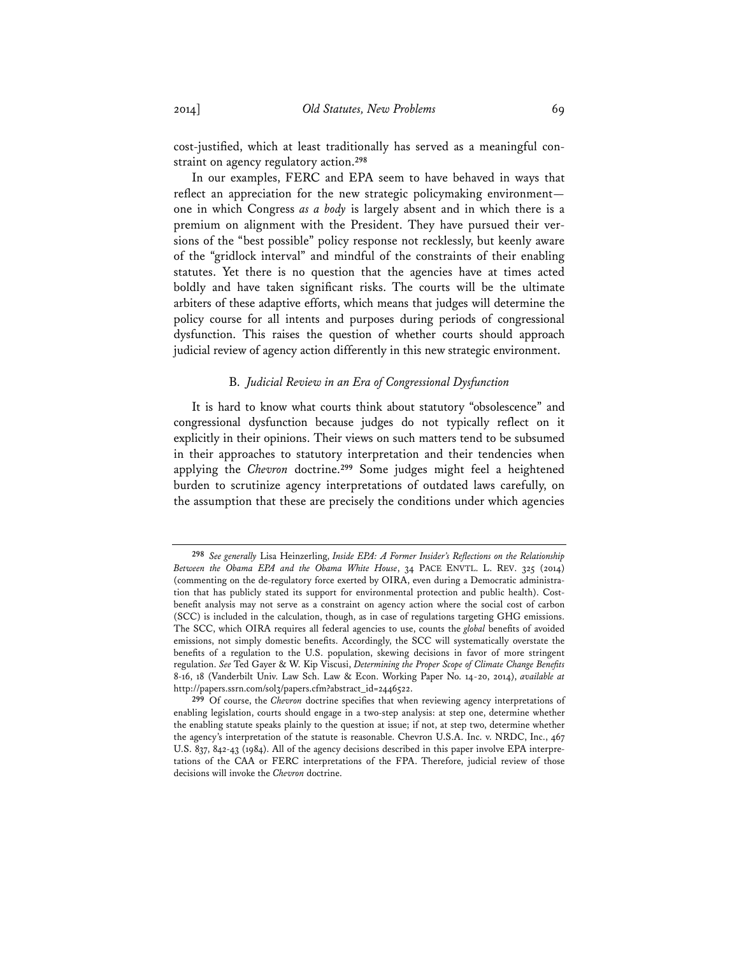cost-justified, which at least traditionally has served as a meaningful constraint on agency regulatory action.**<sup>298</sup>**

In our examples, FERC and EPA seem to have behaved in ways that reflect an appreciation for the new strategic policymaking environment one in which Congress *as a body* is largely absent and in which there is a premium on alignment with the President. They have pursued their versions of the "best possible" policy response not recklessly, but keenly aware of the "gridlock interval" and mindful of the constraints of their enabling statutes. Yet there is no question that the agencies have at times acted boldly and have taken significant risks. The courts will be the ultimate arbiters of these adaptive efforts, which means that judges will determine the policy course for all intents and purposes during periods of congressional dysfunction. This raises the question of whether courts should approach judicial review of agency action differently in this new strategic environment.

## B. *Judicial Review in an Era of Congressional Dysfunction*

It is hard to know what courts think about statutory "obsolescence" and congressional dysfunction because judges do not typically reflect on it explicitly in their opinions. Their views on such matters tend to be subsumed in their approaches to statutory interpretation and their tendencies when applying the *Chevron* doctrine.**<sup>299</sup>** Some judges might feel a heightened burden to scrutinize agency interpretations of outdated laws carefully, on the assumption that these are precisely the conditions under which agencies

**<sup>298</sup>** *See generally* Lisa Heinzerling, *Inside EPA: A Former Insider's Reflections on the Relationship Between the Obama EPA and the Obama White House*, 34 PACE ENVTL. L. REV. 325 (2014) (commenting on the de-regulatory force exerted by OIRA, even during a Democratic administration that has publicly stated its support for environmental protection and public health). Costbenefit analysis may not serve as a constraint on agency action where the social cost of carbon (SCC) is included in the calculation, though, as in case of regulations targeting GHG emissions. The SCC, which OIRA requires all federal agencies to use, counts the *global* benefits of avoided emissions, not simply domestic benefits. Accordingly, the SCC will systematically overstate the benefits of a regulation to the U.S. population, skewing decisions in favor of more stringent regulation. *See* Ted Gayer & W. Kip Viscusi, *Determining the Proper Scope of Climate Change Benefits* 8-16, 18 (Vanderbilt Univ. Law Sch. Law & Econ. Working Paper No. 14-20, 2014), *available at* http://papers.ssrn.com/sol3/papers.cfm?abstract\_id=2446522.

**<sup>299</sup>** Of course, the *Chevron* doctrine specifies that when reviewing agency interpretations of enabling legislation, courts should engage in a two-step analysis: at step one, determine whether the enabling statute speaks plainly to the question at issue; if not, at step two, determine whether the agency's interpretation of the statute is reasonable. Chevron U.S.A. Inc. v. NRDC, Inc., 467 U.S. 837, 842-43 (1984). All of the agency decisions described in this paper involve EPA interpretations of the CAA or FERC interpretations of the FPA. Therefore, judicial review of those decisions will invoke the *Chevron* doctrine.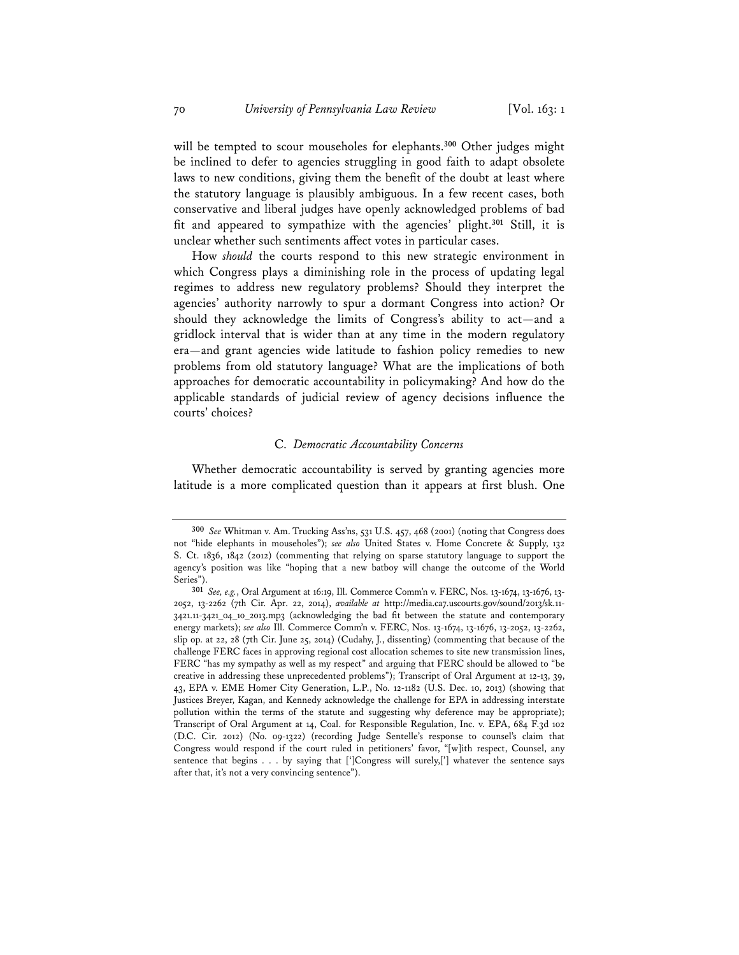will be tempted to scour mouseholes for elephants.**<sup>300</sup>** Other judges might be inclined to defer to agencies struggling in good faith to adapt obsolete laws to new conditions, giving them the benefit of the doubt at least where the statutory language is plausibly ambiguous. In a few recent cases, both conservative and liberal judges have openly acknowledged problems of bad fit and appeared to sympathize with the agencies' plight.**<sup>301</sup>** Still, it is unclear whether such sentiments affect votes in particular cases.

How *should* the courts respond to this new strategic environment in which Congress plays a diminishing role in the process of updating legal regimes to address new regulatory problems? Should they interpret the agencies' authority narrowly to spur a dormant Congress into action? Or should they acknowledge the limits of Congress's ability to act—and a gridlock interval that is wider than at any time in the modern regulatory era—and grant agencies wide latitude to fashion policy remedies to new problems from old statutory language? What are the implications of both approaches for democratic accountability in policymaking? And how do the applicable standards of judicial review of agency decisions influence the courts' choices?

## C. *Democratic Accountability Concerns*

Whether democratic accountability is served by granting agencies more latitude is a more complicated question than it appears at first blush. One

**<sup>300</sup>** *See* Whitman v. Am. Trucking Ass'ns, 531 U.S. 457, 468 (2001) (noting that Congress does not "hide elephants in mouseholes"); *see also* United States v. Home Concrete & Supply, 132 S. Ct. 1836, 1842 (2012) (commenting that relying on sparse statutory language to support the agency's position was like "hoping that a new batboy will change the outcome of the World Series").

**<sup>301</sup>** *See, e.g.*, Oral Argument at 16:19, Ill. Commerce Comm'n v. FERC, Nos. 13-1674, 13-1676, 13- 2052, 13-2262 (7th Cir. Apr. 22, 2014), *available at* http://media.ca7.uscourts.gov/sound/2013/sk.11- 3421.11-3421\_04\_10\_2013.mp3 (acknowledging the bad fit between the statute and contemporary energy markets); *see also* Ill. Commerce Comm'n v. FERC, Nos. 13-1674, 13-1676, 13-2052, 13-2262, slip op. at 22, 28 (7th Cir. June 25, 2014) (Cudahy, J., dissenting) (commenting that because of the challenge FERC faces in approving regional cost allocation schemes to site new transmission lines, FERC "has my sympathy as well as my respect" and arguing that FERC should be allowed to "be creative in addressing these unprecedented problems"); Transcript of Oral Argument at 12-13, 39, 43, EPA v. EME Homer City Generation, L.P., No. 12-1182 (U.S. Dec. 10, 2013) (showing that Justices Breyer, Kagan, and Kennedy acknowledge the challenge for EPA in addressing interstate pollution within the terms of the statute and suggesting why deference may be appropriate); Transcript of Oral Argument at 14, Coal. for Responsible Regulation, Inc. v. EPA, 684 F.3d 102 (D.C. Cir. 2012) (No. 09-1322) (recording Judge Sentelle's response to counsel's claim that Congress would respond if the court ruled in petitioners' favor, "[w]ith respect, Counsel, any sentence that begins . . . by saying that [']Congress will surely,['] whatever the sentence says after that, it's not a very convincing sentence").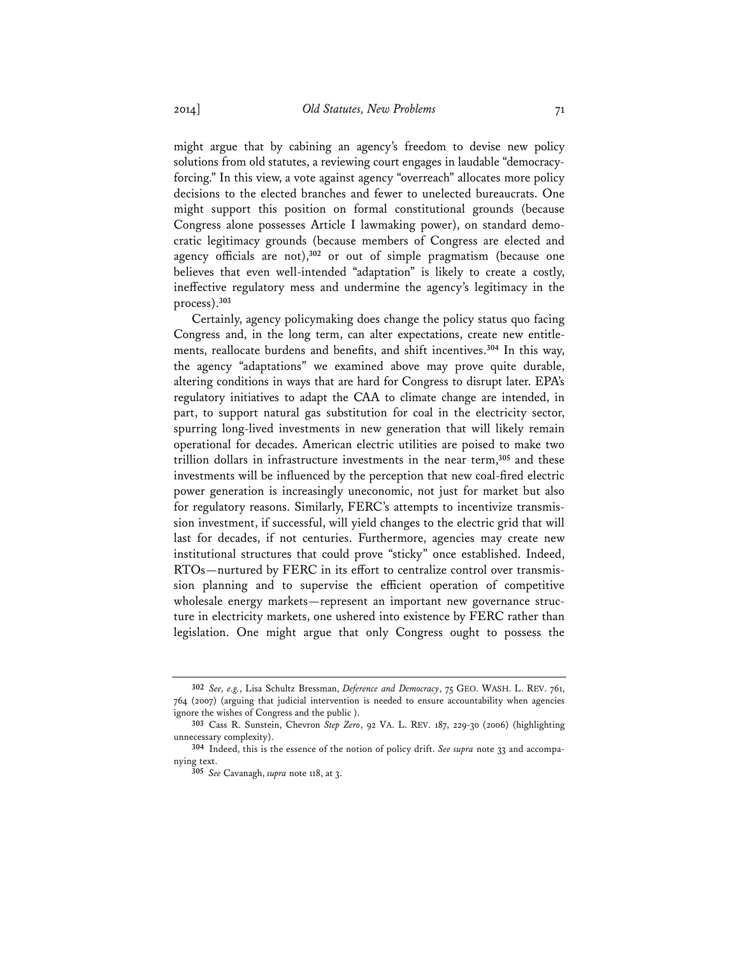might argue that by cabining an agency's freedom to devise new policy solutions from old statutes, a reviewing court engages in laudable "democracyforcing." In this view, a vote against agency "overreach" allocates more policy decisions to the elected branches and fewer to unelected bureaucrats. One might support this position on formal constitutional grounds (because Congress alone possesses Article I lawmaking power), on standard democratic legitimacy grounds (because members of Congress are elected and agency officials are not),**<sup>302</sup>** or out of simple pragmatism (because one believes that even well-intended "adaptation" is likely to create a costly, ineffective regulatory mess and undermine the agency's legitimacy in the process).**<sup>303</sup>**

Certainly, agency policymaking does change the policy status quo facing Congress and, in the long term, can alter expectations, create new entitlements, reallocate burdens and benefits, and shift incentives.**<sup>304</sup>** In this way, the agency "adaptations" we examined above may prove quite durable, altering conditions in ways that are hard for Congress to disrupt later. EPA's regulatory initiatives to adapt the CAA to climate change are intended, in part, to support natural gas substitution for coal in the electricity sector, spurring long-lived investments in new generation that will likely remain operational for decades. American electric utilities are poised to make two trillion dollars in infrastructure investments in the near term,**<sup>305</sup>** and these investments will be influenced by the perception that new coal-fired electric power generation is increasingly uneconomic, not just for market but also for regulatory reasons. Similarly, FERC's attempts to incentivize transmission investment, if successful, will yield changes to the electric grid that will last for decades, if not centuries. Furthermore, agencies may create new institutional structures that could prove "sticky" once established. Indeed, RTOs—nurtured by FERC in its effort to centralize control over transmission planning and to supervise the efficient operation of competitive wholesale energy markets—represent an important new governance structure in electricity markets, one ushered into existence by FERC rather than legislation. One might argue that only Congress ought to possess the

**<sup>302</sup>** *See, e.g.*, Lisa Schultz Bressman, *Deference and Democracy*, 75 GEO. WASH. L. REV. 761, 764 (2007) (arguing that judicial intervention is needed to ensure accountability when agencies ignore the wishes of Congress and the public ).

**<sup>303</sup>** Cass R. Sunstein, Chevron *Step Zero*, 92 VA. L. REV. 187, 229-30 (2006) (highlighting unnecessary complexity).

**<sup>304</sup>** Indeed, this is the essence of the notion of policy drift. *See supra* note 33 and accompanying text.

**<sup>305</sup>** *See* Cavanagh, *supra* note 118, at 3.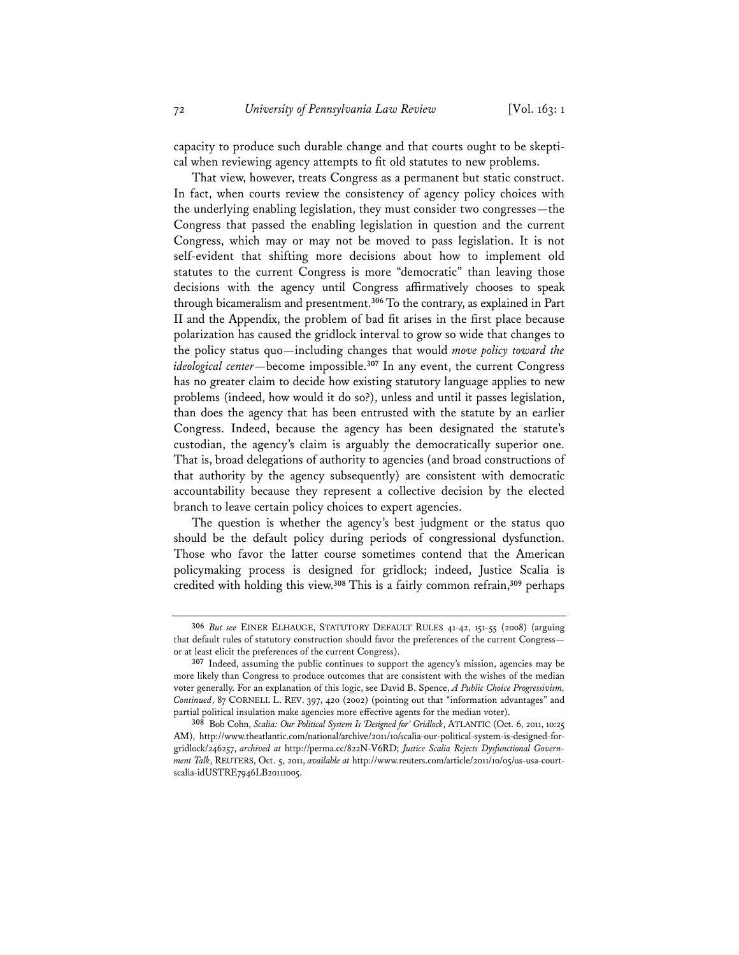capacity to produce such durable change and that courts ought to be skeptical when reviewing agency attempts to fit old statutes to new problems.

That view, however, treats Congress as a permanent but static construct. In fact, when courts review the consistency of agency policy choices with the underlying enabling legislation, they must consider two congresses—the Congress that passed the enabling legislation in question and the current Congress, which may or may not be moved to pass legislation. It is not self-evident that shifting more decisions about how to implement old statutes to the current Congress is more "democratic" than leaving those decisions with the agency until Congress affirmatively chooses to speak through bicameralism and presentment.**<sup>306</sup>** To the contrary, as explained in Part II and the Appendix, the problem of bad fit arises in the first place because polarization has caused the gridlock interval to grow so wide that changes to the policy status quo—including changes that would *move policy toward the ideological center*—become impossible.**<sup>307</sup>** In any event, the current Congress has no greater claim to decide how existing statutory language applies to new problems (indeed, how would it do so?), unless and until it passes legislation, than does the agency that has been entrusted with the statute by an earlier Congress. Indeed, because the agency has been designated the statute's custodian, the agency's claim is arguably the democratically superior one. That is, broad delegations of authority to agencies (and broad constructions of that authority by the agency subsequently) are consistent with democratic accountability because they represent a collective decision by the elected branch to leave certain policy choices to expert agencies.

The question is whether the agency's best judgment or the status quo should be the default policy during periods of congressional dysfunction. Those who favor the latter course sometimes contend that the American policymaking process is designed for gridlock; indeed, Justice Scalia is credited with holding this view.**<sup>308</sup>** This is a fairly common refrain,**<sup>309</sup>** perhaps

**<sup>306</sup>** *But see* EINER ELHAUGE, STATUTORY DEFAULT RULES 41-42, 151-55 (2008) (arguing that default rules of statutory construction should favor the preferences of the current Congress or at least elicit the preferences of the current Congress).

**<sup>307</sup>** Indeed, assuming the public continues to support the agency's mission, agencies may be more likely than Congress to produce outcomes that are consistent with the wishes of the median voter generally. For an explanation of this logic, see David B. Spence, *A Public Choice Progressivism, Continued*, 87 CORNELL L. REV. 397, 420 (2002) (pointing out that "information advantages" and partial political insulation make agencies more effective agents for the median voter).

**<sup>308</sup>** Bob Cohn, *Scalia: Our Political System Is 'Designed for' Gridlock*, ATLANTIC (Oct. 6, 2011, 10:25 AM), http://www.theatlantic.com/national/archive/2011/10/scalia-our-political-system-is-designed-forgridlock/246257, *archived at* http://perma.cc/822N-V6RD; *Justice Scalia Rejects Dysfunctional Government Talk*, REUTERS, Oct. 5, 2011, *available at* http://www.reuters.com/article/2011/10/05/us-usa-courtscalia-idUSTRE7946LB20111005.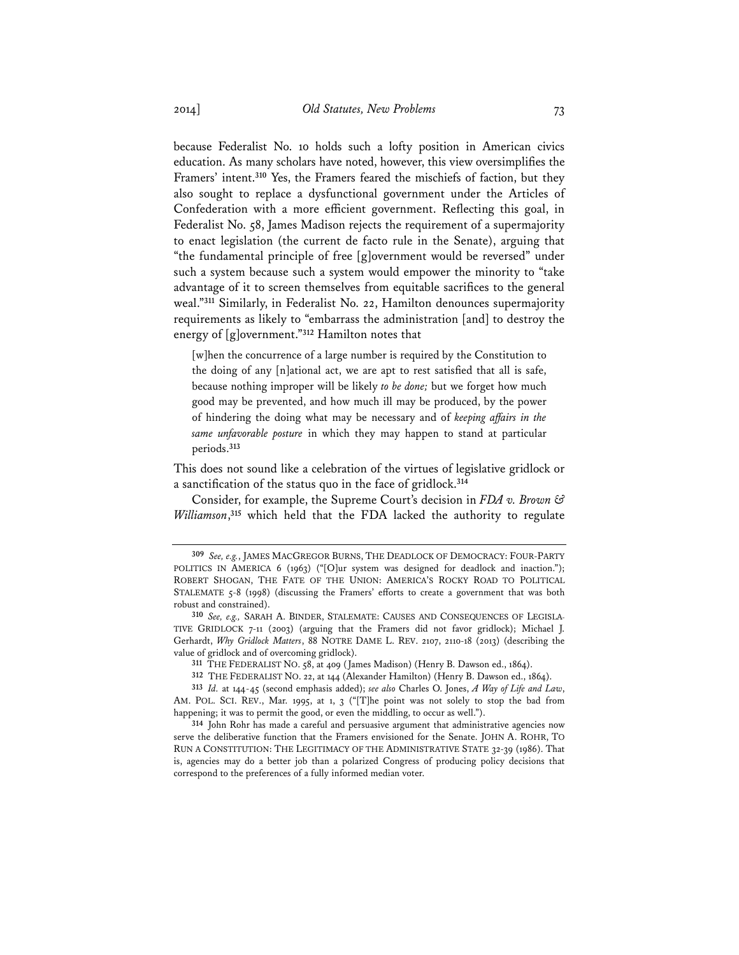because Federalist No. 10 holds such a lofty position in American civics education. As many scholars have noted, however, this view oversimplifies the Framers' intent.**<sup>310</sup>** Yes, the Framers feared the mischiefs of faction, but they also sought to replace a dysfunctional government under the Articles of Confederation with a more efficient government. Reflecting this goal, in Federalist No. 58, James Madison rejects the requirement of a supermajority to enact legislation (the current de facto rule in the Senate), arguing that "the fundamental principle of free [g]overnment would be reversed" under such a system because such a system would empower the minority to "take advantage of it to screen themselves from equitable sacrifices to the general weal."**<sup>311</sup>** Similarly, in Federalist No. 22, Hamilton denounces supermajority requirements as likely to "embarrass the administration [and] to destroy the energy of [g]overnment."**<sup>312</sup>** Hamilton notes that

[w]hen the concurrence of a large number is required by the Constitution to the doing of any [n]ational act, we are apt to rest satisfied that all is safe, because nothing improper will be likely *to be done;* but we forget how much good may be prevented, and how much ill may be produced, by the power of hindering the doing what may be necessary and of *keeping affairs in the same unfavorable posture* in which they may happen to stand at particular periods.**<sup>313</sup>**

This does not sound like a celebration of the virtues of legislative gridlock or a sanctification of the status quo in the face of gridlock.**<sup>314</sup>**

Consider, for example, the Supreme Court's decision in *FDA v. Brown & Williamson*, **<sup>315</sup>** which held that the FDA lacked the authority to regulate

**311** THE FEDERALIST NO. 58, at 409 (James Madison) (Henry B. Dawson ed., 1864).

**312** THE FEDERALIST NO. 22, at 144 (Alexander Hamilton) (Henry B. Dawson ed., 1864).

**313** *Id.* at 144-45 (second emphasis added); *see also* Charles O. Jones, *A Way of Life and Law*, AM. POL. SCI. REV., Mar. 1995, at 1, 3 ("[T]he point was not solely to stop the bad from happening; it was to permit the good, or even the middling, to occur as well.").

**314** John Rohr has made a careful and persuasive argument that administrative agencies now serve the deliberative function that the Framers envisioned for the Senate. JOHN A. ROHR, TO RUN A CONSTITUTION: THE LEGITIMACY OF THE ADMINISTRATIVE STATE 32-39 (1986). That is, agencies may do a better job than a polarized Congress of producing policy decisions that correspond to the preferences of a fully informed median voter.

**<sup>309</sup>** *See, e.g.*, JAMES MACGREGOR BURNS, THE DEADLOCK OF DEMOCRACY: FOUR-PARTY POLITICS IN AMERICA 6 (1963) ("[O]ur system was designed for deadlock and inaction."); ROBERT SHOGAN, THE FATE OF THE UNION: AMERICA'S ROCKY ROAD TO POLITICAL STALEMATE 5-8 (1998) (discussing the Framers' efforts to create a government that was both robust and constrained).

**<sup>310</sup>** *See, e.g.,* SARAH A. BINDER, STALEMATE: CAUSES AND CONSEQUENCES OF LEGISLA-TIVE GRIDLOCK 7-11 (2003) (arguing that the Framers did not favor gridlock); Michael J. Gerhardt, *Why Gridlock Matters*, 88 NOTRE DAME L. REV. 2107, 2110-18 (2013) (describing the value of gridlock and of overcoming gridlock).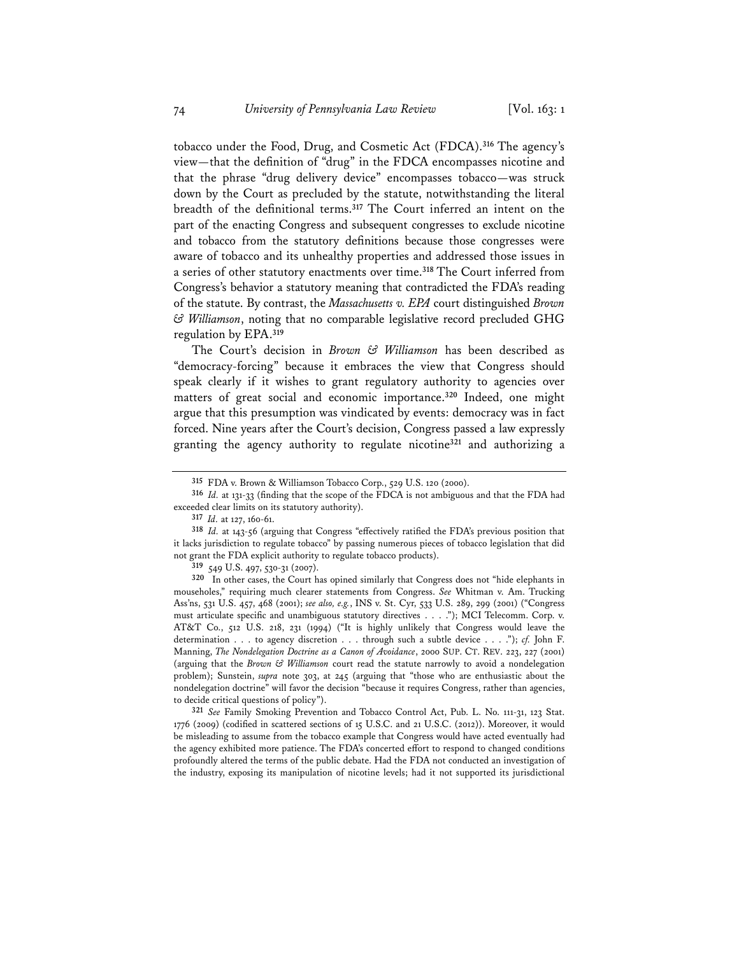tobacco under the Food, Drug, and Cosmetic Act (FDCA).**<sup>316</sup>** The agency's view—that the definition of "drug" in the FDCA encompasses nicotine and that the phrase "drug delivery device" encompasses tobacco—was struck down by the Court as precluded by the statute, notwithstanding the literal breadth of the definitional terms.**<sup>317</sup>** The Court inferred an intent on the part of the enacting Congress and subsequent congresses to exclude nicotine and tobacco from the statutory definitions because those congresses were aware of tobacco and its unhealthy properties and addressed those issues in a series of other statutory enactments over time.**<sup>318</sup>** The Court inferred from Congress's behavior a statutory meaning that contradicted the FDA's reading of the statute. By contrast, the *Massachusetts v. EPA* court distinguished *Brown & Williamson*, noting that no comparable legislative record precluded GHG regulation by EPA.**<sup>319</sup>**

The Court's decision in *Brown & Williamson* has been described as "democracy-forcing" because it embraces the view that Congress should speak clearly if it wishes to grant regulatory authority to agencies over matters of great social and economic importance.**<sup>320</sup>** Indeed, one might argue that this presumption was vindicated by events: democracy was in fact forced. Nine years after the Court's decision, Congress passed a law expressly granting the agency authority to regulate nicotine**<sup>321</sup>** and authorizing a

**319** 549 U.S. 497, 530-31 (2007).

**320** In other cases, the Court has opined similarly that Congress does not "hide elephants in mouseholes," requiring much clearer statements from Congress. *See* Whitman v. Am. Trucking Ass'ns, 531 U.S. 457, 468 (2001); *see also, e.g.*, INS v. St. Cyr, 533 U.S. 289, 299 (2001) ("Congress must articulate specific and unambiguous statutory directives . . . ."); MCI Telecomm. Corp. v. AT&T Co., 512 U.S. 218, 231 (1994) ("It is highly unlikely that Congress would leave the determination . . . to agency discretion . . . through such a subtle device . . . ."); *cf.* John F. Manning, *The Nondelegation Doctrine as a Canon of Avoidance*, 2000 SUP. CT. REV. 223, 227 (2001) (arguing that the *Brown & Williamson* court read the statute narrowly to avoid a nondelegation problem); Sunstein, *supra* note 303, at 245 (arguing that "those who are enthusiastic about the nondelegation doctrine" will favor the decision "because it requires Congress, rather than agencies, to decide critical questions of policy").

**321** *See* Family Smoking Prevention and Tobacco Control Act, Pub. L. No. 111-31, 123 Stat. 1776 (2009) (codified in scattered sections of 15 U.S.C. and 21 U.S.C. (2012)). Moreover, it would be misleading to assume from the tobacco example that Congress would have acted eventually had the agency exhibited more patience. The FDA's concerted effort to respond to changed conditions profoundly altered the terms of the public debate. Had the FDA not conducted an investigation of the industry, exposing its manipulation of nicotine levels; had it not supported its jurisdictional

**<sup>315</sup>** FDA v. Brown & Williamson Tobacco Corp., 529 U.S. 120 (2000).

**<sup>316</sup>** *Id.* at 131-33 (finding that the scope of the FDCA is not ambiguous and that the FDA had exceeded clear limits on its statutory authority).

**<sup>317</sup>** *Id.* at 127, 160-61.

**<sup>318</sup>** *Id.* at 143-56 (arguing that Congress "effectively ratified the FDA's previous position that it lacks jurisdiction to regulate tobacco" by passing numerous pieces of tobacco legislation that did not grant the FDA explicit authority to regulate tobacco products).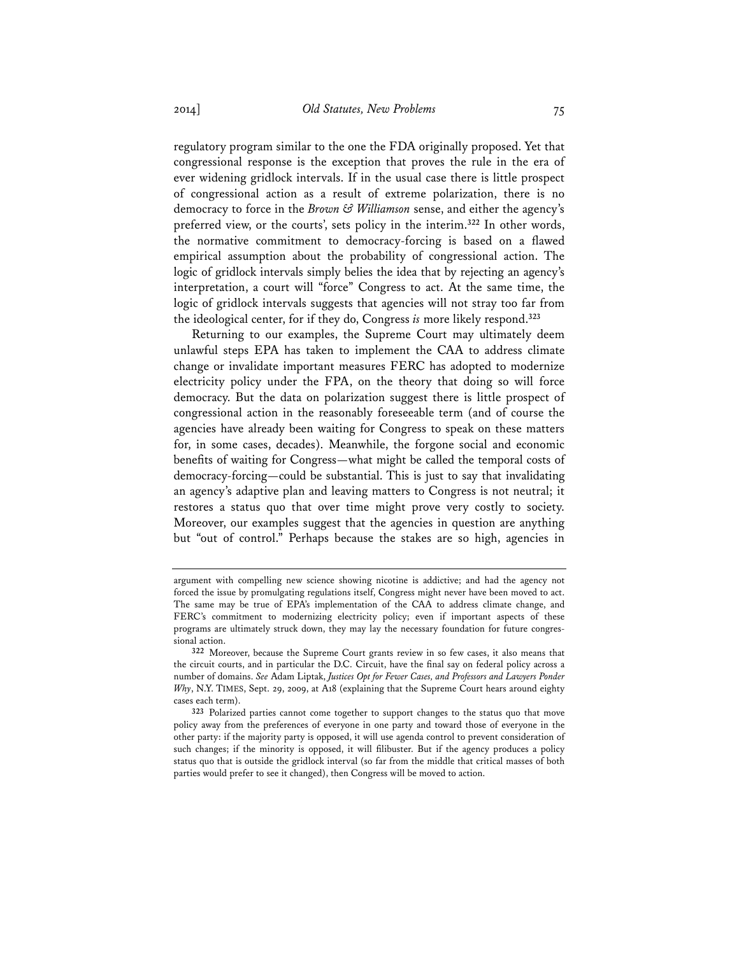regulatory program similar to the one the FDA originally proposed. Yet that congressional response is the exception that proves the rule in the era of ever widening gridlock intervals. If in the usual case there is little prospect of congressional action as a result of extreme polarization, there is no democracy to force in the *Brown & Williamson* sense, and either the agency's preferred view, or the courts', sets policy in the interim.**<sup>322</sup>** In other words, the normative commitment to democracy-forcing is based on a flawed empirical assumption about the probability of congressional action. The logic of gridlock intervals simply belies the idea that by rejecting an agency's interpretation, a court will "force" Congress to act. At the same time, the logic of gridlock intervals suggests that agencies will not stray too far from the ideological center, for if they do, Congress *is* more likely respond.**<sup>323</sup>**

Returning to our examples, the Supreme Court may ultimately deem unlawful steps EPA has taken to implement the CAA to address climate change or invalidate important measures FERC has adopted to modernize electricity policy under the FPA, on the theory that doing so will force democracy. But the data on polarization suggest there is little prospect of congressional action in the reasonably foreseeable term (and of course the agencies have already been waiting for Congress to speak on these matters for, in some cases, decades). Meanwhile, the forgone social and economic benefits of waiting for Congress—what might be called the temporal costs of democracy-forcing—could be substantial. This is just to say that invalidating an agency's adaptive plan and leaving matters to Congress is not neutral; it restores a status quo that over time might prove very costly to society. Moreover, our examples suggest that the agencies in question are anything but "out of control." Perhaps because the stakes are so high, agencies in

argument with compelling new science showing nicotine is addictive; and had the agency not forced the issue by promulgating regulations itself, Congress might never have been moved to act. The same may be true of EPA's implementation of the CAA to address climate change, and FERC's commitment to modernizing electricity policy; even if important aspects of these programs are ultimately struck down, they may lay the necessary foundation for future congressional action.

**<sup>322</sup>** Moreover, because the Supreme Court grants review in so few cases, it also means that the circuit courts, and in particular the D.C. Circuit, have the final say on federal policy across a number of domains. *See* Adam Liptak, *Justices Opt for Fewer Cases, and Professors and Lawyers Ponder Why*, N.Y. TIMES, Sept. 29, 2009, at A18 (explaining that the Supreme Court hears around eighty cases each term).

**<sup>323</sup>** Polarized parties cannot come together to support changes to the status quo that move policy away from the preferences of everyone in one party and toward those of everyone in the other party: if the majority party is opposed, it will use agenda control to prevent consideration of such changes; if the minority is opposed, it will filibuster. But if the agency produces a policy status quo that is outside the gridlock interval (so far from the middle that critical masses of both parties would prefer to see it changed), then Congress will be moved to action.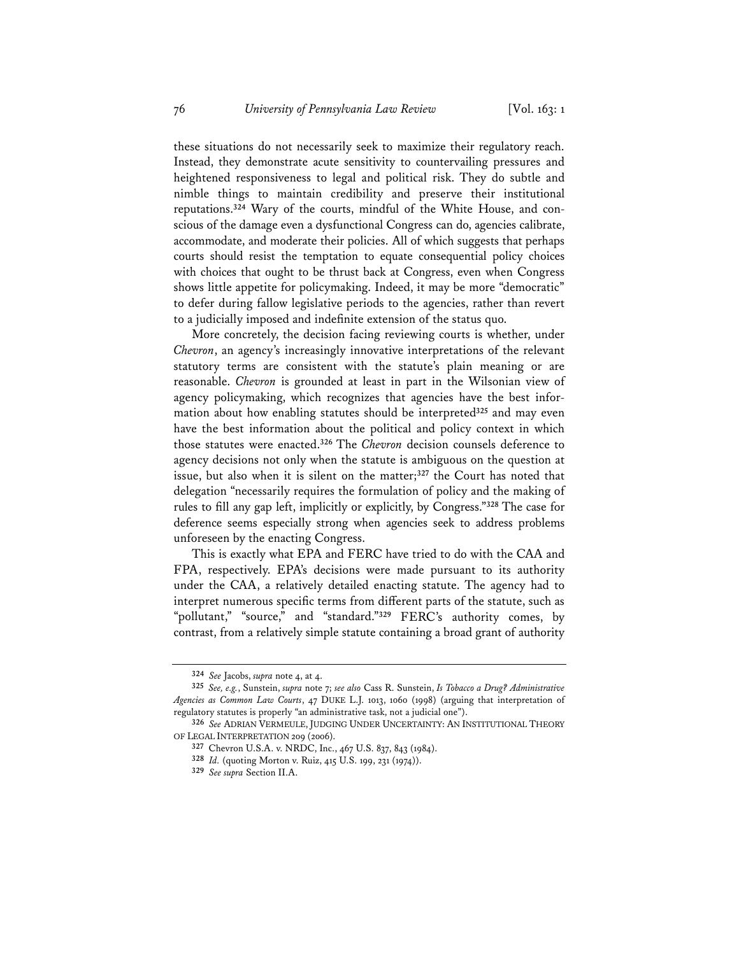these situations do not necessarily seek to maximize their regulatory reach. Instead, they demonstrate acute sensitivity to countervailing pressures and heightened responsiveness to legal and political risk. They do subtle and nimble things to maintain credibility and preserve their institutional reputations.**324** Wary of the courts, mindful of the White House, and conscious of the damage even a dysfunctional Congress can do, agencies calibrate, accommodate, and moderate their policies. All of which suggests that perhaps courts should resist the temptation to equate consequential policy choices with choices that ought to be thrust back at Congress, even when Congress shows little appetite for policymaking. Indeed, it may be more "democratic" to defer during fallow legislative periods to the agencies, rather than revert to a judicially imposed and indefinite extension of the status quo.

More concretely, the decision facing reviewing courts is whether, under *Chevron*, an agency's increasingly innovative interpretations of the relevant statutory terms are consistent with the statute's plain meaning or are reasonable. *Chevron* is grounded at least in part in the Wilsonian view of agency policymaking, which recognizes that agencies have the best information about how enabling statutes should be interpreted**<sup>325</sup>** and may even have the best information about the political and policy context in which those statutes were enacted.**<sup>326</sup>** The *Chevron* decision counsels deference to agency decisions not only when the statute is ambiguous on the question at issue, but also when it is silent on the matter;**<sup>327</sup>** the Court has noted that delegation "necessarily requires the formulation of policy and the making of rules to fill any gap left, implicitly or explicitly, by Congress."**<sup>328</sup>** The case for deference seems especially strong when agencies seek to address problems unforeseen by the enacting Congress.

This is exactly what EPA and FERC have tried to do with the CAA and FPA, respectively. EPA's decisions were made pursuant to its authority under the CAA, a relatively detailed enacting statute. The agency had to interpret numerous specific terms from different parts of the statute, such as "pollutant," "source," and "standard."**<sup>329</sup>** FERC's authority comes, by contrast, from a relatively simple statute containing a broad grant of authority

**<sup>324</sup>** *See* Jacobs, *supra* note 4, at 4.

**<sup>325</sup>** *See, e.g.*, Sunstein, *supra* note 7; *see also* Cass R. Sunstein, *Is Tobacco a Drug? Administrative Agencies as Common Law Courts*, 47 DUKE L.J. 1013, 1060 (1998) (arguing that interpretation of regulatory statutes is properly "an administrative task, not a judicial one").

**<sup>326</sup>** *See* ADRIAN VERMEULE, JUDGING UNDER UNCERTAINTY: AN INSTITUTIONAL THEORY OF LEGAL INTERPRETATION 209 (2006).

**<sup>327</sup>** Chevron U.S.A. v. NRDC, Inc., 467 U.S. 837, 843 (1984).

**<sup>328</sup>** *Id.* (quoting Morton v. Ruiz, 415 U.S. 199, 231 (1974)).

**<sup>329</sup>** *See supra* Section II.A.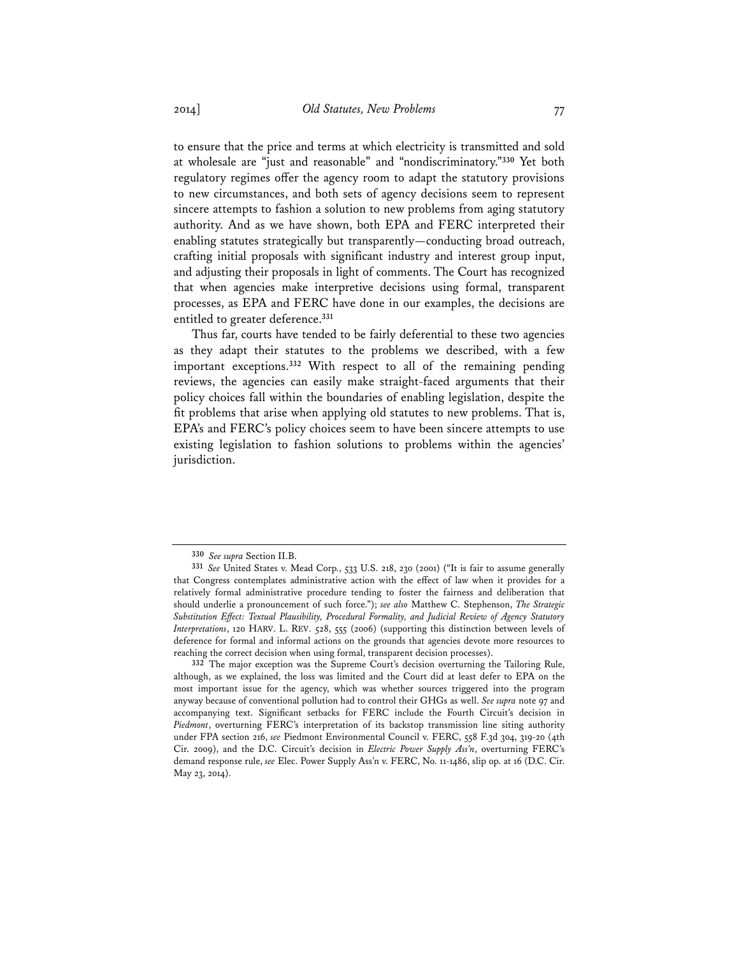to ensure that the price and terms at which electricity is transmitted and sold at wholesale are "just and reasonable" and "nondiscriminatory."**<sup>330</sup>** Yet both regulatory regimes offer the agency room to adapt the statutory provisions to new circumstances, and both sets of agency decisions seem to represent sincere attempts to fashion a solution to new problems from aging statutory authority. And as we have shown, both EPA and FERC interpreted their enabling statutes strategically but transparently—conducting broad outreach, crafting initial proposals with significant industry and interest group input, and adjusting their proposals in light of comments. The Court has recognized that when agencies make interpretive decisions using formal, transparent processes, as EPA and FERC have done in our examples, the decisions are entitled to greater deference.**<sup>331</sup>**

Thus far, courts have tended to be fairly deferential to these two agencies as they adapt their statutes to the problems we described, with a few important exceptions.**<sup>332</sup>** With respect to all of the remaining pending reviews, the agencies can easily make straight-faced arguments that their policy choices fall within the boundaries of enabling legislation, despite the fit problems that arise when applying old statutes to new problems. That is, EPA's and FERC's policy choices seem to have been sincere attempts to use existing legislation to fashion solutions to problems within the agencies' jurisdiction.

**<sup>330</sup>** *See supra* Section II.B.

**<sup>331</sup>** *See* United States v. Mead Corp., 533 U.S. 218, 230 (2001) ("It is fair to assume generally that Congress contemplates administrative action with the effect of law when it provides for a relatively formal administrative procedure tending to foster the fairness and deliberation that should underlie a pronouncement of such force."); *see also* Matthew C. Stephenson, *The Strategic Substitution Effect: Textual Plausibility, Procedural Formality, and Judicial Review of Agency Statutory Interpretations*, 120 HARV. L. REV. 528, 555 (2006) (supporting this distinction between levels of deference for formal and informal actions on the grounds that agencies devote more resources to reaching the correct decision when using formal, transparent decision processes).

**<sup>332</sup>** The major exception was the Supreme Court's decision overturning the Tailoring Rule, although, as we explained, the loss was limited and the Court did at least defer to EPA on the most important issue for the agency, which was whether sources triggered into the program anyway because of conventional pollution had to control their GHGs as well. *See supra* note 97 and accompanying text. Significant setbacks for FERC include the Fourth Circuit's decision in *Piedmont*, overturning FERC's interpretation of its backstop transmission line siting authority under FPA section 216, *see* Piedmont Environmental Council v. FERC, 558 F.3d 304, 319-20 (4th Cir. 2009), and the D.C. Circuit's decision in *Electric Power Supply Ass'n*, overturning FERC's demand response rule, *see* Elec. Power Supply Ass'n v. FERC, No. 11-1486, slip op. at 16 (D.C. Cir. May 23, 2014).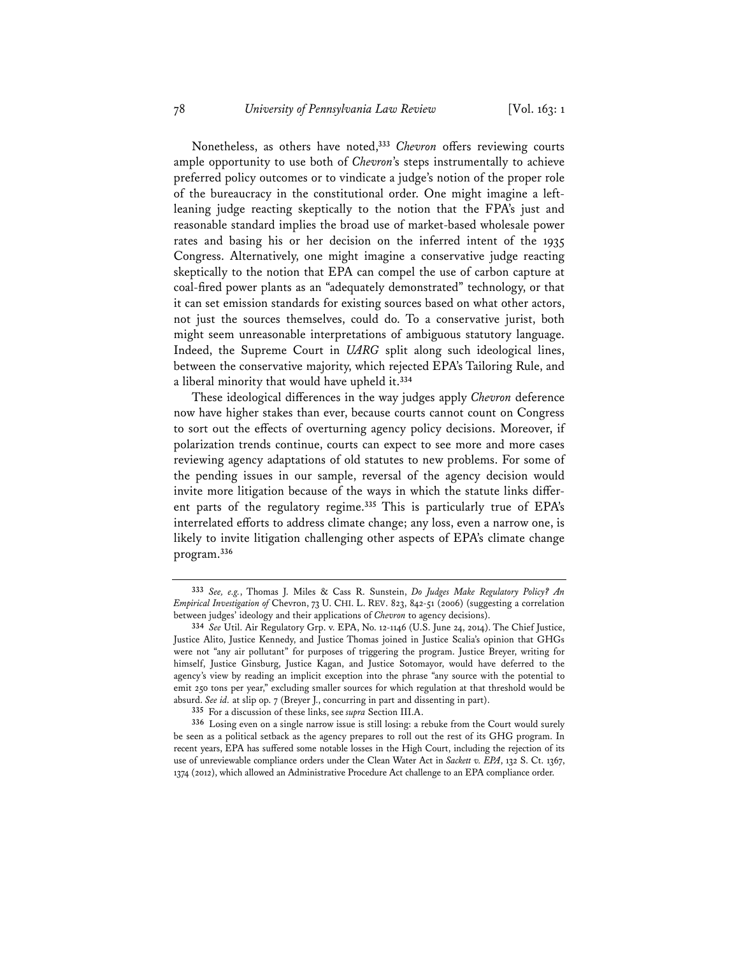Nonetheless, as others have noted,**<sup>333</sup>** *Chevron* offers reviewing courts ample opportunity to use both of *Chevron*'s steps instrumentally to achieve preferred policy outcomes or to vindicate a judge's notion of the proper role of the bureaucracy in the constitutional order. One might imagine a leftleaning judge reacting skeptically to the notion that the FPA's just and reasonable standard implies the broad use of market-based wholesale power rates and basing his or her decision on the inferred intent of the 1935 Congress. Alternatively, one might imagine a conservative judge reacting skeptically to the notion that EPA can compel the use of carbon capture at coal-fired power plants as an "adequately demonstrated" technology, or that it can set emission standards for existing sources based on what other actors, not just the sources themselves, could do. To a conservative jurist, both might seem unreasonable interpretations of ambiguous statutory language. Indeed, the Supreme Court in *UARG* split along such ideological lines, between the conservative majority, which rejected EPA's Tailoring Rule, and a liberal minority that would have upheld it.**<sup>334</sup>**

These ideological differences in the way judges apply *Chevron* deference now have higher stakes than ever, because courts cannot count on Congress to sort out the effects of overturning agency policy decisions. Moreover, if polarization trends continue, courts can expect to see more and more cases reviewing agency adaptations of old statutes to new problems. For some of the pending issues in our sample, reversal of the agency decision would invite more litigation because of the ways in which the statute links different parts of the regulatory regime.**<sup>335</sup>** This is particularly true of EPA's interrelated efforts to address climate change; any loss, even a narrow one, is likely to invite litigation challenging other aspects of EPA's climate change program.**<sup>336</sup>**

**<sup>333</sup>** *See, e.g.*, Thomas J. Miles & Cass R. Sunstein, *Do Judges Make Regulatory Policy? An Empirical Investigation of* Chevron, 73 U. CHI. L. REV. 823, 842-51 (2006) (suggesting a correlation between judges' ideology and their applications of *Chevron* to agency decisions).

**<sup>334</sup>** *See* Util. Air Regulatory Grp. v. EPA, No. 12-1146 (U.S. June 24, 2014). The Chief Justice, Justice Alito, Justice Kennedy, and Justice Thomas joined in Justice Scalia's opinion that GHGs were not "any air pollutant" for purposes of triggering the program. Justice Breyer, writing for himself, Justice Ginsburg, Justice Kagan, and Justice Sotomayor, would have deferred to the agency's view by reading an implicit exception into the phrase "any source with the potential to emit 250 tons per year," excluding smaller sources for which regulation at that threshold would be absurd. *See id.* at slip op. 7 (Breyer J., concurring in part and dissenting in part).

**<sup>335</sup>** For a discussion of these links, see *supra* Section III.A.

**<sup>336</sup>** Losing even on a single narrow issue is still losing: a rebuke from the Court would surely be seen as a political setback as the agency prepares to roll out the rest of its GHG program. In recent years, EPA has suffered some notable losses in the High Court, including the rejection of its use of unreviewable compliance orders under the Clean Water Act in *Sackett v. EPA*, 132 S. Ct. 1367, 1374 (2012), which allowed an Administrative Procedure Act challenge to an EPA compliance order.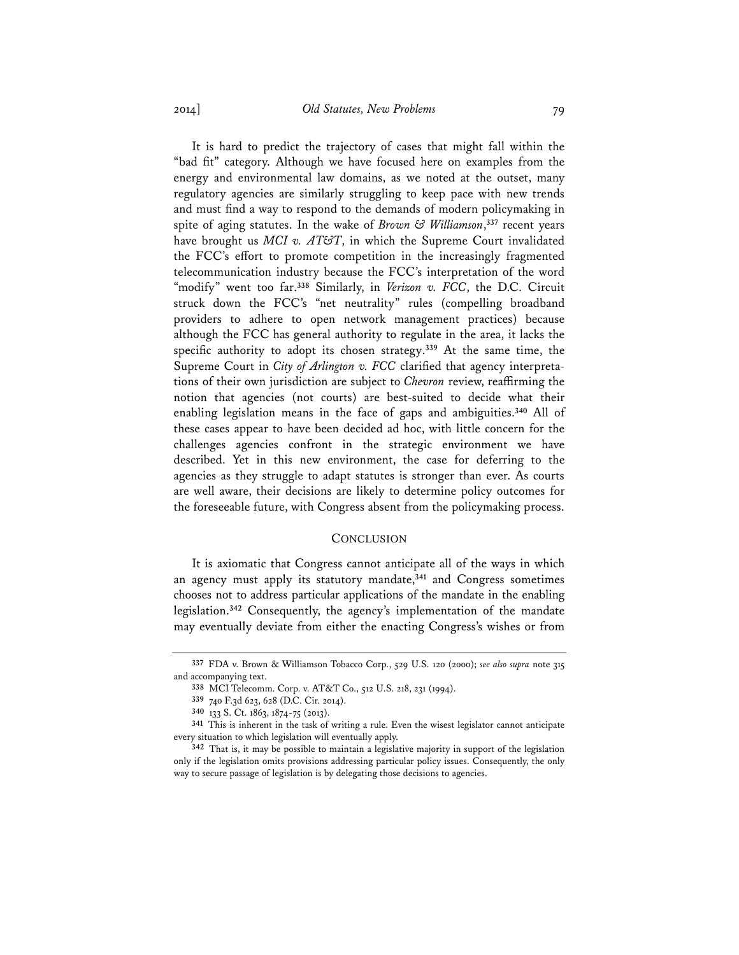It is hard to predict the trajectory of cases that might fall within the "bad fit" category. Although we have focused here on examples from the energy and environmental law domains, as we noted at the outset, many regulatory agencies are similarly struggling to keep pace with new trends and must find a way to respond to the demands of modern policymaking in spite of aging statutes. In the wake of *Brown & Williamson*, **<sup>337</sup>** recent years have brought us *MCI v. AT&T*, in which the Supreme Court invalidated the FCC's effort to promote competition in the increasingly fragmented telecommunication industry because the FCC's interpretation of the word "modify" went too far.**<sup>338</sup>** Similarly, in *Verizon v. FCC*, the D.C. Circuit struck down the FCC's "net neutrality" rules (compelling broadband providers to adhere to open network management practices) because although the FCC has general authority to regulate in the area, it lacks the specific authority to adopt its chosen strategy.**<sup>339</sup>** At the same time, the Supreme Court in *City of Arlington v. FCC* clarified that agency interpretations of their own jurisdiction are subject to *Chevron* review, reaffirming the notion that agencies (not courts) are best-suited to decide what their enabling legislation means in the face of gaps and ambiguities.**<sup>340</sup>** All of these cases appear to have been decided ad hoc, with little concern for the challenges agencies confront in the strategic environment we have described. Yet in this new environment, the case for deferring to the agencies as they struggle to adapt statutes is stronger than ever. As courts are well aware, their decisions are likely to determine policy outcomes for the foreseeable future, with Congress absent from the policymaking process.

### **CONCLUSION**

It is axiomatic that Congress cannot anticipate all of the ways in which an agency must apply its statutory mandate,**<sup>341</sup>** and Congress sometimes chooses not to address particular applications of the mandate in the enabling legislation.**<sup>342</sup>** Consequently, the agency's implementation of the mandate may eventually deviate from either the enacting Congress's wishes or from

**<sup>337</sup>** FDA v. Brown & Williamson Tobacco Corp., 529 U.S. 120 (2000); *see also supra* note 315 and accompanying text.

**<sup>338</sup>** MCI Telecomm. Corp. v. AT&T Co., 512 U.S. 218, 231 (1994).

**<sup>339</sup>** 740 F.3d 623, 628 (D.C. Cir. 2014).

**<sup>340</sup>** 133 S. Ct. 1863, 1874-75 (2013).

**<sup>341</sup>** This is inherent in the task of writing a rule. Even the wisest legislator cannot anticipate every situation to which legislation will eventually apply.

**<sup>342</sup>** That is, it may be possible to maintain a legislative majority in support of the legislation only if the legislation omits provisions addressing particular policy issues. Consequently, the only way to secure passage of legislation is by delegating those decisions to agencies.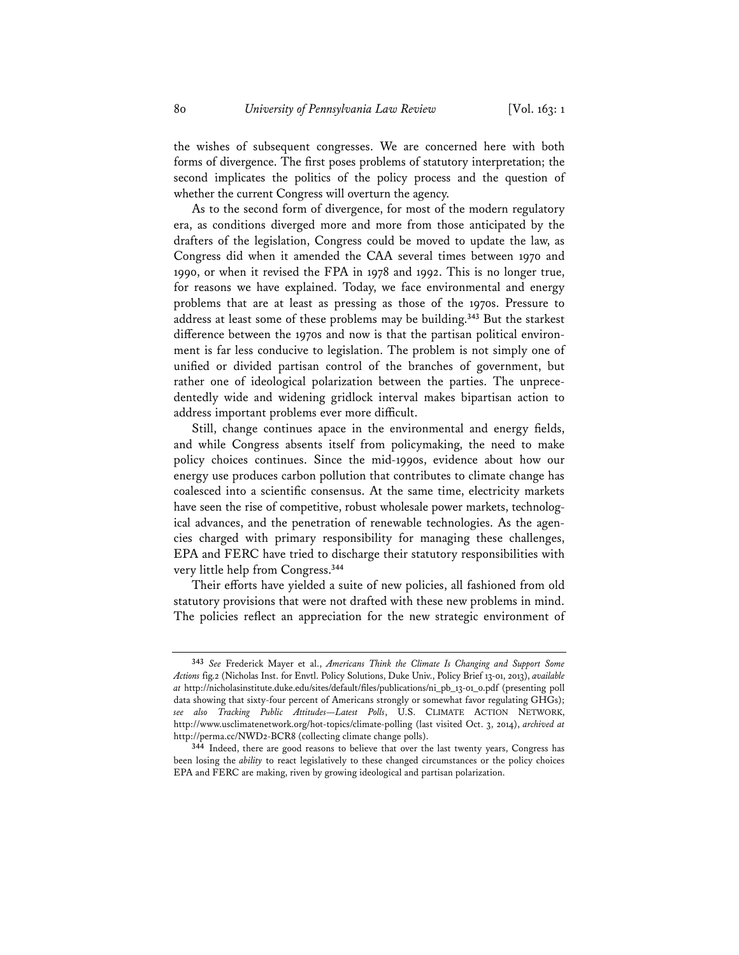the wishes of subsequent congresses. We are concerned here with both forms of divergence. The first poses problems of statutory interpretation; the second implicates the politics of the policy process and the question of whether the current Congress will overturn the agency.

As to the second form of divergence, for most of the modern regulatory era, as conditions diverged more and more from those anticipated by the drafters of the legislation, Congress could be moved to update the law, as Congress did when it amended the CAA several times between 1970 and 1990, or when it revised the FPA in 1978 and 1992. This is no longer true, for reasons we have explained. Today, we face environmental and energy problems that are at least as pressing as those of the 1970s. Pressure to address at least some of these problems may be building.**<sup>343</sup>** But the starkest difference between the 1970s and now is that the partisan political environment is far less conducive to legislation. The problem is not simply one of unified or divided partisan control of the branches of government, but rather one of ideological polarization between the parties. The unprecedentedly wide and widening gridlock interval makes bipartisan action to address important problems ever more difficult.

Still, change continues apace in the environmental and energy fields, and while Congress absents itself from policymaking, the need to make policy choices continues. Since the mid-1990s, evidence about how our energy use produces carbon pollution that contributes to climate change has coalesced into a scientific consensus. At the same time, electricity markets have seen the rise of competitive, robust wholesale power markets, technological advances, and the penetration of renewable technologies. As the agencies charged with primary responsibility for managing these challenges, EPA and FERC have tried to discharge their statutory responsibilities with very little help from Congress.**<sup>344</sup>**

Their efforts have yielded a suite of new policies, all fashioned from old statutory provisions that were not drafted with these new problems in mind. The policies reflect an appreciation for the new strategic environment of

**<sup>343</sup>** *See* Frederick Mayer et al., *Americans Think the Climate Is Changing and Support Some Actions* fig.2 (Nicholas Inst. for Envtl. Policy Solutions, Duke Univ., Policy Brief 13-01, 2013), *available at* http://nicholasinstitute.duke.edu/sites/default/files/publications/ni\_pb\_13-01\_0.pdf (presenting poll data showing that sixty-four percent of Americans strongly or somewhat favor regulating GHGs); *see also Tracking Public Attitudes—Latest Polls*, U.S. CLIMATE ACTION NETWORK, http://www.usclimatenetwork.org/hot-topics/climate-polling (last visited Oct. 3, 2014), *archived at* http://perma.cc/NWD2-BCR8 (collecting climate change polls).

**<sup>344</sup>** Indeed, there are good reasons to believe that over the last twenty years, Congress has been losing the *ability* to react legislatively to these changed circumstances or the policy choices EPA and FERC are making, riven by growing ideological and partisan polarization.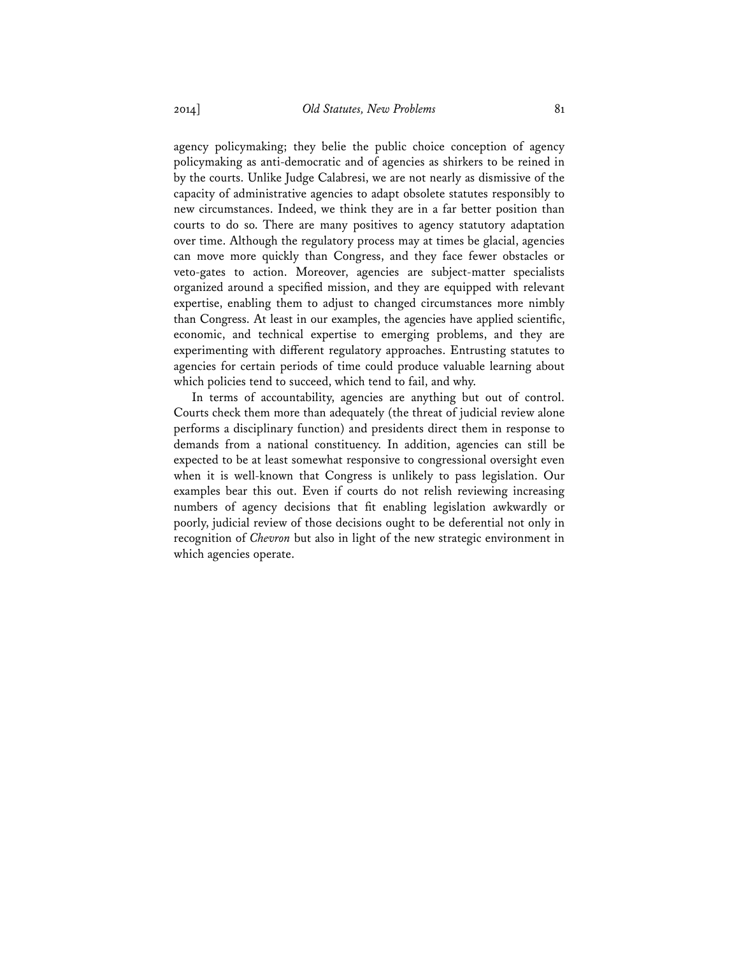agency policymaking; they belie the public choice conception of agency policymaking as anti-democratic and of agencies as shirkers to be reined in by the courts. Unlike Judge Calabresi, we are not nearly as dismissive of the capacity of administrative agencies to adapt obsolete statutes responsibly to new circumstances. Indeed, we think they are in a far better position than courts to do so. There are many positives to agency statutory adaptation over time. Although the regulatory process may at times be glacial, agencies can move more quickly than Congress, and they face fewer obstacles or veto-gates to action. Moreover, agencies are subject-matter specialists organized around a specified mission, and they are equipped with relevant expertise, enabling them to adjust to changed circumstances more nimbly than Congress. At least in our examples, the agencies have applied scientific, economic, and technical expertise to emerging problems, and they are experimenting with different regulatory approaches. Entrusting statutes to agencies for certain periods of time could produce valuable learning about which policies tend to succeed, which tend to fail, and why.

In terms of accountability, agencies are anything but out of control. Courts check them more than adequately (the threat of judicial review alone performs a disciplinary function) and presidents direct them in response to demands from a national constituency. In addition, agencies can still be expected to be at least somewhat responsive to congressional oversight even when it is well-known that Congress is unlikely to pass legislation. Our examples bear this out. Even if courts do not relish reviewing increasing numbers of agency decisions that fit enabling legislation awkwardly or poorly, judicial review of those decisions ought to be deferential not only in recognition of *Chevron* but also in light of the new strategic environment in which agencies operate.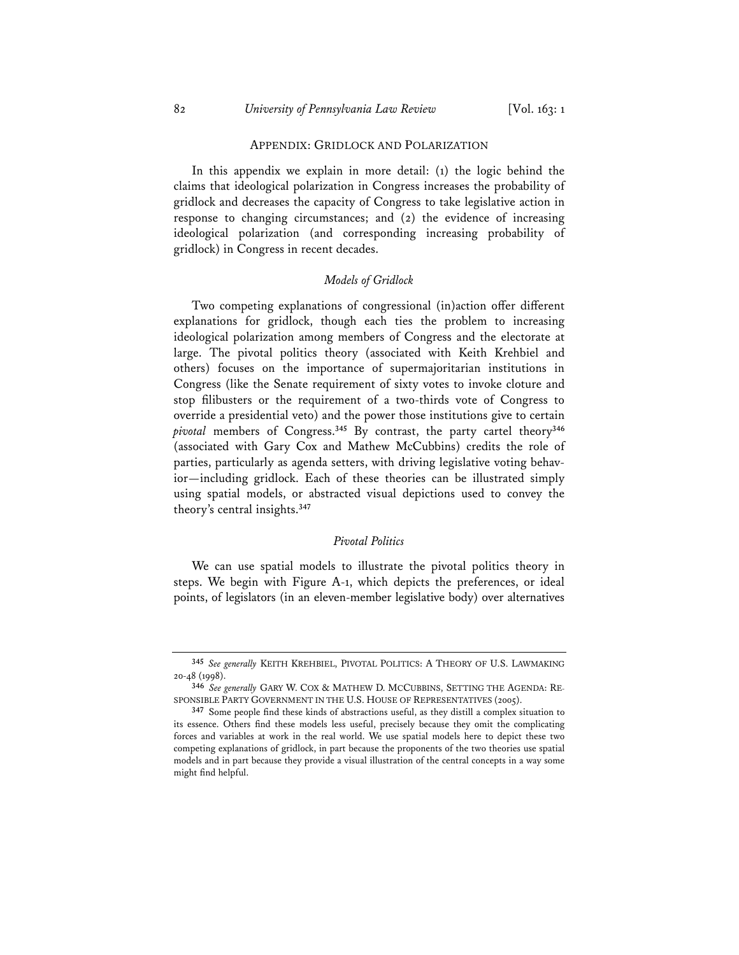#### APPENDIX: GRIDLOCK AND POLARIZATION

In this appendix we explain in more detail: (1) the logic behind the claims that ideological polarization in Congress increases the probability of gridlock and decreases the capacity of Congress to take legislative action in response to changing circumstances; and (2) the evidence of increasing ideological polarization (and corresponding increasing probability of gridlock) in Congress in recent decades.

#### *Models of Gridlock*

Two competing explanations of congressional (in)action offer different explanations for gridlock, though each ties the problem to increasing ideological polarization among members of Congress and the electorate at large. The pivotal politics theory (associated with Keith Krehbiel and others) focuses on the importance of supermajoritarian institutions in Congress (like the Senate requirement of sixty votes to invoke cloture and stop filibusters or the requirement of a two-thirds vote of Congress to override a presidential veto) and the power those institutions give to certain *pivotal* members of Congress.**<sup>345</sup>** By contrast, the party cartel theory**<sup>346</sup>** (associated with Gary Cox and Mathew McCubbins) credits the role of parties, particularly as agenda setters, with driving legislative voting behavior—including gridlock. Each of these theories can be illustrated simply using spatial models, or abstracted visual depictions used to convey the theory's central insights.**<sup>347</sup>**

### *Pivotal Politics*

We can use spatial models to illustrate the pivotal politics theory in steps. We begin with Figure A-1, which depicts the preferences, or ideal points, of legislators (in an eleven-member legislative body) over alternatives

**<sup>345</sup>** *See generally* KEITH KREHBIEL, PIVOTAL POLITICS: A THEORY OF U.S. LAWMAKING 20-48 (1998).

**<sup>346</sup>** *See generally* GARY W. COX & MATHEW D. MCCUBBINS, SETTING THE AGENDA: RE-SPONSIBLE PARTY GOVERNMENT IN THE U.S. HOUSE OF REPRESENTATIVES (2005).

**<sup>347</sup>** Some people find these kinds of abstractions useful, as they distill a complex situation to its essence. Others find these models less useful, precisely because they omit the complicating forces and variables at work in the real world. We use spatial models here to depict these two competing explanations of gridlock, in part because the proponents of the two theories use spatial models and in part because they provide a visual illustration of the central concepts in a way some might find helpful.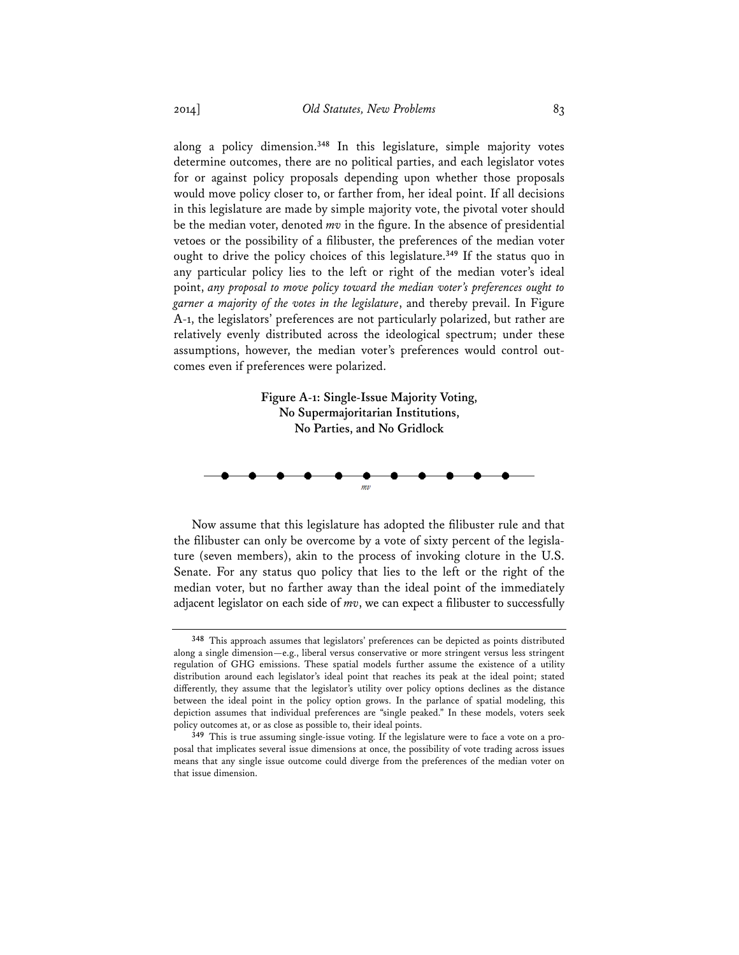along a policy dimension.**<sup>348</sup>** In this legislature, simple majority votes determine outcomes, there are no political parties, and each legislator votes for or against policy proposals depending upon whether those proposals would move policy closer to, or farther from, her ideal point. If all decisions in this legislature are made by simple majority vote, the pivotal voter should be the median voter, denoted *mv* in the figure. In the absence of presidential vetoes or the possibility of a filibuster, the preferences of the median voter ought to drive the policy choices of this legislature.**<sup>349</sup>** If the status quo in any particular policy lies to the left or right of the median voter's ideal point, *any proposal to move policy toward the median voter's preferences ought to garner a majority of the votes in the legislature*, and thereby prevail. In Figure A-1, the legislators' preferences are not particularly polarized, but rather are relatively evenly distributed across the ideological spectrum; under these assumptions, however, the median voter's preferences would control outcomes even if preferences were polarized.



Now assume that this legislature has adopted the filibuster rule and that the filibuster can only be overcome by a vote of sixty percent of the legislature (seven members), akin to the process of invoking cloture in the U.S. Senate. For any status quo policy that lies to the left or the right of the median voter, but no farther away than the ideal point of the immediately adjacent legislator on each side of *mv*, we can expect a filibuster to successfully

**<sup>348</sup>** This approach assumes that legislators' preferences can be depicted as points distributed along a single dimension—e.g., liberal versus conservative or more stringent versus less stringent regulation of GHG emissions. These spatial models further assume the existence of a utility distribution around each legislator's ideal point that reaches its peak at the ideal point; stated differently, they assume that the legislator's utility over policy options declines as the distance between the ideal point in the policy option grows. In the parlance of spatial modeling, this depiction assumes that individual preferences are "single peaked." In these models, voters seek policy outcomes at, or as close as possible to, their ideal points.

**<sup>349</sup>** This is true assuming single-issue voting. If the legislature were to face a vote on a proposal that implicates several issue dimensions at once, the possibility of vote trading across issues means that any single issue outcome could diverge from the preferences of the median voter on that issue dimension.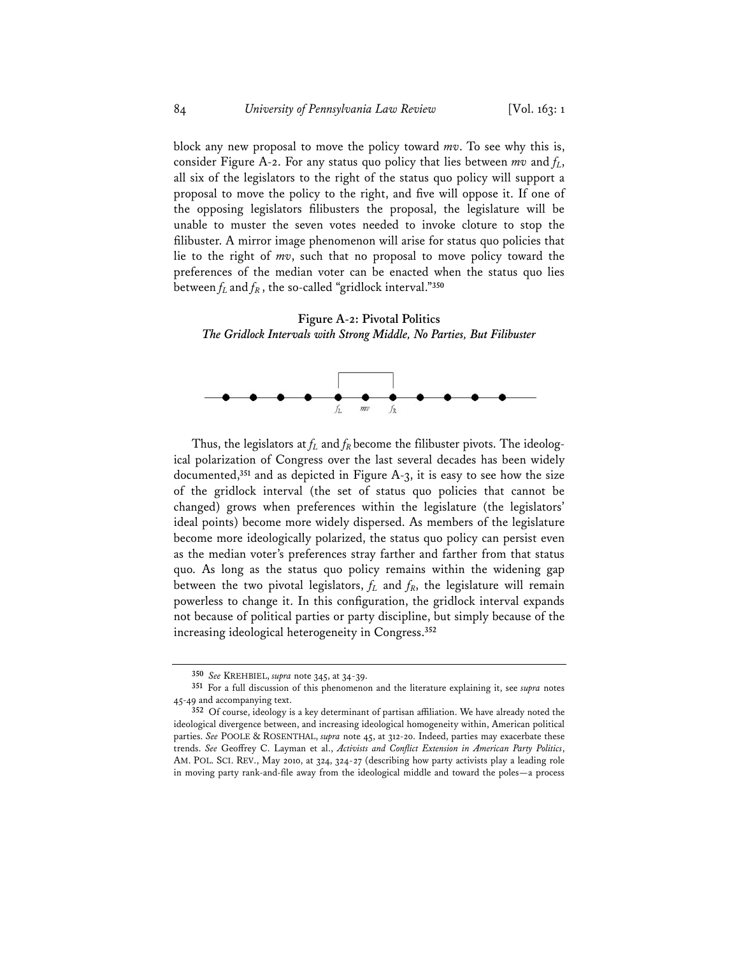block any new proposal to move the policy toward *mv*. To see why this is, consider Figure A-2. For any status quo policy that lies between  $mv$  and  $f<sub>L</sub>$ , all six of the legislators to the right of the status quo policy will support a proposal to move the policy to the right, and five will oppose it. If one of the opposing legislators filibusters the proposal, the legislature will be unable to muster the seven votes needed to invoke cloture to stop the filibuster. A mirror image phenomenon will arise for status quo policies that lie to the right of *mv*, such that no proposal to move policy toward the preferences of the median voter can be enacted when the status quo lies between  $f_L$  and  $f_R$ , the so-called "gridlock interval."<sup>350</sup>

**Figure A-2: Pivotal Politics**  *The Gridlock Intervals with Strong Middle, No Parties, But Filibuster* 



Thus, the legislators at  $f_L$  and  $f_R$  become the filibuster pivots. The ideological polarization of Congress over the last several decades has been widely documented,**<sup>351</sup>** and as depicted in Figure A-3, it is easy to see how the size of the gridlock interval (the set of status quo policies that cannot be changed) grows when preferences within the legislature (the legislators' ideal points) become more widely dispersed. As members of the legislature become more ideologically polarized, the status quo policy can persist even as the median voter's preferences stray farther and farther from that status quo. As long as the status quo policy remains within the widening gap between the two pivotal legislators,  $f_L$  and  $f_R$ , the legislature will remain powerless to change it. In this configuration, the gridlock interval expands not because of political parties or party discipline, but simply because of the increasing ideological heterogeneity in Congress.**<sup>352</sup>**

**<sup>350</sup>** *See* KREHBIEL, *supra* note 345, at 34-39.

**<sup>351</sup>** For a full discussion of this phenomenon and the literature explaining it, see *supra* notes 45-49 and accompanying text.

**<sup>352</sup>** Of course, ideology is a key determinant of partisan affiliation. We have already noted the ideological divergence between, and increasing ideological homogeneity within, American political parties. *See* POOLE & ROSENTHAL, *supra* note 45, at 312-20. Indeed, parties may exacerbate these trends. *See* Geoffrey C. Layman et al., *Activists and Conflict Extension in American Party Politics*, AM. POL. SCI. REV., May 2010, at 324, 324-27 (describing how party activists play a leading role in moving party rank-and-file away from the ideological middle and toward the poles—a process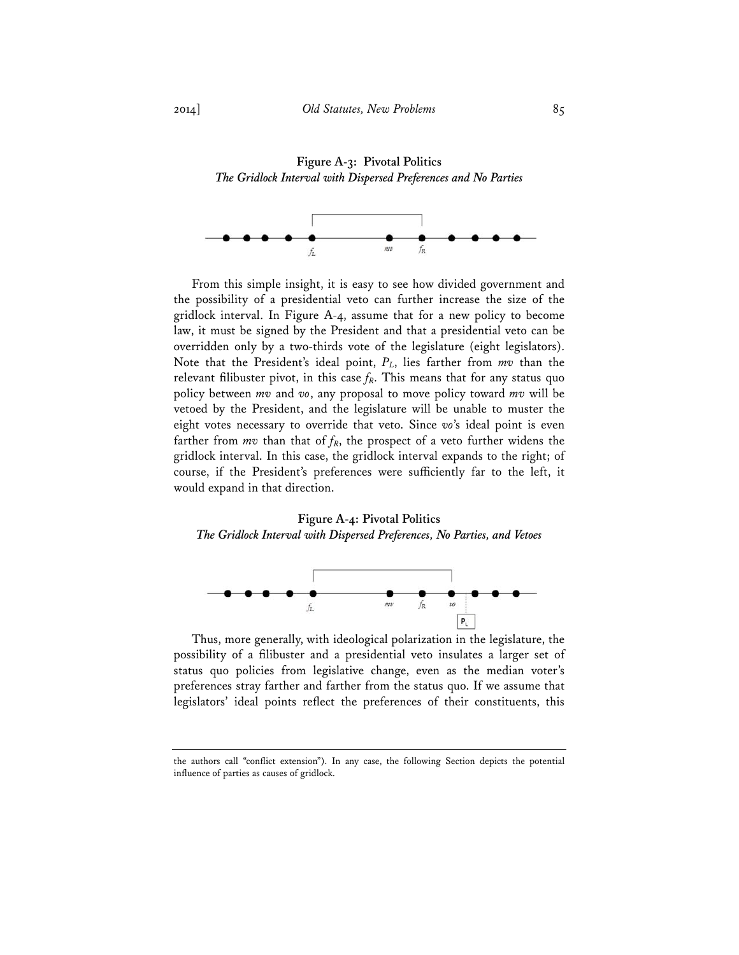**Figure A-3: Pivotal Politics**  *The Gridlock Interval with Dispersed Preferences and No Parties* 



From this simple insight, it is easy to see how divided government and the possibility of a presidential veto can further increase the size of the gridlock interval. In Figure A-4, assume that for a new policy to become law, it must be signed by the President and that a presidential veto can be overridden only by a two-thirds vote of the legislature (eight legislators). Note that the President's ideal point, *PL*, lies farther from *mv* than the relevant filibuster pivot, in this case  $f_R$ . This means that for any status quo policy between *mv* and *vo*, any proposal to move policy toward *mv* will be vetoed by the President, and the legislature will be unable to muster the eight votes necessary to override that veto. Since *vo*'s ideal point is even farther from  $mv$  than that of  $f_R$ , the prospect of a veto further widens the gridlock interval. In this case, the gridlock interval expands to the right; of course, if the President's preferences were sufficiently far to the left, it would expand in that direction.

## **Figure A-4: Pivotal Politics**  *The Gridlock Interval with Dispersed Preferences, No Parties, and Vetoes*



Thus, more generally, with ideological polarization in the legislature, the possibility of a filibuster and a presidential veto insulates a larger set of status quo policies from legislative change, even as the median voter's preferences stray farther and farther from the status quo. If we assume that legislators' ideal points reflect the preferences of their constituents, this

the authors call "conflict extension"). In any case, the following Section depicts the potential influence of parties as causes of gridlock.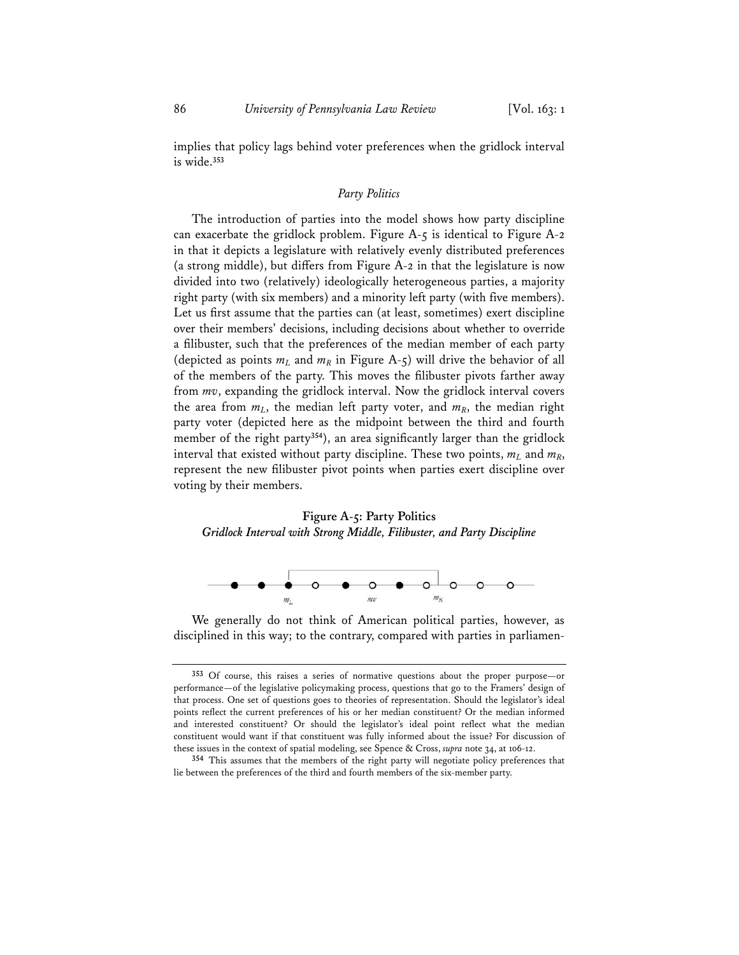implies that policy lags behind voter preferences when the gridlock interval is wide.**<sup>353</sup>**

### *Party Politics*

The introduction of parties into the model shows how party discipline can exacerbate the gridlock problem. Figure A-5 is identical to Figure A-2 in that it depicts a legislature with relatively evenly distributed preferences (a strong middle), but differs from Figure A-2 in that the legislature is now divided into two (relatively) ideologically heterogeneous parties, a majority right party (with six members) and a minority left party (with five members). Let us first assume that the parties can (at least, sometimes) exert discipline over their members' decisions, including decisions about whether to override a filibuster, such that the preferences of the median member of each party (depicted as points  $m<sub>L</sub>$  and  $m<sub>R</sub>$  in Figure A-5) will drive the behavior of all of the members of the party. This moves the filibuster pivots farther away from *mv*, expanding the gridlock interval. Now the gridlock interval covers the area from  $m<sub>L</sub>$ , the median left party voter, and  $m<sub>R</sub>$ , the median right party voter (depicted here as the midpoint between the third and fourth member of the right party**<sup>354</sup>**), an area significantly larger than the gridlock interval that existed without party discipline. These two points,  $m_l$  and  $m_R$ , represent the new filibuster pivot points when parties exert discipline over voting by their members.

# **Figure A-5: Party Politics**  *Gridlock Interval with Strong Middle, Filibuster, and Party Discipline*



We generally do not think of American political parties, however, as disciplined in this way; to the contrary, compared with parties in parliamen-

**<sup>353</sup>** Of course, this raises a series of normative questions about the proper purpose—or performance—of the legislative policymaking process, questions that go to the Framers' design of that process. One set of questions goes to theories of representation. Should the legislator's ideal points reflect the current preferences of his or her median constituent? Or the median informed and interested constituent? Or should the legislator's ideal point reflect what the median constituent would want if that constituent was fully informed about the issue? For discussion of these issues in the context of spatial modeling, see Spence & Cross, *supra* note 34, at 106-12.

**<sup>354</sup>** This assumes that the members of the right party will negotiate policy preferences that lie between the preferences of the third and fourth members of the six-member party.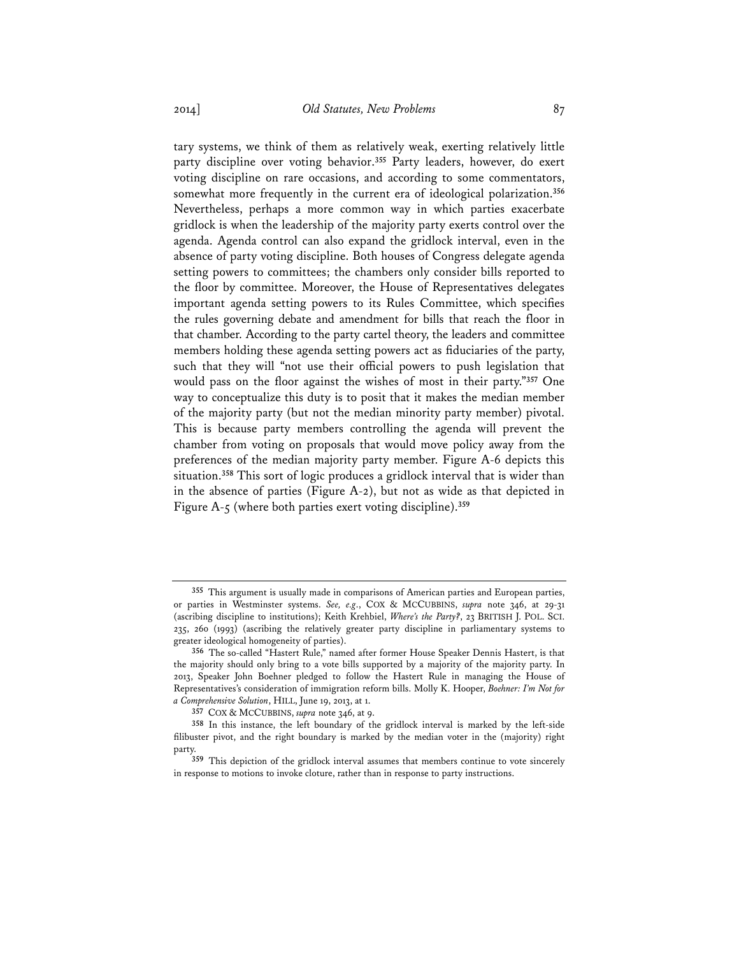tary systems, we think of them as relatively weak, exerting relatively little party discipline over voting behavior.**<sup>355</sup>** Party leaders, however, do exert voting discipline on rare occasions, and according to some commentators, somewhat more frequently in the current era of ideological polarization.**<sup>356</sup>** Nevertheless, perhaps a more common way in which parties exacerbate gridlock is when the leadership of the majority party exerts control over the agenda. Agenda control can also expand the gridlock interval, even in the absence of party voting discipline. Both houses of Congress delegate agenda setting powers to committees; the chambers only consider bills reported to the floor by committee. Moreover, the House of Representatives delegates important agenda setting powers to its Rules Committee, which specifies the rules governing debate and amendment for bills that reach the floor in that chamber. According to the party cartel theory, the leaders and committee members holding these agenda setting powers act as fiduciaries of the party, such that they will "not use their official powers to push legislation that would pass on the floor against the wishes of most in their party."**<sup>357</sup>** One way to conceptualize this duty is to posit that it makes the median member of the majority party (but not the median minority party member) pivotal. This is because party members controlling the agenda will prevent the chamber from voting on proposals that would move policy away from the preferences of the median majority party member. Figure A-6 depicts this situation.**<sup>358</sup>** This sort of logic produces a gridlock interval that is wider than in the absence of parties (Figure A-2), but not as wide as that depicted in Figure A-5 (where both parties exert voting discipline).**<sup>359</sup>**

**<sup>355</sup>** This argument is usually made in comparisons of American parties and European parties, or parties in Westminster systems. *See, e.g*., COX & MCCUBBINS, *supra* note 346, at 29-31 (ascribing discipline to institutions); Keith Krehbiel, *Where's the Party?*, 23 BRITISH J. POL. SCI. 235, 260 (1993) (ascribing the relatively greater party discipline in parliamentary systems to greater ideological homogeneity of parties).

**<sup>356</sup>** The so-called "Hastert Rule," named after former House Speaker Dennis Hastert, is that the majority should only bring to a vote bills supported by a majority of the majority party. In 2013, Speaker John Boehner pledged to follow the Hastert Rule in managing the House of Representatives's consideration of immigration reform bills. Molly K. Hooper, *Boehner: I'm Not for a Comprehensive Solution*, HILL, June 19, 2013, at 1.

**<sup>357</sup>** COX & MCCUBBINS, *supra* note 346, at 9.

**<sup>358</sup>** In this instance, the left boundary of the gridlock interval is marked by the left-side filibuster pivot, and the right boundary is marked by the median voter in the (majority) right party.

**<sup>359</sup>** This depiction of the gridlock interval assumes that members continue to vote sincerely in response to motions to invoke cloture, rather than in response to party instructions.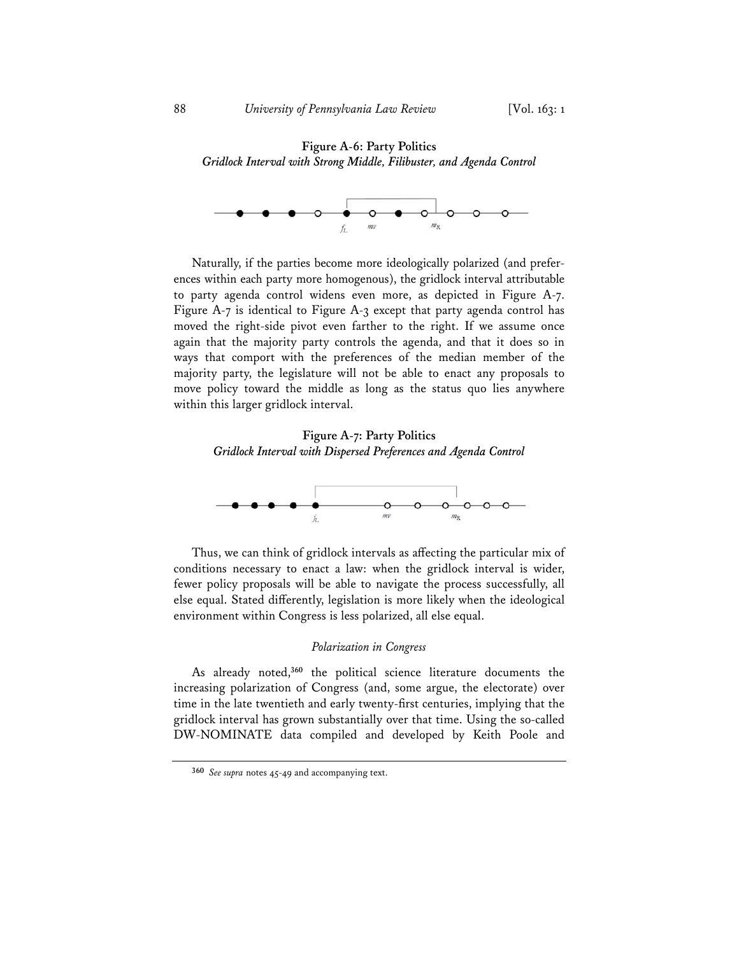# **Figure A-6: Party Politics**  *Gridlock Interval with Strong Middle, Filibuster, and Agenda Control*



Naturally, if the parties become more ideologically polarized (and preferences within each party more homogenous), the gridlock interval attributable to party agenda control widens even more, as depicted in Figure A-7. Figure A-7 is identical to Figure A-3 except that party agenda control has moved the right-side pivot even farther to the right. If we assume once again that the majority party controls the agenda, and that it does so in ways that comport with the preferences of the median member of the majority party, the legislature will not be able to enact any proposals to move policy toward the middle as long as the status quo lies anywhere within this larger gridlock interval.

**Figure A-7: Party Politics**  *Gridlock Interval with Dispersed Preferences and Agenda Control*



Thus, we can think of gridlock intervals as affecting the particular mix of conditions necessary to enact a law: when the gridlock interval is wider, fewer policy proposals will be able to navigate the process successfully, all else equal. Stated differently, legislation is more likely when the ideological environment within Congress is less polarized, all else equal.

### *Polarization in Congress*

As already noted,**<sup>360</sup>** the political science literature documents the increasing polarization of Congress (and, some argue, the electorate) over time in the late twentieth and early twenty-first centuries, implying that the gridlock interval has grown substantially over that time. Using the so-called DW-NOMINATE data compiled and developed by Keith Poole and

**<sup>360</sup>** *See supra* notes 45-49 and accompanying text.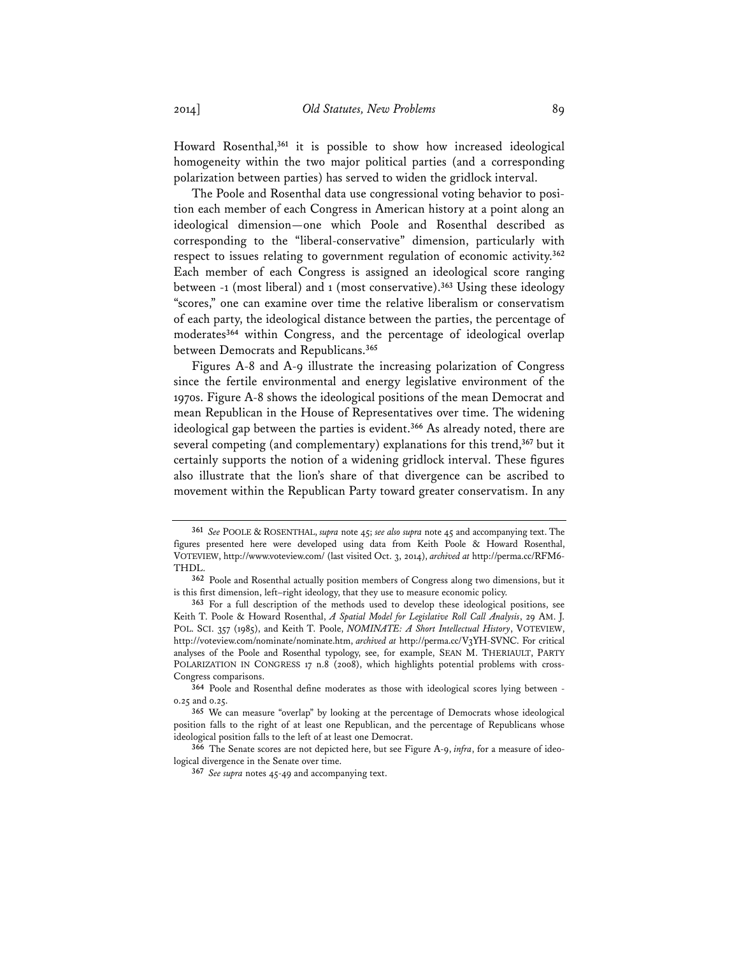Howard Rosenthal,**<sup>361</sup>** it is possible to show how increased ideological homogeneity within the two major political parties (and a corresponding polarization between parties) has served to widen the gridlock interval.

The Poole and Rosenthal data use congressional voting behavior to position each member of each Congress in American history at a point along an ideological dimension—one which Poole and Rosenthal described as corresponding to the "liberal-conservative" dimension, particularly with respect to issues relating to government regulation of economic activity.**<sup>362</sup>** Each member of each Congress is assigned an ideological score ranging between -1 (most liberal) and 1 (most conservative).**<sup>363</sup>** Using these ideology "scores," one can examine over time the relative liberalism or conservatism of each party, the ideological distance between the parties, the percentage of moderates**<sup>364</sup>** within Congress, and the percentage of ideological overlap between Democrats and Republicans.**<sup>365</sup>**

Figures A-8 and A-9 illustrate the increasing polarization of Congress since the fertile environmental and energy legislative environment of the 1970s. Figure A-8 shows the ideological positions of the mean Democrat and mean Republican in the House of Representatives over time. The widening ideological gap between the parties is evident.**<sup>366</sup>** As already noted, there are several competing (and complementary) explanations for this trend,**<sup>367</sup>** but it certainly supports the notion of a widening gridlock interval. These figures also illustrate that the lion's share of that divergence can be ascribed to movement within the Republican Party toward greater conservatism. In any

**<sup>361</sup>** *See* POOLE & ROSENTHAL, *supra* note 45; *see also supra* note 45 and accompanying text. The figures presented here were developed using data from Keith Poole & Howard Rosenthal, VOTEVIEW, http://www.voteview.com/ (last visited Oct. 3, 2014), *archived at* http://perma.cc/RFM6- THDL.

**<sup>362</sup>** Poole and Rosenthal actually position members of Congress along two dimensions, but it is this first dimension, left–right ideology, that they use to measure economic policy.

**<sup>363</sup>** For a full description of the methods used to develop these ideological positions, see Keith T. Poole & Howard Rosenthal, *A Spatial Model for Legislative Roll Call Analysis*, 29 AM. J. POL. SCI. 357 (1985), and Keith T. Poole, *NOMINATE: A Short Intellectual History*, VOTEVIEW, http://voteview.com/nominate/nominate.htm, *archived at* http://perma.cc/V3YH-SVNC. For critical analyses of the Poole and Rosenthal typology, see, for example, SEAN M. THERIAULT, PARTY POLARIZATION IN CONGRESS 17 n.8 (2008), which highlights potential problems with cross-Congress comparisons.

**<sup>364</sup>** Poole and Rosenthal define moderates as those with ideological scores lying between - 0.25 and 0.25.

**<sup>365</sup>** We can measure "overlap" by looking at the percentage of Democrats whose ideological position falls to the right of at least one Republican, and the percentage of Republicans whose ideological position falls to the left of at least one Democrat.

**<sup>366</sup>** The Senate scores are not depicted here, but see Figure A-9, *infra*, for a measure of ideological divergence in the Senate over time.

**<sup>367</sup>** *See supra* notes 45-49 and accompanying text.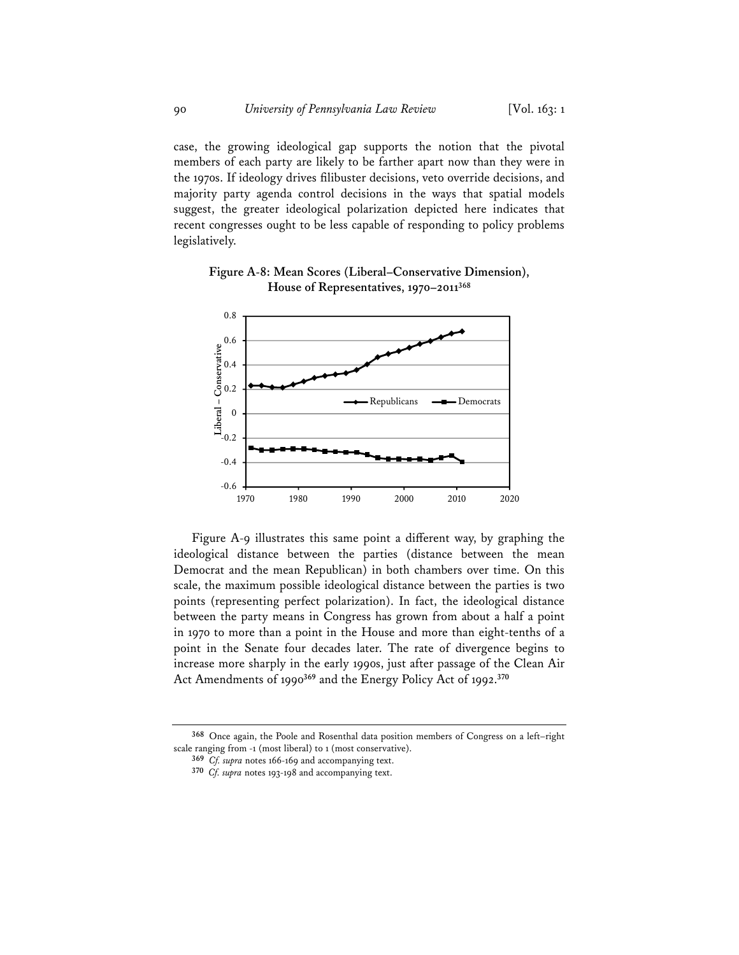case, the growing ideological gap supports the notion that the pivotal members of each party are likely to be farther apart now than they were in the 1970s. If ideology drives filibuster decisions, veto override decisions, and majority party agenda control decisions in the ways that spatial models suggest, the greater ideological polarization depicted here indicates that recent congresses ought to be less capable of responding to policy problems legislatively.

**Figure A-8: Mean Scores (Liberal–Conservative Dimension), House of Representatives, 1970–2011368**



Figure A-9 illustrates this same point a different way, by graphing the ideological distance between the parties (distance between the mean Democrat and the mean Republican) in both chambers over time. On this scale, the maximum possible ideological distance between the parties is two points (representing perfect polarization). In fact, the ideological distance between the party means in Congress has grown from about a half a point in 1970 to more than a point in the House and more than eight-tenths of a point in the Senate four decades later. The rate of divergence begins to increase more sharply in the early 1990s, just after passage of the Clean Air Act Amendments of 1990**<sup>369</sup>** and the Energy Policy Act of 1992.**<sup>370</sup>**

**368** Once again, the Poole and Rosenthal data position members of Congress on a left–right scale ranging from -1 (most liberal) to 1 (most conservative).

**<sup>369</sup>** *Cf. supra* notes 166-169 and accompanying text.

**<sup>370</sup>** *Cf. supra* notes 193-198 and accompanying text.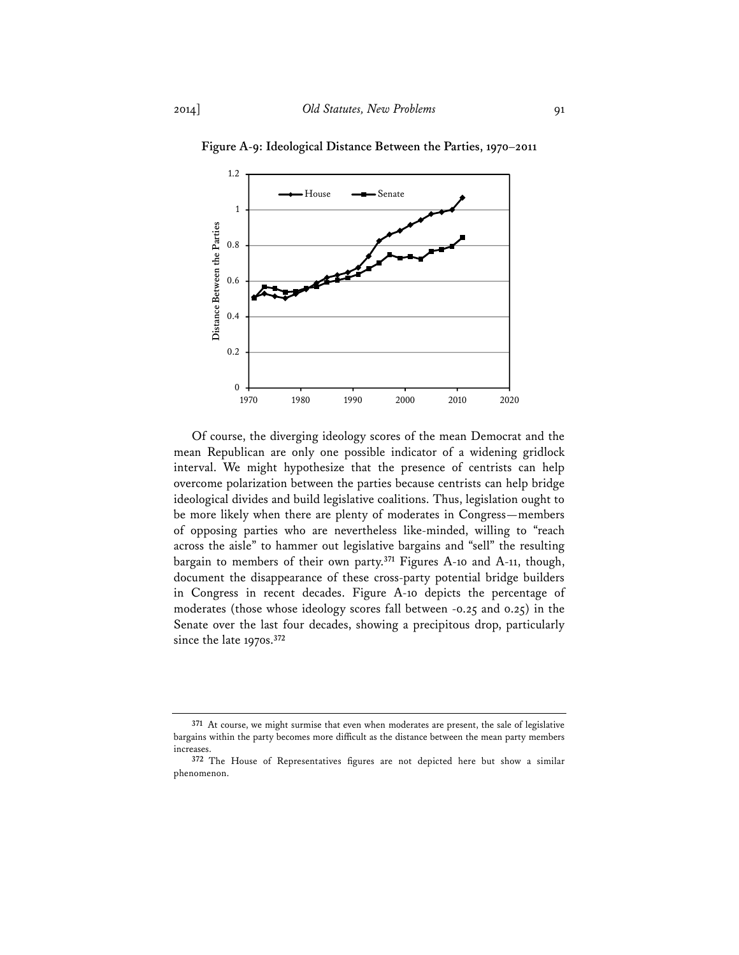

**Figure A-9: Ideological Distance Between the Parties, 1970**–**2011** 

Of course, the diverging ideology scores of the mean Democrat and the mean Republican are only one possible indicator of a widening gridlock interval. We might hypothesize that the presence of centrists can help overcome polarization between the parties because centrists can help bridge ideological divides and build legislative coalitions. Thus, legislation ought to be more likely when there are plenty of moderates in Congress—members of opposing parties who are nevertheless like-minded, willing to "reach across the aisle" to hammer out legislative bargains and "sell" the resulting bargain to members of their own party.**<sup>371</sup>** Figures A-10 and A-11, though, document the disappearance of these cross-party potential bridge builders in Congress in recent decades. Figure A-10 depicts the percentage of moderates (those whose ideology scores fall between -0.25 and 0.25) in the Senate over the last four decades, showing a precipitous drop, particularly since the late 1970s.**<sup>372</sup>**

**<sup>371</sup>** At course, we might surmise that even when moderates are present, the sale of legislative bargains within the party becomes more difficult as the distance between the mean party members increases.

**<sup>372</sup>** The House of Representatives figures are not depicted here but show a similar phenomenon.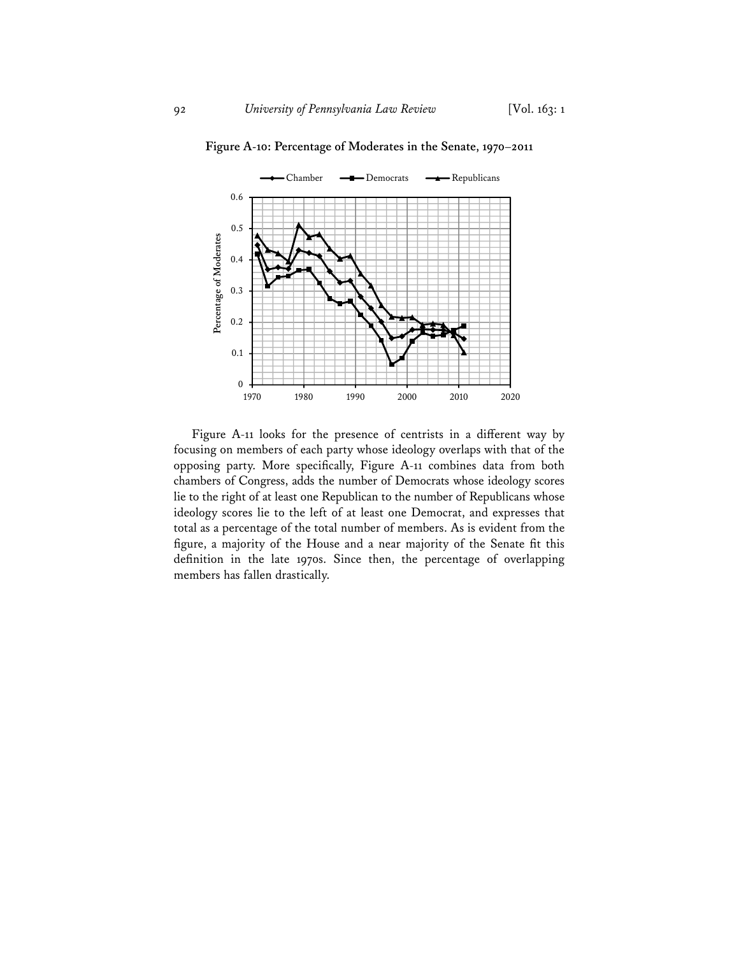

**Figure A-10: Percentage of Moderates in the Senate, 1970**–**2011** 

Figure A-11 looks for the presence of centrists in a different way by focusing on members of each party whose ideology overlaps with that of the opposing party. More specifically, Figure A-11 combines data from both chambers of Congress, adds the number of Democrats whose ideology scores lie to the right of at least one Republican to the number of Republicans whose ideology scores lie to the left of at least one Democrat, and expresses that total as a percentage of the total number of members. As is evident from the figure, a majority of the House and a near majority of the Senate fit this definition in the late 1970s. Since then, the percentage of overlapping members has fallen drastically.